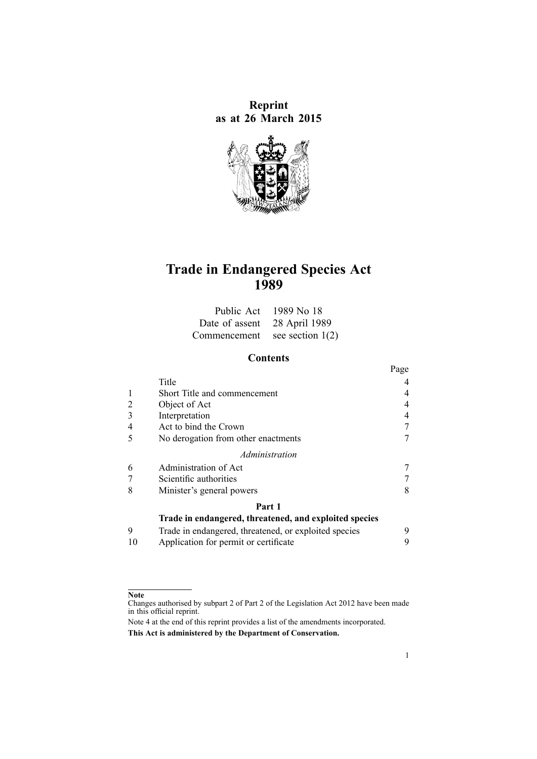**Reprint as at 26 March 2015**



# **Trade in Endangered Species Act 1989**

|                                 | Public Act 1989 No 18 |
|---------------------------------|-----------------------|
| Date of assent 28 April 1989    |                       |
| Commencement see section $1(2)$ |                       |

# **Contents**

|                                                        |                                                       | Page |
|--------------------------------------------------------|-------------------------------------------------------|------|
|                                                        | Title                                                 |      |
|                                                        | Short Title and commencement                          | 4    |
| 2                                                      | Object of Act                                         | 4    |
|                                                        | Interpretation                                        | 4    |
|                                                        | Act to bind the Crown                                 |      |
| 5                                                      | No derogation from other enactments                   |      |
| Administration                                         |                                                       |      |
| 6                                                      | Administration of Act                                 |      |
|                                                        | Scientific authorities                                |      |
| 8                                                      | Minister's general powers                             | 8    |
| Part 1                                                 |                                                       |      |
| Trade in endangered, threatened, and exploited species |                                                       |      |
| 9                                                      | Trade in endangered, threatened, or exploited species | 9    |
| 10                                                     | Application for permit or certificate                 | 9    |

#### **Note**

Changes authorised by [subpart](http://www.legislation.govt.nz/pdflink.aspx?id=DLM2998524) 2 of Part 2 of the Legislation Act 2012 have been made in this official reprint.

Note 4 at the end of this reprint provides <sup>a</sup> list of the amendments incorporated. **This Act is administered by the Department of Conservation.**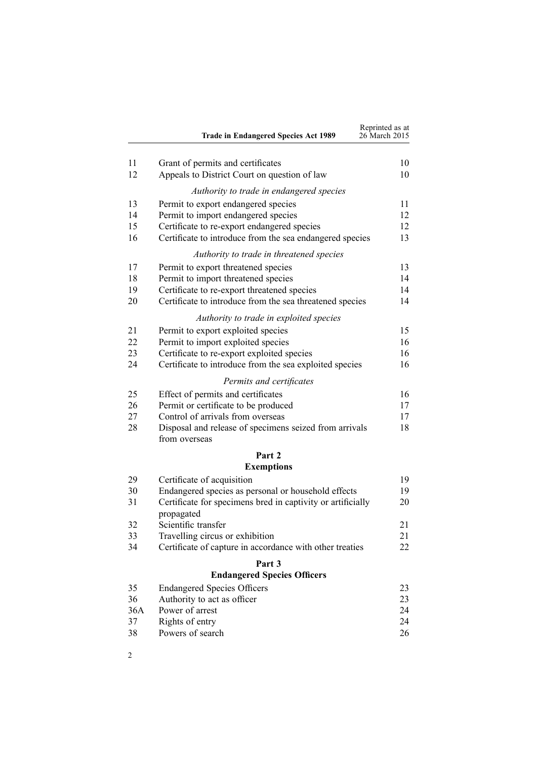|          | <b>Trade in Endangered Species Act 1989</b>                                       | Reprinted as at<br>26 March 2015 |
|----------|-----------------------------------------------------------------------------------|----------------------------------|
|          |                                                                                   |                                  |
| 11<br>12 | Grant of permits and certificates<br>Appeals to District Court on question of law | 10<br>10                         |
|          | Authority to trade in endangered species                                          |                                  |
| 13       | Permit to export endangered species                                               | 11                               |
| 14       | Permit to import endangered species                                               | 12                               |
| 15       | Certificate to re-export endangered species                                       | 12                               |
| 16       | Certificate to introduce from the sea endangered species                          | 13                               |
|          | Authority to trade in threatened species                                          |                                  |
| 17       | Permit to export threatened species                                               | 13                               |
| 18       | Permit to import threatened species                                               | 14                               |
| 19       | Certificate to re-export threatened species                                       | 14                               |
| 20       | Certificate to introduce from the sea threatened species                          | 14                               |
|          | Authority to trade in exploited species                                           |                                  |
| 21       | Permit to export exploited species                                                | 15                               |
| 22       | Permit to import exploited species                                                | 16                               |
| 23       | Certificate to re-export exploited species                                        | 16                               |
| 24       | Certificate to introduce from the sea exploited species                           | 16                               |
|          | Permits and certificates                                                          |                                  |
| 25       | Effect of permits and certificates                                                | 16                               |
| 26       | Permit or certificate to be produced                                              | 17                               |
| 27       | Control of arrivals from overseas                                                 | 17                               |
| 28       | Disposal and release of specimens seized from arrivals<br>from overseas           | 18                               |
|          | Part 2                                                                            |                                  |
|          | <b>Exemptions</b>                                                                 |                                  |
| 29       | Certificate of acquisition                                                        | 19                               |
| 30       | Endangered species as personal or household effects                               | 19                               |
| 31       | Certificate for specimens bred in captivity or artificially<br>propagated         | 20                               |
| 32       | Scientific transfer                                                               | 21                               |
| 33       | Travelling circus or exhibition                                                   | 21                               |
| 34       | Certificate of capture in accordance with other treaties                          | 22                               |
|          | Part 3                                                                            |                                  |
|          | <b>Endangered Species Officers</b>                                                |                                  |
| 35       | <b>Endangered Species Officers</b>                                                | 23                               |
| 36       | Authority to act as officer                                                       | 23                               |
| 36A      | Power of arrest                                                                   | 24                               |

37 [Rights](#page-23-0) of entry [24](#page-23-0) 38 [Powers](#page-25-0) of search [26](#page-25-0)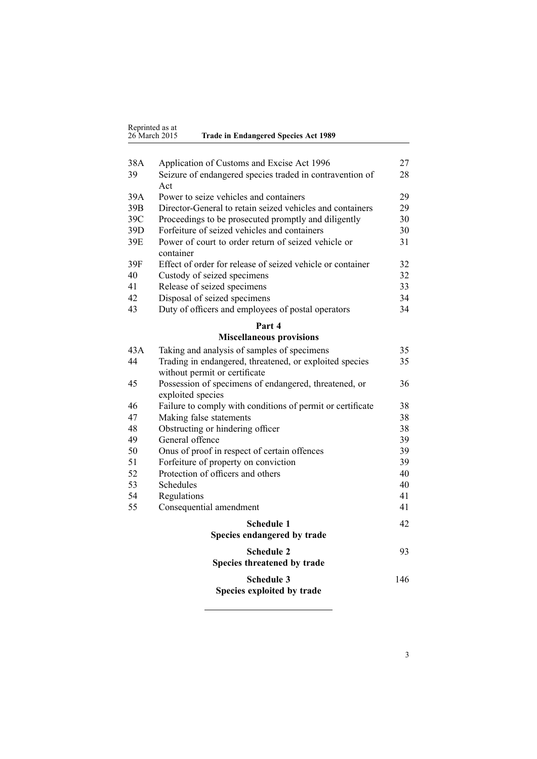| Reprinted as at |                                             |
|-----------------|---------------------------------------------|
|                 |                                             |
| 26 March 2015   | <b>Trade in Endangered Species Act 1989</b> |
|                 |                                             |

| 38A | Application of Customs and Excise Act 1996                                               | 27 |
|-----|------------------------------------------------------------------------------------------|----|
| 39  | Seizure of endangered species traded in contravention of                                 | 28 |
|     | Act                                                                                      |    |
| 39A | Power to seize vehicles and containers                                                   | 29 |
| 39B | Director-General to retain seized vehicles and containers                                | 29 |
| 39C | Proceedings to be prosecuted promptly and diligently                                     | 30 |
| 39D | Forfeiture of seized vehicles and containers                                             | 30 |
| 39E | Power of court to order return of seized vehicle or                                      | 31 |
|     | container                                                                                |    |
| 39F | Effect of order for release of seized vehicle or container                               | 32 |
| 40  | Custody of seized specimens                                                              | 32 |
| 41  | Release of seized specimens                                                              | 33 |
| 42  | Disposal of seized specimens                                                             | 34 |
| 43  | Duty of officers and employees of postal operators                                       | 34 |
|     | Part 4                                                                                   |    |
|     | <b>Miscellaneous provisions</b>                                                          |    |
| 43A | Taking and analysis of samples of specimens                                              | 35 |
| 44  | Trading in endangered, threatened, or exploited species<br>without permit or certificate | 35 |
| 45  | Possession of specimens of endangered, threatened, or<br>avnloited greeige               | 36 |

|    | exploited species                                          |     |
|----|------------------------------------------------------------|-----|
| 46 | Failure to comply with conditions of permit or certificate | 38  |
| 47 | Making false statements                                    | 38  |
| 48 | Obstructing or hindering officer                           | 38  |
| 49 | General offence                                            | 39  |
| 50 | Onus of proof in respect of certain offences               | 39  |
| 51 | Forfeiture of property on conviction                       | 39  |
| 52 | Protection of officers and others                          | 40  |
| 53 | <b>Schedules</b>                                           | 40  |
| 54 | Regulations                                                | 41  |
| 55 | Consequential amendment                                    | 41  |
|    | <b>Schedule 1</b><br>Species endangered by trade           | 42  |
|    | <b>Schedule 2</b><br>Species threatened by trade           | 93  |
|    | <b>Schedule 3</b>                                          | 146 |
|    |                                                            |     |

**[Species](#page-145-0) exploited by trade**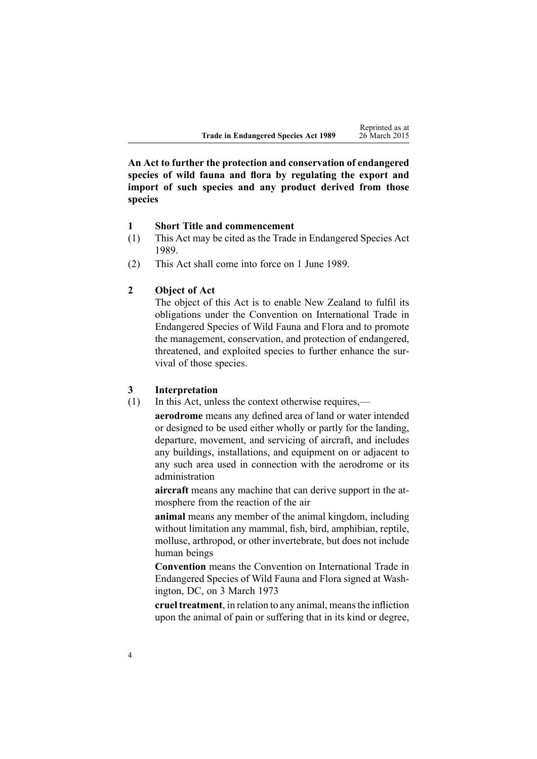<span id="page-3-0"></span>**An Act to further the protection and conservation of endangered species of wild fauna and flora by regulating the export and import of such species and any product derived from those species**

#### **1 Short Title and commencement**

- (1) This Act may be cited as the Trade in Endangered Species Act 1989.
- (2) This Act shall come into force on 1 June 1989.

# **2 Object of Act**

The object of this Act is to enable New Zealand to fulfil its obligations under the Convention on International Trade in Endangered Species of Wild Fauna and Flora and to promote the management, conservation, and protection of endangered, threatened, and exploited species to further enhance the survival of those species.

#### **3 Interpretation**

(1) In this Act, unless the context otherwise requires,—

**aerodrome** means any defined area of land or water intended or designed to be used either wholly or partly for the landing, departure, movement, and servicing of aircraft, and includes any buildings, installations, and equipment on or adjacent to any such area used in connection with the aerodrome or its administration

**aircraft** means any machine that can derive suppor<sup>t</sup> in the atmosphere from the reaction of the air

**animal** means any member of the animal kingdom, including without limitation any mammal, fish, bird, amphibian, reptile, mollusc, arthropod, or other invertebrate, but does not include human beings

**Convention** means the Convention on International Trade in Endangered Species of Wild Fauna and Flora signed at Washington, DC, on 3 March 1973

**cruel treatment**, in relation to any animal, meansthe infliction upon the animal of pain or suffering that in its kind or degree,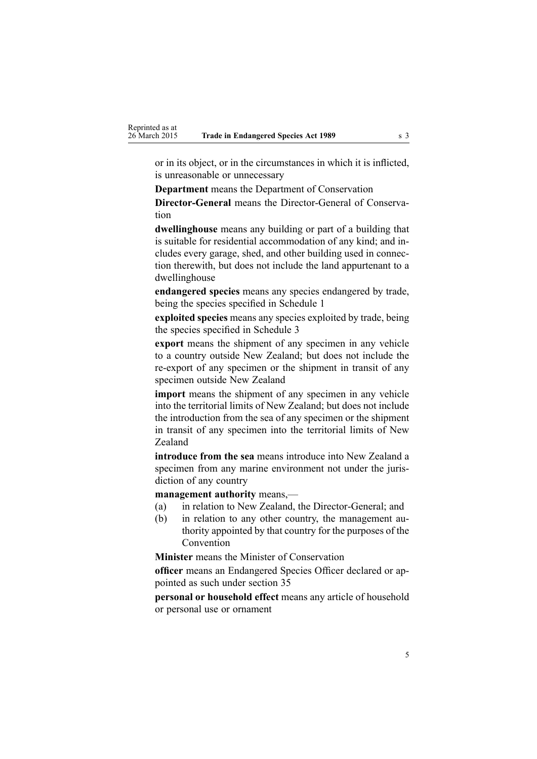or in its object, or in the circumstances in which it is inflicted, is unreasonable or unnecessary

**Department** means the Department of Conservation

**Director-General** means the Director-General of Conservation

**dwellinghouse** means any building or par<sup>t</sup> of <sup>a</sup> building that is suitable for residential accommodation of any kind; and includes every garage, shed, and other building used in connection therewith, but does not include the land appurtenant to <sup>a</sup> dwellinghouse

**endangered species** means any species endangered by trade, being the species specified in [Schedule](#page-41-0) 1

**exploited species** means any species exploited by trade, being the species specified in [Schedule](#page-145-0) 3

**expor<sup>t</sup>** means the shipment of any specimen in any vehicle to <sup>a</sup> country outside New Zealand; but does not include the re-expor<sup>t</sup> of any specimen or the shipment in transit of any specimen outside New Zealand

**import** means the shipment of any specimen in any vehicle into the territorial limits of New Zealand; but does not include the introduction from the sea of any specimen or the shipment in transit of any specimen into the territorial limits of New Zealand

**introduce from the sea** means introduce into New Zealand <sup>a</sup> specimen from any marine environment not under the jurisdiction of any country

**management authority** means,—

- (a) in relation to New Zealand, the Director-General; and
- (b) in relation to any other country, the managemen<sup>t</sup> authority appointed by that country for the purposes of the Convention

**Minister** means the Minister of Conservation

**officer** means an Endangered Species Officer declared or appointed as such under [section](#page-22-0) 35

**personal or household effect** means any article of household or personal use or ornament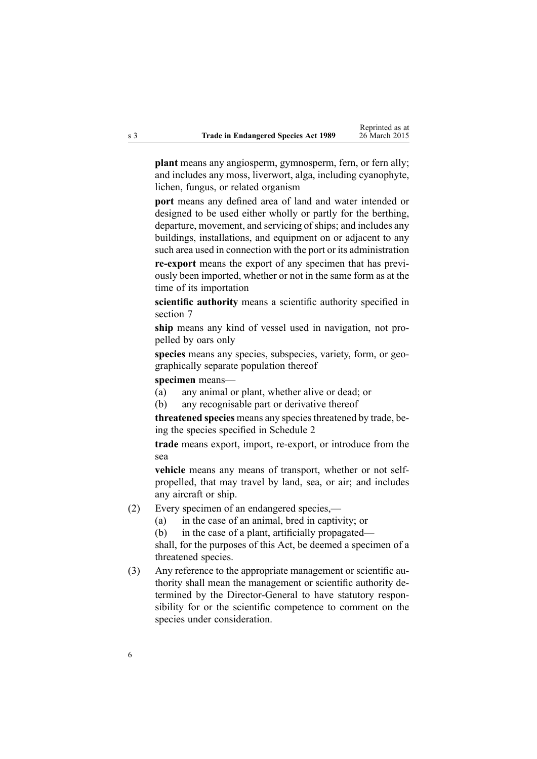**plant** means any angiosperm, gymnosperm, fern, or fern ally; and includes any moss, liverwort, alga, including cyanophyte, lichen, fungus, or related organism

**por<sup>t</sup>** means any defined area of land and water intended or designed to be used either wholly or partly for the berthing, departure, movement, and servicing of ships; and includes any buildings, installations, and equipment on or adjacent to any such area used in connection with the por<sup>t</sup> or its administration

**re-expor<sup>t</sup>** means the expor<sup>t</sup> of any specimen that has previously been imported, whether or not in the same form as at the time of its importation

**scientific authority** means <sup>a</sup> scientific authority specified in [section](#page-6-0) 7

**ship** means any kind of vessel used in navigation, not propelled by oars only

species means any species, subspecies, variety, form, or geographically separate population thereof

**specimen** means—

(a) any animal or plant, whether alive or dead; or

(b) any recognisable par<sup>t</sup> or derivative thereof

**threatened species** means any speciesthreatened by trade, be-ing the species specified in [Schedule](#page-92-0) 2

**trade** means export, import, re-export, or introduce from the sea

**vehicle** means any means of transport, whether or not selfpropelled, that may travel by land, sea, or air; and includes any aircraft or ship.

- (2) Every specimen of an endangered species,—
	- (a) in the case of an animal, bred in captivity; or
	- (b) in the case of <sup>a</sup> plant, artificially propagated—

shall, for the purposes of this Act, be deemed <sup>a</sup> specimen of <sup>a</sup> threatened species.

(3) Any reference to the appropriate managemen<sup>t</sup> or scientific authority shall mean the managemen<sup>t</sup> or scientific authority determined by the Director-General to have statutory responsibility for or the scientific competence to comment on the species under consideration.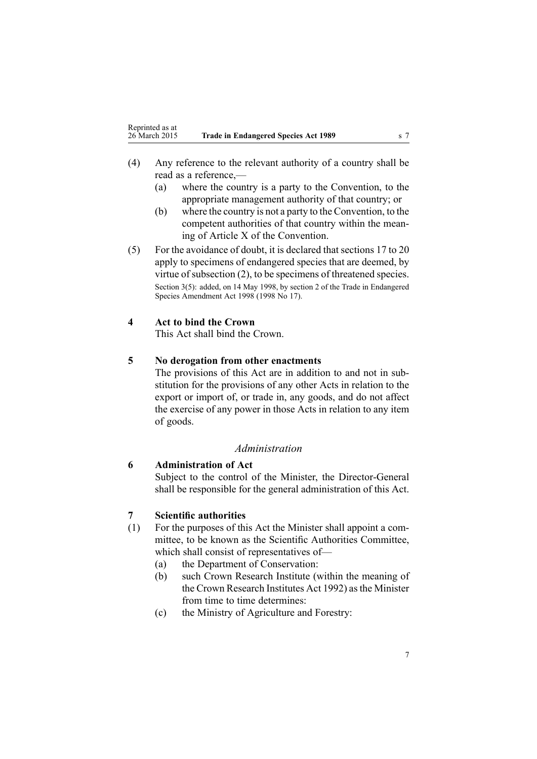- <span id="page-6-0"></span>(4) Any reference to the relevant authority of <sup>a</sup> country shall be read as <sup>a</sup> reference,—
	- (a) where the country is <sup>a</sup> party to the Convention, to the appropriate managemen<sup>t</sup> authority of that country; or
	- (b) where the country is not <sup>a</sup> party to the Convention, to the competent authorities of that country within the meaning of Article X of the Convention.
- (5) For the avoidance of doubt, it is declared that [sections](#page-12-0) 17 to 20 apply to specimens of endangered species that are deemed, by virtue of subsection (2), to be specimens of threatened species. Section 3(5): added, on 14 May 1998, by [section](http://www.legislation.govt.nz/pdflink.aspx?id=DLM425607) 2 of the Trade in Endangered Species Amendment Act 1998 (1998 No 17).

## **4 Act to bind the Crown**

This Act shall bind the Crown.

# **5 No derogation from other enactments**

The provisions of this Act are in addition to and not in substitution for the provisions of any other Acts in relation to the expor<sup>t</sup> or import of, or trade in, any goods, and do not affect the exercise of any power in those Acts in relation to any item of goods.

## *Administration*

### **6 Administration of Act**

Subject to the control of the Minister, the Director-General shall be responsible for the general administration of this Act.

#### **7 Scientific authorities**

- (1) For the purposes of this Act the Minister shall appoint <sup>a</sup> committee, to be known as the Scientific Authorities Committee, which shall consist of representatives of—
	- (a) the Department of Conservation:
	- (b) such Crown Research Institute (within the meaning of the Crown [Research](http://www.legislation.govt.nz/pdflink.aspx?id=DLM264291) Institutes Act 1992) asthe Minister from time to time determines:
	- (c) the Ministry of Agriculture and Forestry: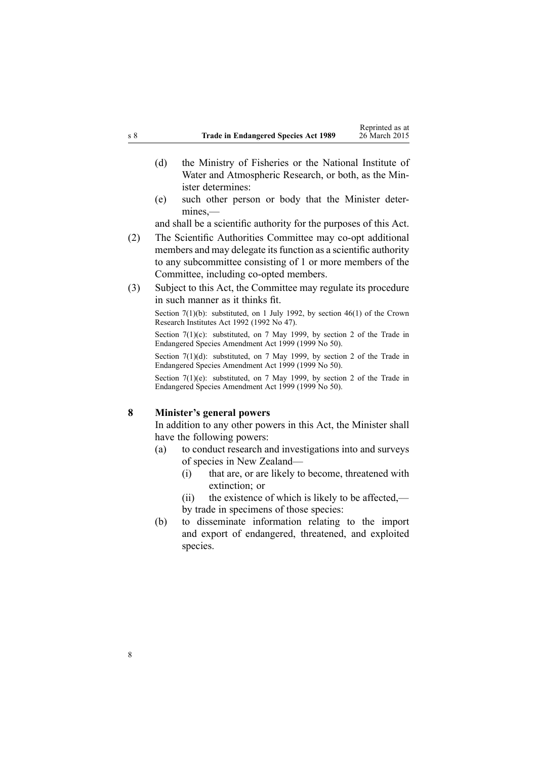- <span id="page-7-0"></span>(d) the Ministry of Fisheries or the National Institute of Water and Atmospheric Research, or both, as the Minister determines:
- (e) such other person or body that the Minister determines,—

and shall be <sup>a</sup> scientific authority for the purposes of this Act.

- (2) The Scientific Authorities Committee may co-op<sup>t</sup> additional members and may delegate its function as a scientific authority to any subcommittee consisting of 1 or more members of the Committee, including co-opted members.
- (3) Subject to this Act, the Committee may regulate its procedure in such manner as it thinks fit.

Section 7(1)(b): substituted, on 1 July 1992, by [section](http://www.legislation.govt.nz/pdflink.aspx?id=DLM265666) 46(1) of the Crown Research Institutes Act 1992 (1992 No 47).

Section 7(1)(c): substituted, on 7 May 1999, by [section](http://www.legislation.govt.nz/pdflink.aspx?id=DLM25211) 2 of the Trade in Endangered Species Amendment Act 1999 (1999 No 50).

Section 7(1)(d): substituted, on 7 May 1999, by [section](http://www.legislation.govt.nz/pdflink.aspx?id=DLM25211) 2 of the Trade in Endangered Species Amendment Act 1999 (1999 No 50).

Section 7(1)(e): substituted, on 7 May 1999, by [section](http://www.legislation.govt.nz/pdflink.aspx?id=DLM25211) 2 of the Trade in Endangered Species Amendment Act 1999 (1999 No 50).

#### **8 Minister's general powers**

In addition to any other powers in this Act, the Minister shall have the following powers:

- (a) to conduct research and investigations into and surveys of species in New Zealand—
	- (i) that are, or are likely to become, threatened with extinction; or
	- (ii) the existence of which is likely to be affected, by trade in specimens of those species:
- (b) to disseminate information relating to the import and expor<sup>t</sup> of endangered, threatened, and exploited species.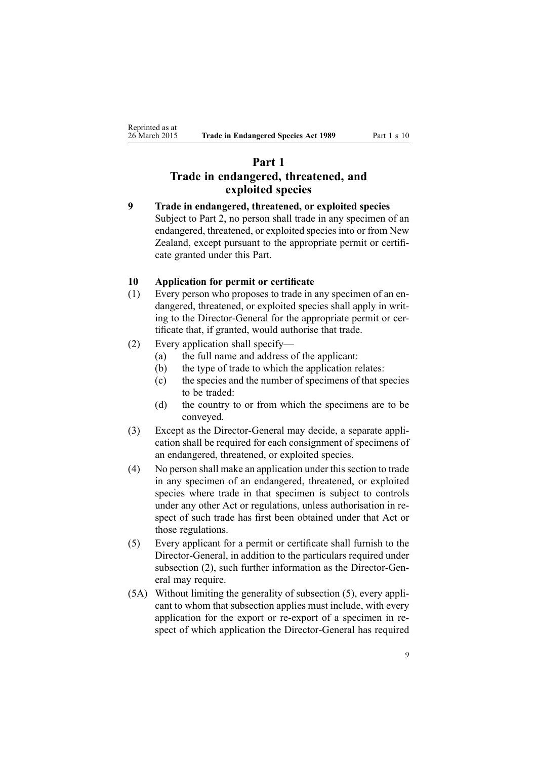# <span id="page-8-0"></span>**Part 1 Trade in endangered, threatened, and exploited species**

**9 Trade in endangered, threatened, or exploited species** Subject to [Part](#page-18-0) 2, no person shall trade in any specimen of an endangered, threatened, or exploited species into or from New Zealand, excep<sup>t</sup> pursuan<sup>t</sup> to the appropriate permit or certificate granted under this Part.

# **10 Application for permit or certificate**

- (1) Every person who proposes to trade in any specimen of an endangered, threatened, or exploited species shall apply in writing to the Director-General for the appropriate permit or certificate that, if granted, would authorise that trade.
- (2) Every application shall specify—
	- (a) the full name and address of the applicant:
	- (b) the type of trade to which the application relates:
	- (c) the species and the number of specimens of that species to be traded:
	- (d) the country to or from which the specimens are to be conveyed.
- (3) Except as the Director-General may decide, <sup>a</sup> separate application shall be required for each consignment of specimens of an endangered, threatened, or exploited species.
- (4) No person shall make an application under thissection to trade in any specimen of an endangered, threatened, or exploited species where trade in that specimen is subject to controls under any other Act or regulations, unless authorisation in respec<sup>t</sup> of such trade has first been obtained under that Act or those regulations.
- (5) Every applicant for <sup>a</sup> permit or certificate shall furnish to the Director-General, in addition to the particulars required under subsection (2), such further information as the Director-General may require.
- (5A) Without limiting the generality of subsection (5), every applicant to whom that subsection applies must include, with every application for the expor<sup>t</sup> or re-expor<sup>t</sup> of <sup>a</sup> specimen in respec<sup>t</sup> of which application the Director-General has required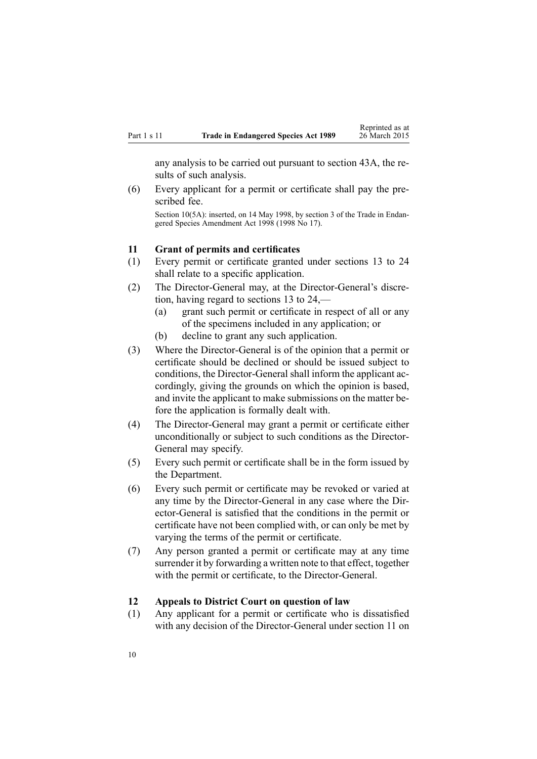<span id="page-9-0"></span>any analysis to be carried out pursuan<sup>t</sup> to [section](#page-34-0) 43A, the results of such analysis.

(6) Every applicant for <sup>a</sup> permit or certificate shall pay the prescribed fee. Section 10(5A): inserted, on 14 May 1998, by [section](http://www.legislation.govt.nz/pdflink.aspx?id=DLM425608) 3 of the Trade in Endangered Species Amendment Act 1998 (1998 No 17).

#### **11 Grant of permits and certificates**

- (1) Every permit or certificate granted under [sections](#page-10-0) 13 to 24 shall relate to <sup>a</sup> specific application.
- (2) The Director-General may, at the Director-General's discretion, having regard to [sections](#page-10-0) 13 to 24,—
	- (a) gran<sup>t</sup> such permit or certificate in respec<sup>t</sup> of all or any of the specimens included in any application; or
	- (b) decline to gran<sup>t</sup> any such application.
- (3) Where the Director-General is of the opinion that <sup>a</sup> permit or certificate should be declined or should be issued subject to conditions, the Director-General shall inform the applicant accordingly, giving the grounds on which the opinion is based, and invite the applicant to make submissions on the matter before the application is formally dealt with.
- (4) The Director-General may gran<sup>t</sup> <sup>a</sup> permit or certificate either unconditionally or subject to such conditions as the Director-General may specify.
- (5) Every such permit or certificate shall be in the form issued by the Department.
- (6) Every such permit or certificate may be revoked or varied at any time by the Director-General in any case where the Director-General is satisfied that the conditions in the permit or certificate have not been complied with, or can only be met by varying the terms of the permit or certificate.
- (7) Any person granted <sup>a</sup> permit or certificate may at any time surrender it by forwarding <sup>a</sup> written note to that effect, together with the permit or certificate, to the Director-General.

#### **12 Appeals to District Court on question of law**

(1) Any applicant for <sup>a</sup> permit or certificate who is dissatisfied with any decision of the Director-General under section 11 on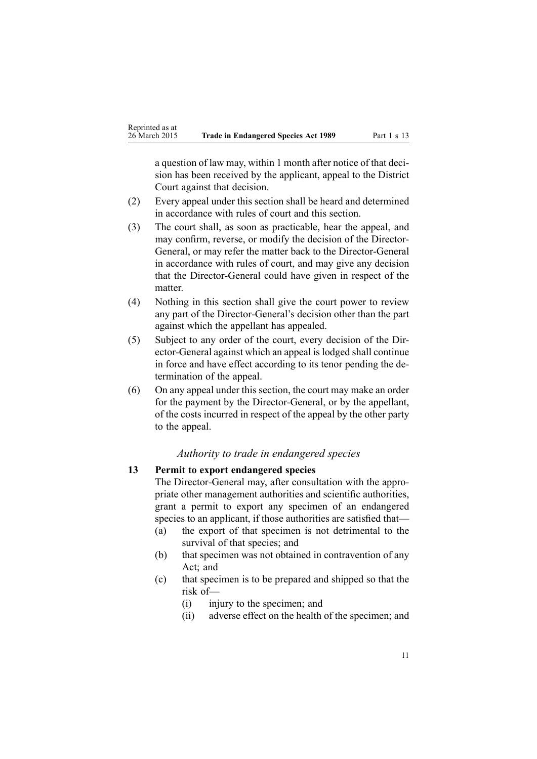<span id="page-10-0"></span><sup>a</sup> question of law may, within 1 month after notice of that decision has been received by the applicant, appeal to the District Court against that decision.

- (2) Every appeal under this section shall be heard and determined in accordance with rules of court and this section.
- (3) The court shall, as soon as practicable, hear the appeal, and may confirm, reverse, or modify the decision of the Director-General, or may refer the matter back to the Director-General in accordance with rules of court, and may give any decision that the Director-General could have given in respec<sup>t</sup> of the matter.
- (4) Nothing in this section shall give the court power to review any par<sup>t</sup> of the Director-General's decision other than the par<sup>t</sup> against which the appellant has appealed.
- (5) Subject to any order of the court, every decision of the Director-General against which an appeal islodged shall continue in force and have effect according to its tenor pending the determination of the appeal.
- (6) On any appeal under this section, the court may make an order for the paymen<sup>t</sup> by the Director-General, or by the appellant, of the costs incurred in respec<sup>t</sup> of the appeal by the other party to the appeal.

### *Authority to trade in endangered species*

#### **13 Permit to export endangered species**

The Director-General may, after consultation with the appropriate other managemen<sup>t</sup> authorities and scientific authorities, gran<sup>t</sup> <sup>a</sup> permit to expor<sup>t</sup> any specimen of an endangered species to an applicant, if those authorities are satisfied that—

- (a) the expor<sup>t</sup> of that specimen is not detrimental to the survival of that species; and
- (b) that specimen was not obtained in contravention of any Act; and
- (c) that specimen is to be prepared and shipped so that the risk of—
	- (i) injury to the specimen; and
	- (ii) adverse effect on the health of the specimen; and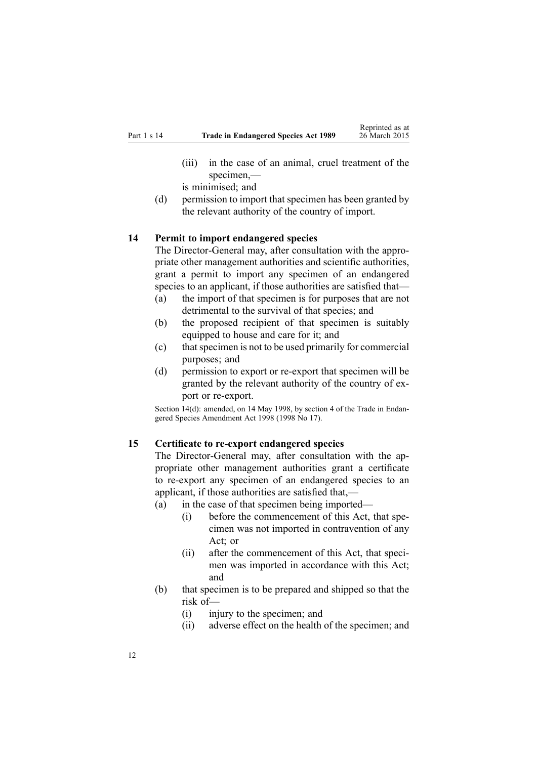- <span id="page-11-0"></span>(iii) in the case of an animal, cruel treatment of the specimen,—
- is minimised; and
- (d) permission to import that specimen has been granted by the relevant authority of the country of import.

#### **14 Permit to import endangered species**

The Director-General may, after consultation with the appropriate other managemen<sup>t</sup> authorities and scientific authorities, gran<sup>t</sup> <sup>a</sup> permit to import any specimen of an endangered species to an applicant, if those authorities are satisfied that—

- (a) the import of that specimen is for purposes that are not detrimental to the survival of that species; and
- (b) the proposed recipient of that specimen is suitably equipped to house and care for it; and
- (c) thatspecimen is not to be used primarily for commercial purposes; and
- (d) permission to expor<sup>t</sup> or re-expor<sup>t</sup> that specimen will be granted by the relevant authority of the country of export or re-export.

Section 14(d): amended, on 14 May 1998, by [section](http://www.legislation.govt.nz/pdflink.aspx?id=DLM425609) 4 of the Trade in Endangered Species Amendment Act 1998 (1998 No 17).

## **15 Certificate to re-export endangered species**

The Director-General may, after consultation with the appropriate other managemen<sup>t</sup> authorities gran<sup>t</sup> <sup>a</sup> certificate to re-expor<sup>t</sup> any specimen of an endangered species to an applicant, if those authorities are satisfied that,—

(a) in the case of that specimen being imported—

- (i) before the commencement of this Act, that specimen was not imported in contravention of any Act; or
- (ii) after the commencement of this Act, that specimen was imported in accordance with this Act; and
- (b) that specimen is to be prepared and shipped so that the risk of—
	- (i) injury to the specimen; and
	- (ii) adverse effect on the health of the specimen; and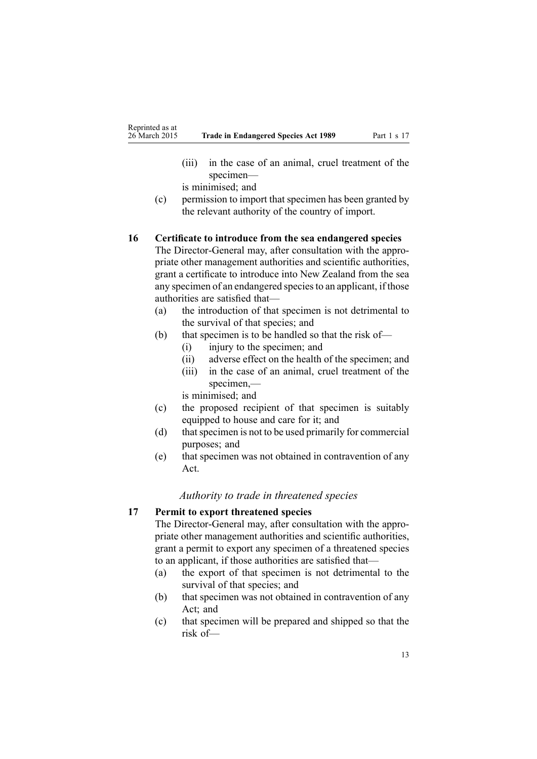- <span id="page-12-0"></span>(iii) in the case of an animal, cruel treatment of the specimen—
- is minimised; and
- (c) permission to import that specimen has been granted by the relevant authority of the country of import.

#### **16 Certificate to introduce from the sea endangered species**

The Director-General may, after consultation with the appropriate other managemen<sup>t</sup> authorities and scientific authorities, gran<sup>t</sup> <sup>a</sup> certificate to introduce into New Zealand from the sea any specimen of an endangered speciesto an applicant, if those authorities are satisfied that—

- (a) the introduction of that specimen is not detrimental to the survival of that species; and
- (b) that specimen is to be handled so that the risk of—
	- (i) injury to the specimen; and
	- (ii) adverse effect on the health of the specimen; and (iii) in the case of an animal, cruel treatment of the
	- specimen,—

is minimised; and

- (c) the proposed recipient of that specimen is suitably equipped to house and care for it; and
- (d) that specimen is not to be used primarily for commercial purposes; and
- (e) that specimen was not obtained in contravention of any Act.

#### *Authority to trade in threatened species*

### **17 Permit to export threatened species**

The Director-General may, after consultation with the appropriate other managemen<sup>t</sup> authorities and scientific authorities, gran<sup>t</sup> <sup>a</sup> permit to expor<sup>t</sup> any specimen of <sup>a</sup> threatened species to an applicant, if those authorities are satisfied that—

- (a) the expor<sup>t</sup> of that specimen is not detrimental to the survival of that species; and
- (b) that specimen was not obtained in contravention of any Act; and
- (c) that specimen will be prepared and shipped so that the risk of—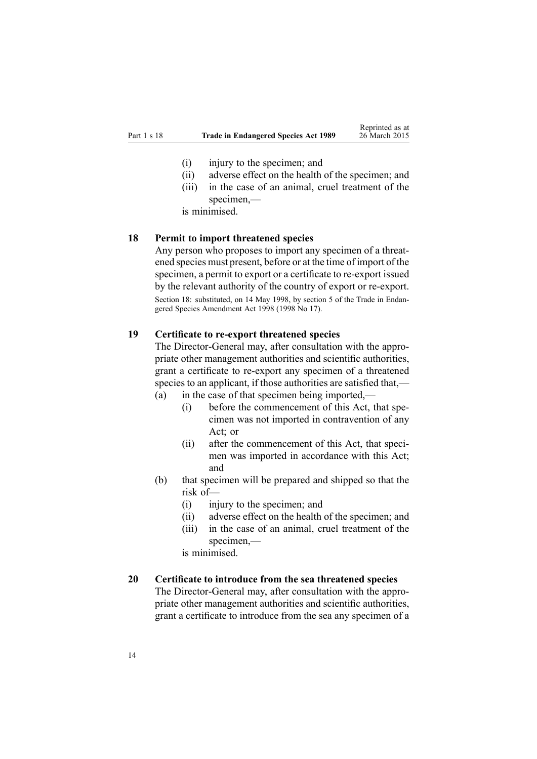- <span id="page-13-0"></span>(i) injury to the specimen; and
- (ii) adverse effect on the health of the specimen; and
- (iii) in the case of an animal, cruel treatment of the specimen,—

is minimised.

#### **18 Permit to import threatened species**

Any person who proposes to import any specimen of <sup>a</sup> threatened species must present, before or at the time of import of the specimen, <sup>a</sup> permit to expor<sup>t</sup> or <sup>a</sup> certificate to re-expor<sup>t</sup> issued by the relevant authority of the country of expor<sup>t</sup> or re-export. Section 18: substituted, on 14 May 1998, by [section](http://www.legislation.govt.nz/pdflink.aspx?id=DLM425610) 5 of the Trade in Endangered Species Amendment Act 1998 (1998 No 17).

### **19 Certificate to re-export threatened species**

The Director-General may, after consultation with the appropriate other managemen<sup>t</sup> authorities and scientific authorities, gran<sup>t</sup> <sup>a</sup> certificate to re-expor<sup>t</sup> any specimen of <sup>a</sup> threatened species to an applicant, if those authorities are satisfied that,— (a) in the case of that specimen being imported,—

- (i) before the commencement of this Act, that specimen was not imported in contravention of any Act; or
- (ii) after the commencement of this Act, that specimen was imported in accordance with this Act; and
- (b) that specimen will be prepared and shipped so that the risk of—
	- (i) injury to the specimen; and
	- (ii) adverse effect on the health of the specimen; and
	- (iii) in the case of an animal, cruel treatment of the specimen,—

is minimised.

# **20 Certificate to introduce from the sea threatened species**

The Director-General may, after consultation with the appropriate other managemen<sup>t</sup> authorities and scientific authorities, gran<sup>t</sup> <sup>a</sup> certificate to introduce from the sea any specimen of <sup>a</sup>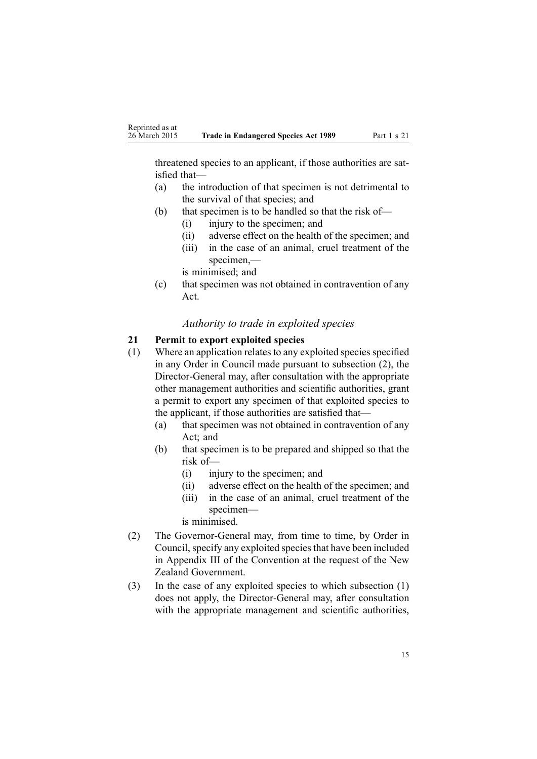<span id="page-14-0"></span>threatened species to an applicant, if those authorities are satisfied that—

- (a) the introduction of that specimen is not detrimental to the survival of that species; and
- (b) that specimen is to be handled so that the risk of—
	- (i) injury to the specimen; and
	- (ii) adverse effect on the health of the specimen; and
	- (iii) in the case of an animal, cruel treatment of the specimen,—
	- is minimised; and
- (c) that specimen was not obtained in contravention of any Act.

# *Authority to trade in exploited species*

# **21 Permit to export exploited species**

- (1) Where an application relates to any exploited species specified in any Order in Council made pursuan<sup>t</sup> to subsection (2), the Director-General may, after consultation with the appropriate other managemen<sup>t</sup> authorities and scientific authorities, gran<sup>t</sup> <sup>a</sup> permit to expor<sup>t</sup> any specimen of that exploited species to the applicant, if those authorities are satisfied that—
	- (a) that specimen was not obtained in contravention of any Act; and
	- (b) that specimen is to be prepared and shipped so that the risk of—
		- (i) injury to the specimen; and
		- (ii) adverse effect on the health of the specimen; and
		- (iii) in the case of an animal, cruel treatment of the specimen—

is minimised.

- (2) The Governor-General may, from time to time, by Order in Council, specify any exploited speciesthat have been included in Appendix III of the Convention at the reques<sup>t</sup> of the New Zealand Government.
- (3) In the case of any exploited species to which subsection (1) does not apply, the Director-General may, after consultation with the appropriate managemen<sup>t</sup> and scientific authorities,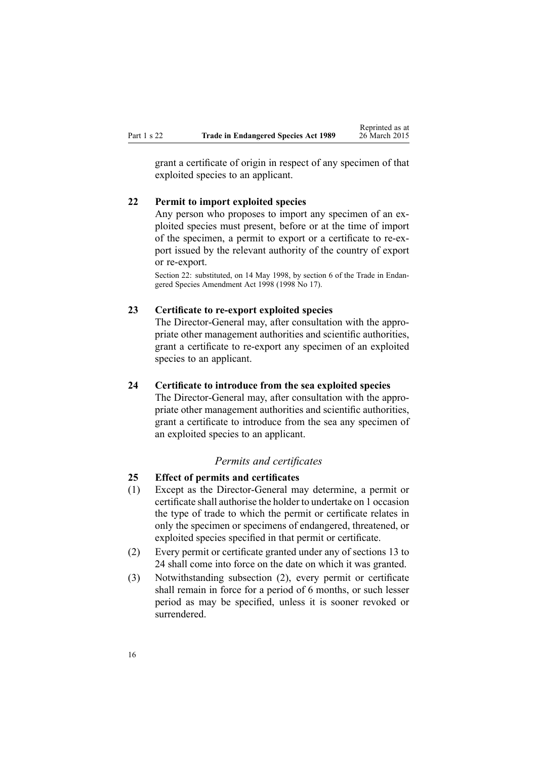<span id="page-15-0"></span>gran<sup>t</sup> <sup>a</sup> certificate of origin in respec<sup>t</sup> of any specimen of that exploited species to an applicant.

# **22 Permit to import exploited species**

Any person who proposes to import any specimen of an exploited species must present, before or at the time of import of the specimen, <sup>a</sup> permit to expor<sup>t</sup> or <sup>a</sup> certificate to re-expor<sup>t</sup> issued by the relevant authority of the country of expor<sup>t</sup> or re-export.

Section 22: substituted, on 14 May 1998, by [section](http://www.legislation.govt.nz/pdflink.aspx?id=DLM425611) 6 of the Trade in Endangered Species Amendment Act 1998 (1998 No 17).

### **23 Certificate to re-export exploited species**

The Director-General may, after consultation with the appropriate other managemen<sup>t</sup> authorities and scientific authorities, gran<sup>t</sup> <sup>a</sup> certificate to re-expor<sup>t</sup> any specimen of an exploited species to an applicant.

### **24 Certificate to introduce from the sea exploited species**

The Director-General may, after consultation with the appropriate other managemen<sup>t</sup> authorities and scientific authorities, gran<sup>t</sup> <sup>a</sup> certificate to introduce from the sea any specimen of an exploited species to an applicant.

# *Permits and certificates*

### **25 Effect of permits and certificates**

- (1) Except as the Director-General may determine, <sup>a</sup> permit or certificate shall authorise the holder to undertake on 1 occasion the type of trade to which the permit or certificate relates in only the specimen or specimens of endangered, threatened, or exploited species specified in that permit or certificate.
- (2) Every permit or certificate granted under any of [sections](#page-10-0) 13 to [24](#page-10-0) shall come into force on the date on which it was granted.
- (3) Notwithstanding subsection (2), every permit or certificate shall remain in force for <sup>a</sup> period of 6 months, or such lesser period as may be specified, unless it is sooner revoked or surrendered.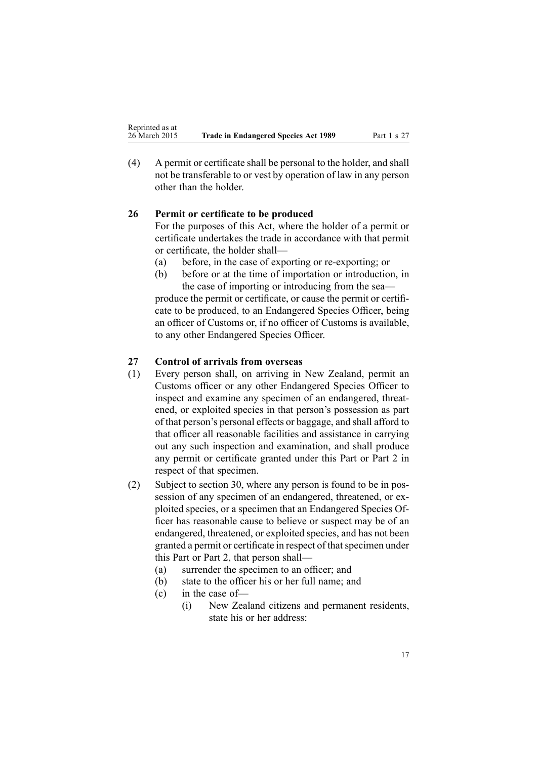<span id="page-16-0"></span>(4) A permit or certificate shall be personal to the holder, and shall not be transferable to or vest by operation of law in any person other than the holder.

# **26 Permit or certificate to be produced**

For the purposes of this Act, where the holder of <sup>a</sup> permit or certificate undertakes the trade in accordance with that permit or certificate, the holder shall—

- (a) before, in the case of exporting or re-exporting; or
- (b) before or at the time of importation or introduction, in the case of importing or introducing from the sea—

produce the permit or certificate, or cause the permit or certificate to be produced, to an Endangered Species Officer, being an officer of Customs or, if no officer of Customs is available, to any other Endangered Species Officer.

# **27 Control of arrivals from overseas**

- (1) Every person shall, on arriving in New Zealand, permit an Customs officer or any other Endangered Species Officer to inspect and examine any specimen of an endangered, threatened, or exploited species in that person's possession as par<sup>t</sup> of that person's personal effects or baggage, and shall afford to that officer all reasonable facilities and assistance in carrying out any such inspection and examination, and shall produce any permit or certificate granted under this Part or [Part](#page-18-0) 2 in respec<sup>t</sup> of that specimen.
- (2) Subject to [section](#page-18-0) 30, where any person is found to be in possession of any specimen of an endangered, threatened, or exploited species, or <sup>a</sup> specimen that an Endangered Species Officer has reasonable cause to believe or suspec<sup>t</sup> may be of an endangered, threatened, or exploited species, and has not been granted a permit or certificate in respect of that specimen under this Part or [Part](#page-18-0) 2, that person shall—
	- (a) surrender the specimen to an officer; and
	- (b) state to the officer his or her full name; and
	- (c) in the case of—
		- (i) New Zealand citizens and permanen<sup>t</sup> residents, state his or her address: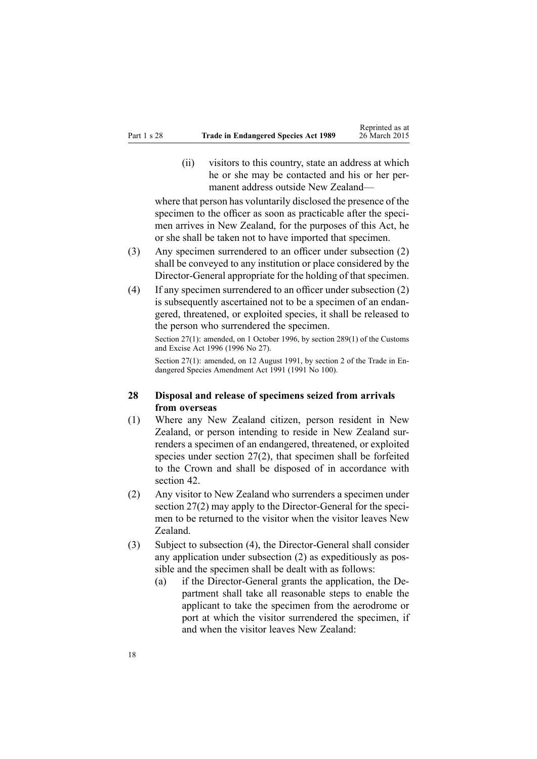<span id="page-17-0"></span>(ii) visitors to this country, state an address at which he or she may be contacted and his or her permanent address outside New Zealand—

where that person has voluntarily disclosed the presence of the specimen to the officer as soon as practicable after the specimen arrives in New Zealand, for the purposes of this Act, he or she shall be taken not to have imported that specimen.

- (3) Any specimen surrendered to an officer under subsection (2) shall be conveyed to any institution or place considered by the Director-General appropriate for the holding of that specimen.
- (4) If any specimen surrendered to an officer under subsection (2) is subsequently ascertained not to be <sup>a</sup> specimen of an endangered, threatened, or exploited species, it shall be released to the person who surrendered the specimen.

Section 27(1): amended, on 1 October 1996, by section [289\(1\)](http://www.legislation.govt.nz/pdflink.aspx?id=DLM380185) of the Customs and Excise Act 1996 (1996 No 27).

Section 27(1): amended, on 12 August 1991, by section 2 of the Trade in Endangered Species Amendment Act 1991 (1991 No 100).

### **28 Disposal and release of specimens seized from arrivals from overseas**

- (1) Where any New Zealand citizen, person resident in New Zealand, or person intending to reside in New Zealand surrenders <sup>a</sup> specimen of an endangered, threatened, or exploited species under [section](#page-16-0) 27(2), that specimen shall be forfeited to the Crown and shall be disposed of in accordance with [section](#page-33-0) 42.
- (2) Any visitor to New Zealand who surrenders <sup>a</sup> specimen under [section](#page-16-0) 27(2) may apply to the Director-General for the specimen to be returned to the visitor when the visitor leaves New Zealand.
- (3) Subject to subsection (4), the Director-General shall consider any application under subsection (2) as expeditiously as possible and the specimen shall be dealt with as follows:
	- (a) if the Director-General grants the application, the Department shall take all reasonable steps to enable the applicant to take the specimen from the aerodrome or por<sup>t</sup> at which the visitor surrendered the specimen, if and when the visitor leaves New Zealand: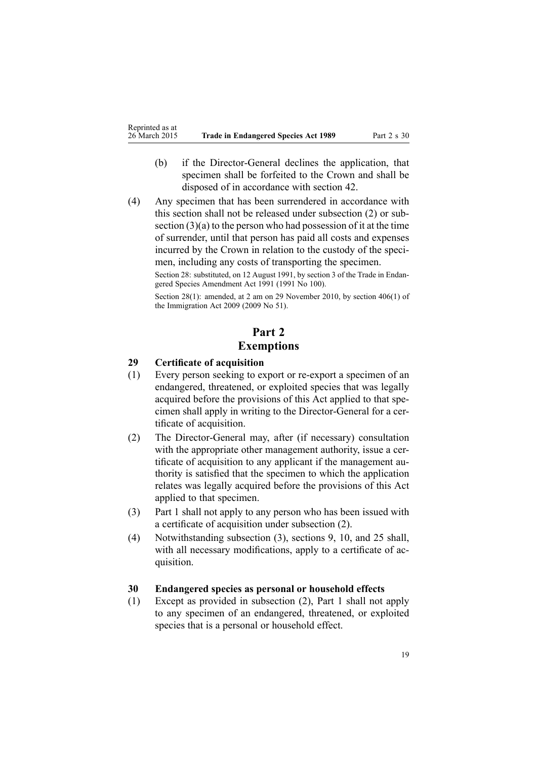- <span id="page-18-0"></span>(b) if the Director-General declines the application, that specimen shall be forfeited to the Crown and shall be disposed of in accordance with [section](#page-33-0) 42.
- (4) Any specimen that has been surrendered in accordance with this section shall not be released under subsection (2) or subsection (3)(a) to the person who had possession of it at the time of surrender, until that person has paid all costs and expenses incurred by the Crown in relation to the custody of the specimen, including any costs of transporting the specimen.

Section 28: substituted, on 12 August 1991, by section 3 of the Trade in Endangered Species Amendment Act 1991 (1991 No 100).

Section 28(1): amended, at 2 am on 29 November 2010, by section [406\(1\)](http://www.legislation.govt.nz/pdflink.aspx?id=DLM1440300) of the Immigration Act 2009 (2009 No 51).

# **Part 2 Exemptions**

# **29 Certificate of acquisition**

- (1) Every person seeking to expor<sup>t</sup> or re-expor<sup>t</sup> <sup>a</sup> specimen of an endangered, threatened, or exploited species that was legally acquired before the provisions of this Act applied to that specimen shall apply in writing to the Director-General for <sup>a</sup> certificate of acquisition.
- (2) The Director-General may, after (if necessary) consultation with the appropriate other management authority, issue a certificate of acquisition to any applicant if the managemen<sup>t</sup> authority is satisfied that the specimen to which the application relates was legally acquired before the provisions of this Act applied to that specimen.
- (3) [Part](#page-8-0) 1 shall not apply to any person who has been issued with <sup>a</sup> certificate of acquisition under subsection (2).
- (4) Notwithstanding subsection (3), [sections](#page-8-0) 9, [10](#page-8-0), and [25](#page-15-0) shall, with all necessary modifications, apply to <sup>a</sup> certificate of acquisition.

### **30 Endangered species as personal or household effects**

(1) Except as provided in subsection (2), [Part](#page-8-0) 1 shall not apply to any specimen of an endangered, threatened, or exploited species that is <sup>a</sup> personal or household effect.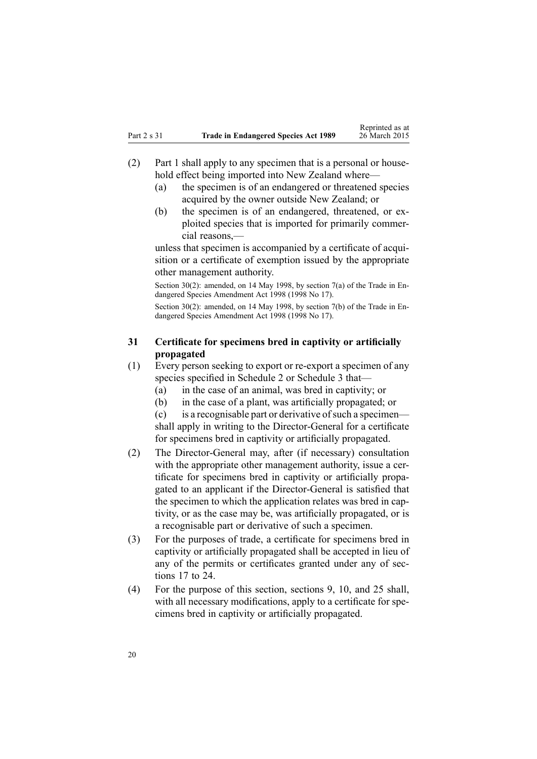- <span id="page-19-0"></span>(2) [Part](#page-8-0) 1 shall apply to any specimen that is <sup>a</sup> personal or household effect being imported into New Zealand where—
	- (a) the specimen is of an endangered or threatened species acquired by the owner outside New Zealand; or
	- (b) the specimen is of an endangered, threatened, or exploited species that is imported for primarily commercial reasons,—

unless that specimen is accompanied by <sup>a</sup> certificate of acquisition or <sup>a</sup> certificate of exemption issued by the appropriate other managemen<sup>t</sup> authority.

Section 30(2): amended, on 14 May 1998, by [section](http://www.legislation.govt.nz/pdflink.aspx?id=DLM425612) 7(a) of the Trade in Endangered Species Amendment Act 1998 (1998 No 17).

Section 30(2): amended, on 14 May 1998, by [section](http://www.legislation.govt.nz/pdflink.aspx?id=DLM425612) 7(b) of the Trade in Endangered Species Amendment Act 1998 (1998 No 17).

# **31 Certificate for specimens bred in captivity or artificially propagated**

- (1) Every person seeking to expor<sup>t</sup> or re-expor<sup>t</sup> <sup>a</sup> specimen of any species specified in [Schedule](#page-145-0) 2 or Schedule 3 that—
	- (a) in the case of an animal, was bred in captivity; or
	- (b) in the case of <sup>a</sup> plant, was artificially propagated; or

 $(c)$  is a recognisable part or derivative of such a specimen shall apply in writing to the Director-General for <sup>a</sup> certificate for specimens bred in captivity or artificially propagated.

- (2) The Director-General may, after (if necessary) consultation with the appropriate other management authority, issue a certificate for specimens bred in captivity or artificially propagated to an applicant if the Director-General is satisfied that the specimen to which the application relates was bred in captivity, or as the case may be, was artificially propagated, or is <sup>a</sup> recognisable par<sup>t</sup> or derivative of such <sup>a</sup> specimen.
- (3) For the purposes of trade, <sup>a</sup> certificate for specimens bred in captivity or artificially propagated shall be accepted in lieu of any of the permits or certificates granted under any of [sec](#page-12-0)[tions](#page-12-0) 17 to 24.
- (4) For the purpose of this section, [sections](#page-8-0) 9, [10](#page-8-0), and [25](#page-15-0) shall, with all necessary modifications, apply to a certificate for specimens bred in captivity or artificially propagated.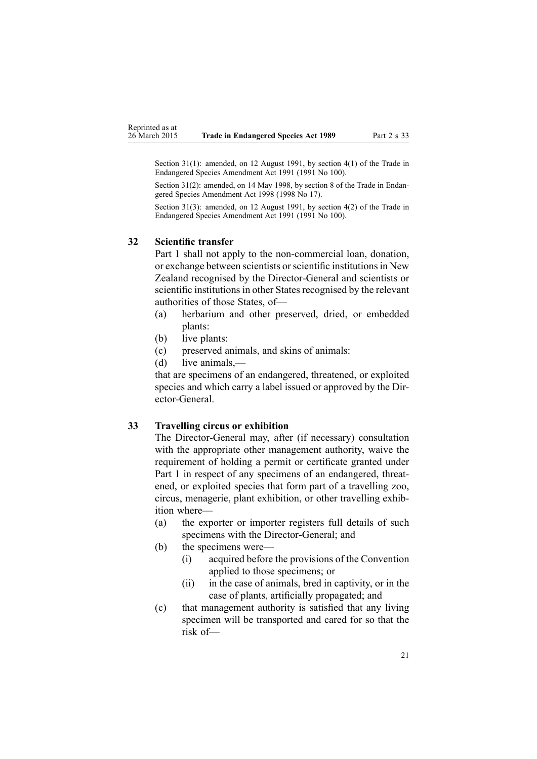<span id="page-20-0"></span>Section 31(1): amended, on 12 August 1991, by section 4(1) of the Trade in Endangered Species Amendment Act 1991 (1991 No 100).

Section 31(2): amended, on 14 May 1998, by [section](http://www.legislation.govt.nz/pdflink.aspx?id=DLM425613) 8 of the Trade in Endangered Species Amendment Act 1998 (1998 No 17).

Section 31(3): amended, on 12 August 1991, by [section](http://www.legislation.govt.nz/pdflink.aspx?id=DLM425609) 4(2) of the Trade in Endangered Species Amendment Act 1991 (1991 No 100).

### **32 Scientific transfer**

[Part](#page-8-0) 1 shall not apply to the non-commercial loan, donation, or exchange between scientists orscientific institutionsin New Zealand recognised by the Director-General and scientists or scientific institutions in other States recognised by the relevant authorities of those States, of—

- (a) herbarium and other preserved, dried, or embedded plants:
- (b) live plants:
- (c) preserved animals, and skins of animals:
- (d) live animals,—

that are specimens of an endangered, threatened, or exploited species and which carry <sup>a</sup> label issued or approved by the Director-General.

#### **33 Travelling circus or exhibition**

The Director-General may, after (if necessary) consultation with the appropriate other managemen<sup>t</sup> authority, waive the requirement of holding <sup>a</sup> permit or certificate granted under [Part](#page-8-0) 1 in respec<sup>t</sup> of any specimens of an endangered, threatened, or exploited species that form par<sup>t</sup> of <sup>a</sup> travelling zoo, circus, menagerie, plant exhibition, or other travelling exhibition where—

- (a) the exporter or importer registers full details of such specimens with the Director-General; and
- (b) the specimens were—
	- (i) acquired before the provisions of the Convention applied to those specimens; or
	- (ii) in the case of animals, bred in captivity, or in the case of plants, artificially propagated; and
- (c) that managemen<sup>t</sup> authority is satisfied that any living specimen will be transported and cared for so that the risk of—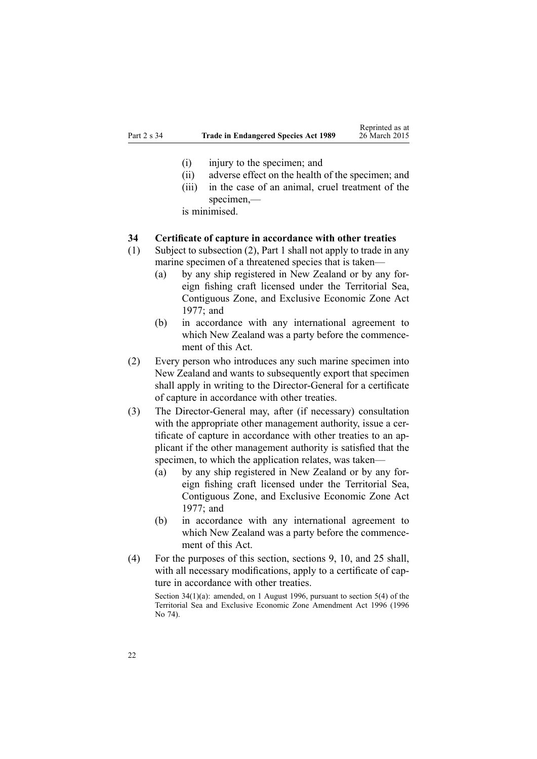- <span id="page-21-0"></span>(i) injury to the specimen; and
- (ii) adverse effect on the health of the specimen; and
- (iii) in the case of an animal, cruel treatment of the specimen,—

is minimised.

#### **34 Certificate of capture in accordance with other treaties**

- (1) Subject to subsection (2), [Part](#page-8-0) 1 shall not apply to trade in any marine specimen of <sup>a</sup> threatened species that is taken—
	- (a) by any ship registered in New Zealand or by any foreign fishing craft licensed under the [Territorial](http://www.legislation.govt.nz/pdflink.aspx?id=DLM442578) Sea, [Contiguous](http://www.legislation.govt.nz/pdflink.aspx?id=DLM442578) Zone, and Exclusive Economic Zone Act [1977](http://www.legislation.govt.nz/pdflink.aspx?id=DLM442578); and
	- (b) in accordance with any international agreemen<sup>t</sup> to which New Zealand was <sup>a</sup> party before the commencement of this Act.
- (2) Every person who introduces any such marine specimen into New Zealand and wants to subsequently expor<sup>t</sup> that specimen shall apply in writing to the Director-General for <sup>a</sup> certificate of capture in accordance with other treaties.
- (3) The Director-General may, after (if necessary) consultation with the appropriate other managemen<sup>t</sup> authority, issue <sup>a</sup> certificate of capture in accordance with other treaties to an applicant if the other managemen<sup>t</sup> authority is satisfied that the specimen, to which the application relates, was taken—
	- (a) by any ship registered in New Zealand or by any foreign fishing craft licensed under the [Territorial](http://www.legislation.govt.nz/pdflink.aspx?id=DLM442578) Sea, [Contiguous](http://www.legislation.govt.nz/pdflink.aspx?id=DLM442578) Zone, and Exclusive Economic Zone Act [1977](http://www.legislation.govt.nz/pdflink.aspx?id=DLM442578); and
	- (b) in accordance with any international agreemen<sup>t</sup> to which New Zealand was <sup>a</sup> party before the commencement of this Act.
- (4) For the purposes of this section, [sections](#page-8-0) 9, [10](#page-8-0), and [25](#page-15-0) shall, with all necessary modifications, apply to <sup>a</sup> certificate of capture in accordance with other treaties.

Section 34(1)(a): amended, on 1 August 1996, pursuan<sup>t</sup> to section 5(4) of the Territorial Sea and Exclusive Economic Zone Amendment Act 1996 (1996 No 74).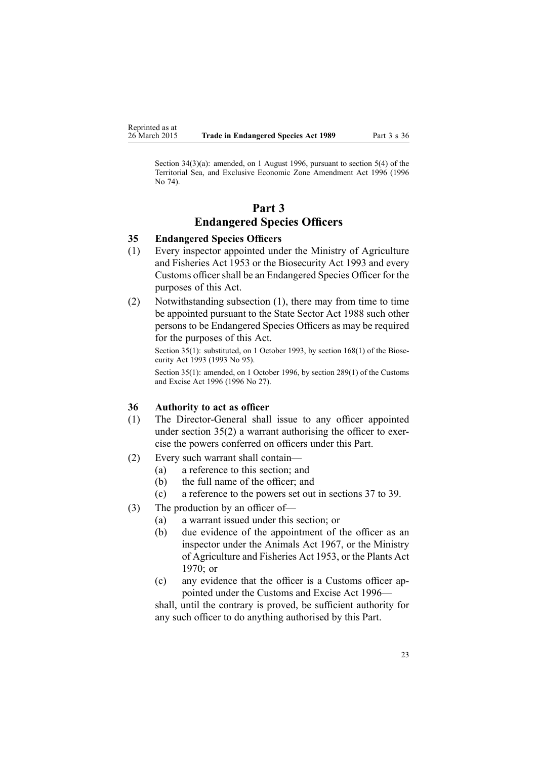<span id="page-22-0"></span>Section 34(3)(a): amended, on 1 August 1996, pursuan<sup>t</sup> to section 5(4) of the Territorial Sea, and Exclusive Economic Zone Amendment Act 1996 (1996 No 74).

# **Part 3 Endangered Species Officers**

# **35 Endangered Species Officers**

- (1) Every inspector appointed under the Ministry of Agriculture and Fisheries Act 1953 or the [Biosecurity](http://www.legislation.govt.nz/pdflink.aspx?id=DLM314622) Act 1993 and every Customs officer shall be an Endangered Species Officer for the purposes of this Act.
- (2) Notwithstanding subsection (1), there may from time to time be appointed pursuan<sup>t</sup> to the State [Sector](http://www.legislation.govt.nz/pdflink.aspx?id=DLM129109) Act 1988 such other persons to be Endangered Species Officers as may be required for the purposes of this Act.

Section 35(1): substituted, on 1 October 1993, by section [168\(1\)](http://www.legislation.govt.nz/pdflink.aspx?id=DLM316769) of the Biosecurity Act 1993 (1993 No 95).

Section 35(1): amended, on 1 October 1996, by section [289\(1\)](http://www.legislation.govt.nz/pdflink.aspx?id=DLM380185) of the Customs and Excise Act 1996 (1996 No 27).

#### **36 Authority to act as officer**

- (1) The Director-General shall issue to any officer appointed under section 35(2) <sup>a</sup> warrant authorising the officer to exercise the powers conferred on officers under this Part.
- (2) Every such warrant shall contain—
	- (a) <sup>a</sup> reference to this section; and
	- (b) the full name of the officer; and
	- (c) <sup>a</sup> reference to the powers set out in [sections](#page-23-0) 37 to 39.
- (3) The production by an officer of—
	- (a) <sup>a</sup> warrant issued under this section; or
	- (b) due evidence of the appointment of the officer as an inspector under the Animals Act 1967, or the Ministry of Agriculture and Fisheries Act 1953, or the [Plants](http://www.legislation.govt.nz/pdflink.aspx?id=DLM396887) Act [1970](http://www.legislation.govt.nz/pdflink.aspx?id=DLM396887); or
	- (c) any evidence that the officer is <sup>a</sup> Customs officer appointed under the Customs and Excise Act 1996—

shall, until the contrary is proved, be sufficient authority for any such officer to do anything authorised by this Part.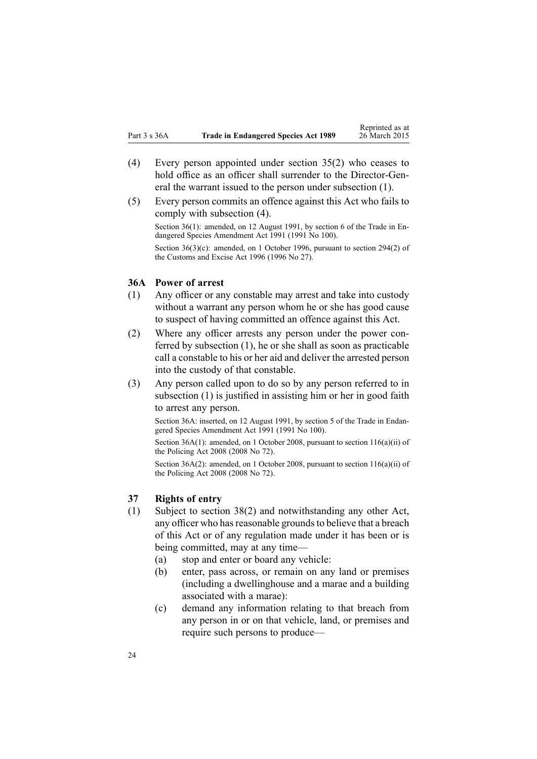- <span id="page-23-0"></span>(4) Every person appointed under [section](#page-22-0) 35(2) who ceases to hold office as an officer shall surrender to the Director-General the warrant issued to the person under subsection (1).
- (5) Every person commits an offence against this Act who fails to comply with subsection (4). Section 36(1): amended, on 12 August 1991, by section 6 of the Trade in Endangered Species Amendment Act 1991 (1991 No 100). Section 36(3)(c): amended, on 1 October 1996, pursuant to section [294\(2\)](http://www.legislation.govt.nz/pdflink.aspx?id=DLM380192) of the Customs and Excise Act 1996 (1996 No 27).

#### **36A Power of arrest**

- (1) Any officer or any constable may arrest and take into custody without <sup>a</sup> warrant any person whom he or she has good cause to suspec<sup>t</sup> of having committed an offence against this Act.
- (2) Where any officer arrests any person under the power conferred by subsection (1), he or she shall as soon as practicable call <sup>a</sup> constable to his or her aid and deliver the arrested person into the custody of that constable.
- (3) Any person called upon to do so by any person referred to in subsection (1) is justified in assisting him or her in good faith to arrest any person.

Section 36A: inserted, on 12 August 1991, by section 5 of the Trade in Endangered Species Amendment Act 1991 (1991 No 100).

Section 36A(1): amended, on 1 October 2008, pursuant to section [116\(a\)\(ii\)](http://www.legislation.govt.nz/pdflink.aspx?id=DLM1102349) of the Policing Act 2008 (2008 No 72).

Section 36A(2): amended, on 1 October 2008, pursuant to section [116\(a\)\(ii\)](http://www.legislation.govt.nz/pdflink.aspx?id=DLM1102349) of the Policing Act 2008 (2008 No 72).

# **37 Rights of entry**

- (1) Subject to [section](#page-25-0) 38(2) and notwithstanding any other Act, any officer who has reasonable grounds to believe that a breach of this Act or of any regulation made under it has been or is being committed, may at any time—
	- (a) stop and enter or board any vehicle:
	- (b) enter, pass across, or remain on any land or premises (including <sup>a</sup> dwellinghouse and <sup>a</sup> marae and <sup>a</sup> building associated with <sup>a</sup> marae):
	- (c) demand any information relating to that breach from any person in or on that vehicle, land, or premises and require such persons to produce—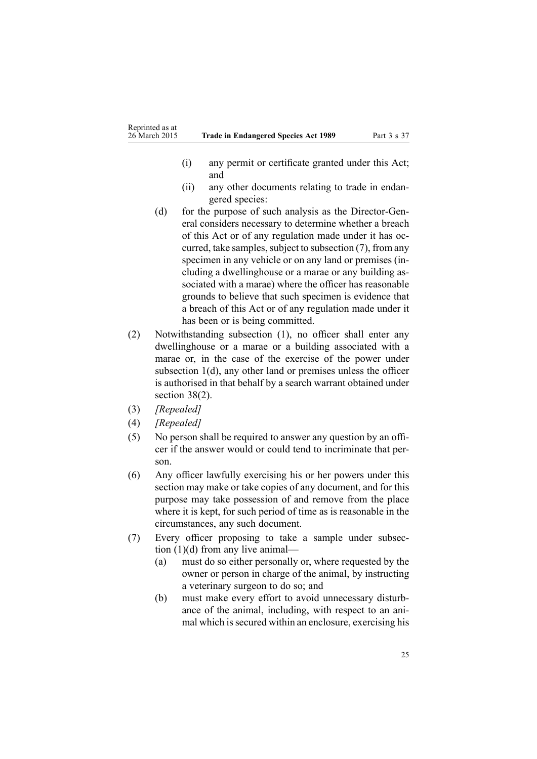- (i) any permit or certificate granted under this Act; and
- (ii) any other documents relating to trade in endangered species:
- (d) for the purpose of such analysis as the Director-General considers necessary to determine whether <sup>a</sup> breach of this Act or of any regulation made under it has occurred, take samples, subject to subsection  $(7)$ , from any specimen in any vehicle or on any land or premises (including <sup>a</sup> dwellinghouse or <sup>a</sup> marae or any building associated with <sup>a</sup> marae) where the officer has reasonable grounds to believe that such specimen is evidence that <sup>a</sup> breach of this Act or of any regulation made under it has been or is being committed.
- (2) Notwithstanding subsection (1), no officer shall enter any dwellinghouse or <sup>a</sup> marae or <sup>a</sup> building associated with <sup>a</sup> marae or, in the case of the exercise of the power under subsection 1(d), any other land or premises unless the officer is authorised in that behalf by <sup>a</sup> search warrant obtained under [section](#page-25-0) 38(2).
- (3) *[Repealed]*
- (4) *[Repealed]*
- (5) No person shall be required to answer any question by an officer if the answer would or could tend to incriminate that person.
- (6) Any officer lawfully exercising his or her powers under this section may make or take copies of any document, and for this purpose may take possession of and remove from the place where it is kept, for such period of time as is reasonable in the circumstances, any such document.
- (7) Every officer proposing to take <sup>a</sup> sample under subsection (1)(d) from any live animal—
	- (a) must do so either personally or, where requested by the owner or person in charge of the animal, by instructing <sup>a</sup> veterinary surgeon to do so; and
	- (b) must make every effort to avoid unnecessary disturbance of the animal, including, with respec<sup>t</sup> to an animal which is secured within an enclosure, exercising his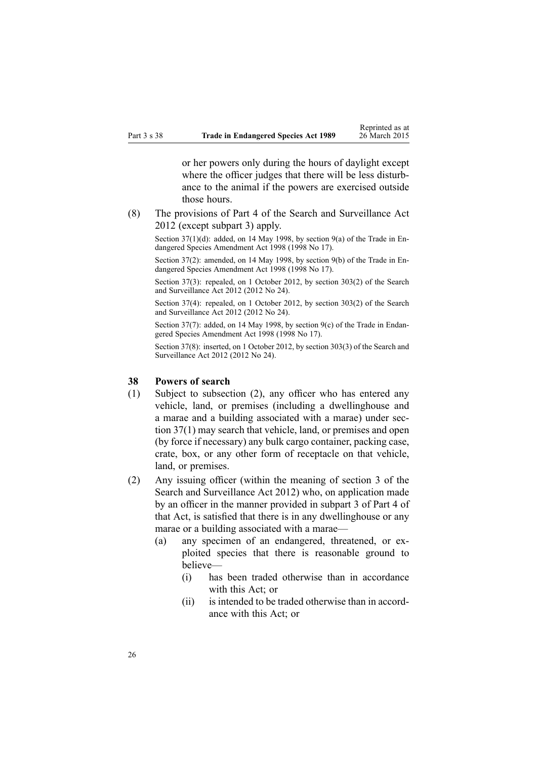<span id="page-25-0"></span>or her powers only during the hours of daylight excep<sup>t</sup> where the officer judges that there will be less disturbance to the animal if the powers are exercised outside those hours.

(8) The provisions of [Part](http://www.legislation.govt.nz/pdflink.aspx?id=DLM2136770) 4 of the Search and Surveillance Act 2012 (except [subpart](http://www.legislation.govt.nz/pdflink.aspx?id=DLM2136781) 3) apply.

Section 37(1)(d): added, on 14 May 1998, by [section](http://www.legislation.govt.nz/pdflink.aspx?id=DLM425614) 9(a) of the Trade in Endangered Species Amendment Act 1998 (1998 No 17).

Section 37(2): amended, on 14 May 1998, by [section](http://www.legislation.govt.nz/pdflink.aspx?id=DLM425614) 9(b) of the Trade in Endangered Species Amendment Act 1998 (1998 No 17).

Section 37(3): repealed, on 1 October 2012, by section [303\(2\)](http://www.legislation.govt.nz/pdflink.aspx?id=DLM2137084) of the Search and Surveillance Act 2012 (2012 No 24).

Section 37(4): repealed, on 1 October 2012, by section [303\(2\)](http://www.legislation.govt.nz/pdflink.aspx?id=DLM2137084) of the Search and Surveillance Act 2012 (2012 No 24).

Section 37(7): added, on 14 May 1998, by [section](http://www.legislation.govt.nz/pdflink.aspx?id=DLM425614) 9(c) of the Trade in Endangered Species Amendment Act 1998 (1998 No 17).

Section 37(8): inserted, on 1 October 2012, by section [303\(3\)](http://www.legislation.govt.nz/pdflink.aspx?id=DLM2137084) of the Search and Surveillance Act 2012 (2012 No 24).

### **38 Powers of search**

- (1) Subject to subsection (2), any officer who has entered any vehicle, land, or premises (including <sup>a</sup> dwellinghouse and <sup>a</sup> marae and <sup>a</sup> building associated with <sup>a</sup> marae) under [sec](#page-23-0)tion [37\(1\)](#page-23-0) may search that vehicle, land, or premises and open (by force if necessary) any bulk cargo container, packing case, crate, box, or any other form of receptacle on that vehicle, land, or premises.
- (2) Any issuing officer (within the meaning of [section](http://www.legislation.govt.nz/pdflink.aspx?id=DLM2136542) 3 of the Search and Surveillance Act 2012) who, on application made by an officer in the manner provided in [subpart](http://www.legislation.govt.nz/pdflink.aspx?id=DLM2136781) 3 of Part 4 of that Act, is satisfied that there is in any dwellinghouse or any marae or <sup>a</sup> building associated with <sup>a</sup> marae—
	- (a) any specimen of an endangered, threatened, or exploited species that there is reasonable ground to believe—
		- (i) has been traded otherwise than in accordance with this Act: or
		- (ii) is intended to be traded otherwise than in accordance with this Act; or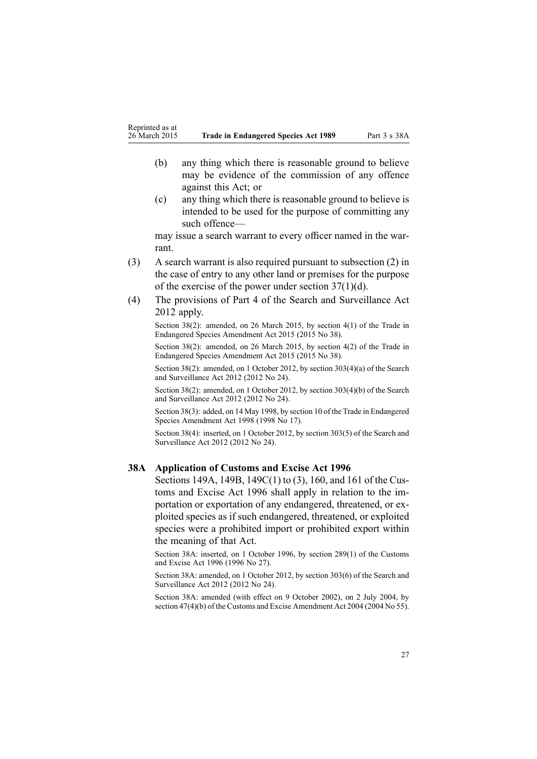- <span id="page-26-0"></span>(b) any thing which there is reasonable ground to believe may be evidence of the commission of any offence against this Act; or
- (c) any thing which there is reasonable ground to believe is intended to be used for the purpose of committing any such offence—

may issue <sup>a</sup> search warrant to every officer named in the warrant.

- (3) A search warrant is also required pursuan<sup>t</sup> to subsection (2) in the case of entry to any other land or premises for the purpose of the exercise of the power under section [37\(1\)\(d\)](#page-23-0).
- (4) The provisions of [Part](http://www.legislation.govt.nz/pdflink.aspx?id=DLM2136770) 4 of the Search and Surveillance Act 2012 apply.

Section 38(2): amended, on 26 March 2015, by [section](http://www.legislation.govt.nz/pdflink.aspx?id=DLM6404937) 4(1) of the Trade in Endangered Species Amendment Act 2015 (2015 No 38).

Section 38(2): amended, on 26 March 2015, by [section](http://www.legislation.govt.nz/pdflink.aspx?id=DLM6404937) 4(2) of the Trade in Endangered Species Amendment Act 2015 (2015 No 38).

Section 38(2): amended, on 1 October 2012, by section [303\(4\)\(a\)](http://www.legislation.govt.nz/pdflink.aspx?id=DLM2137084) of the Search and Surveillance Act 2012 (2012 No 24).

Section 38(2): amended, on 1 October 2012, by section [303\(4\)\(b\)](http://www.legislation.govt.nz/pdflink.aspx?id=DLM2137084) of the Search and Surveillance Act 2012 (2012 No 24).

Section 38(3): added, on 14 May 1998, by [section](http://www.legislation.govt.nz/pdflink.aspx?id=DLM425615) 10 of the Trade in Endangered Species Amendment Act 1998 (1998 No 17).

Section 38(4): inserted, on 1 October 2012, by section [303\(5\)](http://www.legislation.govt.nz/pdflink.aspx?id=DLM2137084) of the Search and Surveillance Act 2012 (2012 No 24).

#### **38A Application of Customs and Excise Act 1996**

[Sections](http://www.legislation.govt.nz/pdflink.aspx?id=DLM379201) 149A, [149B](http://www.legislation.govt.nz/pdflink.aspx?id=DLM379205), [149C\(1\)](http://www.legislation.govt.nz/pdflink.aspx?id=DLM379211) to (3), [160](http://www.legislation.govt.nz/pdflink.aspx?id=DLM379234), and [161](http://www.legislation.govt.nz/pdflink.aspx?id=DLM379235) of the Customs and Excise Act 1996 shall apply in relation to the importation or exportation of any endangered, threatened, or exploited species as if such endangered, threatened, or exploited species were <sup>a</sup> prohibited import or prohibited expor<sup>t</sup> within the meaning of that Act.

Section 38A: inserted, on 1 October 1996, by section [289\(1\)](http://www.legislation.govt.nz/pdflink.aspx?id=DLM380185) of the Customs and Excise Act 1996 (1996 No 27).

Section 38A: amended, on 1 October 2012, by section [303\(6\)](http://www.legislation.govt.nz/pdflink.aspx?id=DLM2137084) of the Search and Surveillance Act 2012 (2012 No 24).

Section 38A: amended (with effect on 9 October 2002), on 2 July 2004, by section [47\(4\)\(b\)](http://www.legislation.govt.nz/pdflink.aspx?id=DLM300382) of the Customs and Excise Amendment Act 2004 (2004 No 55).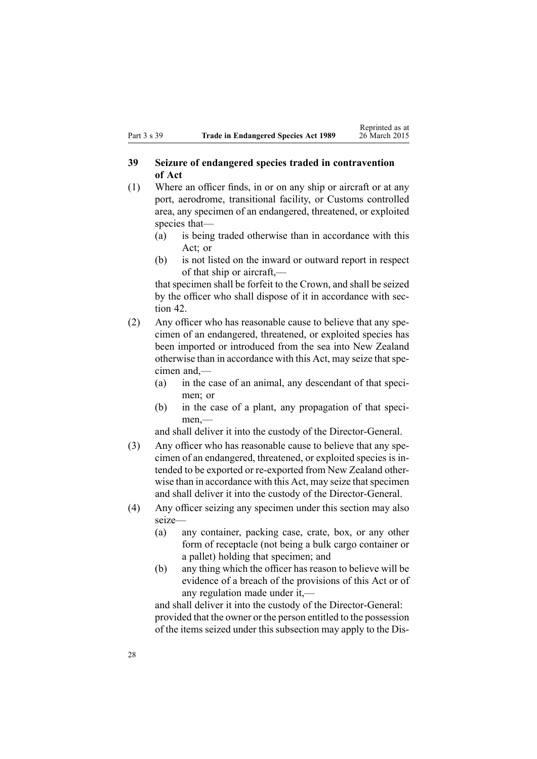# <span id="page-27-0"></span>**39 Seizure of endangered species traded in contravention of Act**

- (1) Where an officer finds, in or on any ship or aircraft or at any port, aerodrome, transitional facility, or Customs controlled area, any specimen of an endangered, threatened, or exploited species that—
	- (a) is being traded otherwise than in accordance with this Act; or
	- (b) is not listed on the inward or outward repor<sup>t</sup> in respec<sup>t</sup> of that ship or aircraft,—

that specimen shall be forfeit to the Crown, and shall be seized by the officer who shall dispose of it in accordance with [sec](#page-33-0)[tion](#page-33-0) 42.

- (2) Any officer who has reasonable cause to believe that any specimen of an endangered, threatened, or exploited species has been imported or introduced from the sea into New Zealand otherwise than in accordance with this Act, may seize that specimen and,—
	- (a) in the case of an animal, any descendant of that specimen; or
	- (b) in the case of <sup>a</sup> plant, any propagation of that specimen,—

and shall deliver it into the custody of the Director-General.

- (3) Any officer who has reasonable cause to believe that any specimen of an endangered, threatened, or exploited species is intended to be exported or re-exported from New Zealand otherwise than in accordance with this Act, may seize that specimen and shall deliver it into the custody of the Director-General.
- (4) Any officer seizing any specimen under this section may also seize—
	- (a) any container, packing case, crate, box, or any other form of receptacle (not being <sup>a</sup> bulk cargo container or <sup>a</sup> pallet) holding that specimen; and
	- (b) any thing which the officer has reason to believe will be evidence of <sup>a</sup> breach of the provisions of this Act or of any regulation made under it,—

and shall deliver it into the custody of the Director-General: provided that the owner or the person entitled to the possession of the items seized under this subsection may apply to the Dis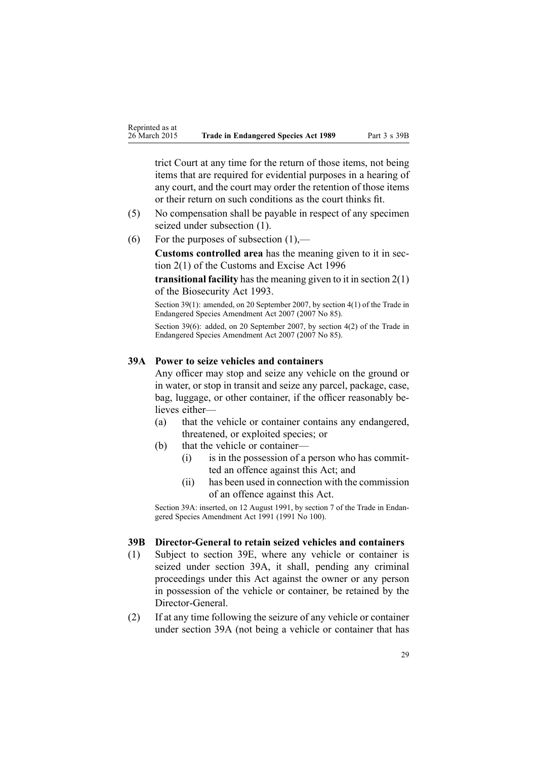<span id="page-28-0"></span>trict Court at any time for the return of those items, not being items that are required for evidential purposes in <sup>a</sup> hearing of any court, and the court may order the retention of those items or their return on such conditions as the court thinks fit.

- (5) No compensation shall be payable in respec<sup>t</sup> of any specimen seized under subsection (1).
- (6) For the purposes of subsection  $(1)$ ,—

**Customs controlled area** has the meaning given to it in [sec](http://www.legislation.govt.nz/pdflink.aspx?id=DLM377342)tion [2\(1\)](http://www.legislation.govt.nz/pdflink.aspx?id=DLM377342) of the Customs and Excise Act 1996

**transitional facility** hasthe meaning given to it in [section](http://www.legislation.govt.nz/pdflink.aspx?id=DLM314629) 2(1) of the Biosecurity Act 1993.

Section 39(1): amended, on 20 September 2007, by [section](http://www.legislation.govt.nz/pdflink.aspx?id=DLM968600) 4(1) of the Trade in Endangered Species Amendment Act 2007 (2007 No 85).

Section 39(6): added, on 20 September 2007, by [section](http://www.legislation.govt.nz/pdflink.aspx?id=DLM968600) 4(2) of the Trade in Endangered Species Amendment Act 2007 (2007 No 85).

#### **39A Power to seize vehicles and containers**

Any officer may stop and seize any vehicle on the ground or in water, or stop in transit and seize any parcel, package, case, bag, luggage, or other container, if the officer reasonably believes either—

- (a) that the vehicle or container contains any endangered, threatened, or exploited species; or
- (b) that the vehicle or container—
	- (i) is in the possession of <sup>a</sup> person who has committed an offence against this Act; and
	- (ii) has been used in connection with the commission of an offence against this Act.

Section 39A: inserted, on 12 August 1991, by section 7 of the Trade in Endangered Species Amendment Act 1991 (1991 No 100).

### **39B Director-General to retain seized vehicles and containers**

- (1) Subject to [section](#page-30-0) 39E, where any vehicle or container is seized under section 39A, it shall, pending any criminal proceedings under this Act against the owner or any person in possession of the vehicle or container, be retained by the Director-General.
- (2) If at any time following the seizure of any vehicle or container under section 39A (not being <sup>a</sup> vehicle or container that has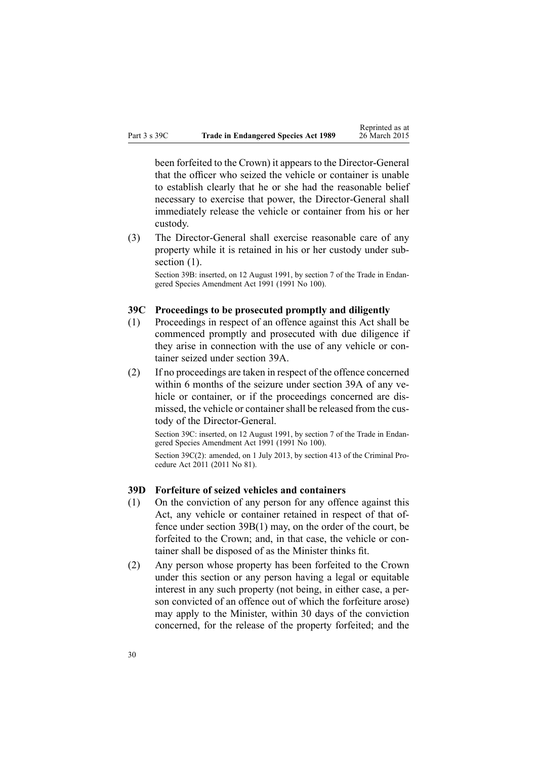<span id="page-29-0"></span>been forfeited to the Crown) it appears to the Director-General that the officer who seized the vehicle or container is unable to establish clearly that he or she had the reasonable belief necessary to exercise that power, the Director-General shall immediately release the vehicle or container from his or her custody.

(3) The Director-General shall exercise reasonable care of any property while it is retained in his or her custody under subsection  $(1)$ .

Section 39B: inserted, on 12 August 1991, by section 7 of the Trade in Endangered Species Amendment Act 1991 (1991 No 100).

#### **39C Proceedings to be prosecuted promptly and diligently**

- (1) Proceedings in respec<sup>t</sup> of an offence against this Act shall be commenced promptly and prosecuted with due diligence if they arise in connection with the use of any vehicle or container seized under [section](#page-28-0) 39A.
- (2) If no proceedings are taken in respec<sup>t</sup> of the offence concerned within 6 months of the seizure under [section](#page-28-0) 39A of any vehicle or container, or if the proceedings concerned are dismissed, the vehicle or container shall be released from the custody of the Director-General.

Section 39C: inserted, on 12 August 1991, by section 7 of the Trade in Endangered Species Amendment Act 1991 (1991 No 100).

Section 39C(2): amended, on 1 July 2013, by [section](http://www.legislation.govt.nz/pdflink.aspx?id=DLM3360714) 413 of the Criminal Procedure Act 2011 (2011 No 81).

#### **39D Forfeiture of seized vehicles and containers**

- (1) On the conviction of any person for any offence against this Act, any vehicle or container retained in respec<sup>t</sup> of that offence under section [39B\(1\)](#page-28-0) may, on the order of the court, be forfeited to the Crown; and, in that case, the vehicle or container shall be disposed of as the Minister thinks fit.
- (2) Any person whose property has been forfeited to the Crown under this section or any person having <sup>a</sup> legal or equitable interest in any such property (not being, in either case, <sup>a</sup> person convicted of an offence out of which the forfeiture arose) may apply to the Minister, within 30 days of the conviction concerned, for the release of the property forfeited; and the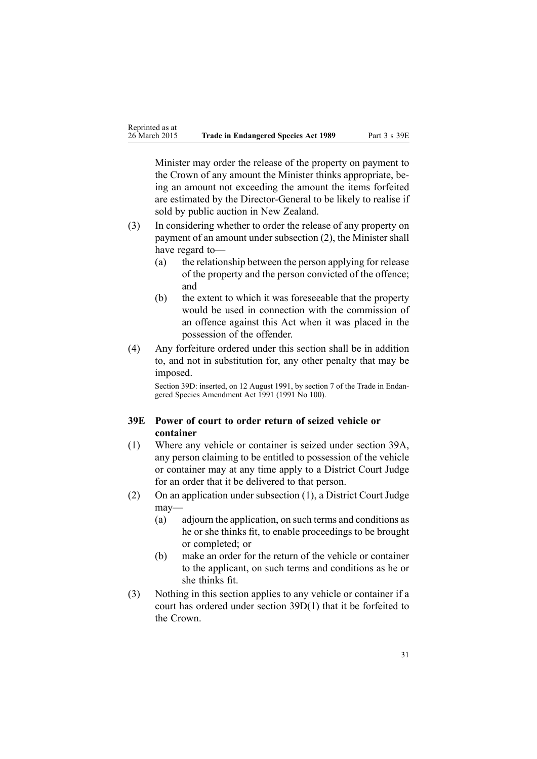<span id="page-30-0"></span>Minister may order the release of the property on paymen<sup>t</sup> to the Crown of any amount the Minister thinks appropriate, being an amount not exceeding the amount the items forfeited are estimated by the Director-General to be likely to realise if sold by public auction in New Zealand.

- (3) In considering whether to order the release of any property on paymen<sup>t</sup> of an amount under subsection (2), the Minister shall have regard to—
	- (a) the relationship between the person applying for release of the property and the person convicted of the offence; and
	- (b) the extent to which it was foreseeable that the property would be used in connection with the commission of an offence against this Act when it was placed in the possession of the offender.
- (4) Any forfeiture ordered under this section shall be in addition to, and not in substitution for, any other penalty that may be imposed.

Section 39D: inserted, on 12 August 1991, by section 7 of the Trade in Endangered Species Amendment Act 1991 (1991 No 100).

# **39E Power of court to order return of seized vehicle or container**

- (1) Where any vehicle or container is seized under [section](#page-28-0) 39A, any person claiming to be entitled to possession of the vehicle or container may at any time apply to <sup>a</sup> District Court Judge for an order that it be delivered to that person.
- (2) On an application under subsection (1), <sup>a</sup> District Court Judge may—
	- (a) adjourn the application, on such terms and conditions as he or she thinks fit, to enable proceedings to be brought or completed; or
	- (b) make an order for the return of the vehicle or container to the applicant, on such terms and conditions as he or she thinks fit.
- (3) Nothing in this section applies to any vehicle or container if <sup>a</sup> court has ordered under section [39D\(1\)](#page-29-0) that it be forfeited to the Crown.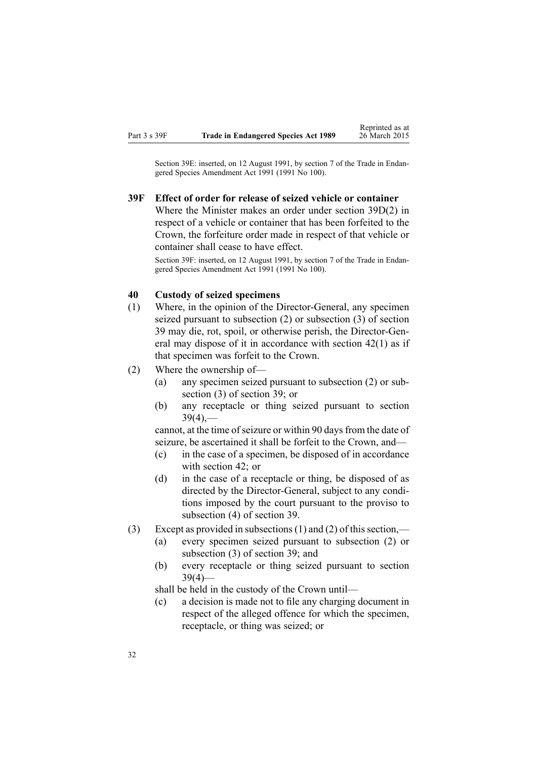<span id="page-31-0"></span>Section 39E: inserted, on 12 August 1991, by section 7 of the Trade in Endangered Species Amendment Act 1991 (1991 No 100).

#### **39F Effect of order for release of seized vehicle or container**

Where the Minister makes an order under section [39D\(2\)](#page-29-0) in respec<sup>t</sup> of <sup>a</sup> vehicle or container that has been forfeited to the Crown, the forfeiture order made in respec<sup>t</sup> of that vehicle or container shall cease to have effect.

Section 39F: inserted, on 12 August 1991, by section 7 of the Trade in Endangered Species Amendment Act 1991 (1991 No 100).

#### **40 Custody of seized specimens**

- (1) Where, in the opinion of the Director-General, any specimen seized pursuan<sup>t</sup> to subsection (2) or subsection (3) of [section](#page-27-0) [39](#page-27-0) may die, rot, spoil, or otherwise perish, the Director-General may dispose of it in accordance with [section](#page-33-0) 42(1) as if that specimen was forfeit to the Crown.
- (2) Where the ownership of—
	- (a) any specimen seized pursuan<sup>t</sup> to subsection (2) or subsection (3) of [section](#page-27-0) 39; or
	- (b) any receptacle or thing seized pursuan<sup>t</sup> to [section](#page-27-0)  $39(4)$ ,—

cannot, at the time of seizure or within 90 days from the date of seizure, be ascertained it shall be forfeit to the Crown, and—

- (c) in the case of <sup>a</sup> specimen, be disposed of in accordance with [section](#page-33-0) 42; or
- (d) in the case of <sup>a</sup> receptacle or thing, be disposed of as directed by the Director-General, subject to any conditions imposed by the court pursuan<sup>t</sup> to the proviso to subsection (4) of [section](#page-27-0) 39.
- (3) Except as provided in subsections (1) and (2) of this section,—
	- (a) every specimen seized pursuan<sup>t</sup> to subsection (2) or subsection (3) of [section](#page-27-0) 39; and
	- (b) every receptacle or thing seized pursuan<sup>t</sup> to [section](#page-27-0)  $39(4)$ —

shall be held in the custody of the Crown until—

(c) <sup>a</sup> decision is made not to file any charging document in respec<sup>t</sup> of the alleged offence for which the specimen, receptacle, or thing was seized; or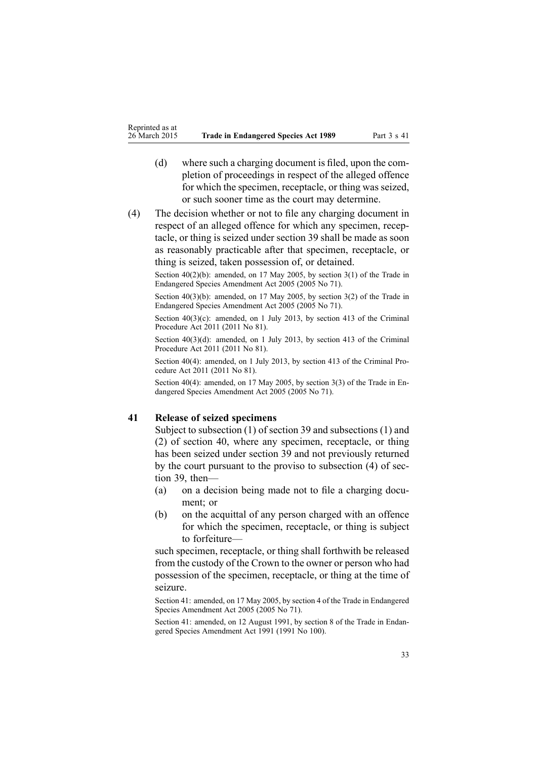- <span id="page-32-0"></span>(d) where such <sup>a</sup> charging document is filed, upon the completion of proceedings in respec<sup>t</sup> of the alleged offence for which the specimen, receptacle, or thing was seized, or such sooner time as the court may determine.
- (4) The decision whether or not to file any charging document in respec<sup>t</sup> of an alleged offence for which any specimen, receptacle, or thing is seized under [section](#page-27-0) 39 shall be made as soon as reasonably practicable after that specimen, receptacle, or thing is seized, taken possession of, or detained.

Section  $40(2)(b)$ : amended, on 17 May 2005, by [section](http://www.legislation.govt.nz/pdflink.aspx?id=DLM348996)  $3(1)$  of the Trade in Endangered Species Amendment Act 2005 (2005 No 71).

Section 40(3)(b): amended, on 17 May 2005, by [section](http://www.legislation.govt.nz/pdflink.aspx?id=DLM348996) 3(2) of the Trade in Endangered Species Amendment Act 2005 (2005 No 71).

Section  $40(3)(c)$ : amended, on 1 July 2013, by [section](http://www.legislation.govt.nz/pdflink.aspx?id=DLM3360714) 413 of the Criminal Procedure Act 2011 (2011 No 81).

Section 40(3)(d): amended, on 1 July 2013, by [section](http://www.legislation.govt.nz/pdflink.aspx?id=DLM3360714) 413 of the Criminal Procedure Act 2011 (2011 No 81).

Section 40(4): amended, on 1 July 2013, by [section](http://www.legislation.govt.nz/pdflink.aspx?id=DLM3360714) 413 of the Criminal Procedure Act 2011 (2011 No 81).

Section 40(4): amended, on 17 May 2005, by [section](http://www.legislation.govt.nz/pdflink.aspx?id=DLM348996) 3(3) of the Trade in Endangered Species Amendment Act 2005 (2005 No 71).

#### **41 Release of seized specimens**

Subject to subsection (1) of section 39 and subsections (1) and (2) of [section](#page-31-0) 40, where any specimen, receptacle, or thing has been seized under [section](#page-27-0) 39 and not previously returned by the court pursuan<sup>t</sup> to the proviso to subsection (4) of section 39, then—

- (a) on <sup>a</sup> decision being made not to file <sup>a</sup> charging document; or
- (b) on the acquittal of any person charged with an offence for which the specimen, receptacle, or thing is subject to forfeiture—

such specimen, receptacle, or thing shall forthwith be released from the custody of the Crown to the owner or person who had possession of the specimen, receptacle, or thing at the time of seizure.

Section 41: amended, on 17 May 2005, by [section](http://www.legislation.govt.nz/pdflink.aspx?id=DLM348997) 4 of the Trade in Endangered Species Amendment Act 2005 (2005 No 71).

Section 41: amended, on 12 August 1991, by section 8 of the Trade in Endangered Species Amendment Act 1991 (1991 No 100).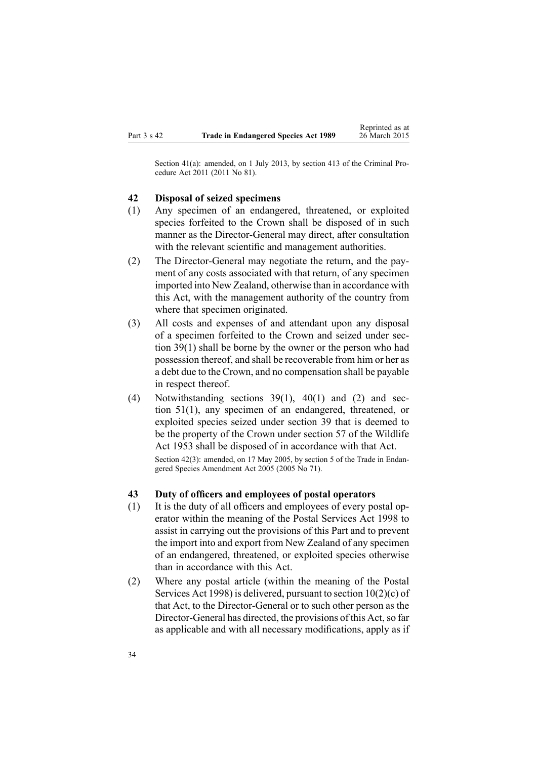<span id="page-33-0"></span>Section 41(a): amended, on 1 July 2013, by [section](http://www.legislation.govt.nz/pdflink.aspx?id=DLM3360714) 413 of the Criminal Procedure Act 2011 (2011 No 81).

#### **42 Disposal of seized specimens**

- (1) Any specimen of an endangered, threatened, or exploited species forfeited to the Crown shall be disposed of in such manner as the Director-General may direct, after consultation with the relevant scientific and management authorities.
- (2) The Director-General may negotiate the return, and the payment of any costs associated with that return, of any specimen imported into New Zealand, otherwise than in accordance with this Act, with the managemen<sup>t</sup> authority of the country from where that specimen originated.
- (3) All costs and expenses of and attendant upon any disposal of <sup>a</sup> specimen forfeited to the Crown and seized under [sec](#page-27-0)tion [39\(1\)](#page-27-0) shall be borne by the owner or the person who had possession thereof, and shall be recoverable from him or her as <sup>a</sup> debt due to the Crown, and no compensation shall be payable in respec<sup>t</sup> thereof.
- (4) Notwithstanding [sections](#page-27-0) 39(1), [40\(1\)](#page-31-0) and (2) and [sec](#page-38-0)tion [51\(1\)](#page-38-0), any specimen of an endangered, threatened, or exploited species seized under section 39 that is deemed to be the property of the Crown under [section](http://www.legislation.govt.nz/pdflink.aspx?id=DLM278118) 57 of the Wildlife Act 1953 shall be disposed of in accordance with that Act. Section 42(3): amended, on 17 May 2005, by [section](http://www.legislation.govt.nz/pdflink.aspx?id=DLM348998) 5 of the Trade in Endangered Species Amendment Act 2005 (2005 No 71).

# **43 Duty of officers and employees of postal operators**

- (1) It is the duty of all officers and employees of every postal operator within the meaning of the Postal [Services](http://www.legislation.govt.nz/pdflink.aspx?id=DLM423257) Act 1998 to assist in carrying out the provisions of this Part and to preven<sup>t</sup> the import into and expor<sup>t</sup> from New Zealand of any specimen of an endangered, threatened, or exploited species otherwise than in accordance with this Act.
- (2) Where any postal article (within the meaning of the [Postal](http://www.legislation.govt.nz/pdflink.aspx?id=DLM423257) [Services](http://www.legislation.govt.nz/pdflink.aspx?id=DLM423257) Act 1998) is delivered, pursuan<sup>t</sup> to section [10\(2\)\(c\)](http://www.legislation.govt.nz/pdflink.aspx?id=DLM423710) of that Act, to the Director-General or to such other person as the Director-General has directed, the provisions of this Act, so far as applicable and with all necessary modifications, apply as if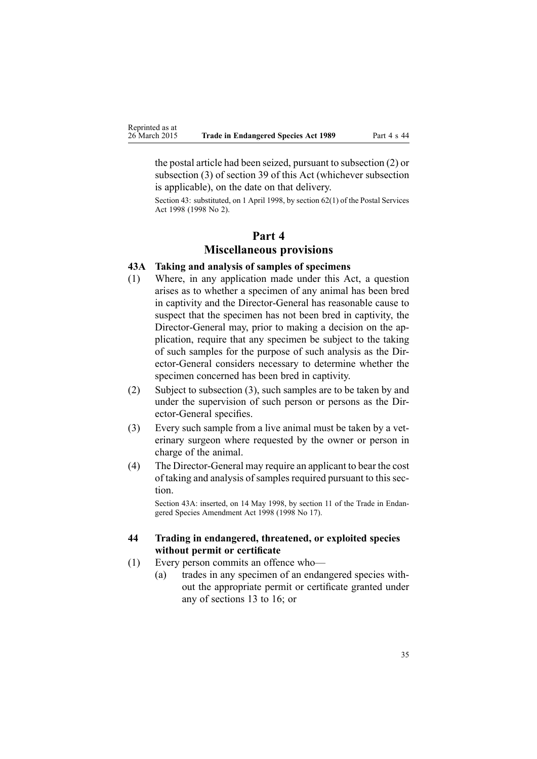<span id="page-34-0"></span>the postal article had been seized, pursuan<sup>t</sup> to subsection (2) or subsection (3) of [section](#page-27-0) 39 of this Act (whichever subsection is applicable), on the date on that delivery.

Section 43: substituted, on 1 April 1998, by [section](http://www.legislation.govt.nz/pdflink.aspx?id=DLM423785) 62(1) of the Postal Services Act 1998 (1998 No 2).

# **Part 4 Miscellaneous provisions**

#### **43A Taking and analysis of samples of specimens**

- (1) Where, in any application made under this Act, <sup>a</sup> question arises as to whether <sup>a</sup> specimen of any animal has been bred in captivity and the Director-General has reasonable cause to suspec<sup>t</sup> that the specimen has not been bred in captivity, the Director-General may, prior to making <sup>a</sup> decision on the application, require that any specimen be subject to the taking of such samples for the purpose of such analysis as the Director-General considers necessary to determine whether the specimen concerned has been bred in captivity.
- (2) Subject to subsection (3), such samples are to be taken by and under the supervision of such person or persons as the Director-General specifies.
- (3) Every such sample from <sup>a</sup> live animal must be taken by <sup>a</sup> veterinary surgeon where requested by the owner or person in charge of the animal.
- (4) The Director-General may require an applicant to bear the cost of taking and analysis of samples required pursuant to this section.

Section 43A: inserted, on 14 May 1998, by [section](http://www.legislation.govt.nz/pdflink.aspx?id=DLM425616) 11 of the Trade in Endangered Species Amendment Act 1998 (1998 No 17).

## **44 Trading in endangered, threatened, or exploited species without permit or certificate**

- (1) Every person commits an offence who—
	- (a) trades in any specimen of an endangered species without the appropriate permit or certificate granted under any of [sections](#page-10-0) 13 to 16; or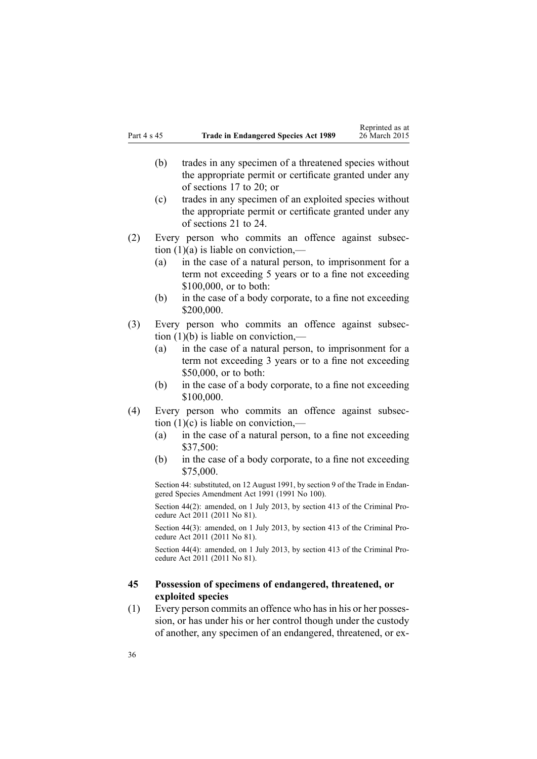- <span id="page-35-0"></span>(b) trades in any specimen of <sup>a</sup> threatened species without the appropriate permit or certificate granted under any of [sections](#page-12-0) 17 to 20; or
- (c) trades in any specimen of an exploited species without the appropriate permit or certificate granted under any of [sections](#page-14-0) 21 to 24.
- (2) Every person who commits an offence against subsection  $(1)(a)$  is liable on conviction,—
	- (a) in the case of <sup>a</sup> natural person, to imprisonment for <sup>a</sup> term not exceeding 5 years or to <sup>a</sup> fine not exceeding \$100,000, or to both:
	- (b) in the case of <sup>a</sup> body corporate, to <sup>a</sup> fine not exceeding \$200,000.
- (3) Every person who commits an offence against subsection  $(1)(b)$  is liable on conviction,—
	- (a) in the case of <sup>a</sup> natural person, to imprisonment for <sup>a</sup> term not exceeding 3 years or to <sup>a</sup> fine not exceeding \$50,000, or to both:
	- (b) in the case of <sup>a</sup> body corporate, to <sup>a</sup> fine not exceeding \$100,000.
- (4) Every person who commits an offence against subsection  $(1)(c)$  is liable on conviction,—
	- (a) in the case of <sup>a</sup> natural person, to <sup>a</sup> fine not exceeding \$37,500:
	- (b) in the case of <sup>a</sup> body corporate, to <sup>a</sup> fine not exceeding \$75,000.

Section 44: substituted, on 12 August 1991, by section 9 of the Trade in Endangered Species Amendment Act 1991 (1991 No 100).

Section 44(2): amended, on 1 July 2013, by [section](http://www.legislation.govt.nz/pdflink.aspx?id=DLM3360714) 413 of the Criminal Procedure Act 2011 (2011 No 81).

Section 44(3): amended, on 1 July 2013, by [section](http://www.legislation.govt.nz/pdflink.aspx?id=DLM3360714) 413 of the Criminal Procedure Act 2011 (2011 No 81).

Section 44(4): amended, on 1 July 2013, by [section](http://www.legislation.govt.nz/pdflink.aspx?id=DLM3360714) 413 of the Criminal Procedure Act 2011 (2011 No 81).

### **45 Possession of specimens of endangered, threatened, or exploited species**

(1) Every person commits an offence who hasin his or her possession, or has under his or her control though under the custody of another, any specimen of an endangered, threatened, or ex-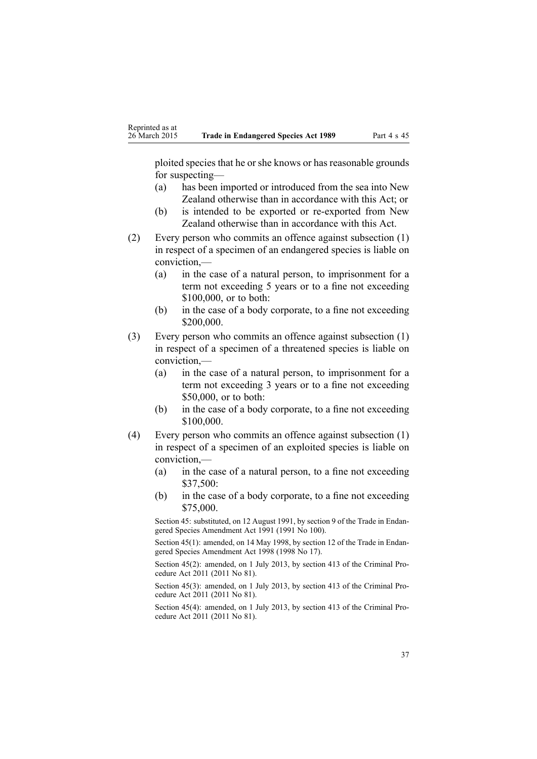ploited species that he or she knows or has reasonable grounds for suspecting—

- (a) has been imported or introduced from the sea into New Zealand otherwise than in accordance with this Act; or
- (b) is intended to be exported or re-exported from New Zealand otherwise than in accordance with this Act.
- (2) Every person who commits an offence against subsection (1) in respec<sup>t</sup> of <sup>a</sup> specimen of an endangered species is liable on conviction,—
	- (a) in the case of <sup>a</sup> natural person, to imprisonment for <sup>a</sup> term not exceeding 5 years or to <sup>a</sup> fine not exceeding \$100,000, or to both:
	- (b) in the case of <sup>a</sup> body corporate, to <sup>a</sup> fine not exceeding \$200,000.
- (3) Every person who commits an offence against subsection (1) in respec<sup>t</sup> of <sup>a</sup> specimen of <sup>a</sup> threatened species is liable on conviction,—
	- (a) in the case of <sup>a</sup> natural person, to imprisonment for <sup>a</sup> term not exceeding 3 years or to <sup>a</sup> fine not exceeding \$50,000, or to both:
	- (b) in the case of <sup>a</sup> body corporate, to <sup>a</sup> fine not exceeding \$100,000.
- (4) Every person who commits an offence against subsection (1) in respec<sup>t</sup> of <sup>a</sup> specimen of an exploited species is liable on conviction,—
	- (a) in the case of <sup>a</sup> natural person, to <sup>a</sup> fine not exceeding \$37,500:
	- (b) in the case of <sup>a</sup> body corporate, to <sup>a</sup> fine not exceeding \$75,000.

Section 45: substituted, on 12 August 1991, by section 9 of the Trade in Endangered Species Amendment Act 1991 (1991 No 100).

Section 45(1): amended, on 14 May 1998, by [section](http://www.legislation.govt.nz/pdflink.aspx?id=DLM425617) 12 of the Trade in Endangered Species Amendment Act 1998 (1998 No 17).

Section 45(2): amended, on 1 July 2013, by [section](http://www.legislation.govt.nz/pdflink.aspx?id=DLM3360714) 413 of the Criminal Procedure Act 2011 (2011 No 81).

Section 45(3): amended, on 1 July 2013, by [section](http://www.legislation.govt.nz/pdflink.aspx?id=DLM3360714) 413 of the Criminal Procedure Act 2011 (2011 No 81).

Section 45(4): amended, on 1 July 2013, by [section](http://www.legislation.govt.nz/pdflink.aspx?id=DLM3360714) 413 of the Criminal Procedure Act 2011 (2011 No 81).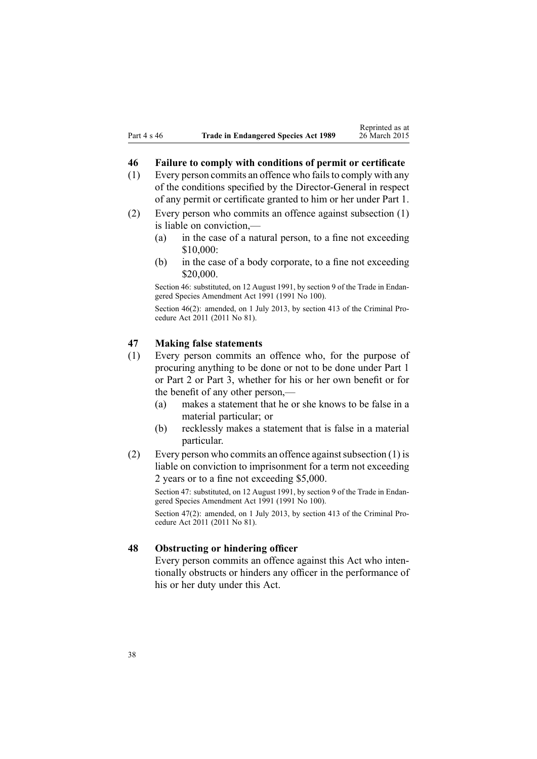#### **46 Failure to comply with conditions of permit or certificate**

- (1) Every person commits an offence who failsto comply with any of the conditions specified by the Director-General in respec<sup>t</sup> of any permit or certificate granted to him or her under [Part](#page-8-0) 1.
- (2) Every person who commits an offence against subsection (1) is liable on conviction,—
	- (a) in the case of <sup>a</sup> natural person, to <sup>a</sup> fine not exceeding \$10,000:
	- (b) in the case of <sup>a</sup> body corporate, to <sup>a</sup> fine not exceeding \$20,000.

Section 46: substituted, on 12 August 1991, by section 9 of the Trade in Endangered Species Amendment Act 1991 (1991 No 100).

Section 46(2): amended, on 1 July 2013, by [section](http://www.legislation.govt.nz/pdflink.aspx?id=DLM3360714) 413 of the Criminal Procedure Act 2011 (2011 No 81).

#### **47 Making false statements**

- (1) Every person commits an offence who, for the purpose of procuring anything to be done or not to be done under [Part](#page-8-0) 1 or [Part](#page-18-0) 2 or [Part](#page-22-0) 3, whether for his or her own benefit or for the benefit of any other person,—
	- (a) makes <sup>a</sup> statement that he or she knows to be false in <sup>a</sup> material particular; or
	- (b) recklessly makes <sup>a</sup> statement that is false in <sup>a</sup> material particular.
- (2) Every person who commits an offence against subsection  $(1)$  is liable on conviction to imprisonment for <sup>a</sup> term not exceeding 2 years or to <sup>a</sup> fine not exceeding \$5,000.

Section 47: substituted, on 12 August 1991, by section 9 of the Trade in Endangered Species Amendment Act 1991 (1991 No 100).

Section 47(2): amended, on 1 July 2013, by [section](http://www.legislation.govt.nz/pdflink.aspx?id=DLM3360714) 413 of the Criminal Procedure Act 2011 (2011 No 81).

#### **48 Obstructing or hindering officer**

Every person commits an offence against this Act who intentionally obstructs or hinders any officer in the performance of his or her duty under this Act.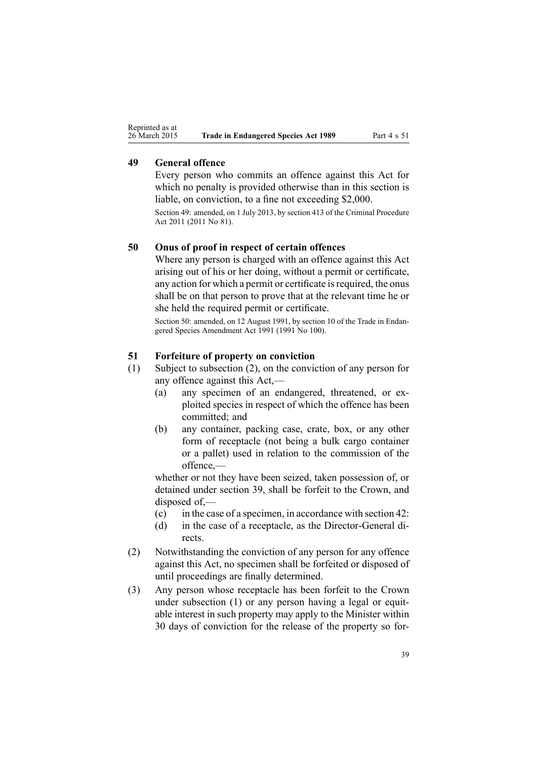#### **49 General offence**

Every person who commits an offence against this Act for which no penalty is provided otherwise than in this section is liable, on conviction, to <sup>a</sup> fine not exceeding \$2,000.

Section 49: amended, on 1 July 2013, by [section](http://www.legislation.govt.nz/pdflink.aspx?id=DLM3360714) 413 of the Criminal Procedure Act 2011 (2011 No 81).

#### **50 Onus of proof in respect of certain offences**

Where any person is charged with an offence against this Act arising out of his or her doing, without <sup>a</sup> permit or certificate, any action for which a permit or certificate is required, the onus shall be on that person to prove that at the relevant time he or she held the required permit or certificate.

Section 50: amended, on 12 August 1991, by section 10 of the Trade in Endangered Species Amendment Act 1991 (1991 No 100).

#### **51 Forfeiture of property on conviction**

- (1) Subject to subsection (2), on the conviction of any person for any offence against this Act,—
	- (a) any specimen of an endangered, threatened, or exploited species in respec<sup>t</sup> of which the offence has been committed; and
	- (b) any container, packing case, crate, box, or any other form of receptacle (not being <sup>a</sup> bulk cargo container or <sup>a</sup> pallet) used in relation to the commission of the offence,—

whether or not they have been seized, taken possession of, or detained under [section](#page-27-0) 39, shall be forfeit to the Crown, and disposed of,—

- (c) in the case of <sup>a</sup> specimen, in accordance with [section](#page-33-0) 42:
- (d) in the case of <sup>a</sup> receptacle, as the Director-General directs.
- (2) Notwithstanding the conviction of any person for any offence against this Act, no specimen shall be forfeited or disposed of until proceedings are finally determined.
- (3) Any person whose receptacle has been forfeit to the Crown under subsection (1) or any person having <sup>a</sup> legal or equitable interest in such property may apply to the Minister within 30 days of conviction for the release of the property so for-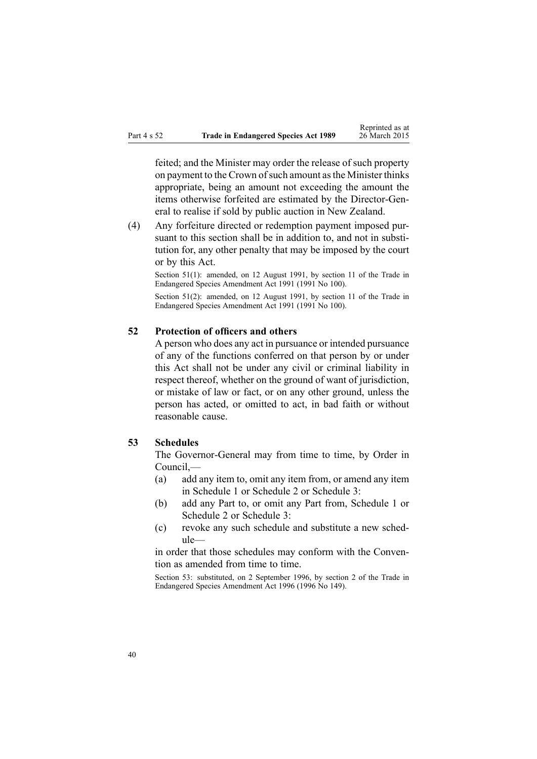feited; and the Minister may order the release of such property on payment to the Crown of such amount as the Minister thinks appropriate, being an amount not exceeding the amount the items otherwise forfeited are estimated by the Director-General to realise if sold by public auction in New Zealand.

(4) Any forfeiture directed or redemption paymen<sup>t</sup> imposed pursuant to this section shall be in addition to, and not in substitution for, any other penalty that may be imposed by the court or by this Act.

Section 51(1): amended, on 12 August 1991, by section 11 of the Trade in Endangered Species Amendment Act 1991 (1991 No 100).

Section 51(2): amended, on 12 August 1991, by section 11 of the Trade in Endangered Species Amendment Act 1991 (1991 No 100).

#### **52 Protection of officers and others**

A person who does any act in pursuance or intended pursuance of any of the functions conferred on that person by or under this Act shall not be under any civil or criminal liability in respec<sup>t</sup> thereof, whether on the ground of want of jurisdiction, or mistake of law or fact, or on any other ground, unless the person has acted, or omitted to act, in bad faith or without reasonable cause.

#### **53 Schedules**

The Governor-General may from time to time, by Order in Council,—

- (a) add any item to, omit any item from, or amend any item in [Schedule](#page-41-0) 1 or [Schedule](#page-92-0) 2 or [Schedule](#page-145-0) 3:
- (b) add any Part to, or omit any Part from, [Schedule](#page-41-0) 1 or [Schedule](#page-92-0) 2 or [Schedule](#page-145-0) 3:
- (c) revoke any such schedule and substitute <sup>a</sup> new schedule—

in order that those schedules may conform with the Convention as amended from time to time.

Section 53: substituted, on 2 September 1996, by section 2 of the Trade in Endangered Species Amendment Act 1996 (1996 No 149).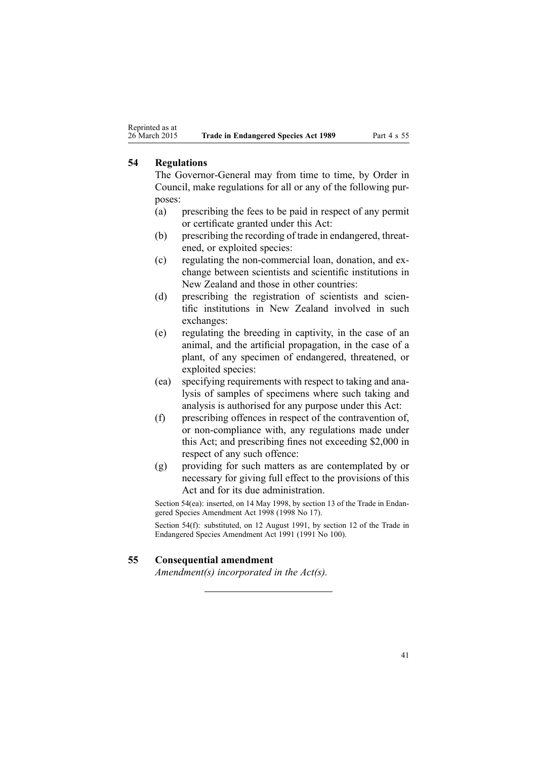### **54 Regulations**

The Governor-General may from time to time, by Order in Council, make regulations for all or any of the following purposes:

- (a) prescribing the fees to be paid in respec<sup>t</sup> of any permit or certificate granted under this Act:
- (b) prescribing the recording of trade in endangered, threatened, or exploited species:
- (c) regulating the non-commercial loan, donation, and exchange between scientists and scientific institutions in New Zealand and those in other countries:
- (d) prescribing the registration of scientists and scientific institutions in New Zealand involved in such exchanges:
- (e) regulating the breeding in captivity, in the case of an animal, and the artificial propagation, in the case of <sup>a</sup> plant, of any specimen of endangered, threatened, or exploited species:
- (ea) specifying requirements with respec<sup>t</sup> to taking and analysis of samples of specimens where such taking and analysis is authorised for any purpose under this Act:
- (f) prescribing offences in respec<sup>t</sup> of the contravention of, or non-compliance with, any regulations made under this Act; and prescribing fines not exceeding \$2,000 in respec<sup>t</sup> of any such offence:
- (g) providing for such matters as are contemplated by or necessary for giving full effect to the provisions of this Act and for its due administration.

Section 54(ea): inserted, on 14 May 1998, by [section](http://www.legislation.govt.nz/pdflink.aspx?id=DLM425618) 13 of the Trade in Endangered Species Amendment Act 1998 (1998 No 17).

Section 54(f): substituted, on 12 August 1991, by section 12 of the Trade in Endangered Species Amendment Act 1991 (1991 No 100).

#### **55 Consequential amendment**

*Amendment(s) incorporated in the [Act\(s\).](http://www.legislation.govt.nz/pdflink.aspx?id=DLM107200)*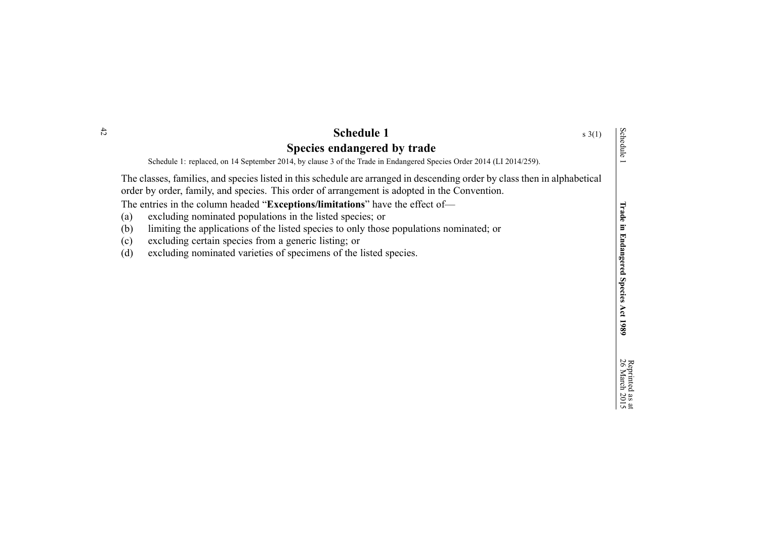<span id="page-41-0"></span>

| $\ddot{2}$ | <b>Schedule 1</b><br>$s \; 3(1)$                                                                                                                                                                                                                                                                                                                                                                                                                                                                                                                                                                                            |                                                          |
|------------|-----------------------------------------------------------------------------------------------------------------------------------------------------------------------------------------------------------------------------------------------------------------------------------------------------------------------------------------------------------------------------------------------------------------------------------------------------------------------------------------------------------------------------------------------------------------------------------------------------------------------------|----------------------------------------------------------|
|            | Species endangered by trade<br>Schedule 1: replaced, on 14 September 2014, by clause 3 of the Trade in Endangered Species Order 2014 (LI 2014/259).                                                                                                                                                                                                                                                                                                                                                                                                                                                                         | Schedule                                                 |
|            | The classes, families, and species listed in this schedule are arranged in descending order by class then in alphabetical<br>order by order, family, and species. This order of arrangement is adopted in the Convention.<br>The entries in the column headed "Exceptions/limitations" have the effect of-<br>excluding nominated populations in the listed species; or<br>(a)<br>limiting the applications of the listed species to only those populations nominated; or<br>(b)<br>excluding certain species from a generic listing; or<br>(c)<br>(d)<br>excluding nominated varieties of specimens of the listed species. | Irade<br>ь<br>Endangered<br><b>Species</b><br>Act $1989$ |
|            |                                                                                                                                                                                                                                                                                                                                                                                                                                                                                                                                                                                                                             | Reprinted<br>26 March                                    |

as  $\vec{a}$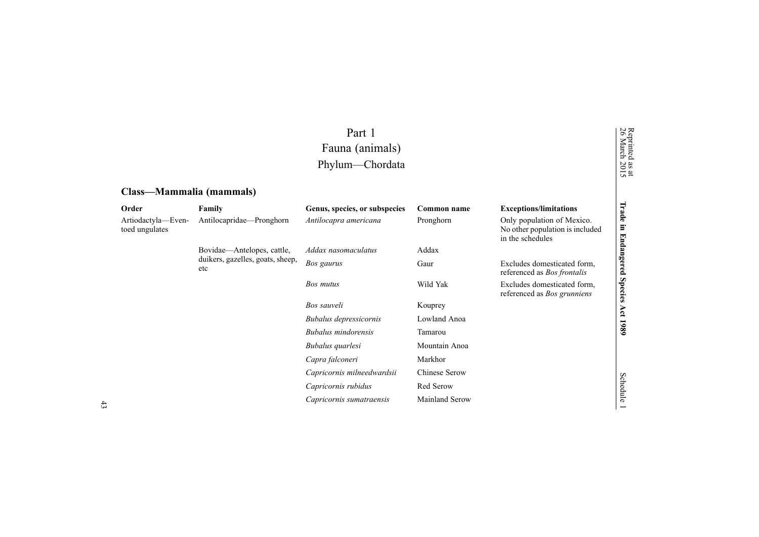## Part 1 Fauna (animals) Phylum—Chordata

## **Class—Mammalia (mammals)**

| Order                                | Family                                  | Genus, species, or subspecies | Common name    | <b>Exceptions/limitations</b>                                                     | Trade          |
|--------------------------------------|-----------------------------------------|-------------------------------|----------------|-----------------------------------------------------------------------------------|----------------|
| Artiodactyla-Even-<br>toed ungulates | Antilocapridae—Pronghorn                | Antilocapra americana         | Pronghorn      | Only population of Mexico.<br>No other population is included<br>in the schedules | Ξ.             |
|                                      | Bovidae—Antelopes, cattle,              | Addax nasomaculatus           | Addax          |                                                                                   |                |
|                                      | duikers, gazelles, goats, sheep,<br>etc | Bos gaurus                    | Gaur           | Excludes domesticated form,<br>referenced as <i>Bos frontalis</i>                 | Endangere<br>ء |
|                                      |                                         | Bos mutus                     | Wild Yak       | Excludes domesticated form.<br>referenced as <i>Bos grunniens</i>                 | <b>Species</b> |
|                                      |                                         | Bos sauveli                   | Kouprey        |                                                                                   | Act            |
|                                      |                                         | Bubalus depressicornis        | Lowland Anoa   |                                                                                   |                |
|                                      |                                         | Bubalus mindorensis           | Tamarou        |                                                                                   | 1989           |
|                                      |                                         | Bubalus quarlesi              | Mountain Anoa  |                                                                                   |                |
|                                      |                                         | Capra falconeri               | Markhor        |                                                                                   |                |
|                                      |                                         | Capricornis milneedwardsii    | Chinese Serow  |                                                                                   |                |
|                                      |                                         | Capricornis rubidus           | Red Serow      |                                                                                   | Schedule       |
|                                      |                                         | Capricornis sumatraensis      | Mainland Serow |                                                                                   |                |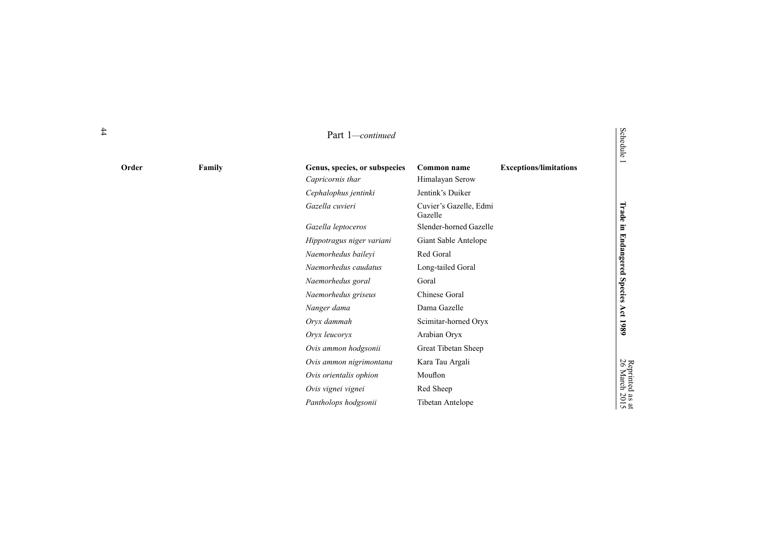| Order | Family | Genus, species, or subspecies | Common name                       | <b>Exceptions/limitations</b> | w<br>−                           |
|-------|--------|-------------------------------|-----------------------------------|-------------------------------|----------------------------------|
|       |        | Capricornis thar              | Himalayan Serow                   |                               |                                  |
|       |        | Cephalophus jentinki          | Jentink's Duiker                  |                               |                                  |
|       |        | Gazella cuvieri               | Cuvier's Gazelle, Edmi<br>Gazelle |                               | Trade                            |
|       |        | Gazella leptoceros            | Slender-horned Gazelle            |                               | ь                                |
|       |        | Hippotragus niger variani     | Giant Sable Antelope              |                               |                                  |
|       |        | Naemorhedus baileyi           | Red Goral                         |                               | <b>Endang</b>                    |
|       |        | Naemorhedus caudatus          | Long-tailed Goral                 |                               | ered <sub>.</sub>                |
|       |        | Naemorhedus goral             | Goral                             |                               |                                  |
|       |        | Naemorhedus griseus           | Chinese Goral                     |                               | <b>Species</b>                   |
|       |        | Nanger dama                   | Dama Gazelle                      |                               | Αct                              |
|       |        | Oryx dammah                   | Scimitar-horned Oryx              |                               | 1980                             |
|       |        | Oryx leucoryx                 | Arabian Oryx                      |                               |                                  |
|       |        | Ovis ammon hodgsonii          | Great Tibetan Sheep               |                               |                                  |
|       |        | Ovis ammon nigrimontana       | Kara Tau Argali                   |                               |                                  |
|       |        | Ovis orientalis ophion        | Mouflon                           |                               | Reprinted<br>26 March            |
|       |        | Ovis vignei vignei            | Red Sheep                         |                               |                                  |
|       |        | Pantholops hodgsonii          | Tibetan Antelope                  |                               | $\frac{as}{20}$<br>$\frac{a}{2}$ |
|       |        |                               |                                   |                               |                                  |

# Schedule

as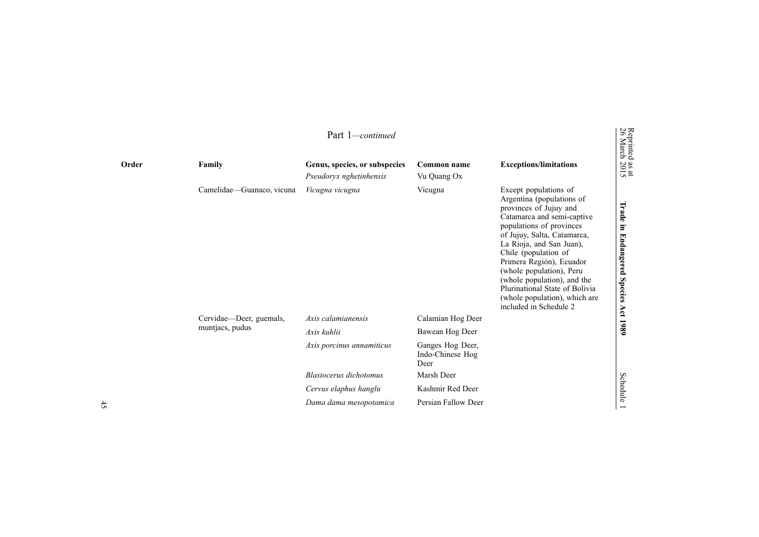|                           | Part 1-continued                                         |                                              |                                                                                                                                                                                                                                                                                                                                                                                                               | Reprinted<br>26 March                       |
|---------------------------|----------------------------------------------------------|----------------------------------------------|---------------------------------------------------------------------------------------------------------------------------------------------------------------------------------------------------------------------------------------------------------------------------------------------------------------------------------------------------------------------------------------------------------------|---------------------------------------------|
| Family                    | Genus, species, or subspecies<br>Pseudoryx nghetinhensis | Common name<br>Vu Quang Ox                   | <b>Exceptions/limitations</b>                                                                                                                                                                                                                                                                                                                                                                                 | $\frac{30 \text{ at}}{2015}$                |
| Camelidae-Guanaco, vicuna | Vicugna vicugna                                          | Vicugna                                      | Except populations of<br>Argentina (populations of<br>provinces of Jujuy and<br>Catamarca and semi-captive<br>populations of provinces<br>of Jujuy, Salta, Catamarca,<br>La Rioja, and San Juan),<br>Chile (population of<br>Primera Región), Ecuador<br>(whole population), Peru<br>(whole population), and the<br>Plurinational State of Bolivia<br>(whole population), which are<br>included in Schedule 2 | Trade<br>Ē.<br><b>Endangered</b><br>Species |
| Cervidae—Deer, guemals,   | Axis calamianensis                                       | Calamian Hog Deer                            |                                                                                                                                                                                                                                                                                                                                                                                                               | Act 1989                                    |
|                           | Axis kuhlii                                              | Bawean Hog Deer                              |                                                                                                                                                                                                                                                                                                                                                                                                               |                                             |
|                           | Axis porcinus annamiticus                                | Ganges Hog Deer,<br>Indo-Chinese Hog<br>Deer |                                                                                                                                                                                                                                                                                                                                                                                                               |                                             |
|                           | Blastocerus dichotomus                                   | Marsh Deer                                   |                                                                                                                                                                                                                                                                                                                                                                                                               |                                             |
|                           | Cervus elaphus hanglu                                    | Kashmir Red Deer                             |                                                                                                                                                                                                                                                                                                                                                                                                               | Schedule                                    |
|                           | Dama dama mesopotamica                                   | Persian Fallow Deer                          |                                                                                                                                                                                                                                                                                                                                                                                                               |                                             |
|                           | muntjacs, pudus                                          |                                              |                                                                                                                                                                                                                                                                                                                                                                                                               |                                             |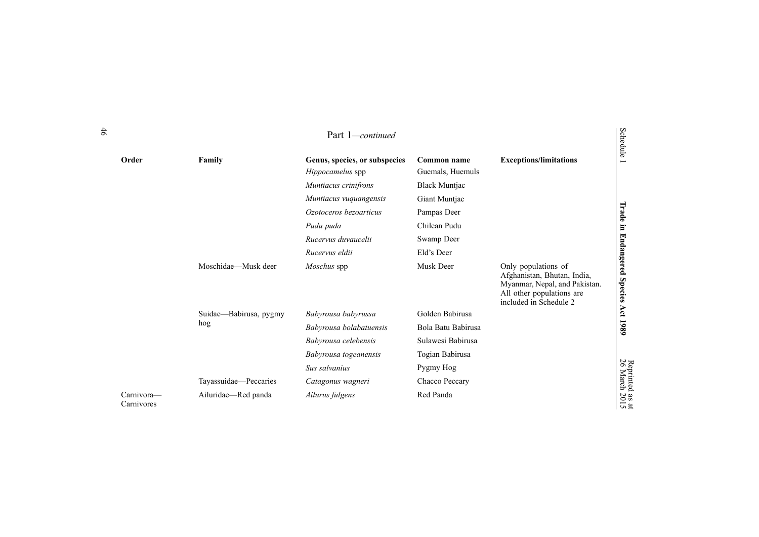|                          |                        | Part 1-continued                                  |                                 |                                                                                                                                            | Schedule                                               |
|--------------------------|------------------------|---------------------------------------------------|---------------------------------|--------------------------------------------------------------------------------------------------------------------------------------------|--------------------------------------------------------|
| Order                    | Family                 | Genus, species, or subspecies<br>Hippocamelus spp | Common name<br>Guemals, Huemuls | <b>Exceptions/limitations</b>                                                                                                              | $\overline{\phantom{0}}$                               |
|                          |                        | Muntiacus crinifrons                              | <b>Black Muntjac</b>            |                                                                                                                                            |                                                        |
|                          |                        | Muntiacus vuquangensis                            | Giant Muntjac                   |                                                                                                                                            |                                                        |
|                          |                        | Ozotoceros bezoarticus                            | Pampas Deer                     |                                                                                                                                            | Trade                                                  |
|                          |                        | Pudu puda                                         | Chilean Pudu                    |                                                                                                                                            | $\Xi$                                                  |
|                          |                        | Rucervus duvaucelii                               | Swamp Deer                      |                                                                                                                                            |                                                        |
|                          |                        | Rucervus eldii                                    | Eld's Deer                      |                                                                                                                                            |                                                        |
|                          | Moschidae—Musk deer    | Moschus spp                                       | Musk Deer                       | Only populations of<br>Afghanistan, Bhutan, India,<br>Myanmar, Nepal, and Pakistan.<br>All other populations are<br>included in Schedule 2 | <b>Endangered</b><br>Species                           |
|                          | Suidae—Babirusa, pygmy | Babyrousa babyrussa                               | Golden Babirusa                 |                                                                                                                                            | Act 1989                                               |
|                          | hog                    | Babyrousa bolabatuensis                           | Bola Batu Babirusa              |                                                                                                                                            |                                                        |
|                          |                        | Babyrousa celebensis                              | Sulawesi Babirusa               |                                                                                                                                            |                                                        |
|                          |                        | Babyrousa togeanensis                             | Togian Babirusa                 |                                                                                                                                            |                                                        |
|                          |                        | Sus salvanius                                     | Pygmy Hog                       |                                                                                                                                            |                                                        |
|                          | Tayassuidae-Peccaries  | Catagonus wagneri                                 | Chacco Peccary                  |                                                                                                                                            |                                                        |
| Carnivora-<br>Carnivores | Ailuridae-Red panda    | Ailurus fulgens                                   | Red Panda                       |                                                                                                                                            | Reprinted as a<br>26 March 2015<br>$\overline{a}$<br>Ō |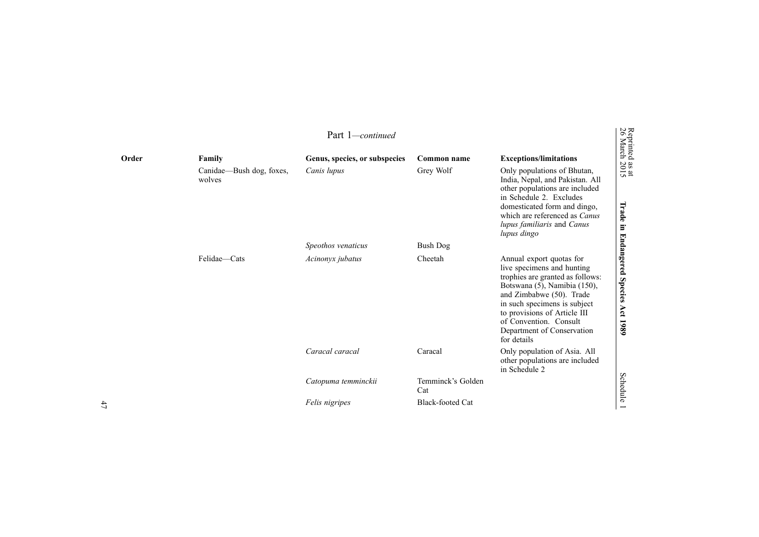|       |                                              | Part 1— <i>continued</i>                     |                          |                                                                                                                                                                                                                                                                                               | Reprinted<br>26 March                              |
|-------|----------------------------------------------|----------------------------------------------|--------------------------|-----------------------------------------------------------------------------------------------------------------------------------------------------------------------------------------------------------------------------------------------------------------------------------------------|----------------------------------------------------|
| Order | Family<br>Canidae—Bush dog, foxes,<br>wolves | Genus, species, or subspecies<br>Canis lupus | Common name<br>Grey Wolf | <b>Exceptions/limitations</b><br>Only populations of Bhutan,<br>India, Nepal, and Pakistan. All                                                                                                                                                                                               | $\frac{38 \text{ at}}{2015}$                       |
|       |                                              |                                              |                          | other populations are included<br>in Schedule 2. Excludes<br>domesticated form and dingo,<br>which are referenced as Canus<br>lupus familiaris and Canus<br>lupus dingo                                                                                                                       | Irade<br>E.                                        |
|       |                                              | Speothos venaticus                           | <b>Bush Dog</b>          |                                                                                                                                                                                                                                                                                               |                                                    |
|       | Felidae-Cats                                 | Acinonyx jubatus                             | Cheetah                  | Annual export quotas for<br>live specimens and hunting<br>trophies are granted as follows:<br>Botswana (5), Namibia (150),<br>and Zimbabwe (50). Trade<br>in such specimens is subject<br>to provisions of Article III<br>of Convention. Consult<br>Department of Conservation<br>for details | <b>Endangered</b><br><b>Species</b><br>Act<br>1989 |
|       |                                              | Caracal caracal                              | Caracal                  | Only population of Asia. All<br>other populations are included<br>in Schedule 2                                                                                                                                                                                                               |                                                    |
|       |                                              | Catopuma temminckii                          | Temminck's Golden<br>Cat |                                                                                                                                                                                                                                                                                               | <b>Schedule</b>                                    |
|       |                                              | Felis nigripes                               | <b>Black-footed Cat</b>  |                                                                                                                                                                                                                                                                                               |                                                    |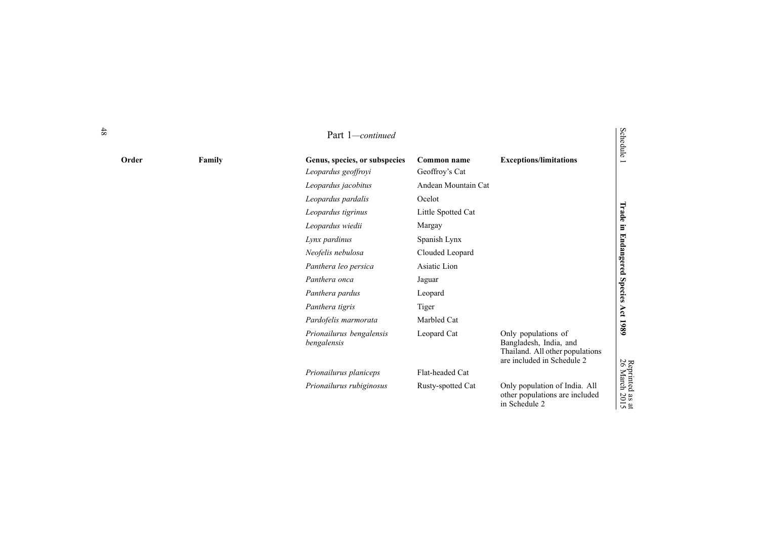|       |        | Part 1-continued                                     |                               |                                                                                                                | Schedule                                  |
|-------|--------|------------------------------------------------------|-------------------------------|----------------------------------------------------------------------------------------------------------------|-------------------------------------------|
| Order | Family | Genus, species, or subspecies<br>Leopardus geoffroyi | Common name<br>Geoffroy's Cat | <b>Exceptions/limitations</b>                                                                                  | $\overline{\phantom{0}}$                  |
|       |        | Leopardus jacobitus                                  | Andean Mountain Cat           |                                                                                                                |                                           |
|       |        | Leopardus pardalis                                   | Ocelot                        |                                                                                                                |                                           |
|       |        | Leopardus tigrinus                                   | Little Spotted Cat            |                                                                                                                | Trade in                                  |
|       |        | Leopardus wiedii                                     | Margay                        |                                                                                                                |                                           |
|       |        | Lynx pardinus                                        | Spanish Lynx                  |                                                                                                                |                                           |
|       |        | Neofelis nebulosa                                    | Clouded Leopard               |                                                                                                                |                                           |
|       |        | Panthera leo persica                                 | Asiatic Lion                  |                                                                                                                |                                           |
|       |        | Panthera onca                                        | Jaguar                        |                                                                                                                | <b>Endangered Species</b>                 |
|       |        | Panthera pardus                                      | Leopard                       |                                                                                                                |                                           |
|       |        | Panthera tigris                                      | Tiger                         |                                                                                                                |                                           |
|       |        | Pardofelis marmorata                                 | Marbled Cat                   |                                                                                                                | Act 1989                                  |
|       |        | Prionailurus bengalensis<br>bengalensis              | Leopard Cat                   | Only populations of<br>Bangladesh, India, and<br>Thailand. All other populations<br>are included in Schedule 2 |                                           |
|       |        | Prionailurus planiceps                               | Flat-headed Cat               |                                                                                                                |                                           |
|       |        | Prionailurus rubiginosus                             | Rusty-spotted Cat             | Only population of India. All<br>other populations are included<br>in Schedule 2                               | Reprinted<br>26 March<br>$\frac{1}{2015}$ |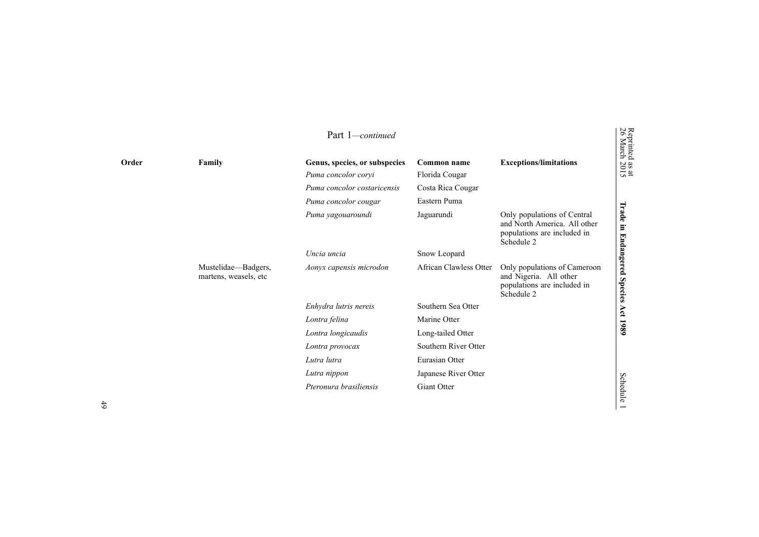|       |                                               | Part 1-continued                                     |                               |                                                                                                          | Reprinted<br>26 March                |
|-------|-----------------------------------------------|------------------------------------------------------|-------------------------------|----------------------------------------------------------------------------------------------------------|--------------------------------------|
| Order | Family                                        | Genus, species, or subspecies<br>Puma concolor coryi | Common name<br>Florida Cougar | <b>Exceptions/limitations</b>                                                                            | $\frac{3}{2015}$                     |
|       |                                               | Puma concolor costaricensis                          | Costa Rica Cougar             |                                                                                                          |                                      |
|       |                                               | Puma concolor cougar                                 | Eastern Puma                  |                                                                                                          |                                      |
|       |                                               | Puma yagouaroundi                                    | Jaguarundi                    | Only populations of Central<br>and North America. All other<br>populations are included in<br>Schedule 2 | Trade<br>$\Xi.$<br><b>Endangered</b> |
|       |                                               | Uncia uncia                                          | Snow Leopard                  |                                                                                                          |                                      |
|       | Mustelidae—Badgers,<br>martens, weasels, etc. | Aonyx capensis microdon                              | African Clawless Otter        | Only populations of Cameroon<br>and Nigeria. All other<br>populations are included in<br>Schedule 2      | <b>Species</b>                       |
|       |                                               | Enhydra lutris nereis                                | Southern Sea Otter            |                                                                                                          |                                      |
|       |                                               | Lontra felina                                        | Marine Otter                  |                                                                                                          | Act 1989                             |
|       |                                               | Lontra longicaudis                                   | Long-tailed Otter             |                                                                                                          |                                      |
|       |                                               | Lontra provocax                                      | Southern River Otter          |                                                                                                          |                                      |
|       |                                               | Lutra lutra                                          | Eurasian Otter                |                                                                                                          |                                      |
|       |                                               | Lutra nippon                                         | Japanese River Otter          |                                                                                                          |                                      |
|       |                                               | Pteronura brasiliensis                               | <b>Giant Otter</b>            |                                                                                                          | Schedule                             |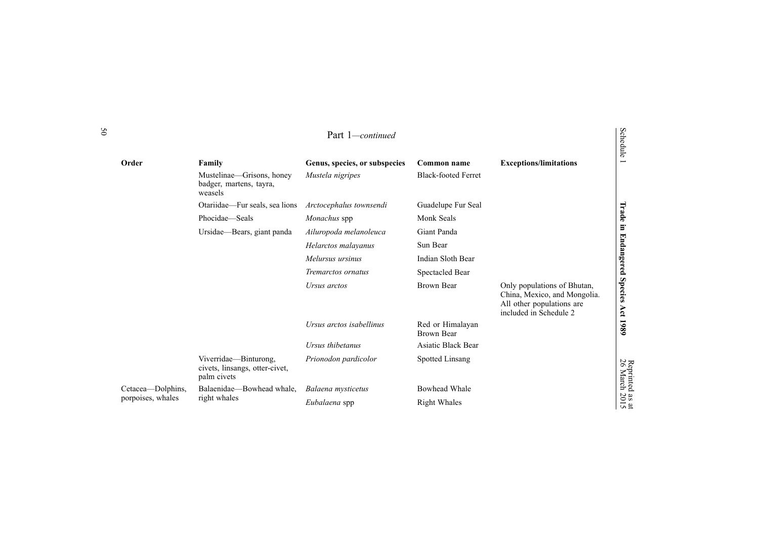|                   |                                                                        | Part 1-continued              |                                       |                                                                                                                    | Schedule              |
|-------------------|------------------------------------------------------------------------|-------------------------------|---------------------------------------|--------------------------------------------------------------------------------------------------------------------|-----------------------|
| Order             | Family                                                                 | Genus, species, or subspecies | Common name                           | <b>Exceptions/limitations</b>                                                                                      |                       |
|                   | Mustelinae—Grisons, honey<br>badger, martens, tayra,<br>weasels        | Mustela nigripes              | <b>Black-footed Ferret</b>            |                                                                                                                    |                       |
|                   | Otariidae—Fur seals, sea lions                                         | Arctocephalus townsendi       | Guadelupe Fur Seal                    |                                                                                                                    |                       |
|                   | Phocidae-Seals                                                         | Monachus spp                  | Monk Seals                            |                                                                                                                    | Trade                 |
|                   | Ursidae-Bears, giant panda                                             | Ailuropoda melanoleuca        | Giant Panda                           |                                                                                                                    | Ξ.                    |
|                   |                                                                        | Helarctos malayanus           | Sun Bear                              |                                                                                                                    | <b>Endangered</b>     |
|                   |                                                                        | Melursus ursinus              | Indian Sloth Bear                     |                                                                                                                    |                       |
|                   |                                                                        | Tremarctos ornatus            | Spectacled Bear                       |                                                                                                                    |                       |
|                   |                                                                        | Ursus arctos                  | Brown Bear                            | Only populations of Bhutan,<br>China, Mexico, and Mongolia.<br>All other populations are<br>included in Schedule 2 | <b>Species</b><br>Act |
|                   |                                                                        | Ursus arctos isabellinus      | Red or Himalayan<br><b>Brown Bear</b> |                                                                                                                    | 1989                  |
|                   |                                                                        | Ursus thibetanus              | <b>Asiatic Black Bear</b>             |                                                                                                                    |                       |
|                   | Viverridae-Binturong,<br>civets, linsangs, otter-civet,<br>palm civets | Prionodon pardicolor          | Spotted Linsang                       |                                                                                                                    | Reprinted<br>26 March |
| Cetacea—Dolphins, | Balaenidae-Bowhead whale,                                              | Balaena mysticetus            | Bowhead Whale                         |                                                                                                                    |                       |
| porpoises, whales | right whales                                                           | Eubalaena spp                 | <b>Right Whales</b>                   |                                                                                                                    | as at<br>2015         |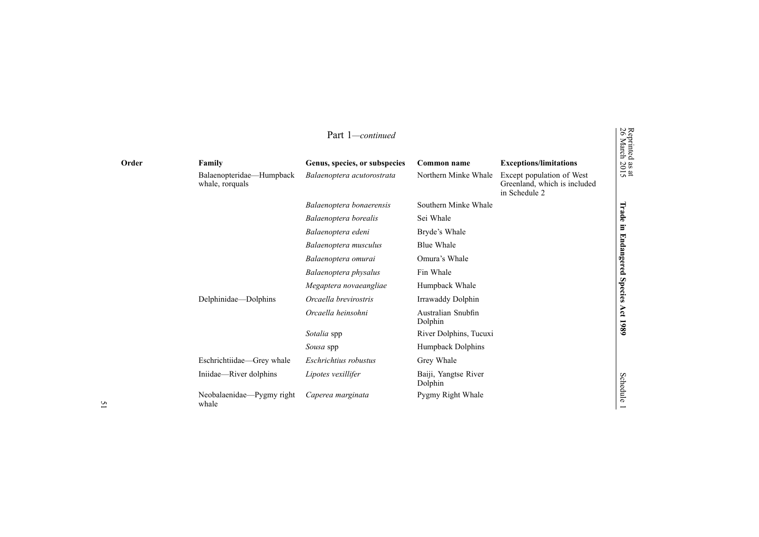|       |                                             | Part 1-continued              |                                 |                                                                            | Reprinted<br>26 March        |
|-------|---------------------------------------------|-------------------------------|---------------------------------|----------------------------------------------------------------------------|------------------------------|
| Order | Family                                      | Genus, species, or subspecies | Common name                     | <b>Exceptions/limitations</b>                                              | $\frac{38 \text{ at}}{2015}$ |
|       | Balaenopteridae—Humpback<br>whale, rorquals | Balaenoptera acutorostrata    | Northern Minke Whale            | Except population of West<br>Greenland, which is included<br>in Schedule 2 |                              |
|       |                                             | Balaenoptera bonaerensis      | Southern Minke Whale            |                                                                            |                              |
|       |                                             | Balaenoptera borealis         | Sei Whale                       |                                                                            | Trade                        |
|       |                                             | Balaenoptera edeni            | Bryde's Whale                   |                                                                            | $\Xi$                        |
|       |                                             | Balaenoptera musculus         | <b>Blue Whale</b>               |                                                                            | <b>Endangered</b>            |
|       |                                             | Balaenoptera omurai           | Omura's Whale                   |                                                                            |                              |
|       |                                             | Balaenoptera physalus         | Fin Whale                       |                                                                            |                              |
|       |                                             | Megaptera novaeangliae        | Humpback Whale                  |                                                                            | <b>Species</b>               |
|       | Delphinidae-Dolphins                        | Orcaella brevirostris         | Irrawaddy Dolphin               |                                                                            |                              |
|       |                                             | Orcaella heinsohni            | Australian Snubfin<br>Dolphin   |                                                                            | Act<br>1980                  |
|       |                                             | Sotalia spp                   | River Dolphins, Tucuxi          |                                                                            |                              |
|       |                                             | Sousa spp                     | Humpback Dolphins               |                                                                            |                              |
|       | Eschrichtiidae—Grey whale                   | Eschrichtius robustus         | Grey Whale                      |                                                                            |                              |
|       | Iniidae—River dolphins                      | Lipotes vexillifer            | Baiji, Yangtse River<br>Dolphin |                                                                            | Schedule                     |
|       | Neobalaenidae—Pygmy right<br>whale          | Caperea marginata             | Pygmy Right Whale               |                                                                            |                              |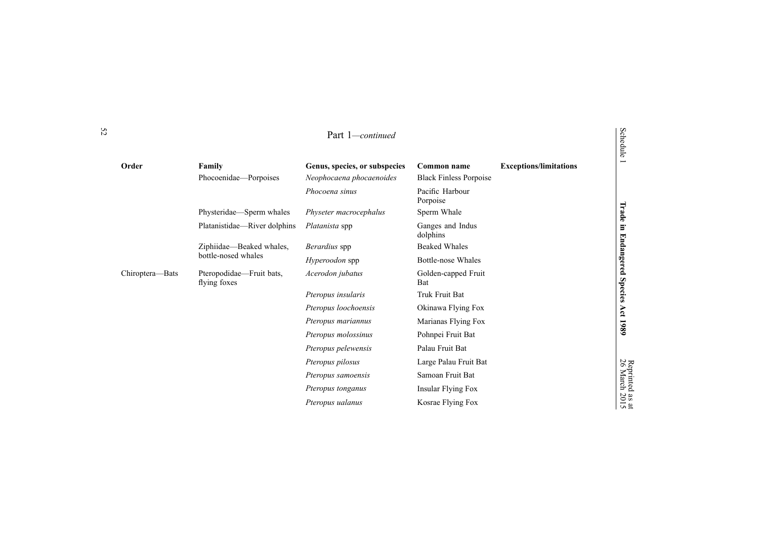| Part 1–<br>—continued |
|-----------------------|
|-----------------------|

| Order           | Family                                   | Genus, species, or subspecies | Common name                   | <b>Exceptions/limitations</b> | −                     |
|-----------------|------------------------------------------|-------------------------------|-------------------------------|-------------------------------|-----------------------|
|                 | Phocoenidae—Porpoises                    | Neophocaena phocaenoides      | <b>Black Finless Porpoise</b> |                               |                       |
|                 |                                          | Phocoena sinus                | Pacific Harbour<br>Porpoise   |                               |                       |
|                 | Physteridae—Sperm whales                 | Physeter macrocephalus        | Sperm Whale                   |                               | Trade                 |
|                 | Platanistidae—River dolphins             | <i>Platanista</i> spp         | Ganges and Indus<br>dolphins  |                               | E.                    |
|                 | Ziphiidae—Beaked whales,                 | <i>Berardius</i> spp          | <b>Beaked Whales</b>          |                               |                       |
|                 | bottle-nosed whales                      | <i>Hyperoodon</i> spp         | Bottle-nose Whales            |                               | Endangered            |
| Chiroptera-Bats | Pteropodidae-Fruit bats,<br>flying foxes | Acerodon jubatus              | Golden-capped Fruit<br>Bat    |                               |                       |
|                 |                                          | Pteropus insularis            | Truk Fruit Bat                |                               | <b>Species</b>        |
|                 |                                          | Pteropus loochoensis          | Okinawa Flying Fox            |                               | Act                   |
|                 |                                          | Pteropus mariannus            | Marianas Flying Fox           |                               | 1989                  |
|                 |                                          | Pteropus molossinus           | Pohnpei Fruit Bat             |                               |                       |
|                 |                                          | Pteropus pelewensis           | Palau Fruit Bat               |                               |                       |
|                 |                                          | Pteropus pilosus              | Large Palau Fruit Bat         |                               |                       |
|                 |                                          | Pteropus samoensis            | Samoan Fruit Bat              |                               | Reprinted<br>26 March |
|                 |                                          | Pteropus tonganus             | Insular Flying Fox            |                               |                       |
|                 |                                          | Pteropus ualanus              | Kosrae Flying Fox             |                               | as at<br>2015         |

Schedule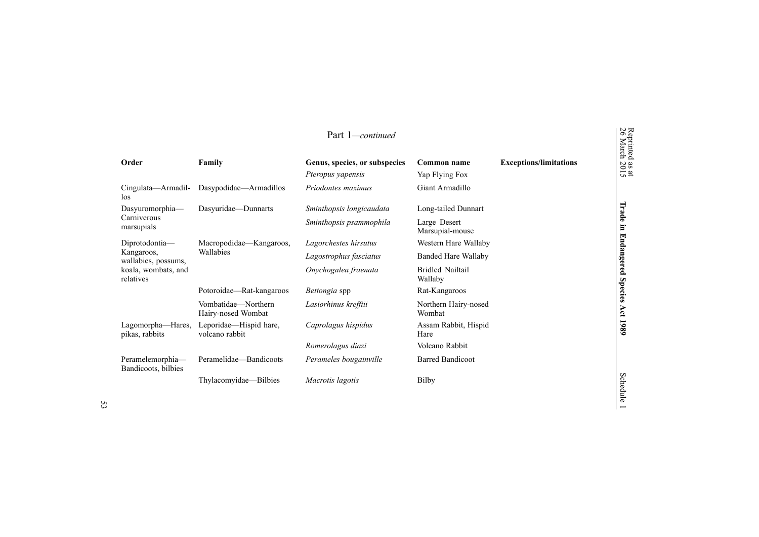|                                         |                                           | Part 1-continued                                   |                                    |                               | Reprinted<br>26 March        |
|-----------------------------------------|-------------------------------------------|----------------------------------------------------|------------------------------------|-------------------------------|------------------------------|
| Order                                   | Family                                    | Genus, species, or subspecies<br>Pteropus yapensis | Common name<br>Yap Flying Fox      | <b>Exceptions/limitations</b> | $\frac{38 \text{ at}}{2015}$ |
| Cingulata—Armadil-<br>los               | Dasypodidae—Armadillos                    | Priodontes maximus                                 | Giant Armadillo                    |                               |                              |
| Dasyuromorphia-                         | Dasyuridae-Dunnarts                       | Sminthopsis longicaudata                           | Long-tailed Dunnart                |                               | Trade                        |
| Carniverous<br>marsupials               |                                           | Sminthopsis psammophila                            | Large Desert<br>Marsupial-mouse    |                               | E.                           |
| Diprotodontia-                          | Macropodidae—Kangaroos,                   | Lagorchestes hirsutus                              | Western Hare Wallaby               |                               |                              |
| Kangaroos,<br>wallabies, possums,       | Wallabies                                 | Lagostrophus fasciatus                             | <b>Banded Hare Wallaby</b>         |                               |                              |
| koala, wombats, and<br>relatives        |                                           | Onychogalea fraenata                               | <b>Bridled Nailtail</b><br>Wallaby |                               | <b>Endangered</b>            |
|                                         | Potoroidae—Rat-kangaroos                  | Bettongia spp                                      | Rat-Kangaroos                      |                               | <b>Species</b>               |
|                                         | Vombatidae-Northern<br>Hairy-nosed Wombat | Lasiorhinus krefftii                               | Northern Hairy-nosed<br>Wombat     |                               | Act                          |
| Lagomorpha—Hares,<br>pikas, rabbits     | Leporidae—Hispid hare,<br>volcano rabbit  | Caprolagus hispidus                                | Assam Rabbit, Hispid<br>Hare       |                               | 1980                         |
|                                         |                                           | Romerolagus diazi                                  | Volcano Rabbit                     |                               |                              |
| Peramelemorphia-<br>Bandicoots, bilbies | Peramelidae—Bandicoots                    | Perameles bougainville                             | <b>Barred Bandicoot</b>            |                               |                              |
|                                         | Thylacomyidae—Bilbies                     | Macrotis lagotis                                   | Bilby                              |                               | Sche                         |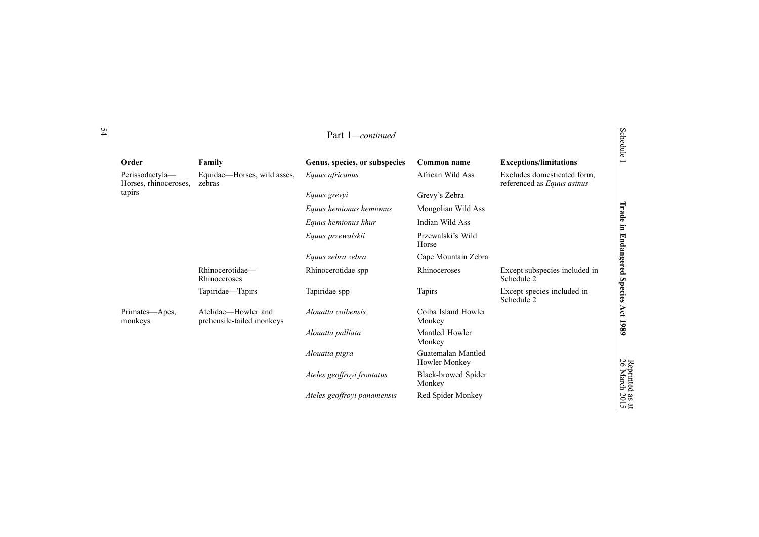| Order                                    | Family                                           | Genus, species, or subspecies | Common name                         | <b>Exceptions/limitations</b>                             | w<br>$\overline{\phantom{0}}$ |
|------------------------------------------|--------------------------------------------------|-------------------------------|-------------------------------------|-----------------------------------------------------------|-------------------------------|
| Perissodactyla-<br>Horses, rhinoceroses, | Equidae—Horses, wild asses,<br>zebras            | Equus africanus               | African Wild Ass                    | Excludes domesticated form,<br>referenced as Equus asinus |                               |
| tapirs                                   |                                                  | Equus grevyi                  | Grevy's Zebra                       |                                                           |                               |
|                                          |                                                  | Equus hemionus hemionus       | Mongolian Wild Ass                  |                                                           | Trade                         |
|                                          |                                                  | Equus hemionus khur           | Indian Wild Ass                     |                                                           | F                             |
|                                          |                                                  | Equus przewalskii             | Przewalski's Wild<br>Horse          |                                                           | <b>Endangered</b>             |
|                                          |                                                  | Equus zebra zebra             | Cape Mountain Zebra                 |                                                           |                               |
| Rhinocerotidae-<br>Rhinoceroses          |                                                  | Rhinocerotidae spp            | Rhinoceroses                        | Except subspecies included in<br>Schedule 2               |                               |
|                                          | Tapiridae-Tapirs                                 | Tapiridae spp                 | <b>Tapirs</b>                       | Except species included in<br>Schedule 2                  | <b>Species</b>                |
| Primates—Apes,<br>monkeys                | Atelidae—Howler and<br>prehensile-tailed monkeys | Alouatta coibensis            | Coiba Island Howler<br>Monkey       |                                                           | Act                           |
|                                          |                                                  | Alouatta palliata             | Mantled Howler<br>Monkey            |                                                           | 1980                          |
|                                          |                                                  | Alouatta pigra                | Guatemalan Mantled<br>Howler Monkey |                                                           |                               |
|                                          |                                                  | Ateles geoffroyi frontatus    | Black-browed Spider<br>Monkey       |                                                           | Reprinted<br>26 March         |
|                                          |                                                  | Ateles geoffroyi panamensis   | Red Spider Monkey                   |                                                           | $\frac{33}{2015}$             |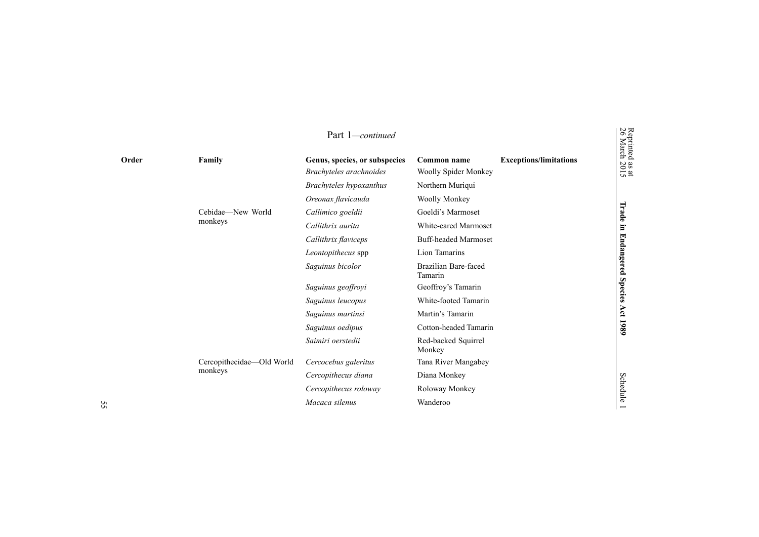|       |                           | Part 1-continued              |                                 |                               |
|-------|---------------------------|-------------------------------|---------------------------------|-------------------------------|
| Order | Family                    | Genus, species, or subspecies | Common name                     | <b>Exceptions/limitations</b> |
|       |                           | Brachyteles arachnoides       | Woolly Spider Monkey            |                               |
|       |                           | Brachyteles hypoxanthus       | Northern Muriqui                |                               |
|       |                           | Oreonax flavicauda            | Woolly Monkey                   |                               |
|       | Cebidae-New World         | Callimico goeldii             | Goeldi's Marmoset               |                               |
|       | monkeys                   | Callithrix aurita             | White-eared Marmoset            |                               |
|       |                           | Callithrix flaviceps          | <b>Buff-headed Marmoset</b>     |                               |
|       |                           | Leontopithecus spp            | Lion Tamarins                   |                               |
|       |                           | Saguinus bicolor              | Brazilian Bare-faced<br>Tamarin |                               |
|       |                           | Saguinus geoffroyi            | Geoffroy's Tamarin              |                               |
|       |                           | Saguinus leucopus             | White-footed Tamarin            |                               |
|       |                           | Saguinus martinsi             | Martin's Tamarin                |                               |
|       |                           | Saguinus oedipus              | Cotton-headed Tamarin           |                               |
|       |                           | Saimiri oerstedii             | Red-backed Squirrel<br>Monkey   |                               |
|       | Cercopithecidae-Old World | Cercocebus galeritus          | Tana River Mangabey             |                               |
|       | monkeys                   | Cercopithecus diana           | Diana Monkey                    |                               |
|       |                           | Cercopithecus roloway         | Roloway Monkey                  |                               |
|       |                           | Macaca silenus                | Wanderoo                        |                               |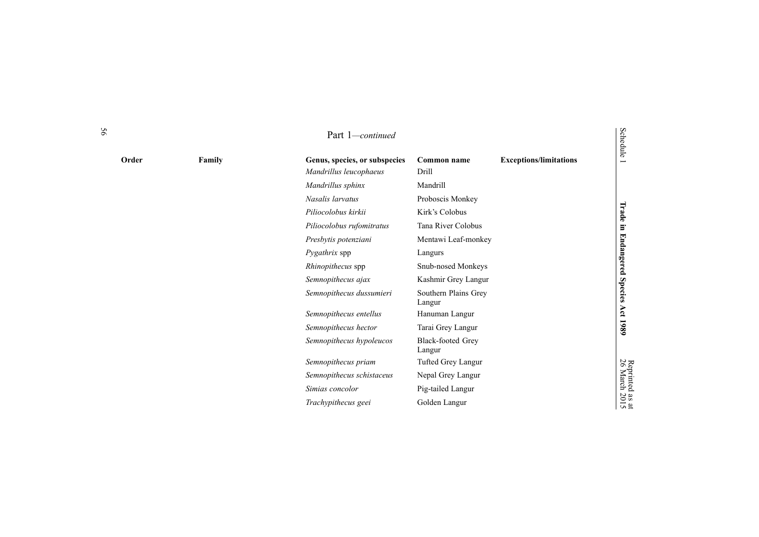|       |        | Part 1-continued                                        |                                    |                               | <b>Schedule</b>           |
|-------|--------|---------------------------------------------------------|------------------------------------|-------------------------------|---------------------------|
| Order | Family | Genus, species, or subspecies<br>Mandrillus leucophaeus | Common name<br>Drill               | <b>Exceptions/limitations</b> |                           |
|       |        | Mandrillus sphinx                                       | Mandrill                           |                               |                           |
|       |        | Nasalis larvatus                                        | Proboscis Monkey                   |                               | Trade in                  |
|       |        | Piliocolobus kirkii                                     | Kirk's Colobus                     |                               |                           |
|       |        | Piliocolobus rufomitratus                               | Tana River Colobus                 |                               |                           |
|       |        | Presbytis potenziani                                    | Mentawi Leaf-monkey                |                               |                           |
|       |        | Pygathrix spp                                           | Langurs                            |                               |                           |
|       |        | Rhinopithecus spp                                       | Snub-nosed Monkeys                 |                               |                           |
|       |        | Semnopithecus ajax                                      | Kashmir Grey Langur                |                               |                           |
|       |        | Semnopithecus dussumieri                                | Southern Plains Grey<br>Langur     |                               | <b>Endangered Species</b> |
|       |        | Semnopithecus entellus                                  | Hanuman Langur                     |                               |                           |
|       |        | Semnopithecus hector                                    | Tarai Grey Langur                  |                               | Act 1989                  |
|       |        | Semnopithecus hypoleucos                                | <b>Black-footed Grey</b><br>Langur |                               |                           |
|       |        | Semnopithecus priam                                     | Tufted Grey Langur                 |                               |                           |
|       |        | Semnopithecus schistaceus                               | Nepal Grey Langur                  |                               | Reprinted<br>26 March     |
|       |        | Simias concolor                                         | Pig-tailed Langur                  |                               | $\frac{383}{201}$         |
|       |        | Trachypithecus geei                                     | Golden Langur                      |                               |                           |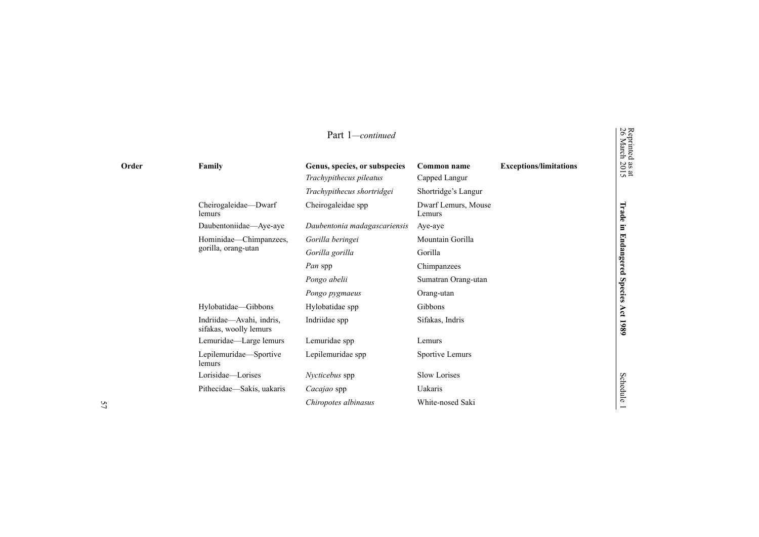|                     |                                                    | Part 1-continued                                         |                               |                               |  |
|---------------------|----------------------------------------------------|----------------------------------------------------------|-------------------------------|-------------------------------|--|
| Order               | Family                                             | Genus, species, or subspecies<br>Trachypithecus pileatus | Common name<br>Capped Langur  | <b>Exceptions/limitations</b> |  |
|                     |                                                    | Trachypithecus shortridgei                               | Shortridge's Langur           |                               |  |
|                     | Cheirogaleidae-Dwarf<br>lemurs                     | Cheirogaleidae spp                                       | Dwarf Lemurs, Mouse<br>Lemurs |                               |  |
|                     | Daubentoniidae-Aye-aye                             | Daubentonia madagascariensis                             | Aye-aye                       |                               |  |
|                     | Hominidae—Chimpanzees,                             | Gorilla beringei                                         | Mountain Gorilla              |                               |  |
| gorilla, orang-utan | Gorilla gorilla                                    | Gorilla                                                  |                               |                               |  |
|                     |                                                    | Pan spp                                                  | Chimpanzees                   |                               |  |
|                     |                                                    | Pongo abelii                                             | Sumatran Orang-utan           |                               |  |
|                     |                                                    | Pongo pygmaeus                                           | Orang-utan                    |                               |  |
|                     | Hylobatidae-Gibbons                                | Hylobatidae spp                                          | Gibbons                       |                               |  |
|                     | Indriidae—Avahi, indris,<br>sifakas, woolly lemurs | Indriidae spp                                            | Sifakas, Indris               |                               |  |
|                     | Lemuridae-Large lemurs                             | Lemuridae spp                                            | Lemurs                        |                               |  |
| lemurs              | Lepilemuridae-Sportive                             | Lepilemuridae spp                                        | Sportive Lemurs               |                               |  |
|                     | Lorisidae—Lorises                                  | Nycticebus spp                                           | Slow Lorises                  |                               |  |
|                     | Pithecidae—Sakis, uakaris                          | Cacajao spp                                              | Uakaris                       |                               |  |
|                     |                                                    | Chiropotes albinasus                                     | White-nosed Saki              |                               |  |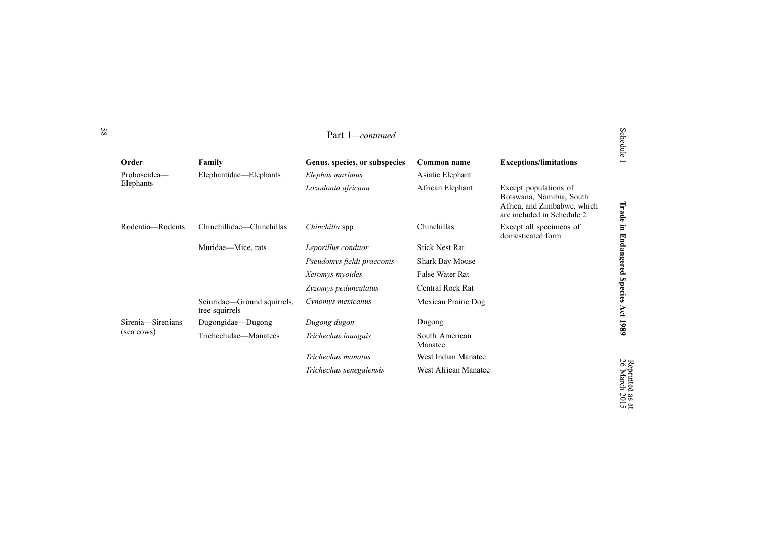|                       |                                                 | Part 1— <i>continued</i>                         |                                 |                                                                                                                | Schedule                               |
|-----------------------|-------------------------------------------------|--------------------------------------------------|---------------------------------|----------------------------------------------------------------------------------------------------------------|----------------------------------------|
| Order<br>Proboscidea- | Family<br>Elephantidae—Elephants                | Genus, species, or subspecies<br>Elephas maximus | Common name<br>Asiatic Elephant | <b>Exceptions/limitations</b>                                                                                  |                                        |
| Elephants             |                                                 | Loxodonta africana                               | African Elephant                | Except populations of<br>Botswana, Namibia, South<br>Africa, and Zimbabwe, which<br>are included in Schedule 2 | Trade                                  |
| Rodentia—Rodents      | Chinchillidae—Chinchillas<br>Muridae-Mice, rats | Chinchilla spp                                   | Chinchillas                     | Except all specimens of<br>domesticated form                                                                   | Ξ.                                     |
|                       |                                                 | Leporillus conditor                              | <b>Stick Nest Rat</b>           |                                                                                                                |                                        |
|                       |                                                 | Pseudomys fieldi praeconis                       | Shark Bay Mouse                 |                                                                                                                | Endangered                             |
|                       |                                                 | Xeromys myoides                                  | False Water Rat                 |                                                                                                                |                                        |
|                       |                                                 | Zyzomys pedunculatus                             | Central Rock Rat                |                                                                                                                | <b>Species</b>                         |
|                       | Sciuridae—Ground squirrels,<br>tree squirrels   | Cynomys mexicanus                                | Mexican Prairie Dog             |                                                                                                                | Act                                    |
| Sirenia-Sirenians     | Dugongidae—Dugong                               | Dugong dugon                                     | Dugong                          |                                                                                                                | 1980                                   |
| (sea cows)            | Trichechidae—Manatees                           | Trichechus inunguis                              | South American<br>Manatee       |                                                                                                                |                                        |
|                       |                                                 | Trichechus manatus                               | West Indian Manatee             |                                                                                                                |                                        |
|                       |                                                 | Trichechus senegalensis                          | West African Manatee            |                                                                                                                | Reprinted<br>26 March<br>$\sim$ $\sim$ |

as at 2015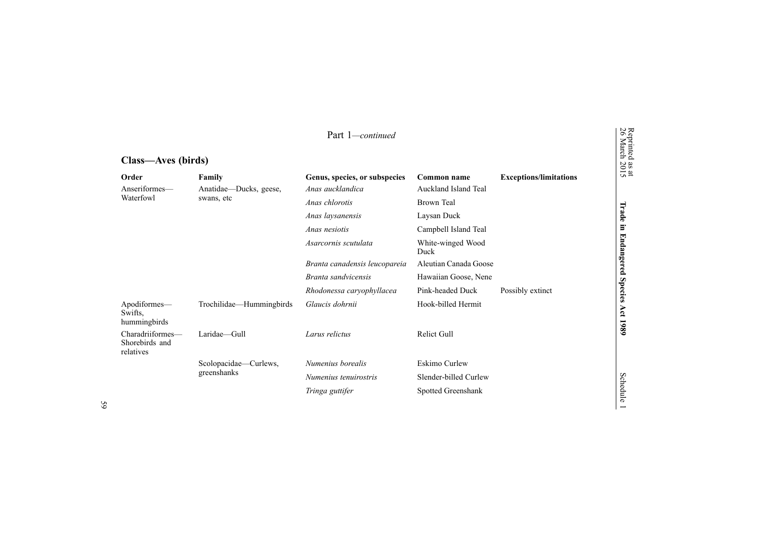| Class—Aves (DII us)                             |                          |                               |                           |                               |                   |
|-------------------------------------------------|--------------------------|-------------------------------|---------------------------|-------------------------------|-------------------|
| Order                                           | Family                   | Genus, species, or subspecies | Common name               | <b>Exceptions/limitations</b> | $\frac{32}{2015}$ |
| Anseriformes-                                   | Anatidae—Ducks, geese,   | Anas aucklandica              | Auckland Island Teal      |                               |                   |
| Waterfowl                                       | swans, etc               | Anas chlorotis                | Brown Teal                |                               |                   |
|                                                 |                          | Anas laysanensis              | Laysan Duck               |                               | Irade             |
|                                                 |                          | Anas nesiotis                 | Campbell Island Teal      |                               | ь                 |
|                                                 |                          | Asarcornis scutulata          | White-winged Wood<br>Duck |                               | 더<br>ndangered    |
|                                                 |                          | Branta canadensis leucopareia | Aleutian Canada Goose     |                               |                   |
|                                                 |                          | Branta sandvicensis           | Hawaiian Goose, Nene      |                               |                   |
|                                                 |                          | Rhodonessa caryophyllacea     | Pink-headed Duck          | Possibly extinct              | <b>Species</b>    |
| Apodiformes—<br>Swifts,<br>hummingbirds         | Trochilidae—Hummingbirds | Glaucis dohrnii               | Hook-billed Hermit        |                               | Act               |
| Charadriiformes—<br>Shorebirds and<br>relatives | Laridae-Gull             | Larus relictus                | <b>Relict Gull</b>        |                               | 1980              |
|                                                 | Scolopacidae—Curlews,    | Numenius borealis             | <b>Eskimo Curlew</b>      |                               |                   |
|                                                 | greenshanks              | Numenius tenuirostris         | Slender-billed Curlew     |                               |                   |
|                                                 |                          | Tringa guttifer               | Spotted Greenshank        |                               | <b>Schedule</b>   |

Reprinted

26 March

### **Class—Aves (birds)**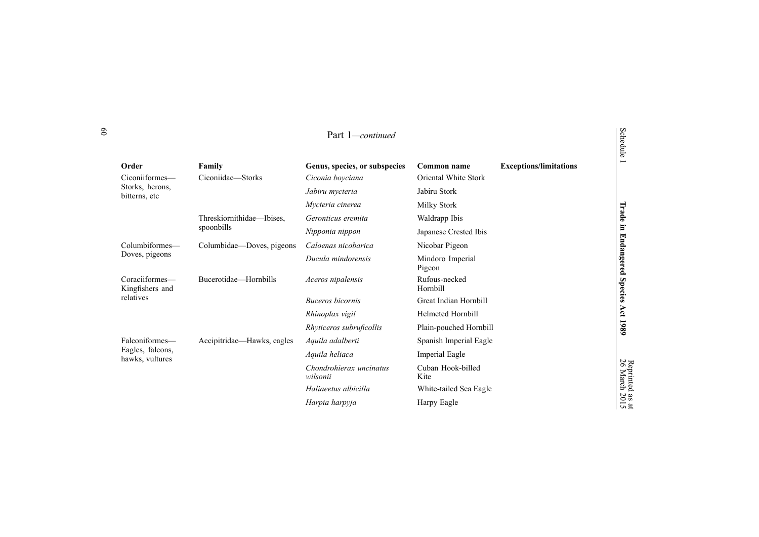|                                     |                            | Part 1—continued                    |                            |                               | Schedule              |
|-------------------------------------|----------------------------|-------------------------------------|----------------------------|-------------------------------|-----------------------|
| Order                               | Family                     | Genus, species, or subspecies       | Common name                | <b>Exceptions/limitations</b> |                       |
| Ciconiiformes-                      | Ciconiidae—Storks          | Ciconia boyciana                    | Oriental White Stork       |                               |                       |
| Storks, herons,<br>bitterns, etc    |                            | Jabiru mycteria                     | Jabiru Stork               |                               |                       |
|                                     |                            | Mycteria cinerea                    | Milky Stork                |                               |                       |
|                                     | Threskiornithidae—Ibises.  | Geronticus eremita                  | Waldrapp Ibis              |                               | Trade                 |
|                                     | spoonbills                 | Nipponia nippon                     | Japanese Crested Ibis      |                               | $\Xi$                 |
| Columbiformes-                      | Columbidae—Doves, pigeons  | Caloenas nicobarica                 | Nicobar Pigeon             |                               |                       |
| Doves, pigeons                      |                            | Ducula mindorensis                  | Mindoro Imperial<br>Pigeon |                               | Endangered            |
| Coraciiformes-<br>Kingfishers and   | Bucerotidae—Hornbills      | Aceros nipalensis                   | Rufous-necked<br>Hornbill  |                               | <b>Species</b>        |
| relatives                           |                            | Buceros bicornis                    | Great Indian Hornbill      |                               |                       |
|                                     |                            | Rhinoplax vigil                     | <b>Helmeted Hornbill</b>   |                               | Act                   |
|                                     |                            | Rhyticeros subruficollis            | Plain-pouched Hornbill     |                               | 1980                  |
| Falconiformes—                      | Accipitridae—Hawks, eagles | Aquila adalberti                    | Spanish Imperial Eagle     |                               |                       |
| Eagles, falcons,<br>hawks, vultures |                            | Aquila heliaca                      | <b>Imperial Eagle</b>      |                               |                       |
|                                     |                            | Chondrohierax uncinatus<br>wilsonii | Cuban Hook-billed<br>Kite  |                               | Reprinted<br>26 March |
|                                     |                            | Haliaeetus albicilla                | White-tailed Sea Eagle     |                               |                       |
|                                     |                            | Harpia harpyja                      | Harpy Eagle                |                               | as at<br>2015         |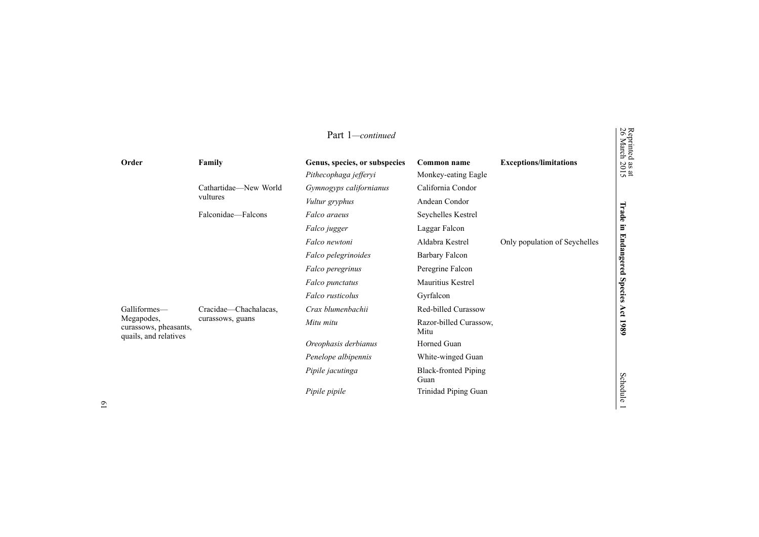|                                                              |                       | Part 1-continued                                       |                                     |                               |
|--------------------------------------------------------------|-----------------------|--------------------------------------------------------|-------------------------------------|-------------------------------|
| Order                                                        | Family                | Genus, species, or subspecies<br>Pithecophaga jefferyi | Common name<br>Monkey-eating Eagle  | <b>Exceptions/limitations</b> |
|                                                              | Cathartidae-New World | Gymnogyps californianus                                | California Condor                   |                               |
|                                                              | vultures              | Vultur gryphus                                         | Andean Condor                       |                               |
|                                                              | Falconidae—Falcons    | Falco araeus                                           | Seychelles Kestrel                  |                               |
|                                                              |                       | Falco jugger                                           | Laggar Falcon                       |                               |
|                                                              |                       | Falco newtoni                                          | Aldabra Kestrel                     | Only population of Seychelles |
|                                                              |                       | Falco pelegrinoides                                    | <b>Barbary Falcon</b>               |                               |
|                                                              |                       | Falco peregrinus                                       | Peregrine Falcon                    |                               |
|                                                              |                       | Falco punctatus                                        | Mauritius Kestrel                   |                               |
|                                                              |                       | Falco rusticolus                                       | Gyrfalcon                           |                               |
| Galliformes-                                                 | Cracidae-Chachalacas, | Crax blumenbachii                                      | Red-billed Curassow                 |                               |
| Megapodes,<br>curassows, pheasants,<br>quails, and relatives | curassows, guans      | Mitu mitu                                              | Razor-billed Curassow,<br>Mitu      |                               |
|                                                              |                       | Oreophasis derbianus                                   | Horned Guan                         |                               |
|                                                              |                       | Penelope albipennis                                    | White-winged Guan                   |                               |
|                                                              |                       | Pipile jacutinga                                       | <b>Black-fronted Piping</b><br>Guan |                               |
|                                                              |                       | Pipile pipile                                          | Trinidad Piping Guan                |                               |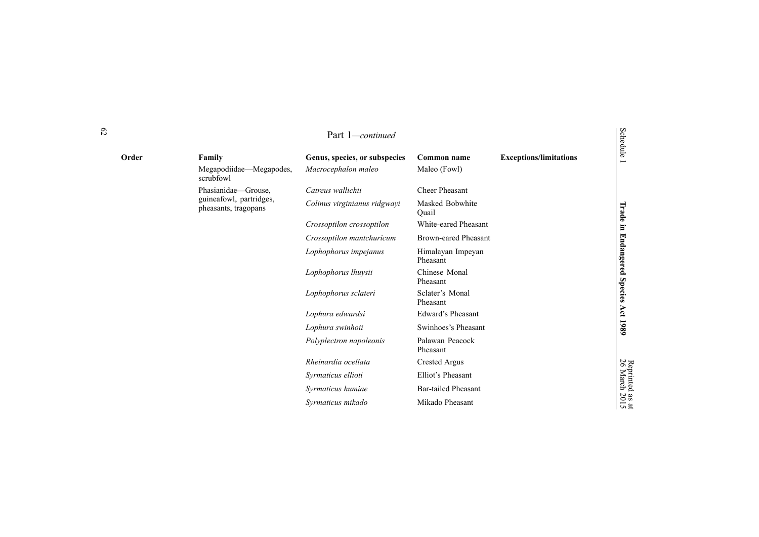|       |                                                 | Part 1-continued              |                               |                               | Schedule                  |
|-------|-------------------------------------------------|-------------------------------|-------------------------------|-------------------------------|---------------------------|
| Order | Family                                          | Genus, species, or subspecies | Common name                   | <b>Exceptions/limitations</b> | $\overline{\phantom{0}}$  |
|       | Megapodiidae—Megapodes,<br>scrubfowl            | Macrocephalon maleo           | Maleo (Fowl)                  |                               |                           |
|       | Phasianidae-Grouse,                             | Catreus wallichii             | <b>Cheer Pheasant</b>         |                               |                           |
|       | guineafowl, partridges,<br>pheasants, tragopans | Colinus virginianus ridgwayi  | Masked Bobwhite<br>Ouail      |                               | Trade                     |
|       |                                                 | Crossoptilon crossoptilon     | White-eared Pheasant          |                               | $\Xi$                     |
|       |                                                 | Crossoptilon mantchuricum     | <b>Brown-eared Pheasant</b>   |                               |                           |
|       |                                                 | Lophophorus impejanus         | Himalayan Impeyan<br>Pheasant |                               | <b>Endangered Species</b> |
|       |                                                 | Lophophorus lhuysii           | Chinese Monal<br>Pheasant     |                               |                           |
|       |                                                 | Lophophorus sclateri          | Sclater's Monal<br>Pheasant   |                               |                           |
|       |                                                 | Lophura edwardsi              | Edward's Pheasant             |                               |                           |
|       |                                                 | Lophura swinhoii              | Swinhoes's Pheasant           |                               | Act 1989                  |
|       |                                                 | Polyplectron napoleonis       | Palawan Peacock<br>Pheasant   |                               |                           |
|       |                                                 | Rheinardia ocellata           | <b>Crested Argus</b>          |                               |                           |
|       |                                                 | Syrmaticus ellioti            | Elliot's Pheasant             |                               | Reprinted<br>26 March     |
|       |                                                 | Syrmaticus humiae             | <b>Bar-tailed Pheasant</b>    |                               |                           |
|       |                                                 | Syrmaticus mikado             | Mikado Pheasant               |                               | $\frac{1}{2015}$          |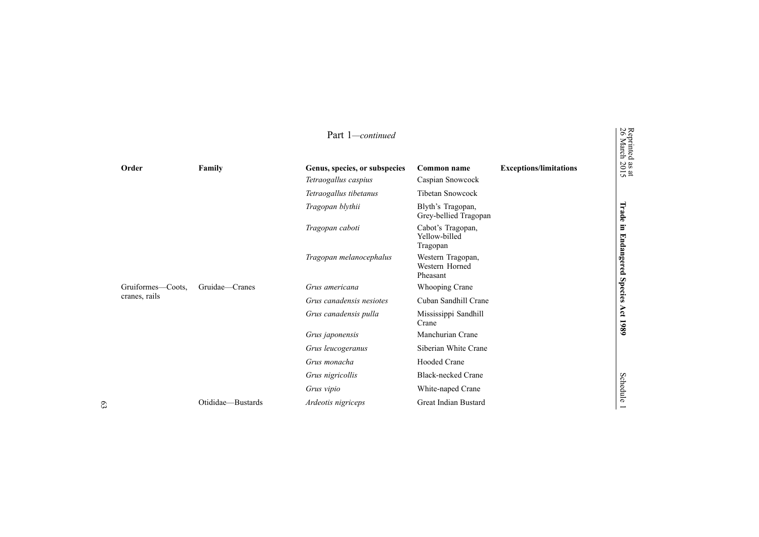|                   |                   | Part 1-continued              |                                                 |                               | Reprinted<br>26 March        |
|-------------------|-------------------|-------------------------------|-------------------------------------------------|-------------------------------|------------------------------|
| Order             | Family            | Genus, species, or subspecies | Common name                                     | <b>Exceptions/limitations</b> | $\frac{38 \text{ at}}{2015}$ |
|                   |                   | Tetraogallus caspius          | Caspian Snowcock                                |                               |                              |
|                   |                   | Tetraogallus tibetanus        | <b>Tibetan Snowcock</b>                         |                               |                              |
|                   |                   | Tragopan blythii              | Blyth's Tragopan,<br>Grey-bellied Tragopan      |                               | Trade                        |
|                   |                   | Tragopan caboti               | Cabot's Tragopan,<br>Yellow-billed<br>Tragopan  |                               | E.                           |
|                   |                   | Tragopan melanocephalus       | Western Tragopan,<br>Western Horned<br>Pheasant |                               | <b>Endangered</b>            |
| Gruiformes—Coots, | Gruidae—Cranes    | Grus americana                | Whooping Crane                                  |                               | <b>Species</b>               |
| cranes, rails     |                   | Grus canadensis nesiotes      | Cuban Sandhill Crane                            |                               |                              |
|                   |                   | Grus canadensis pulla         | Mississippi Sandhill<br>Crane                   |                               | Act<br>1980                  |
|                   |                   | Grus japonensis               | Manchurian Crane                                |                               |                              |
|                   |                   | Grus leucogeranus             | Siberian White Crane                            |                               |                              |
|                   |                   | Grus monacha                  | <b>Hooded Crane</b>                             |                               |                              |
|                   |                   | Grus nigricollis              | <b>Black-necked Crane</b>                       |                               |                              |
|                   |                   | Grus vipio                    | White-naped Crane                               |                               | Schedule                     |
|                   | Otididae—Bustards | Ardeotis nigriceps            | Great Indian Bustard                            |                               |                              |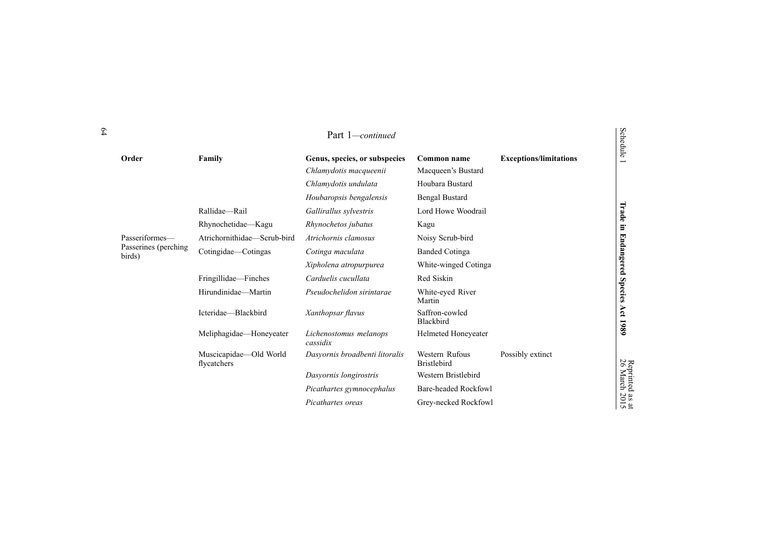|                                |                                       | Part 1-continued                   |                                      |                               | Schedule              |
|--------------------------------|---------------------------------------|------------------------------------|--------------------------------------|-------------------------------|-----------------------|
| Order                          | Family                                | Genus, species, or subspecies      | Common name                          | <b>Exceptions/limitations</b> | Ē                     |
|                                |                                       | Chlamydotis macqueenii             | Macqueen's Bustard                   |                               |                       |
|                                |                                       | Chlamydotis undulata               | Houbara Bustard                      |                               |                       |
|                                |                                       | Houbaropsis bengalensis            | <b>Bengal Bustard</b>                |                               |                       |
|                                | Rallidae-Rail                         | Gallirallus sylvestris             | Lord Howe Woodrail                   |                               | Trade                 |
|                                | Rhynochetidae-Kagu                    | Rhynochetos jubatus                | Kagu                                 |                               | E.                    |
| Passeriformes-                 | Atrichornithidae—Scrub-bird           | Atrichornis clamosus               | Noisy Scrub-bird                     |                               |                       |
| Passerines (perching<br>birds) | Cotingidae—Cotingas                   | Cotinga maculata                   | <b>Banded Cotinga</b>                |                               | <b>Endangered</b>     |
|                                |                                       | Xipholena atropurpurea             | White-winged Cotinga                 |                               |                       |
|                                | Fringillidae—Finches                  | Carduelis cucullata                | Red Siskin                           |                               |                       |
|                                | Hirundinidae-Martin                   | Pseudochelidon sirintarae          | White-eyed River<br>Martin           |                               | <b>Species</b>        |
|                                | Icteridae-Blackbird                   | Xanthopsar flavus                  | Saffron-cowled<br>Blackbird          |                               | Act<br>1980           |
|                                | Meliphagidae-Honeyeater               | Lichenostomus melanops<br>cassidix | Helmeted Honeyeater                  |                               |                       |
|                                | Muscicapidae-Old World<br>flycatchers | Dasyornis broadbenti litoralis     | Western Rufous<br><b>Bristlebird</b> | Possibly extinct              |                       |
|                                |                                       | Dasyornis longirostris             | Western Bristlebird                  |                               | Reprinted<br>26 March |
|                                |                                       | Picathartes gymnocephalus          | <b>Bare-headed Rockfowl</b>          |                               |                       |
|                                |                                       | Picathartes oreas                  | Grey-necked Rockfowl                 |                               | as at<br>2015         |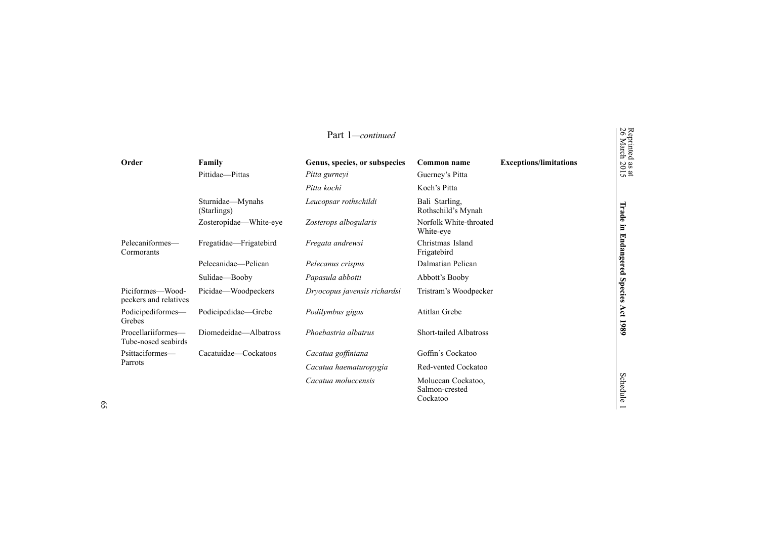|                                           |                                 | Part 1—continued                               |                                                  |                               | Reprinted<br>26 March        |
|-------------------------------------------|---------------------------------|------------------------------------------------|--------------------------------------------------|-------------------------------|------------------------------|
| Order                                     | Family<br>Pittidae-Pittas       | Genus, species, or subspecies<br>Pitta gurneyi | Common name<br>Guerney's Pitta                   | <b>Exceptions/limitations</b> | $\frac{38 \text{ at}}{2015}$ |
|                                           |                                 | Pitta kochi                                    | Koch's Pitta                                     |                               |                              |
|                                           | Sturnidae—Mynahs<br>(Starlings) | Leucopsar rothschildi                          | Bali Starling.<br>Rothschild's Mynah             |                               | Trade                        |
|                                           | Zosteropidae-White-eye          | Zosterops albogularis                          | Norfolk White-throated<br>White-eye              |                               | Ē.                           |
| Pelecaniformes-<br>Cormorants             | Fregatidae-Frigatebird          | Fregata andrewsi                               | Christmas Island<br>Frigatebird                  |                               | <b>Endangered</b>            |
|                                           | Pelecanidae-Pelican             | Pelecanus crispus                              | Dalmatian Pelican                                |                               |                              |
|                                           | Sulidae-Booby                   | Papasula abbotti                               | Abbott's Booby                                   |                               |                              |
| Piciformes—Wood-<br>peckers and relatives | Picidae—Woodpeckers             | Dryocopus javensis richardsi                   | Tristram's Woodpecker                            |                               | <b>Species</b>               |
| Podicipediformes-<br>Grebes               | Podicipedidae—Grebe             | Podilymbus gigas                               | Atitlan Grebe                                    |                               | Act                          |
| Procellariiformes-<br>Tube-nosed seabirds | Diomedeidae-Albatross           | Phoebastria albatrus                           | <b>Short-tailed Albatross</b>                    |                               | 1980                         |
| Psittaciformes-                           | Cacatuidae—Cockatoos            | Cacatua goffiniana                             | Goffin's Cockatoo                                |                               |                              |
| Parrots                                   |                                 | Cacatua haematuropygia                         | Red-vented Cockatoo                              |                               |                              |
|                                           |                                 | Cacatua moluccensis                            | Moluccan Cockatoo,<br>Salmon-crested<br>Cockatoo |                               | <b>Schedule</b>              |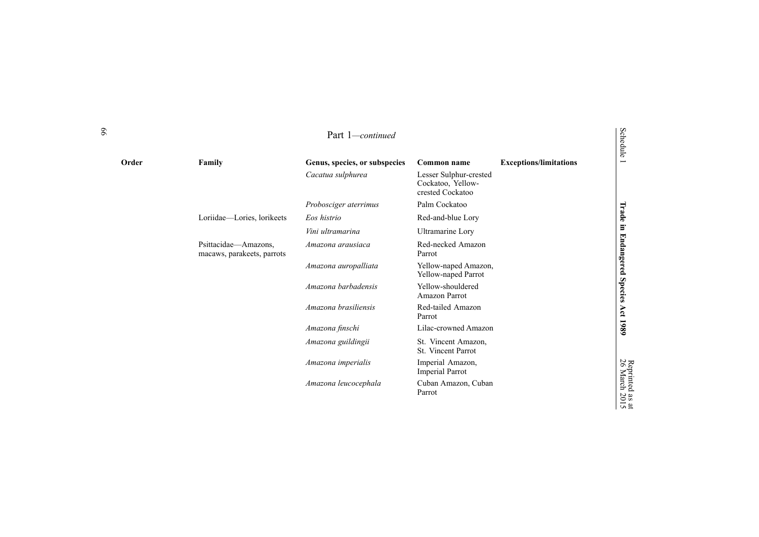| Order | Family                                             | Genus, species, or subspecies | Common name                                                     | <b>Exceptions/limitations</b> | edule                         |
|-------|----------------------------------------------------|-------------------------------|-----------------------------------------------------------------|-------------------------------|-------------------------------|
|       |                                                    | Cacatua sulphurea             | Lesser Sulphur-crested<br>Cockatoo, Yellow-<br>crested Cockatoo |                               |                               |
|       |                                                    | Probosciger aterrimus         | Palm Cockatoo                                                   |                               |                               |
|       | Loriidae-Lories, lorikeets                         | Eos histrio                   | Red-and-blue Lory                                               |                               | Trade                         |
|       |                                                    | Vini ultramarina              | Ultramarine Lory                                                |                               | Ē.                            |
|       | Psittacidae-Amazons,<br>macaws, parakeets, parrots | Amazona arausiaca             | Red-necked Amazon<br>Parrot                                     |                               | <b>Endangered</b>             |
|       |                                                    | Amazona auropalliata          | Yellow-naped Amazon,<br>Yellow-naped Parrot                     |                               |                               |
|       |                                                    | Amazona barbadensis           | Yellow-shouldered<br>Amazon Parrot                              |                               | <b>Species</b>                |
|       |                                                    | Amazona brasiliensis          | Red-tailed Amazon<br>Parrot                                     |                               | Act                           |
|       |                                                    | Amazona finschi               | Lilac-crowned Amazon                                            |                               | 1980                          |
|       |                                                    | Amazona guildingii            | St. Vincent Amazon,<br>St. Vincent Parrot                       |                               |                               |
|       |                                                    | Amazona imperialis            | Imperial Amazon,<br>Imperial Parrot                             |                               | Reprinted<br>26 March 2       |
|       |                                                    | Amazona leucocephala          | Cuban Amazon, Cuban<br>Parrot                                   |                               | $\frac{138 \text{ at}}{2015}$ |

# Schedule

Reprinted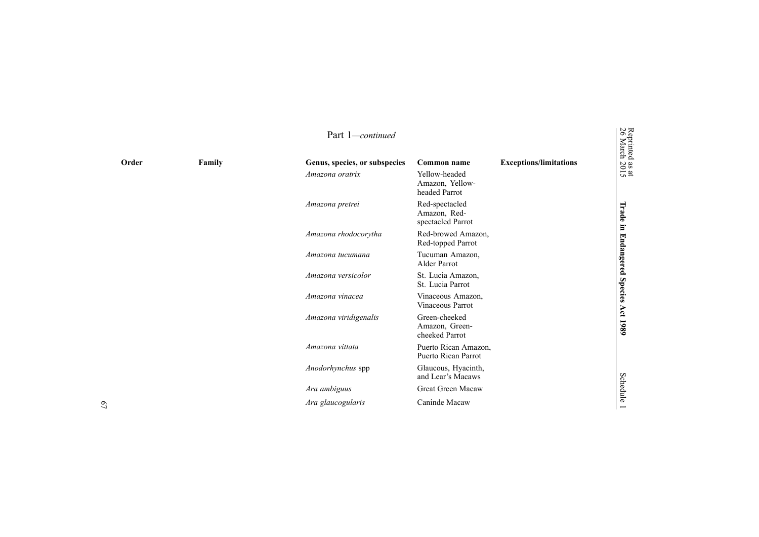|       |        | Part 1-continued              |                                                     |                               | Reprinted<br>26 March        |
|-------|--------|-------------------------------|-----------------------------------------------------|-------------------------------|------------------------------|
| Order | Family | Genus, species, or subspecies | Common name                                         | <b>Exceptions/limitations</b> |                              |
|       |        | Amazona oratrix               | Yellow-headed<br>Amazon, Yellow-<br>headed Parrot   |                               | $\frac{38 \text{ at}}{2015}$ |
|       |        | Amazona pretrei               | Red-spectacled<br>Amazon, Red-<br>spectacled Parrot |                               | Trade<br>$\Xi$               |
|       |        | Amazona rhodocorytha          | Red-browed Amazon,<br>Red-topped Parrot             |                               |                              |
|       |        | Amazona tucumana              | Tucuman Amazon,<br>Alder Parrot                     |                               | <b>Endangered</b>            |
|       |        | Amazona versicolor            | St. Lucia Amazon,<br>St. Lucia Parrot               |                               |                              |
|       |        | Amazona vinacea               | Vinaceous Amazon,<br>Vinaceous Parrot               |                               | <b>Species</b>               |
|       |        | Amazona viridigenalis         | Green-cheeked<br>Amazon, Green-<br>cheeked Parrot   |                               | Act<br>1980                  |
|       |        | Amazona vittata               | Puerto Rican Amazon,<br>Puerto Rican Parrot         |                               |                              |
|       |        | Anodorhynchus spp             | Glaucous, Hyacinth,<br>and Lear's Macaws            |                               |                              |
|       |        | Ara ambiguus                  | Great Green Macaw                                   |                               | <b>Schedule</b>              |
|       |        | Ara glaucogularis             | Caninde Macaw                                       |                               |                              |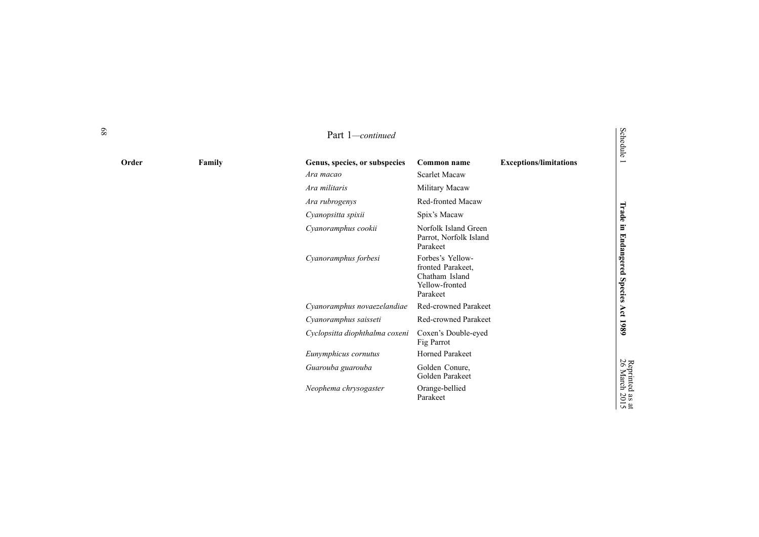|       |        | Part 1-continued               |                                                                                       |                               | Schedule                         |
|-------|--------|--------------------------------|---------------------------------------------------------------------------------------|-------------------------------|----------------------------------|
| Order | Family | Genus, species, or subspecies  | <b>Common name</b>                                                                    | <b>Exceptions/limitations</b> |                                  |
|       |        | Ara macao                      | <b>Scarlet Macaw</b>                                                                  |                               |                                  |
|       |        | Ara militaris                  | Military Macaw                                                                        |                               |                                  |
|       |        | Ara rubrogenys                 | Red-fronted Macaw                                                                     |                               |                                  |
|       |        | Cyanopsitta spixii             | Spix's Macaw                                                                          |                               | Trade in                         |
|       |        | Cyanoramphus cookii            | Norfolk Island Green<br>Parrot, Norfolk Island<br>Parakeet                            |                               |                                  |
|       |        | Cyanoramphus forbesi           | Forbes's Yellow-<br>fronted Parakeet,<br>Chatham Island<br>Yellow-fronted<br>Parakeet |                               | Endangered Species Act 1989      |
|       |        | Cyanoramphus novaezelandiae    | <b>Red-crowned Parakeet</b>                                                           |                               |                                  |
|       |        | Cyanoramphus saisseti          | <b>Red-crowned Parakeet</b>                                                           |                               |                                  |
|       |        | Cyclopsitta diophthalma coxeni | Coxen's Double-eyed<br>Fig Parrot                                                     |                               |                                  |
|       |        | Eunymphicus cornutus           | <b>Horned Parakeet</b>                                                                |                               |                                  |
|       |        | Guarouba guarouba              | Golden Conure,<br>Golden Parakeet                                                     |                               |                                  |
|       |        | Neophema chrysogaster          | Orange-bellied<br>Parakeet                                                            |                               | Reprinted as at<br>26 March 2015 |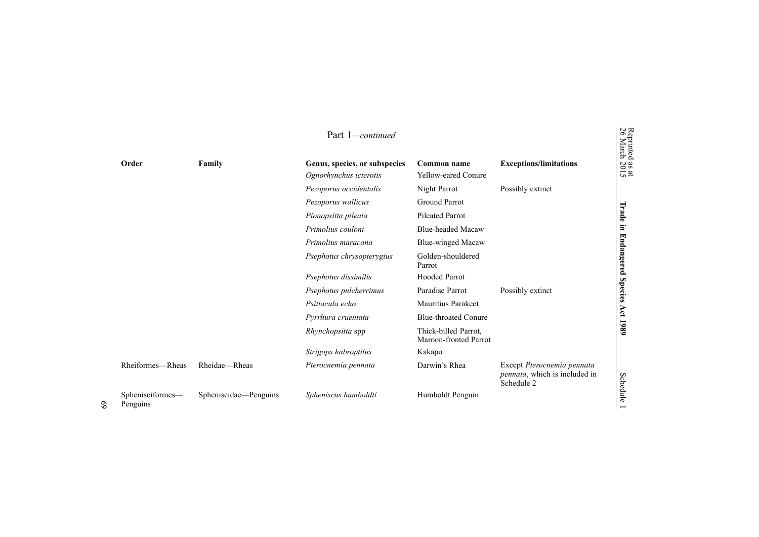|               |                  |                       | Part 1-continued                                        |                                               |                                                                                   | Reprinted<br>26 March        |
|---------------|------------------|-----------------------|---------------------------------------------------------|-----------------------------------------------|-----------------------------------------------------------------------------------|------------------------------|
| Order         |                  | Family                | Genus, species, or subspecies<br>Ognorhynchus icterotis | Common name<br><b>Yellow-eared Conure</b>     | <b>Exceptions/limitations</b>                                                     | $\frac{38 \text{ at}}{2015}$ |
|               |                  |                       | Pezoporus occidentalis                                  | Night Parrot                                  | Possibly extinct                                                                  |                              |
|               |                  |                       | Pezoporus wallicus                                      | Ground Parrot                                 |                                                                                   |                              |
|               |                  |                       | Pionopsitta pileata                                     | <b>Pileated Parrot</b>                        |                                                                                   | Trade                        |
|               |                  |                       | Primolius couloni                                       | <b>Blue-headed Macaw</b>                      |                                                                                   | Ξ.                           |
|               |                  |                       | Primolius maracana                                      | <b>Blue-winged Macaw</b>                      |                                                                                   |                              |
|               |                  |                       | Psephotus chrysopterygius                               | Golden-shouldered<br>Parrot                   |                                                                                   | <b>Endangered</b>            |
|               |                  |                       | Psephotus dissimilis                                    | <b>Hooded Parrot</b>                          |                                                                                   |                              |
|               |                  |                       | Psephotus pulcherrimus                                  | Paradise Parrot                               | Possibly extinct                                                                  | <b>Species</b>               |
|               |                  |                       | Psittacula echo                                         | <b>Mauritius Parakeet</b>                     |                                                                                   |                              |
|               |                  |                       | Pyrrhura cruentata                                      | <b>Blue-throated Conure</b>                   |                                                                                   | Act                          |
|               |                  |                       | Rhynchopsitta spp                                       | Thick-billed Parrot,<br>Maroon-fronted Parrot |                                                                                   | 1980                         |
|               |                  |                       | Strigops habroptilus                                    | Kakapo                                        |                                                                                   |                              |
|               | Rheiformes-Rheas | Rheidae-Rheas         | Pterocnemia pennata                                     | Darwin's Rhea                                 | Except Pterocnemia pennata<br><i>pennata</i> , which is included in<br>Schedule 2 | Schedule                     |
| Penguins<br>೦ | Sphenisciformes- | Spheniscidae-Penguins | Spheniscus humboldti                                    | Humboldt Penguin                              |                                                                                   |                              |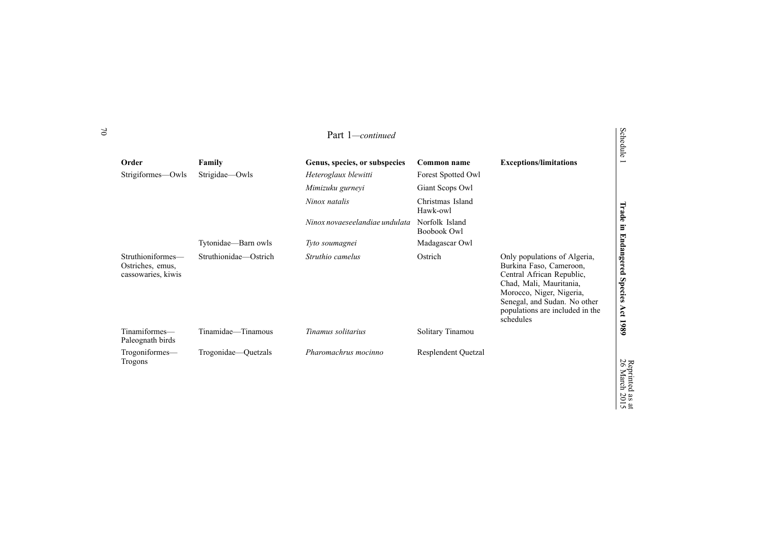|                                                             |                       | Part 1-continued               |                                      |                                                                                                                                                                                                                             | <b>Schedule</b>                         |
|-------------------------------------------------------------|-----------------------|--------------------------------|--------------------------------------|-----------------------------------------------------------------------------------------------------------------------------------------------------------------------------------------------------------------------------|-----------------------------------------|
| Order                                                       | Family                | Genus, species, or subspecies  | Common name                          | <b>Exceptions/limitations</b>                                                                                                                                                                                               |                                         |
| Strigiformes-Owls                                           | Strigidae-Owls        | Heteroglaux blewitti           | Forest Spotted Owl                   |                                                                                                                                                                                                                             |                                         |
|                                                             |                       | Mimizuku gurneyi               | Giant Scops Owl                      |                                                                                                                                                                                                                             |                                         |
|                                                             |                       | Ninox natalis                  | Christmas Island<br>Hawk-owl         |                                                                                                                                                                                                                             |                                         |
|                                                             |                       | Ninox novaeseelandiae undulata | Norfolk Island<br><b>Boobook Owl</b> |                                                                                                                                                                                                                             |                                         |
|                                                             | Tytonidae-Barn owls   | Tyto soumagnei                 | Madagascar Owl                       |                                                                                                                                                                                                                             |                                         |
| Struthioniformes-<br>Ostriches, emus,<br>cassowaries, kiwis | Struthionidae-Ostrich | Struthio camelus               | Ostrich                              | Only populations of Algeria,<br>Burkina Faso, Cameroon,<br>Central African Republic,<br>Chad, Mali, Mauritania,<br>Morocco, Niger, Nigeria,<br>Senegal, and Sudan. No other<br>populations are included in the<br>schedules | Trade in Endangered Species<br>Act 1989 |
| Tinamiformes—<br>Paleognath birds                           | Tinamidae—Tinamous    | Tinamus solitarius             | Solitary Tinamou                     |                                                                                                                                                                                                                             |                                         |
| Trogoniformes-<br>Trogons                                   | Trogonidae—Quetzals   | Pharomachrus mocinno           | <b>Resplendent Quetzal</b>           |                                                                                                                                                                                                                             | Reprinted<br>26 March                   |

Reprinted as

 $\vec{a}$ 2015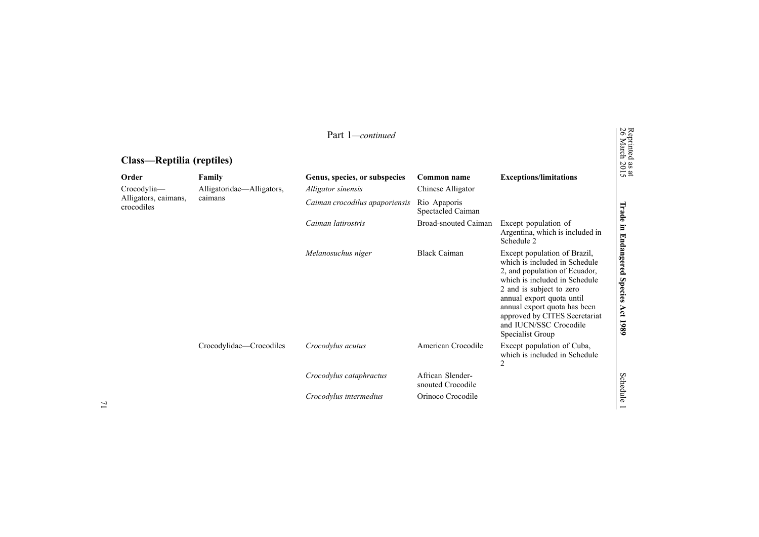|                                                   |                           | Part 1-continued               |                                       |                                                                                                                                                                                                                                                                                                         | Reprinted<br>26 March                       |
|---------------------------------------------------|---------------------------|--------------------------------|---------------------------------------|---------------------------------------------------------------------------------------------------------------------------------------------------------------------------------------------------------------------------------------------------------------------------------------------------------|---------------------------------------------|
| Class—Reptilia (reptiles)                         |                           |                                |                                       |                                                                                                                                                                                                                                                                                                         |                                             |
| Order                                             | Family                    | Genus, species, or subspecies  | Common name                           | <b>Exceptions/limitations</b>                                                                                                                                                                                                                                                                           | $\frac{38 \text{ at}}{2015}$                |
| Crocodylia-<br>Alligators, caimans,<br>crocodiles | Alligatoridae-Alligators, | Alligator sinensis             | Chinese Alligator                     |                                                                                                                                                                                                                                                                                                         |                                             |
|                                                   | caimans                   | Caiman crocodilus apaporiensis | Rio Apaporis<br>Spectacled Caiman     |                                                                                                                                                                                                                                                                                                         |                                             |
|                                                   |                           | Caiman latirostris             | <b>Broad-snouted Caiman</b>           | Except population of<br>Argentina, which is included in<br>Schedule 2                                                                                                                                                                                                                                   | Trade in                                    |
|                                                   |                           | Melanosuchus niger             | <b>Black Caiman</b>                   | Except population of Brazil,<br>which is included in Schedule<br>2, and population of Ecuador,<br>which is included in Schedule<br>2 and is subject to zero<br>annual export quota until<br>annual export quota has been<br>approved by CITES Secretariat<br>and IUCN/SSC Crocodile<br>Specialist Group | <b>Endangered</b><br>Species<br>Act<br>1989 |
|                                                   | Crocodylidae—Crocodiles   | Crocodylus acutus              | American Crocodile                    | Except population of Cuba,<br>which is included in Schedule<br>2                                                                                                                                                                                                                                        |                                             |
|                                                   |                           | Crocodylus cataphractus        | African Slender-<br>snouted Crocodile |                                                                                                                                                                                                                                                                                                         | <b>Schedule</b>                             |
|                                                   |                           | Crocodylus intermedius         | Orinoco Crocodile                     |                                                                                                                                                                                                                                                                                                         |                                             |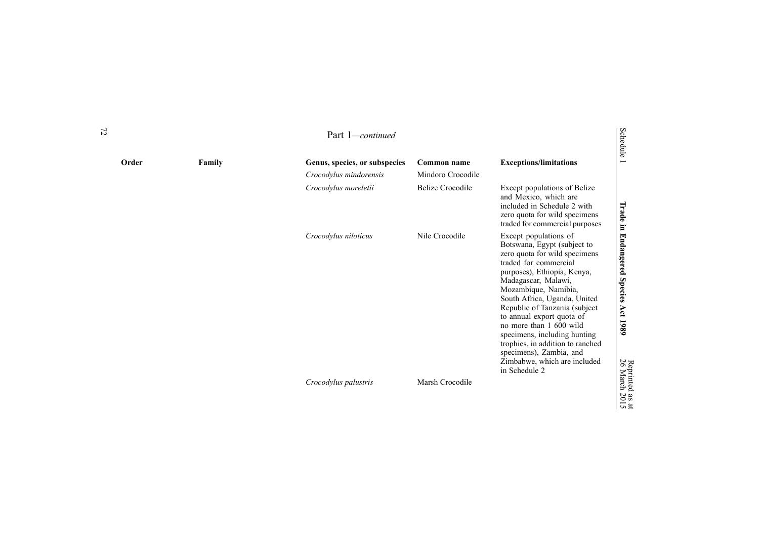|       |        | Part 1—continued                                        |                                  |                                                                                                                                                                                                                                                                                                                                                                                                                                                                       | Schedule                                                               |
|-------|--------|---------------------------------------------------------|----------------------------------|-----------------------------------------------------------------------------------------------------------------------------------------------------------------------------------------------------------------------------------------------------------------------------------------------------------------------------------------------------------------------------------------------------------------------------------------------------------------------|------------------------------------------------------------------------|
| Order | Family | Genus, species, or subspecies<br>Crocodylus mindorensis | Common name<br>Mindoro Crocodile | <b>Exceptions/limitations</b>                                                                                                                                                                                                                                                                                                                                                                                                                                         | $\overline{\phantom{0}}$                                               |
|       |        | Crocodylus moreletii                                    | <b>Belize Crocodile</b>          | Except populations of Belize<br>and Mexico, which are<br>included in Schedule 2 with<br>zero quota for wild specimens<br>traded for commercial purposes                                                                                                                                                                                                                                                                                                               | Trade<br>Ξ.                                                            |
|       |        | Crocodylus niloticus                                    | Nile Crocodile                   | Except populations of<br>Botswana, Egypt (subject to<br>zero quota for wild specimens<br>traded for commercial<br>purposes), Ethiopia, Kenya,<br>Madagascar, Malawi,<br>Mozambique, Namibia,<br>South Africa, Uganda, United<br>Republic of Tanzania (subject<br>to annual export quota of<br>no more than 1 600 wild<br>specimens, including hunting<br>trophies, in addition to ranched<br>specimens), Zambia, and<br>Zimbabwe, which are included<br>in Schedule 2 | <b>Endangered</b><br><b>Species</b><br>Act<br>1980                     |
|       |        | Crocodylus palustris                                    | Marsh Crocodile                  |                                                                                                                                                                                                                                                                                                                                                                                                                                                                       | Reprinted<br>26 March<br>$\frac{1}{201}$<br>$\overline{a}$<br>$\sigma$ |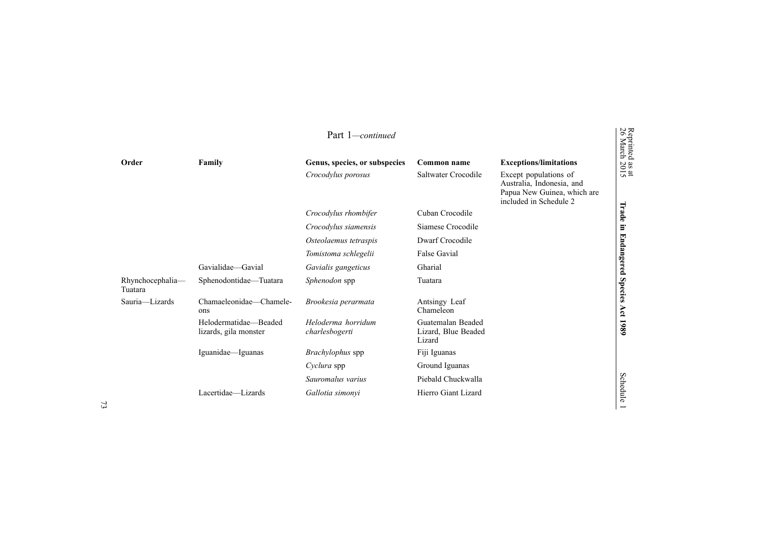|                             |                                                | Part 1-continued                     |                                                    |                                                                                                             |
|-----------------------------|------------------------------------------------|--------------------------------------|----------------------------------------------------|-------------------------------------------------------------------------------------------------------------|
| Order                       | Family                                         | Genus, species, or subspecies        | Common name                                        | <b>Exceptions/limitations</b>                                                                               |
|                             |                                                | Crocodylus porosus                   | Saltwater Crocodile                                | Except populations of<br>Australia, Indonesia, and<br>Papua New Guinea, which are<br>included in Schedule 2 |
|                             |                                                | Crocodylus rhombifer                 | Cuban Crocodile                                    |                                                                                                             |
|                             |                                                | Crocodylus siamensis                 | Siamese Crocodile                                  |                                                                                                             |
|                             |                                                | Osteolaemus tetraspis                | Dwarf Crocodile                                    |                                                                                                             |
|                             |                                                | Tomistoma schlegelii                 | <b>False Gavial</b>                                |                                                                                                             |
|                             | Gavialidae—Gavial                              | Gavialis gangeticus                  | Gharial                                            |                                                                                                             |
| Rhynchocephalia-<br>Tuatara | Sphenodontidae-Tuatara                         | Sphenodon spp                        | Tuatara                                            |                                                                                                             |
| Sauria-Lizards              | Chamaeleonidae—Chamele-<br>ons                 | Brookesia perarmata                  | Antsingy Leaf<br>Chameleon                         |                                                                                                             |
|                             | Helodermatidae-Beaded<br>lizards, gila monster | Heloderma horridum<br>charlesbogerti | Guatemalan Beaded<br>Lizard, Blue Beaded<br>Lizard |                                                                                                             |
|                             | Iguanidae-Iguanas                              | Brachylophus spp                     | Fiji Iguanas                                       |                                                                                                             |
|                             |                                                | Cyclura spp                          | Ground Iguanas                                     |                                                                                                             |
|                             |                                                | Sauromalus varius                    | Piebald Chuckwalla                                 |                                                                                                             |
|                             | Lacertidae—Lizards                             | Gallotia simonyi                     | Hierro Giant Lizard                                |                                                                                                             |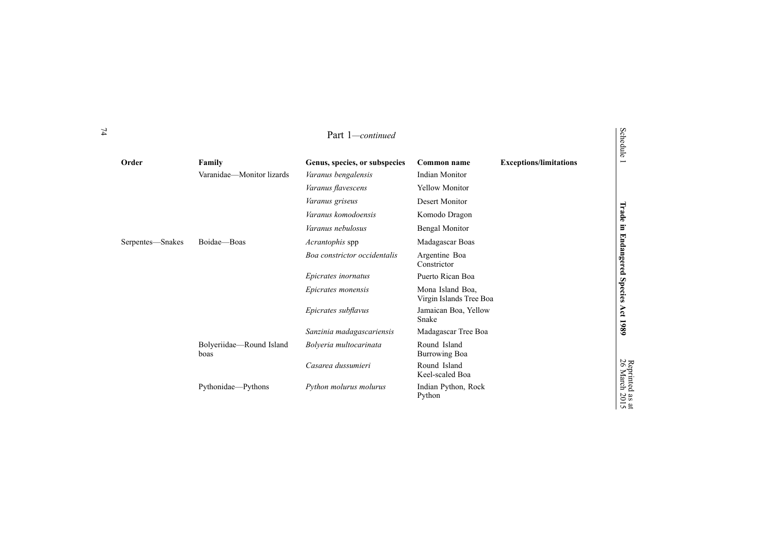|                  |                                  | Part 1-continued              |                                             |                               | Schedule              |
|------------------|----------------------------------|-------------------------------|---------------------------------------------|-------------------------------|-----------------------|
| Order            | Family                           | Genus, species, or subspecies | Common name                                 | <b>Exceptions/limitations</b> |                       |
|                  | Varanidae-Monitor lizards        | Varanus bengalensis           | <b>Indian Monitor</b>                       |                               |                       |
|                  |                                  | Varanus flavescens            | <b>Yellow Monitor</b>                       |                               |                       |
|                  |                                  | Varanus griseus               | Desert Monitor                              |                               |                       |
|                  |                                  | Varanus komodoensis           | Komodo Dragon                               |                               | Trade                 |
|                  |                                  | Varanus nebulosus             | <b>Bengal Monitor</b>                       |                               | $\Xi$                 |
| Serpentes—Snakes | Boidae-Boas                      | Acrantophis spp               | Madagascar Boas                             |                               |                       |
|                  |                                  | Boa constrictor occidentalis  | Argentine Boa<br>Constrictor                |                               | <b>Endangered</b>     |
|                  |                                  | Epicrates inornatus           | Puerto Rican Boa                            |                               |                       |
|                  |                                  | Epicrates monensis            | Mona Island Boa,<br>Virgin Islands Tree Boa |                               | <b>Species</b>        |
|                  |                                  | Epicrates subflavus           | Jamaican Boa, Yellow<br>Snake               |                               |                       |
|                  |                                  | Sanzinia madagascariensis     | Madagascar Tree Boa                         |                               |                       |
|                  | Bolyeriidae-Round Island<br>boas | Bolyeria multocarinata        | Round Island<br><b>Burrowing Boa</b>        |                               |                       |
|                  |                                  | Casarea dussumieri            | Round Island<br>Keel-scaled Boa             |                               | Reprinted<br>26 March |
|                  | Pythonidae-Pythons               | Python molurus molurus        | Indian Python, Rock<br>Python               |                               | $\frac{1}{2015}$      |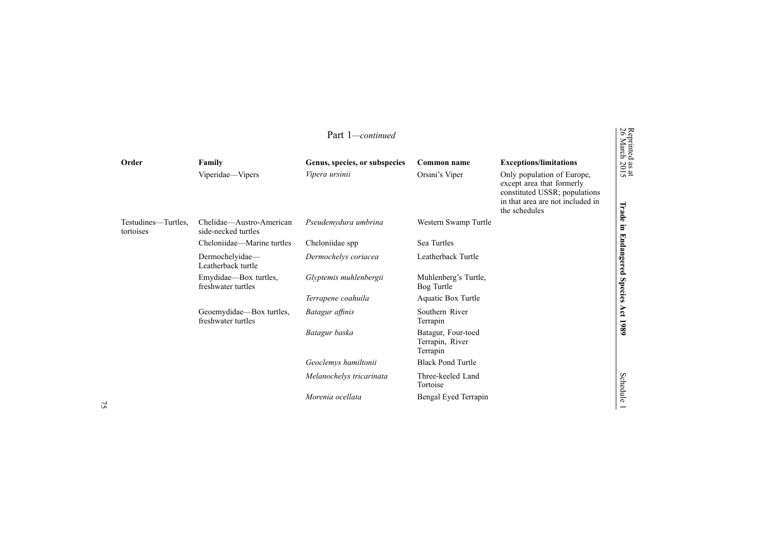|                                  |                                                 | Part 1-continued              |                                                   |                                                                                                                                               |
|----------------------------------|-------------------------------------------------|-------------------------------|---------------------------------------------------|-----------------------------------------------------------------------------------------------------------------------------------------------|
| Order                            | Family                                          | Genus, species, or subspecies | Common name                                       | <b>Exceptions/limitations</b>                                                                                                                 |
|                                  | Viperidae-Vipers                                | Vipera ursinii                | Orsini's Viper                                    | Only population of Europe,<br>except area that formerly<br>constituted USSR; populations<br>in that area are not included in<br>the schedules |
| Testudines—Turtles,<br>tortoises | Chelidae—Austro-American<br>side-necked turtles | Pseudemydura umbrina          | Western Swamp Turtle                              |                                                                                                                                               |
|                                  | Cheloniidae—Marine turtles                      | Cheloniidae spp               | Sea Turtles                                       |                                                                                                                                               |
|                                  | Dermochelyidae-<br>Leatherback turtle           | Dermochelys coriacea          | Leatherback Turtle                                |                                                                                                                                               |
|                                  | Emydidae—Box turtles,<br>freshwater turtles     | Glyptemis muhlenbergii        | Muhlenberg's Turtle,<br>Bog Turtle                |                                                                                                                                               |
|                                  |                                                 | Terrapene coahuila            | <b>Aquatic Box Turtle</b>                         |                                                                                                                                               |
|                                  | Geoemydidae—Box turtles,<br>freshwater turtles  | Batagur affinis               | Southern River<br>Terrapin                        |                                                                                                                                               |
|                                  |                                                 | Batagur baska                 | Batagur, Four-toed<br>Terrapin, River<br>Terrapin |                                                                                                                                               |
|                                  |                                                 | Geoclemys hamiltonii          | <b>Black Pond Turtle</b>                          |                                                                                                                                               |
|                                  |                                                 | Melanochelys tricarinata      | Three-keeled Land<br>Tortoise                     |                                                                                                                                               |
|                                  |                                                 | Morenia ocellata              | Bengal Eyed Terrapin                              |                                                                                                                                               |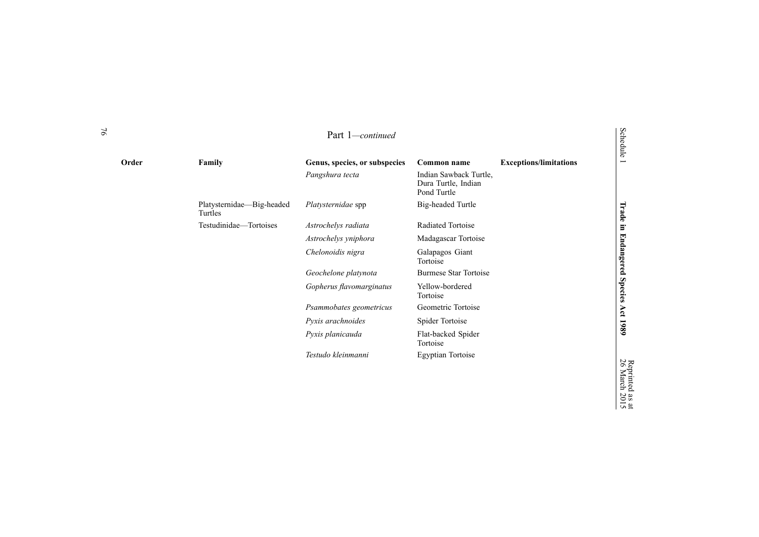| Order | Family                               | Genus, species, or subspecies | Common name                                                  | <b>Exceptions/limitations</b> | <b>Schedule</b><br>$\overline{\phantom{0}}$ |
|-------|--------------------------------------|-------------------------------|--------------------------------------------------------------|-------------------------------|---------------------------------------------|
|       |                                      | Pangshura tecta               | Indian Sawback Turtle,<br>Dura Turtle, Indian<br>Pond Turtle |                               |                                             |
|       | Platysternidae—Big-headed<br>Turtles | Platysternidae spp            | Big-headed Turtle                                            |                               |                                             |
|       | Testudinidae-Tortoises               | Astrochelys radiata           | Radiated Tortoise                                            |                               |                                             |
|       |                                      | Astrochelys yniphora          | Madagascar Tortoise                                          |                               |                                             |
|       |                                      | Chelonoidis nigra             | Galapagos Giant<br>Tortoise                                  |                               | Trade in Endangered Species                 |
|       |                                      | Geochelone platynota          | <b>Burmese Star Tortoise</b>                                 |                               |                                             |
|       |                                      | Gopherus flavomarginatus      | Yellow-bordered<br>Tortoise                                  |                               |                                             |
|       |                                      | Psammobates geometricus       | Geometric Tortoise                                           |                               | Act                                         |
|       |                                      | Pyxis arachnoides             | Spider Tortoise                                              |                               | 1989                                        |
|       |                                      | Pyxis planicauda              | Flat-backed Spider<br>Tortoise                               |                               |                                             |
|       |                                      | Testudo kleinmanni            | <b>Egyptian Tortoise</b>                                     |                               | 26 N                                        |

 $\vec{a}$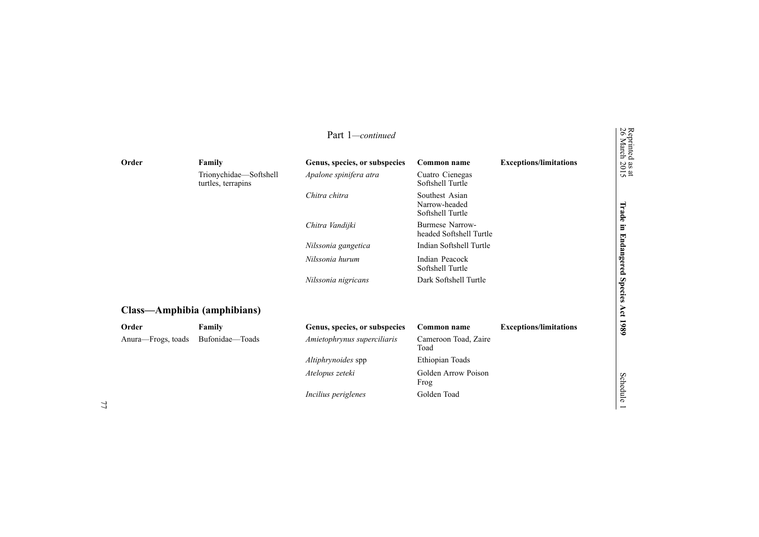|                             |                                              | Part 1-continued              |                                                     |                               |
|-----------------------------|----------------------------------------------|-------------------------------|-----------------------------------------------------|-------------------------------|
| Order                       | Family                                       | Genus, species, or subspecies | Common name                                         | <b>Exceptions/limitations</b> |
|                             | Trionychidae-Softshell<br>turtles, terrapins | Apalone spinifera atra        | Cuatro Cienegas<br>Softshell Turtle                 |                               |
|                             |                                              | Chitra chitra                 | Southest Asian<br>Narrow-headed<br>Softshell Turtle |                               |
|                             |                                              | Chitra Vandijki               | <b>Burmese Narrow-</b><br>headed Softshell Turtle   |                               |
|                             |                                              | Nilssonia gangetica           | Indian Softshell Turtle                             |                               |
|                             |                                              | Nilssonia hurum               | Indian Peacock<br>Softshell Turtle                  |                               |
|                             |                                              | Nilssonia nigricans           | Dark Softshell Turtle                               |                               |
| Class—Amphibia (amphibians) |                                              |                               |                                                     |                               |
| Order                       | Family                                       | Genus, species, or subspecies | Common name                                         | <b>Exceptions/limitations</b> |
| Anura-Frogs, toads          | Bufonidae-Toads                              | Amietophrynus superciliaris   | Cameroon Toad, Zaire<br>Toad                        |                               |
|                             |                                              | Altiphrynoides spp            | Ethiopian Toads                                     |                               |
|                             |                                              | Atelopus zeteki               | Golden Arrow Poison<br>Frog                         |                               |
|                             |                                              | Incilius periglenes           | Golden Toad                                         |                               |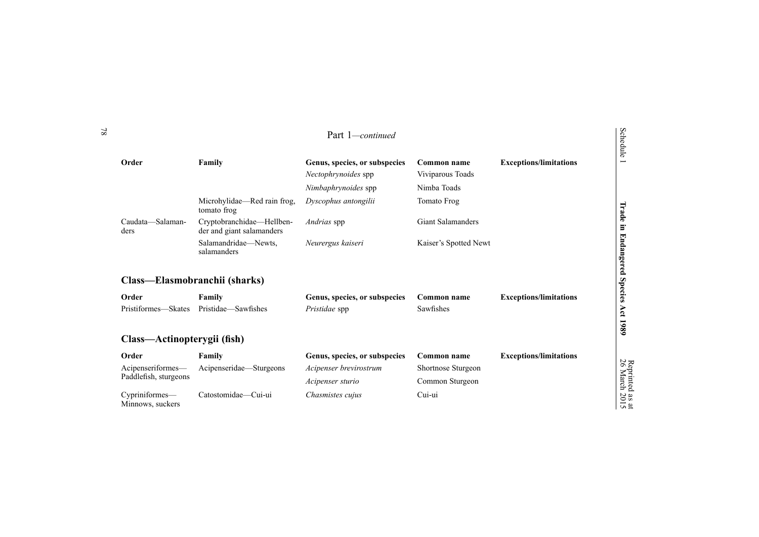|                                            |                                                        | Part 1-continued                                                            |                                                |                               | Schedule                 |
|--------------------------------------------|--------------------------------------------------------|-----------------------------------------------------------------------------|------------------------------------------------|-------------------------------|--------------------------|
| Order                                      | Family                                                 | Genus, species, or subspecies<br>Nectophrynoides spp<br>Nimbaphrynoides spp | Common name<br>Viviparous Toads<br>Nimba Toads | <b>Exceptions/limitations</b> | $\overline{\phantom{0}}$ |
|                                            | Microhylidae—Red rain frog,<br>tomato frog             | Dyscophus antongilii                                                        | <b>Tomato Frog</b>                             |                               | Trade                    |
| Caudata-Salaman-<br>ders                   | Cryptobranchidae-Hellben-<br>der and giant salamanders | Andrias spp                                                                 | <b>Giant Salamanders</b>                       |                               | Ξ.                       |
|                                            | Salamandridae-Newts.<br>salamanders                    | Neurergus kaiseri                                                           | Kaiser's Spotted Newt                          |                               | <b>Endangered</b>        |
| Class—Elasmobranchii (sharks)              |                                                        |                                                                             |                                                |                               | Species                  |
| Order                                      | Family                                                 | Genus, species, or subspecies                                               | Common name                                    | <b>Exceptions/limitations</b> |                          |
| Pristiformes—Skates                        | Pristidae—Sawfishes                                    | Pristidae spp                                                               | Sawfishes                                      |                               | Act                      |
| Class—Actinopterygii (fish)                |                                                        |                                                                             |                                                |                               | 1980                     |
| Order                                      | Family                                                 | Genus, species, or subspecies                                               | Common name                                    | <b>Exceptions/limitations</b> |                          |
| Acipenseriformes-<br>Paddlefish, sturgeons | Acipenseridae—Sturgeons                                | Acipenser brevirostrum                                                      | Shortnose Sturgeon                             |                               | Reprinted<br>26 March    |
|                                            |                                                        | Acipenser sturio                                                            | Common Sturgeon                                |                               |                          |
| Cypriniformes-<br>Minnows, suckers         | Catostomidae—Cui-ui                                    | Chasmistes cujus                                                            | Cui-ui                                         |                               | $\frac{1}{2015}$         |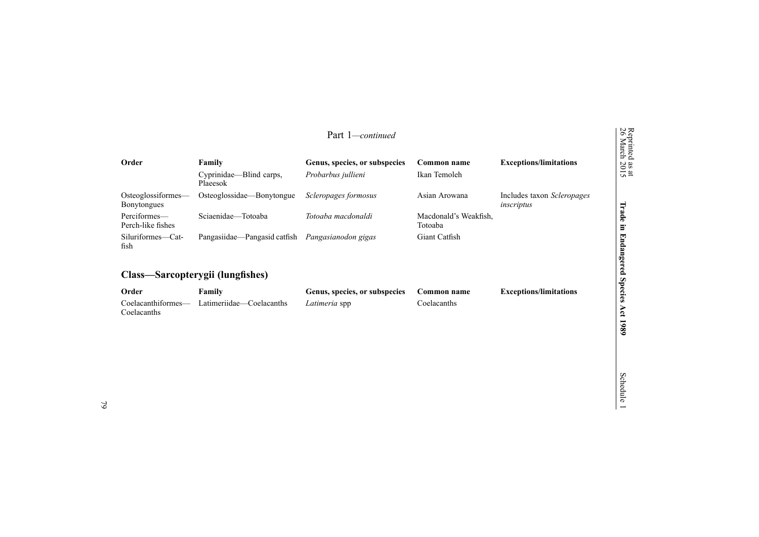|                                          |                                                                                 | Part 1-continued              |                                  |                                          | Reprinted<br>26 March     |
|------------------------------------------|---------------------------------------------------------------------------------|-------------------------------|----------------------------------|------------------------------------------|---------------------------|
| Order                                    | Family                                                                          | Genus, species, or subspecies | Common name                      | <b>Exceptions/limitations</b>            | $\frac{a}{20}$            |
|                                          | Cyprinidae—Blind carps,<br>Plaeesok                                             | Probarbus jullieni            | Ikan Temoleh                     |                                          | $\frac{a}{2}$             |
| Osteoglossiformes—<br><b>Bonytongues</b> | Osteoglossidae—Bonytongue                                                       | Scleropages formosus          | Asian Arowana                    | Includes taxon Scleropages<br>inscriptus |                           |
| Perciformes-<br>Perch-like fishes        | Sciaenidae—Totoaba                                                              | Totoaba macdonaldi            | Macdonald's Weakfish.<br>Totoaba |                                          | pe.i<br>O<br>ь            |
| Siluriformes-Cat-<br>fish                | Pangasiidae—Pangasid catfish                                                    | Pangasianodon gigas           | Giant Catfish                    |                                          | U.<br>ь<br>suap<br>œ      |
|                                          | Class—Sarcopterygii (lungfishes)                                                |                               |                                  |                                          | $\overline{a}$<br>≏<br>Ψg |
| Order                                    | Family                                                                          | Genus, species, or subspecies | Common name                      | <b>Exceptions/limitations</b>            | Ē.                        |
|                                          | $\alpha$ also additional set of the contract $\alpha$ and $\alpha$ and $\alpha$ | $Ieff$ and $Ig$ and $Ig$      | $C = 1$ and $C = 1$              |                                          | G                         |

Latimeriidae—Coelacanths *Latimeria* spp Coelacanths

**1989**

79

Coelacanthiformes— Coelacanths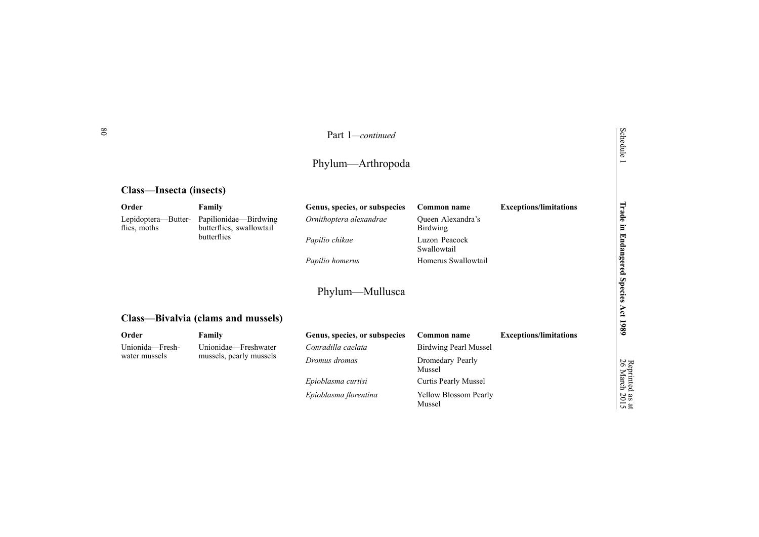| Part 1-continued  |  |
|-------------------|--|
| Phylum—Arthropoda |  |
|                   |  |

# **Class—Insecta (insects)**

| Order                               | Family                                            | Genus, species, or subspecies | Common name                            | <b>Exceptions/limitations</b> | Irade                       |
|-------------------------------------|---------------------------------------------------|-------------------------------|----------------------------------------|-------------------------------|-----------------------------|
| Lepidoptera-Butter-<br>flies, moths | Papilionidae-Birdwing<br>butterflies, swallowtail | Ornithoptera alexandrae       | Queen Alexandra's<br><b>Birdwing</b>   |                               | $\blacksquare$              |
|                                     | butterflies                                       | Papilio chikae                | Luzon Peacock<br>Swallowtail           |                               |                             |
|                                     |                                                   | Papilio homerus               | Homerus Swallowtail                    |                               |                             |
|                                     | Class-Bivalvia (clams and mussels)                | Phylum—Mullusca               |                                        |                               | Endangered Species Act 1989 |
| Order                               | Family                                            | Genus, species, or subspecies | Common name                            | <b>Exceptions/limitations</b> |                             |
| Unionida—Fresh-                     | Unionidae—Freshwater                              | Conradilla caelata            | Birdwing Pearl Mussel                  |                               |                             |
| water mussels                       | mussels, pearly mussels                           | Dromus dromas                 | Dromedary Pearly<br>Mussel             |                               | 26                          |
|                                     |                                                   | Epioblasma curtisi            | Curtis Pearly Mussel                   |                               |                             |
|                                     |                                                   | Epioblasma florentina         | <b>Yellow Blossom Pearly</b><br>Mussel |                               | March 2015                  |

80

Schedule 1

as  $\vec{a}$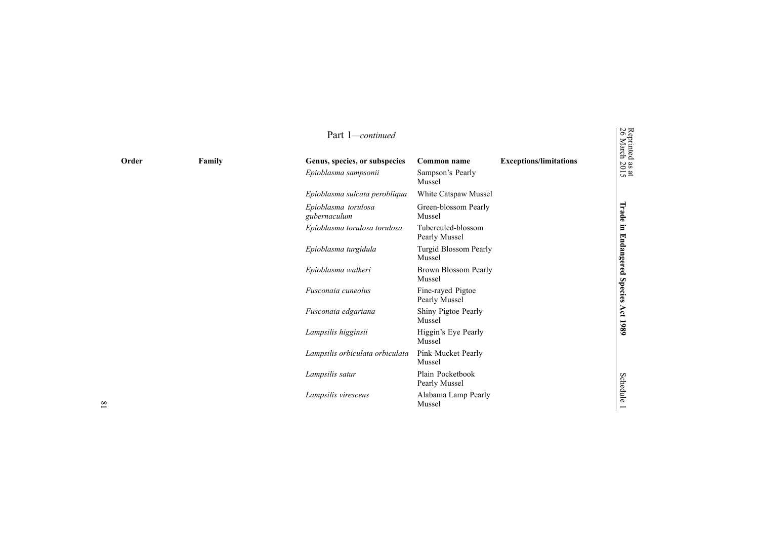| Order | Family | Genus, species, or subspecies<br>Epioblasma sampsonii | Common name<br>Sampson's Pearly     | <b>Exceptions/limitations</b> | March<br>March<br>$\frac{3015}{2015}$ |
|-------|--------|-------------------------------------------------------|-------------------------------------|-------------------------------|---------------------------------------|
|       |        |                                                       | Mussel                              |                               |                                       |
|       |        | Epioblasma sulcata perobliqua                         | White Catspaw Mussel                |                               |                                       |
|       |        | Epioblasma torulosa<br>gubernaculum                   | Green-blossom Pearly<br>Mussel      |                               | Trade in                              |
|       |        | Epioblasma torulosa torulosa                          | Tuberculed-blossom<br>Pearly Mussel |                               |                                       |
|       |        | Epioblasma turgidula                                  | Turgid Blossom Pearly<br>Mussel     |                               |                                       |
|       |        | Epioblasma walkeri                                    | Brown Blossom Pearly<br>Mussel      |                               | <b>Endangered Species</b>             |
|       |        | Fusconaia cuneolus                                    | Fine-rayed Pigtoe<br>Pearly Mussel  |                               |                                       |
|       |        | Fusconaia edgariana                                   | Shiny Pigtoe Pearly<br>Mussel       |                               | Act 1989                              |
|       |        | Lampsilis higginsii                                   | Higgin's Eye Pearly<br>Mussel       |                               |                                       |
|       |        | Lampsilis orbiculata orbiculata                       | Pink Mucket Pearly<br>Mussel        |                               |                                       |
|       |        | Lampsilis satur                                       | Plain Pocketbook<br>Pearly Mussel   |                               | <b>Schedule</b>                       |
|       |        | Lampsilis virescens                                   | Alabama Lamp Pearly<br>Mussel       |                               |                                       |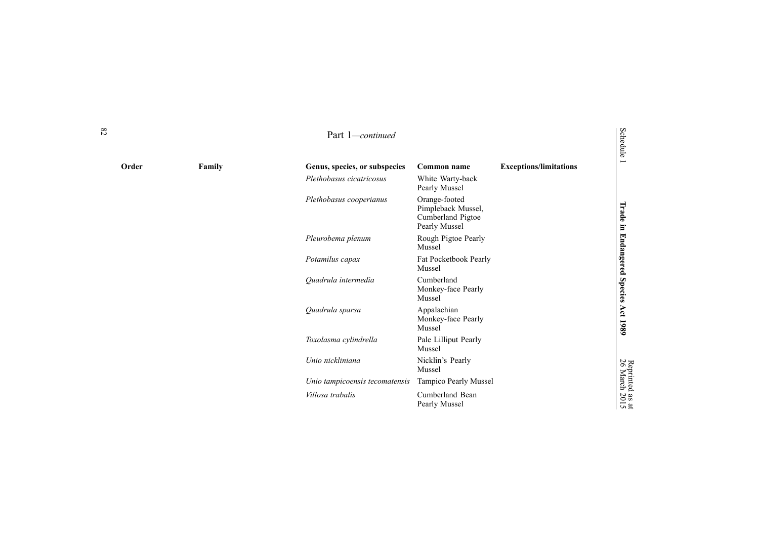| Order | Family | Genus, species, or subspecies  | Common name                                                               | <b>Exceptions/limitations</b> | Œν                               |
|-------|--------|--------------------------------|---------------------------------------------------------------------------|-------------------------------|----------------------------------|
|       |        | Plethobasus cicatricosus       | White Warty-back<br>Pearly Mussel                                         |                               |                                  |
|       |        | Plethobasus cooperianus        | Orange-footed<br>Pimpleback Mussel,<br>Cumberland Pigtoe<br>Pearly Mussel |                               | Trade<br>E.                      |
|       |        | Pleurobema plenum              | Rough Pigtoe Pearly<br>Mussel                                             |                               |                                  |
|       |        | Potamilus capax                | Fat Pocketbook Pearly<br>Mussel                                           |                               | <b>Endangered</b>                |
|       |        | Quadrula intermedia            | Cumberland<br>Monkey-face Pearly<br>Mussel                                |                               | <b>Species</b>                   |
|       |        | Quadrula sparsa                | Appalachian<br>Monkey-face Pearly<br>Mussel                               |                               | Αct<br>1980                      |
|       |        | Toxolasma cylindrella          | Pale Lilliput Pearly<br>Mussel                                            |                               |                                  |
|       |        | Unio nickliniana               | Nicklin's Pearly<br>Mussel                                                |                               | Reprinted<br>26 March            |
|       |        | Unio tampicoensis tecomatensis | Tampico Pearly Mussel                                                     |                               |                                  |
|       |        | Villosa trabalis               | Cumberland Bean<br>Pearly Mussel                                          |                               | $\frac{aS}{20}$<br>$\frac{a}{2}$ |

Schedule

# Reprinted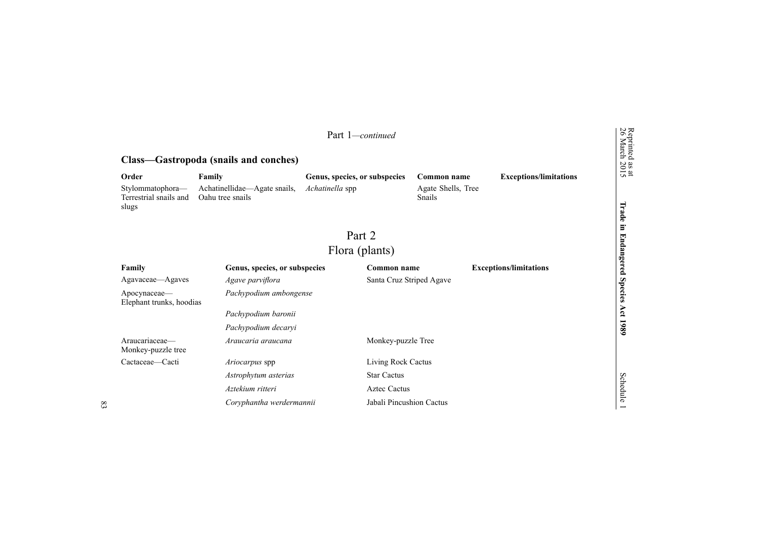|                                                     |                                                  | Part 1-continued              |                          |                              |                               |                                  |
|-----------------------------------------------------|--------------------------------------------------|-------------------------------|--------------------------|------------------------------|-------------------------------|----------------------------------|
|                                                     | Class—Gastropoda (snails and conches)            |                               |                          |                              |                               | Reprinted as at<br>26 March 2015 |
| Order                                               | Family                                           | Genus, species, or subspecies |                          | Common name                  | <b>Exceptions/limitations</b> |                                  |
| Stylommatophora-<br>Terrestrial snails and<br>slugs | Achatinellidae-Agate snails,<br>Oahu tree snails | Achatinella spp               |                          | Agate Shells, Tree<br>Snails |                               | Trade                            |
|                                                     |                                                  | Part 2                        |                          |                              |                               | $\Xi$<br><b>Endangered</b>       |
|                                                     |                                                  | Flora (plants)                |                          |                              |                               |                                  |
| Family                                              | Genus, species, or subspecies                    |                               | Common name              |                              | <b>Exceptions/limitations</b> |                                  |
| Agavaceae—Agaves                                    | Agave parviflora                                 |                               | Santa Cruz Striped Agave |                              |                               |                                  |
| Apocynaceae-<br>Elephant trunks, hoodias            | Pachypodium ambongense                           |                               |                          |                              |                               | <b>Species</b>                   |
|                                                     | Pachypodium baronii                              |                               |                          |                              |                               | Act 1989                         |
|                                                     | Pachypodium decaryi                              |                               |                          |                              |                               |                                  |
| Araucariaceae-<br>Monkey-puzzle tree                | Araucaria araucana                               |                               | Monkey-puzzle Tree       |                              |                               |                                  |
| Cactaceae-Cacti                                     | Ariocarpus spp                                   |                               | Living Rock Cactus       |                              |                               |                                  |
|                                                     | Astrophytum asterias                             |                               | <b>Star Cactus</b>       |                              |                               |                                  |
|                                                     | Aztekium ritteri                                 |                               | <b>Aztec Cactus</b>      |                              |                               | Schedule                         |
|                                                     | Coryphantha werdermannii                         |                               | Jabali Pincushion Cactus |                              |                               |                                  |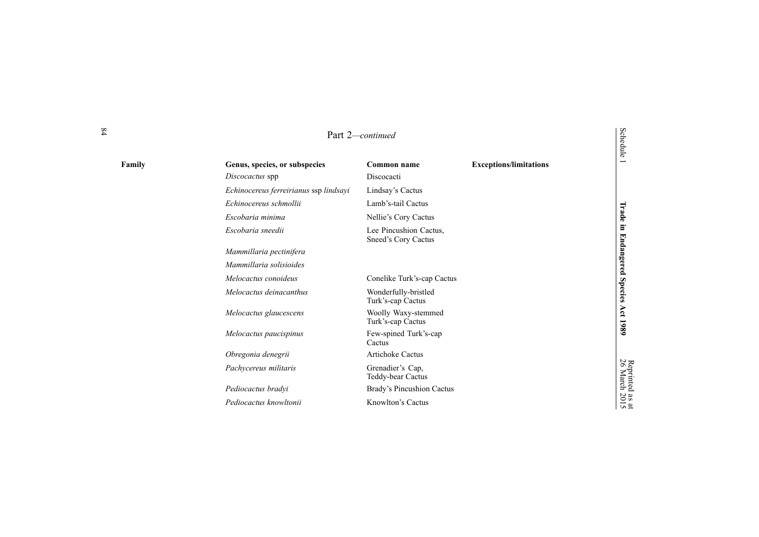|        | Part 2-continued                       |                                               |                               | Schedule                         |
|--------|----------------------------------------|-----------------------------------------------|-------------------------------|----------------------------------|
| Family | Genus, species, or subspecies          | <b>Common name</b>                            | <b>Exceptions/limitations</b> | Ē                                |
|        | Discocactus spp                        | Discocacti                                    |                               |                                  |
|        | Echinocereus ferreirianus ssp lindsayi | Lindsay's Cactus                              |                               |                                  |
|        | Echinocereus schmollii                 | Lamb's-tail Cactus                            |                               |                                  |
|        | Escobaria minima                       | Nellie's Cory Cactus                          |                               | Trade                            |
|        | Escobaria sneedii                      | Lee Pincushion Cactus,<br>Sneed's Cory Cactus |                               | Ē.                               |
|        | Mammillaria pectinifera                |                                               |                               |                                  |
|        | Mammillaria solisioides                |                                               |                               |                                  |
|        | Melocactus conoideus                   | Conelike Turk's-cap Cactus                    |                               |                                  |
|        | Melocactus deinacanthus                | Wonderfully-bristled<br>Turk's-cap Cactus     |                               | <b>Endangered Species</b>        |
|        | Melocactus glaucescens                 | Woolly Waxy-stemmed<br>Turk's-cap Cactus      |                               | Act 1989                         |
|        | Melocactus paucispinus                 | Few-spined Turk's-cap<br>Cactus               |                               |                                  |
|        | Obregonia denegrii                     | <b>Artichoke Cactus</b>                       |                               |                                  |
|        | Pachycereus militaris                  | Grenadier's Cap,<br>Teddy-bear Cactus         |                               | Reprinted as at<br>26 March 2015 |
|        | Pediocactus bradyi                     | Brady's Pincushion Cactus                     |                               |                                  |
|        | Pediocactus knowltonii                 | Knowlton's Cactus                             |                               |                                  |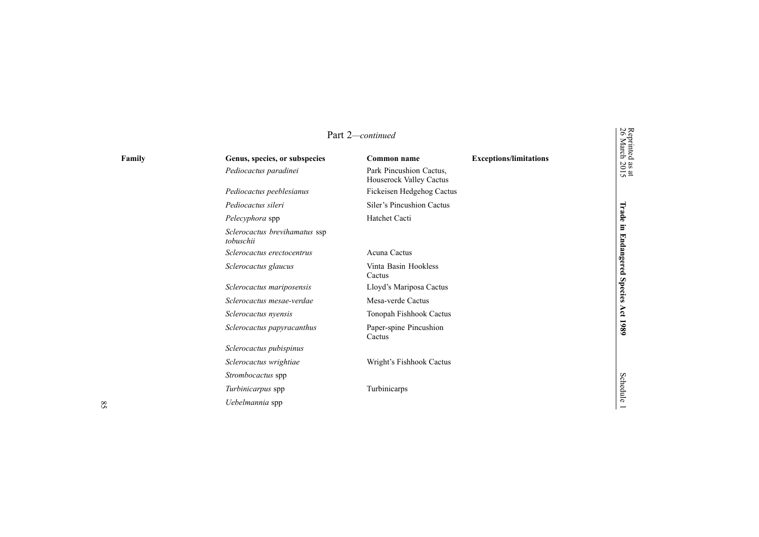| Part 2-continued |                                            |                                                    |                               | Reprinted<br>26 March |
|------------------|--------------------------------------------|----------------------------------------------------|-------------------------------|-----------------------|
| Family           | Genus, species, or subspecies              | Common name                                        | <b>Exceptions/limitations</b> |                       |
|                  | Pediocactus paradinei                      | Park Pincushion Cactus.<br>Houserock Valley Cactus |                               | as at<br>2015         |
|                  | Pediocactus peeblesianus                   | Fickeisen Hedgehog Cactus                          |                               |                       |
|                  | Pediocactus sileri                         | Siler's Pincushion Cactus                          |                               |                       |
|                  | Pelecyphora spp                            | Hatchet Cacti                                      |                               | Trade                 |
|                  | Sclerocactus brevihamatus ssp<br>tobuschii |                                                    |                               | $\Xi$                 |
|                  | Sclerocactus erectocentrus                 | Acuna Cactus                                       |                               |                       |
|                  | Sclerocactus glaucus                       | Vinta Basin Hookless<br>Cactus                     |                               | <b>Endangered</b>     |
|                  | Sclerocactus mariposensis                  | Lloyd's Mariposa Cactus                            |                               | <b>Species</b>        |
|                  | Sclerocactus mesae-verdae                  | Mesa-verde Cactus                                  |                               |                       |
|                  | Sclerocactus nyensis                       | Tonopah Fishhook Cactus                            |                               | Act                   |
|                  | Sclerocactus papyracanthus                 | Paper-spine Pincushion<br>Cactus                   |                               | 1980                  |
|                  | Sclerocactus pubispinus                    |                                                    |                               |                       |
|                  | Sclerocactus wrightiae                     | Wright's Fishhook Cactus                           |                               |                       |
|                  | Strombocactus spp                          |                                                    |                               |                       |
|                  | Turbinicarpus spp                          | Turbinicarps                                       |                               | <b>Schedule</b>       |
|                  | Uebelmannia spp                            |                                                    |                               |                       |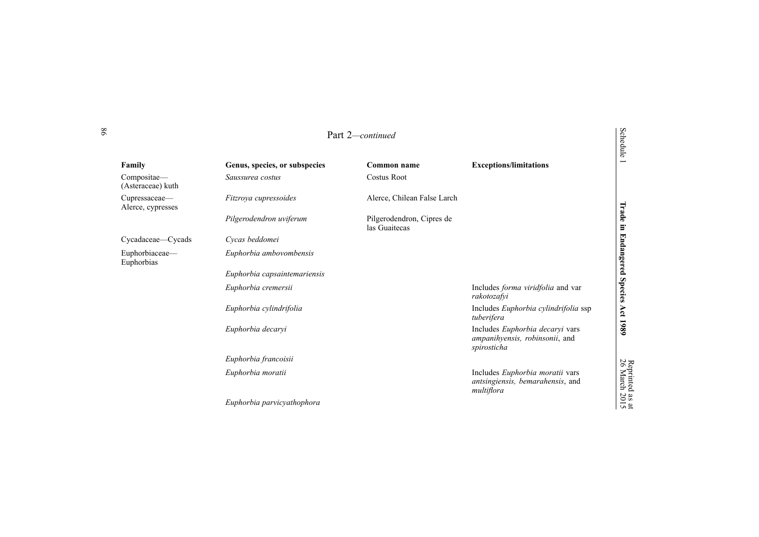|                                    |                               | Part 2-continued                           |                                                                                   | Schedule              |
|------------------------------------|-------------------------------|--------------------------------------------|-----------------------------------------------------------------------------------|-----------------------|
| Family                             | Genus, species, or subspecies | Common name                                | <b>Exceptions/limitations</b>                                                     |                       |
| Compositae-<br>(Asteraceae) kuth   | Saussurea costus              | <b>Costus Root</b>                         |                                                                                   |                       |
| Cupressaceae—<br>Alerce, cypresses | Fitzroya cupressoides         | Alerce, Chilean False Larch                |                                                                                   |                       |
|                                    | Pilgerodendron uviferum       | Pilgerodendron, Cipres de<br>las Guaitecas |                                                                                   | Trade<br>$\Xi$        |
| Cycadaceae—Cycads                  | Cycas beddomei                |                                            |                                                                                   |                       |
| Euphorbiaceae-<br>Euphorbias       | Euphorbia ambovombensis       |                                            |                                                                                   | <b>Endangered</b>     |
|                                    | Euphorbia capsaintemariensis  |                                            |                                                                                   |                       |
|                                    | Euphorbia cremersii           |                                            | Includes forma viridfolia and var<br>rakotozafyi                                  | <b>Species</b>        |
|                                    | Euphorbia cylindrifolia       |                                            | Includes Euphorbia cylindrifolia ssp<br>tuberifera                                | Act                   |
|                                    | Euphorbia decaryi             |                                            | Includes Euphorbia decaryi vars<br>ampanihyensis, robinsonii, and<br>spirosticha  | 1980                  |
|                                    | Euphorbia francoisii          |                                            |                                                                                   |                       |
|                                    | Euphorbia moratii             |                                            | Includes Euphorbia moratii vars<br>antsingiensis, bemarahensis, and<br>multiflora | Reprinted<br>26 March |
|                                    | Euphorbia parvicyathophora    |                                            |                                                                                   | $\frac{1}{2015}$      |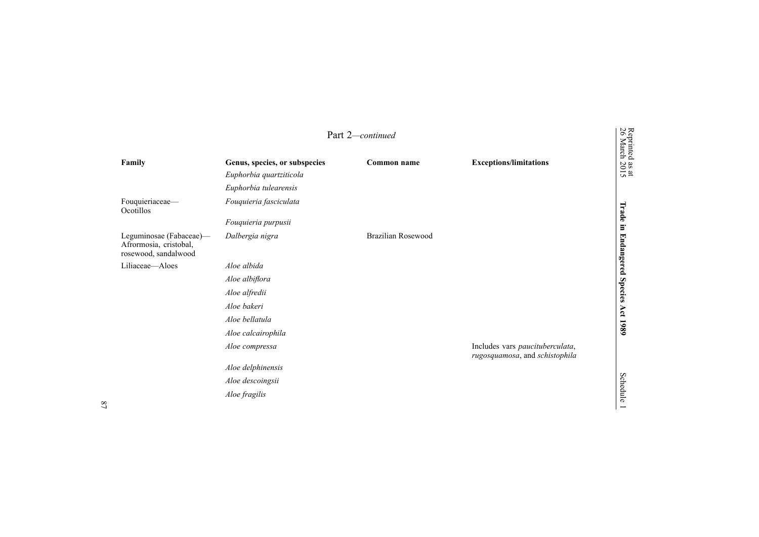|                                                                           |                                                                                   | Part 2-continued          |                                                                   |                                      |
|---------------------------------------------------------------------------|-----------------------------------------------------------------------------------|---------------------------|-------------------------------------------------------------------|--------------------------------------|
| Family                                                                    | Genus, species, or subspecies<br>Euphorbia quartziticola<br>Euphorbia tulearensis | Common name               | <b>Exceptions/limitations</b>                                     | Reprinted as at<br>26 March 2015     |
| Fouquieriaceae-<br>Ocotillos                                              | Fouquieria fasciculata<br>Fouquieria purpusii                                     |                           |                                                                   |                                      |
| Leguminosae (Fabaceae)-<br>Afrormosia, cristobal,<br>rosewood, sandalwood | Dalbergia nigra                                                                   | <b>Brazilian Rosewood</b> |                                                                   | Trade in Endangered Species Act 1989 |
| Liliaceae—Aloes                                                           | Aloe albida                                                                       |                           |                                                                   |                                      |
|                                                                           | Aloe albiflora                                                                    |                           |                                                                   |                                      |
|                                                                           | Aloe alfredii                                                                     |                           |                                                                   |                                      |
|                                                                           | Aloe bakeri                                                                       |                           |                                                                   |                                      |
|                                                                           | Aloe bellatula                                                                    |                           |                                                                   |                                      |
|                                                                           | Aloe calcairophila                                                                |                           |                                                                   |                                      |
|                                                                           | Aloe compressa                                                                    |                           | Includes vars paucituberculata,<br>rugosquamosa, and schistophila |                                      |
|                                                                           | Aloe delphinensis                                                                 |                           |                                                                   |                                      |
|                                                                           | Aloe descoingsii                                                                  |                           |                                                                   |                                      |
|                                                                           | Aloe fragilis                                                                     |                           |                                                                   | <b>Schedule</b>                      |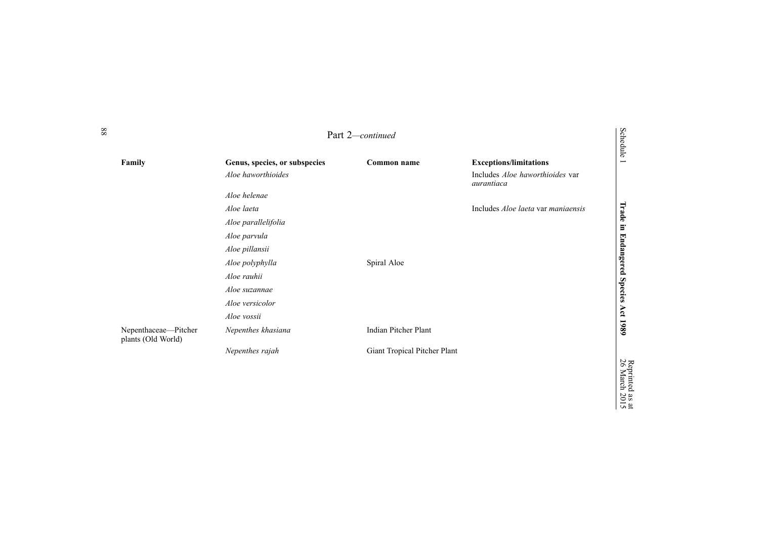|                                            |                                                     | Part 2-continued             |                                                                                       | <b>Schedule</b>             |
|--------------------------------------------|-----------------------------------------------------|------------------------------|---------------------------------------------------------------------------------------|-----------------------------|
| Family                                     | Genus, species, or subspecies<br>Aloe haworthioides | Common name                  | <b>Exceptions/limitations</b><br>Includes <i>Aloe haworthioides</i> var<br>aurantiaca | Ē                           |
|                                            | Aloe helenae                                        |                              |                                                                                       |                             |
|                                            | Aloe laeta                                          |                              | Includes Aloe laeta var maniaensis                                                    |                             |
|                                            | Aloe parallelifolia                                 |                              |                                                                                       |                             |
|                                            | Aloe parvula                                        |                              |                                                                                       |                             |
|                                            | Aloe pillansii                                      |                              |                                                                                       |                             |
|                                            | Aloe polyphylla                                     | Spiral Aloe                  |                                                                                       | Trade in Endangered Species |
|                                            | Aloe rauhii                                         |                              |                                                                                       |                             |
|                                            | Aloe suzannae                                       |                              |                                                                                       |                             |
|                                            | Aloe versicolor                                     |                              |                                                                                       |                             |
|                                            | Aloe vossii                                         |                              |                                                                                       | Act 1989                    |
| Nepenthaceae-Pitcher<br>plants (Old World) | Nepenthes khasiana                                  | Indian Pitcher Plant         |                                                                                       |                             |
|                                            | Nepenthes rajah                                     | Giant Tropical Pitcher Plant |                                                                                       |                             |
|                                            |                                                     |                              |                                                                                       | reptuted<br>26 March        |

Reprinted

as  $\vec{a}$ 2015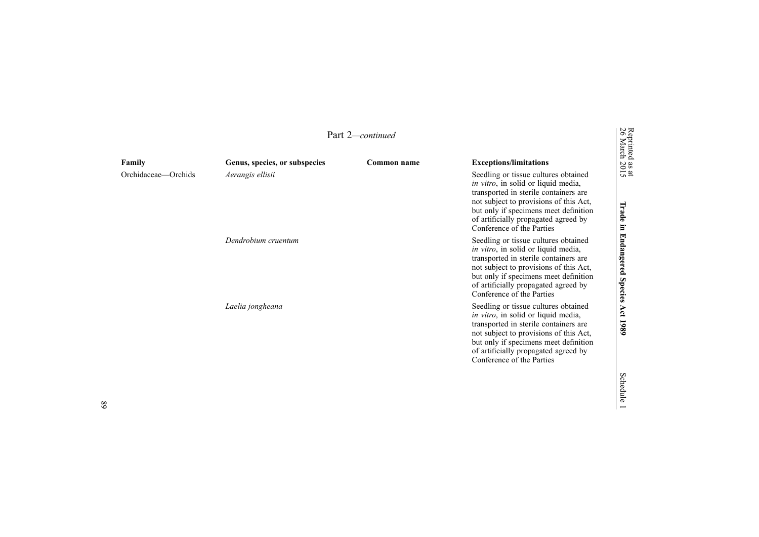|                     |                               | Part 2— <i>continued</i> |                                                                                                                                                                                                                                                                                      | Reprinted<br>26 March                      |
|---------------------|-------------------------------|--------------------------|--------------------------------------------------------------------------------------------------------------------------------------------------------------------------------------------------------------------------------------------------------------------------------------|--------------------------------------------|
| Family              | Genus, species, or subspecies | Common name              | <b>Exceptions/limitations</b>                                                                                                                                                                                                                                                        |                                            |
| Orchidaceae—Orchids | Aerangis ellisii              |                          | Seedling or tissue cultures obtained<br><i>in vitro</i> , in solid or liquid media,<br>transported in sterile containers are<br>not subject to provisions of this Act,<br>but only if specimens meet definition<br>of artificially propagated agreed by<br>Conference of the Parties | $\frac{38 \text{ at}}{2015}$<br>Irade<br>Ξ |
|                     | Dendrobium cruentum           |                          | Seedling or tissue cultures obtained<br><i>in vitro</i> , in solid or liquid media,<br>transported in sterile containers are<br>not subject to provisions of this Act,<br>but only if specimens meet definition<br>of artificially propagated agreed by<br>Conference of the Parties | Endangered<br><b>Species</b>               |
|                     | Laelia jongheana              |                          | Seedling or tissue cultures obtained<br><i>in vitro</i> , in solid or liquid media,<br>transported in sterile containers are<br>not subject to provisions of this Act,<br>but only if specimens meet definition<br>of artificially propagated agreed by<br>Conference of the Parties | Act<br>1989                                |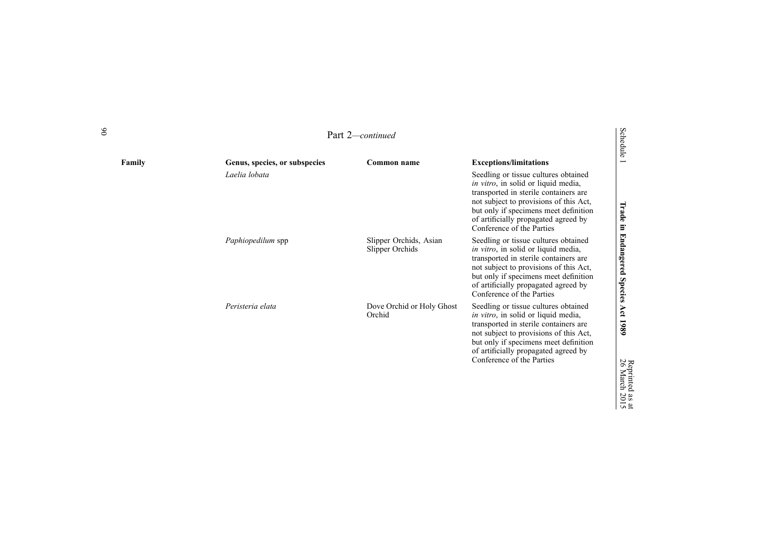Part 2*—continued*

| Family | Genus, species, or subspecies | Common name                               | <b>Exceptions/limitations</b>                                                                                                                                                                                                                                                        | $\overline{\sigma}$                   |
|--------|-------------------------------|-------------------------------------------|--------------------------------------------------------------------------------------------------------------------------------------------------------------------------------------------------------------------------------------------------------------------------------------|---------------------------------------|
|        | Laelia lobata                 |                                           | Seedling or tissue cultures obtained<br>in vitro, in solid or liquid media,<br>transported in sterile containers are<br>not subject to provisions of this Act,<br>but only if specimens meet definition<br>of artificially propagated agreed by<br>Conference of the Parties         |                                       |
|        | Paphiopedilum spp             | Slipper Orchids, Asian<br>Slipper Orchids | Seedling or tissue cultures obtained<br><i>in vitro</i> , in solid or liquid media,<br>transported in sterile containers are<br>not subject to provisions of this Act,<br>but only if specimens meet definition<br>of artificially propagated agreed by<br>Conference of the Parties | Irade in Endangered Species Act       |
|        | Peristeria elata              | Dove Orchid or Holy Ghost<br>Orchid       | Seedling or tissue cultures obtained<br>in vitro, in solid or liquid media,<br>transported in sterile containers are<br>not subject to provisions of this Act,<br>but only if specimens meet definition<br>of artificially propagated agreed by<br>Conference of the Parties         | 6861<br>26<br>March<br>$\overline{0}$ |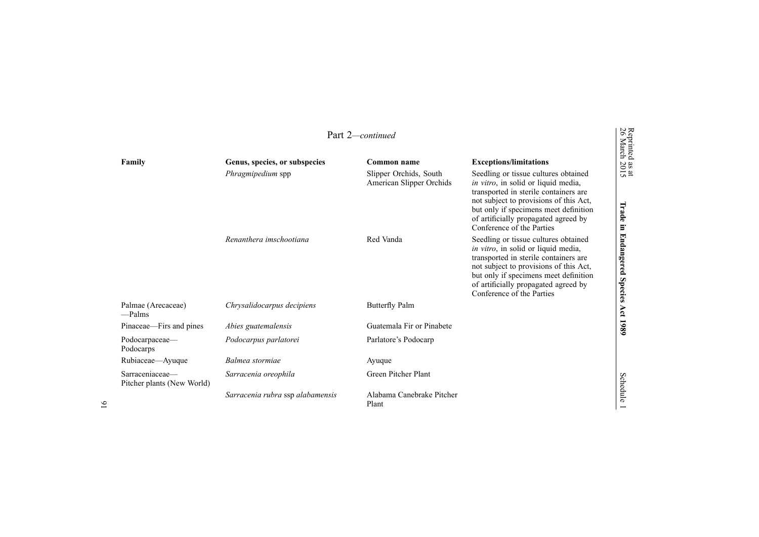|                                               |                                  | Part 2-continued                                   |                                                                                                                                                                                                                                                                                      | Reprinted<br>26 March                       |
|-----------------------------------------------|----------------------------------|----------------------------------------------------|--------------------------------------------------------------------------------------------------------------------------------------------------------------------------------------------------------------------------------------------------------------------------------------|---------------------------------------------|
| Family                                        | Genus, species, or subspecies    | Common name                                        | <b>Exceptions/limitations</b>                                                                                                                                                                                                                                                        |                                             |
|                                               | Phragmipedium spp                | Slipper Orchids, South<br>American Slipper Orchids | Seedling or tissue cultures obtained<br><i>in vitro</i> , in solid or liquid media,<br>transported in sterile containers are<br>not subject to provisions of this Act,<br>but only if specimens meet definition<br>of artificially propagated agreed by<br>Conference of the Parties | $\frac{38 \text{ at}}{2015}$<br>Irade<br>Ē. |
|                                               | Renanthera imschootiana          | Red Vanda                                          | Seedling or tissue cultures obtained<br><i>in vitro</i> , in solid or liquid media,<br>transported in sterile containers are<br>not subject to provisions of this Act,<br>but only if specimens meet definition<br>of artificially propagated agreed by<br>Conference of the Parties | <b>Endangered</b><br><b>Species</b>         |
| Palmae (Arecaceae)<br>$-$ Palms               | Chrysalidocarpus decipiens       | <b>Butterfly Palm</b>                              |                                                                                                                                                                                                                                                                                      | Act 1989                                    |
| Pinaceae—Firs and pines                       | Abies guatemalensis              | Guatemala Fir or Pinabete                          |                                                                                                                                                                                                                                                                                      |                                             |
| Podocarpaceae-<br>Podocarps                   | Podocarpus parlatorei            | Parlatore's Podocarp                               |                                                                                                                                                                                                                                                                                      |                                             |
| Rubiaceae—Ayuque                              | Balmea stormiae                  | Ayuque                                             |                                                                                                                                                                                                                                                                                      |                                             |
| Sarraceniaceae-<br>Pitcher plants (New World) | Sarracenia oreophila             | Green Pitcher Plant                                |                                                                                                                                                                                                                                                                                      | Schedule                                    |
|                                               | Sarracenia rubra ssp alabamensis | Alabama Canebrake Pitcher<br>Plant                 |                                                                                                                                                                                                                                                                                      |                                             |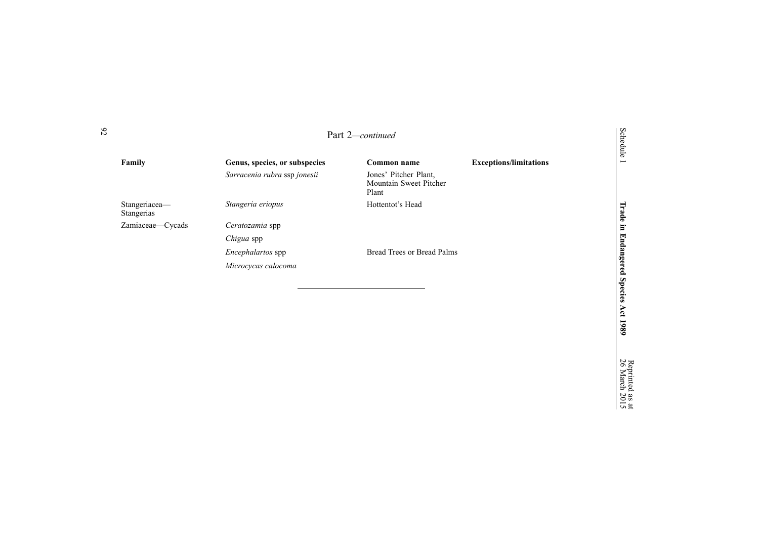|                             |                               | Part 2-continued                                         |                               | Schedule                 |
|-----------------------------|-------------------------------|----------------------------------------------------------|-------------------------------|--------------------------|
| Family                      | Genus, species, or subspecies | Common name                                              | <b>Exceptions/limitations</b> | $\overline{\phantom{0}}$ |
|                             | Sarracenia rubra ssp jonesii  | Jones' Pitcher Plant,<br>Mountain Sweet Pitcher<br>Plant |                               |                          |
| Stangeriacea-<br>Stangerias | Stangeria eriopus             | Hottentot's Head                                         |                               | Trade                    |
| Zamiaceae-Cycads            | Ceratozamia spp               |                                                          |                               | Ē.                       |
|                             | Chigua spp                    |                                                          |                               |                          |
|                             | Encephalartos spp             | <b>Bread Trees or Bread Palms</b>                        |                               | <b>Endangered</b>        |
|                             | Microcycas calocoma           |                                                          |                               |                          |
|                             |                               |                                                          |                               |                          |
|                             |                               |                                                          |                               | <b>Species</b>           |
|                             |                               |                                                          |                               | Åct                      |
|                             |                               |                                                          |                               |                          |

Reprinted 26 March

**1989**

as  $\vec{a}$ 2015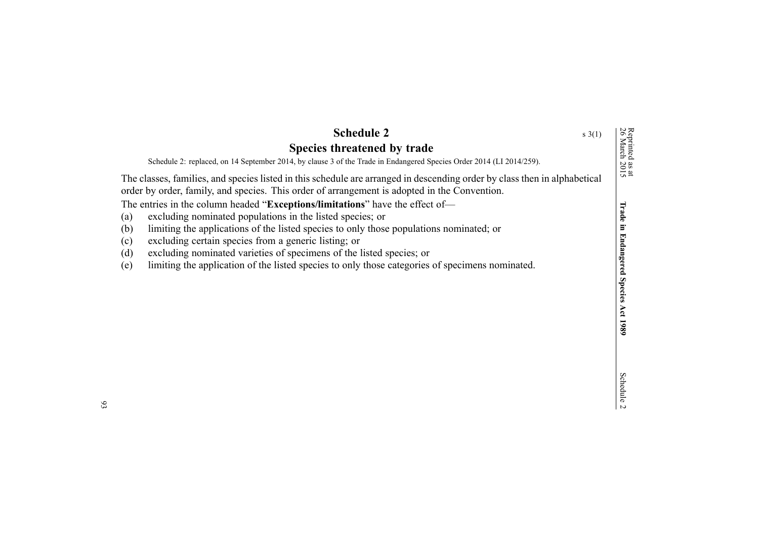<span id="page-92-0"></span>

| <b>Schedule 2</b><br>Species threatened by trade<br>Schedule 2: replaced, on 14 September 2014, by clause 3 of the Trade in Endangered Species Order 2014 (LI 2014/259).                                                                                                                                                                                                                                                                                                                                                                                                                                                                                                                                                                 | $s \; 3(1)$ | Reprinted as a<br>26 March 201                             |
|------------------------------------------------------------------------------------------------------------------------------------------------------------------------------------------------------------------------------------------------------------------------------------------------------------------------------------------------------------------------------------------------------------------------------------------------------------------------------------------------------------------------------------------------------------------------------------------------------------------------------------------------------------------------------------------------------------------------------------------|-------------|------------------------------------------------------------|
| The classes, families, and species listed in this schedule are arranged in descending order by class then in alphabetical<br>order by order, family, and species. This order of arrangement is adopted in the Convention.<br>The entries in the column headed "Exceptions/limitations" have the effect of-<br>excluding nominated populations in the listed species; or<br>(a)<br>(b)<br>limiting the applications of the listed species to only those populations nominated; or<br>(c)<br>excluding certain species from a generic listing; or<br>(d)<br>excluding nominated varieties of specimens of the listed species; or<br>limiting the application of the listed species to only those categories of specimens nominated.<br>(e) |             | $\tilde{a}$<br><b>Trade in Endangered Species Act 1989</b> |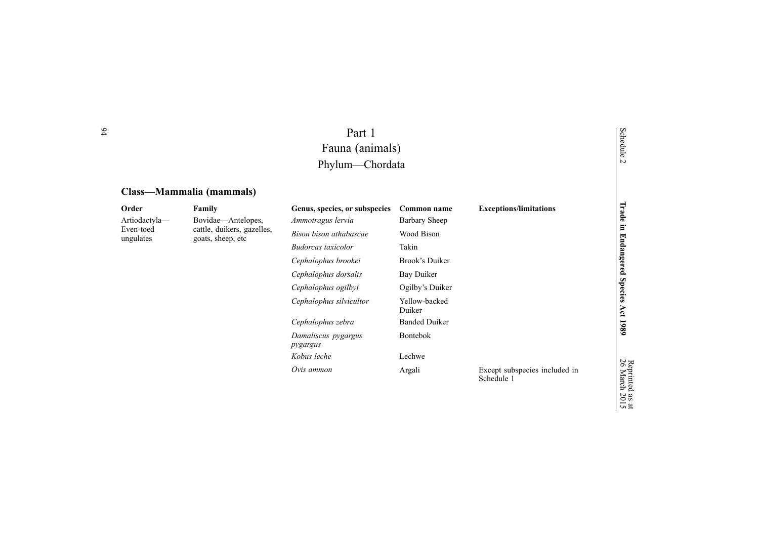| Part 1          |
|-----------------|
| Fauna (animals) |
| Phylum—Chordata |

# **Class—Mammalia (mammals)**

| Order                  | Family                                          | Genus, species, or subspecies   | Common name             | <b>Exceptions/limitations</b>               | Trade                                  |
|------------------------|-------------------------------------------------|---------------------------------|-------------------------|---------------------------------------------|----------------------------------------|
| Artiodactyla-          | Bovidae—Antelopes,                              | Ammotragus lervia               | Barbary Sheep           |                                             |                                        |
| Even-toed<br>ungulates | cattle, duikers, gazelles,<br>goats, sheep, etc | Bison bison athabascae          | Wood Bison              |                                             | Ē.                                     |
|                        |                                                 | <b>Budorcas</b> taxicolor       | Takin                   |                                             |                                        |
|                        |                                                 | Cephalophus brookei             | Brook's Duiker          |                                             | Endangered                             |
|                        |                                                 | Cephalophus dorsalis            | Bay Duiker              |                                             |                                        |
|                        |                                                 | Cephalophus ogilbyi             | Ogilby's Duiker         |                                             | <b>Species</b>                         |
|                        |                                                 | Cephalophus silvicultor         | Yellow-backed<br>Duiker |                                             | Αct                                    |
|                        |                                                 | Cephalophus zebra               | <b>Banded Duiker</b>    |                                             | 1989                                   |
|                        |                                                 | Damaliscus pygargus<br>pygargus | <b>Bontebok</b>         |                                             |                                        |
|                        |                                                 | Kobus leche                     | Lechwe                  |                                             |                                        |
|                        |                                                 | Ovis ammon                      | Argali                  | Except subspecies included in<br>Schedule 1 | Reprinted<br>26 March<br>$\sim \alpha$ |

94

Schedule 2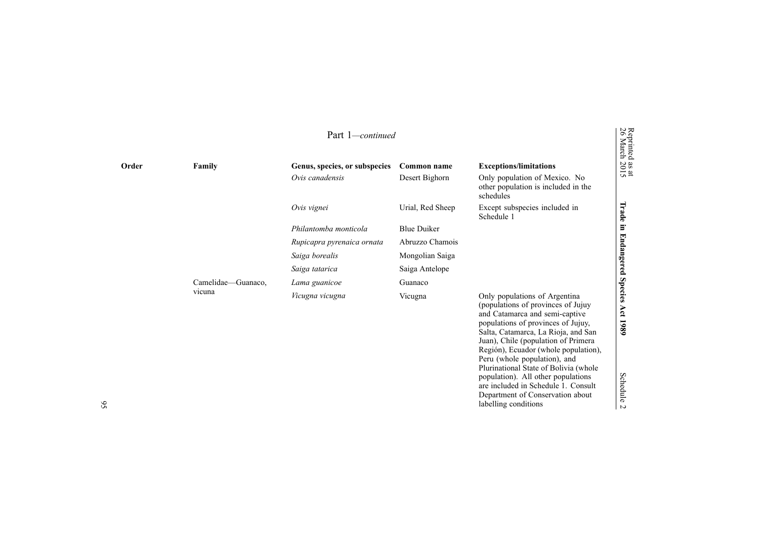|       | Part 1-continued   |                               |                    |                                                                                                                                                                                                                                                                                                   |                                            |
|-------|--------------------|-------------------------------|--------------------|---------------------------------------------------------------------------------------------------------------------------------------------------------------------------------------------------------------------------------------------------------------------------------------------------|--------------------------------------------|
| Order | Family             | Genus, species, or subspecies | Common name        | <b>Exceptions/limitations</b>                                                                                                                                                                                                                                                                     | Reprinted<br>26 March<br>$\frac{ax}{2015}$ |
|       |                    | Ovis canadensis               | Desert Bighorn     | Only population of Mexico. No<br>other population is included in the<br>schedules                                                                                                                                                                                                                 |                                            |
|       |                    | Ovis vignei                   | Urial, Red Sheep   | Except subspecies included in<br>Schedule 1                                                                                                                                                                                                                                                       | Irade                                      |
|       |                    | Philantomba monticola         | <b>Blue Duiker</b> |                                                                                                                                                                                                                                                                                                   | Ξ.                                         |
|       |                    | Rupicapra pyrenaica ornata    | Abruzzo Chamois    |                                                                                                                                                                                                                                                                                                   |                                            |
|       |                    | Saiga borealis                | Mongolian Saiga    |                                                                                                                                                                                                                                                                                                   |                                            |
|       |                    | Saiga tatarica                | Saiga Antelope     |                                                                                                                                                                                                                                                                                                   | Endangered                                 |
|       | Camelidae—Guanaco, | Lama guanicoe                 | Guanaco            |                                                                                                                                                                                                                                                                                                   |                                            |
|       | vicuna             | Vicugna vicugna               | Vicugna            | Only populations of Argentina<br>(populations of provinces of Jujuy<br>and Catamarca and semi-captive<br>populations of provinces of Jujuy,<br>Salta, Catamarca, La Rioja, and San<br>Juan), Chile (population of Primera<br>Región), Ecuador (whole population),<br>Peru (whole population), and | Species<br>Αct<br>1980                     |

Plurinational State of Bolivia (whole population). All other populations are included in [Schedule](#page-41-0) 1 . Consult Department of Conservation about

labelling conditions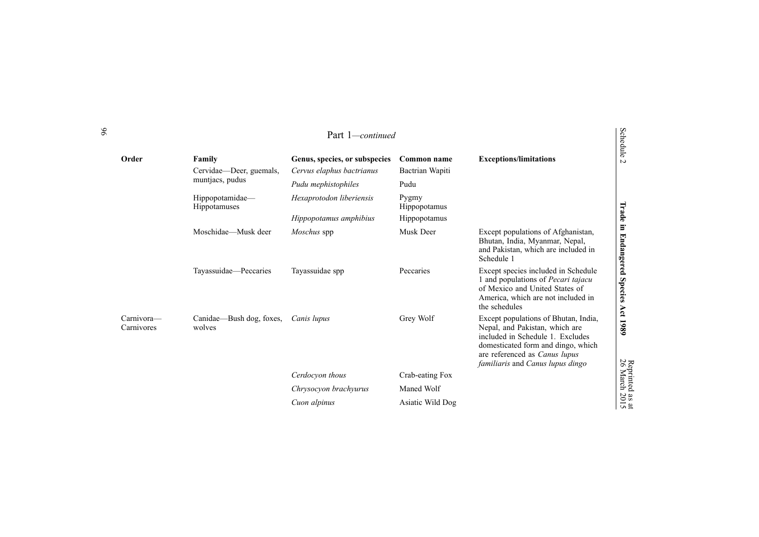|                          |                                    | Part 1-continued              |                       |                                                                                                                                                                                                                       |
|--------------------------|------------------------------------|-------------------------------|-----------------------|-----------------------------------------------------------------------------------------------------------------------------------------------------------------------------------------------------------------------|
| Order                    | Family                             | Genus, species, or subspecies | Common name           | <b>Exceptions/limitations</b>                                                                                                                                                                                         |
|                          | Cervidae—Deer, guemals,            | Cervus elaphus bactrianus     | Bactrian Wapiti       |                                                                                                                                                                                                                       |
|                          | muntiacs, pudus                    | Pudu mephistophiles           | Pudu                  |                                                                                                                                                                                                                       |
|                          | Hippopotamidae—<br>Hippotamuses    | Hexaprotodon liberiensis      | Pygmy<br>Hippopotamus |                                                                                                                                                                                                                       |
|                          |                                    | Hippopotamus amphibius        | Hippopotamus          |                                                                                                                                                                                                                       |
|                          | Moschidae—Musk deer                | Moschus spp                   | Musk Deer             | Except populations of Afghanistan,<br>Bhutan, India, Myanmar, Nepal,<br>and Pakistan, which are included in<br>Schedule 1                                                                                             |
|                          | Tayassuidae-Peccaries              | Tayassuidae spp               | Peccaries             | Except species included in Schedule<br>1 and populations of Pecari tajacu<br>of Mexico and United States of<br>America, which are not included in<br>the schedules                                                    |
| Carnivora—<br>Carnivores | Canidae—Bush dog, foxes,<br>wolves | Canis lupus                   | Grey Wolf             | Except populations of Bhutan, India,<br>Nepal, and Pakistan, which are<br>included in Schedule 1. Excludes<br>domesticated form and dingo, which<br>are referenced as Canus lupus<br>familiaris and Canus lupus dingo |
|                          |                                    | Cerdocvon thous               | Crab-eating Fox       |                                                                                                                                                                                                                       |
|                          |                                    | Chrysocyon brachyurus         | Maned Wolf            |                                                                                                                                                                                                                       |
|                          |                                    | Cuon alpinus                  | Asiatic Wild Dog      |                                                                                                                                                                                                                       |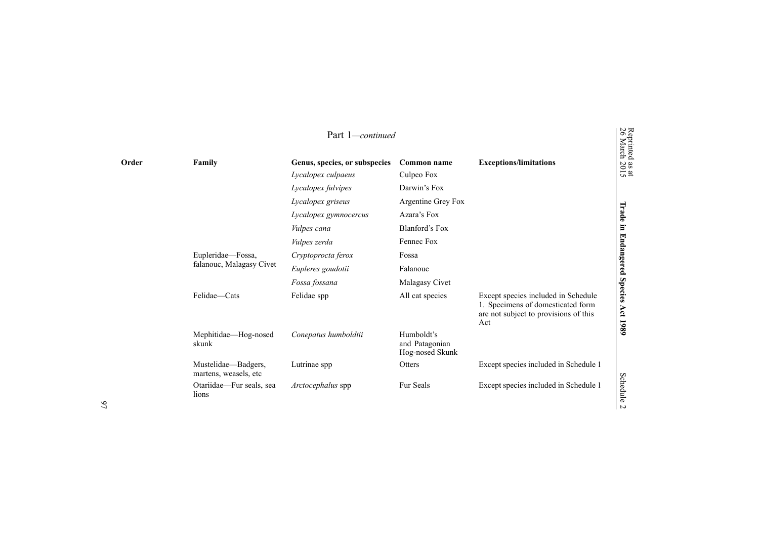| Part 1-continued |                                              |                                                     |                                                 |                                                                                                                          |                                                                                                                  |
|------------------|----------------------------------------------|-----------------------------------------------------|-------------------------------------------------|--------------------------------------------------------------------------------------------------------------------------|------------------------------------------------------------------------------------------------------------------|
| Order            | Family                                       | Genus, species, or subspecies<br>Lycalopex culpaeus | Common name<br>Culpeo Fox                       | <b>Exceptions/limitations</b>                                                                                            | Reprinted<br>26 March<br>$\begin{array}{c} \begin{array}{c} \text{as at} \\ \text{2015} \end{array} \end{array}$ |
|                  |                                              | Lycalopex fulvipes                                  | Darwin's Fox                                    |                                                                                                                          |                                                                                                                  |
|                  |                                              | Lycalopex griseus                                   | Argentine Grey Fox                              |                                                                                                                          |                                                                                                                  |
|                  |                                              | Lycalopex gymnocercus                               | Azara's Fox                                     |                                                                                                                          | Trade                                                                                                            |
|                  |                                              | Vulpes cana                                         | Blanford's Fox                                  |                                                                                                                          | $\Xi$                                                                                                            |
|                  |                                              | Vulpes zerda                                        | Fennec Fox                                      |                                                                                                                          |                                                                                                                  |
|                  | Eupleridae—Fossa,                            | Cryptoprocta ferox                                  | Fossa                                           |                                                                                                                          |                                                                                                                  |
|                  | falanouc, Malagasy Civet                     | Eupleres goudotii                                   | Falanouc                                        |                                                                                                                          | <b>Endangered</b>                                                                                                |
|                  |                                              | Fossa fossana                                       | Malagasy Civet                                  |                                                                                                                          |                                                                                                                  |
|                  | Felidae—Cats                                 | Felidae spp                                         | All cat species                                 | Except species included in Schedule<br>1. Specimens of domesticated form<br>are not subject to provisions of this<br>Act | <b>Species</b><br>Act<br>1980                                                                                    |
|                  | Mephitidae—Hog-nosed<br>skunk                | Conepatus humboldtii                                | Humboldt's<br>and Patagonian<br>Hog-nosed Skunk |                                                                                                                          |                                                                                                                  |
|                  | Mustelidae—Badgers,<br>martens, weasels, etc | Lutrinae spp                                        | Otters                                          | Except species included in Schedule 1                                                                                    |                                                                                                                  |
|                  | Otariidae—Fur seals, sea<br>lions            | Arctocephalus spp                                   | Fur Seals                                       | Except species included in Schedule 1                                                                                    | Schedule                                                                                                         |

 $\frac{3}{4}$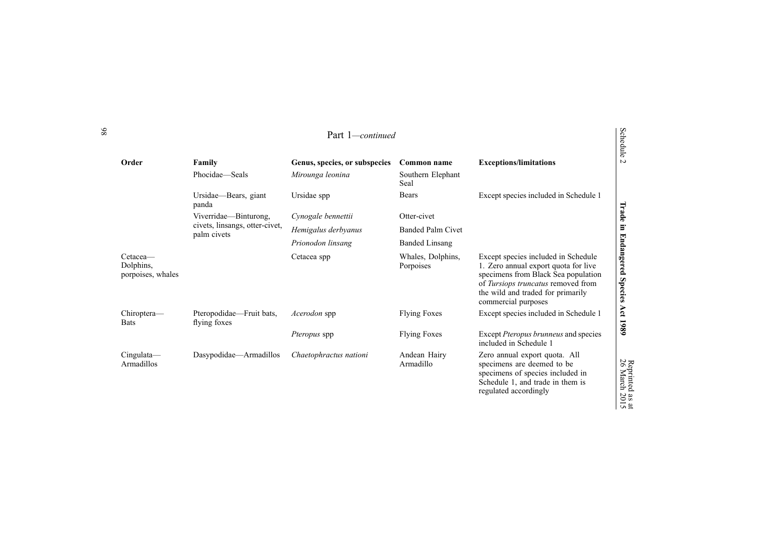| Part 1-continued                           |                                               |                               |                                |                                                                                                                                                                                                                      | <b>Schedule</b>                     |
|--------------------------------------------|-----------------------------------------------|-------------------------------|--------------------------------|----------------------------------------------------------------------------------------------------------------------------------------------------------------------------------------------------------------------|-------------------------------------|
| Order                                      | Family                                        | Genus, species, or subspecies | Common name                    | <b>Exceptions/limitations</b>                                                                                                                                                                                        | $\sim$                              |
|                                            | Phocidae—Seals                                | Mirounga leonina              | Southern Elephant<br>Seal      |                                                                                                                                                                                                                      |                                     |
|                                            | Ursidae—Bears, giant<br>panda                 | Ursidae spp                   | <b>Bears</b>                   | Except species included in Schedule 1                                                                                                                                                                                |                                     |
|                                            | Viverridae—Binturong,                         | Cynogale bennettii            | Otter-civet                    |                                                                                                                                                                                                                      | Trade                               |
|                                            | civets, linsangs, otter-civet,<br>palm civets | Hemigalus derbyanus           | <b>Banded Palm Civet</b>       |                                                                                                                                                                                                                      | $\Xi$                               |
|                                            |                                               | Prionodon linsang             | <b>Banded Linsang</b>          |                                                                                                                                                                                                                      |                                     |
| Cetacea—<br>Dolphins.<br>porpoises, whales |                                               | Cetacea spp                   | Whales, Dolphins,<br>Porpoises | Except species included in Schedule<br>1. Zero annual export quota for live<br>specimens from Black Sea population<br>of Tursiops truncatus removed from<br>the wild and traded for primarily<br>commercial purposes | <b>Endangered</b><br><b>Species</b> |
| Chiroptera-<br><b>Bats</b>                 | Pteropodidae—Fruit bats,<br>flying foxes      | Acerodon spp                  | <b>Flying Foxes</b>            | Except species included in Schedule 1                                                                                                                                                                                | Act<br>1989                         |
|                                            |                                               | <i>Pteropus</i> spp           | <b>Flying Foxes</b>            | Except Pteropus brunneus and species<br>included in Schedule 1                                                                                                                                                       |                                     |
| $Cingulata$ —<br>Armadillos                | Dasypodidae—Armadillos                        | Chaetophractus nationi        | Andean Hairy<br>Armadillo      | Zero annual export quota. All<br>specimens are deemed to be<br>specimens of species included in<br>Schedule 1, and trade in them is<br>regulated accordingly                                                         | Reprinted as at<br>26 March 2015    |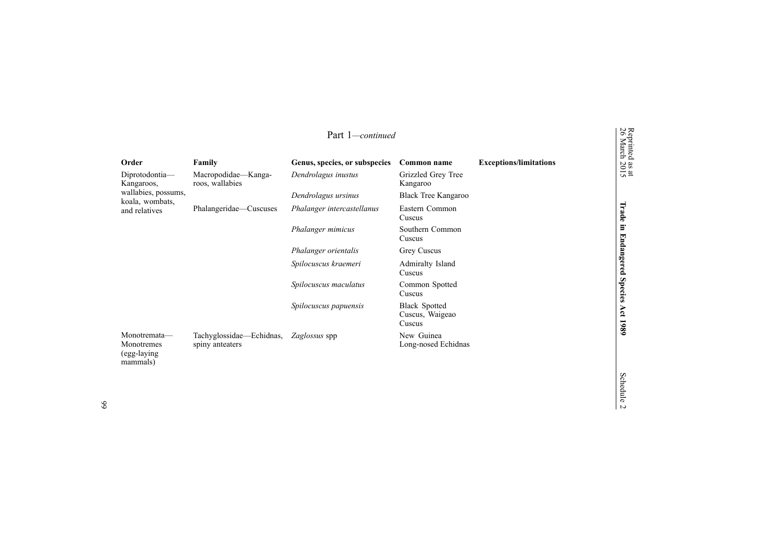| Part 1—continued                                       |                                             |                               |                                                   |                               |                                         |
|--------------------------------------------------------|---------------------------------------------|-------------------------------|---------------------------------------------------|-------------------------------|-----------------------------------------|
| Order                                                  | Family                                      | Genus, species, or subspecies | Common name                                       | <b>Exceptions/limitations</b> | Reprinted<br>26 March<br>$\frac{a}{20}$ |
| Diprotodontia-<br>Kangaroos,                           | Macropodidae—Kanga-<br>roos, wallabies      | Dendrolagus inustus           | Grizzled Grey Tree<br>Kangaroo                    |                               | $\sin 2$                                |
| wallabies, possums,<br>koala, wombats,                 |                                             | Dendrolagus ursinus           | Black Tree Kangaroo                               |                               |                                         |
| and relatives                                          | Phalangeridae—Cuscuses                      | Phalanger intercastellanus    | Eastern Common<br>Cuscus                          |                               | Trade                                   |
|                                                        |                                             | Phalanger mimicus             | Southern Common<br>Cuscus                         |                               | $\Xi$                                   |
|                                                        |                                             | Phalanger orientalis          | <b>Grey Cuscus</b>                                |                               |                                         |
|                                                        |                                             | Spilocuscus kraemeri          | Admiralty Island<br>Cuscus                        |                               | Endangered                              |
|                                                        |                                             | Spilocuscus maculatus         | Common Spotted<br>Cuscus                          |                               | <b>Species</b>                          |
|                                                        |                                             | Spilocuscus papuensis         | <b>Black Spotted</b><br>Cuscus, Waigeao<br>Cuscus |                               | Act<br>1980                             |
| Monotremata-<br>Monotremes<br>(egg-laying)<br>mammals) | Tachyglossidae—Echidnas,<br>spiny anteaters | Zaglossus spp                 | New Guinea<br>Long-nosed Echidnas                 |                               |                                         |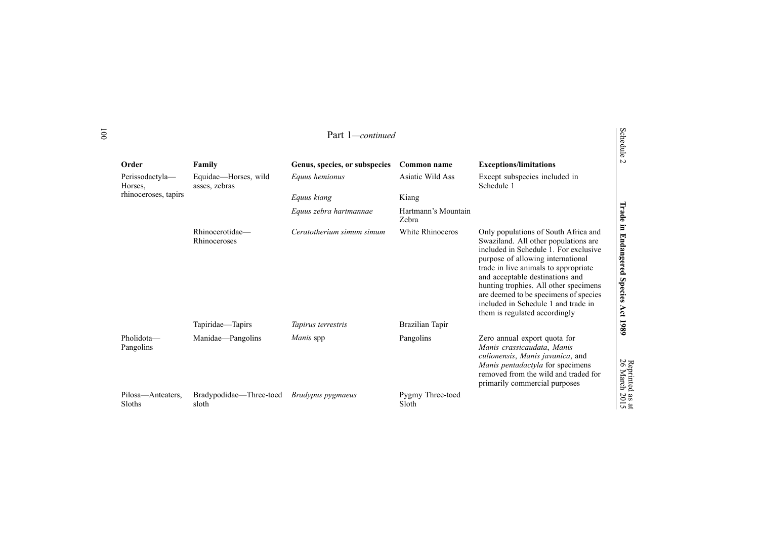| Order                       | Family                                | Genus, species, or subspecies | Common name                  | <b>Exceptions/limitations</b>                                                                                                                                                                                                                                                                                                                                                                   | edule<br>$\sim$                                  |
|-----------------------------|---------------------------------------|-------------------------------|------------------------------|-------------------------------------------------------------------------------------------------------------------------------------------------------------------------------------------------------------------------------------------------------------------------------------------------------------------------------------------------------------------------------------------------|--------------------------------------------------|
| Perissodactyla-<br>Horses.  | Equidae—Horses, wild<br>asses, zebras | Equus hemionus                | Asiatic Wild Ass             | Except subspecies included in<br>Schedule 1                                                                                                                                                                                                                                                                                                                                                     |                                                  |
| rhinoceroses, tapirs        |                                       | Equus kiang                   | Kiang                        |                                                                                                                                                                                                                                                                                                                                                                                                 |                                                  |
|                             |                                       | Equus zebra hartmannae        | Hartmann's Mountain<br>Zebra |                                                                                                                                                                                                                                                                                                                                                                                                 | Trade                                            |
|                             | Rhinocerotidae-<br>Rhinoceroses       | Ceratotherium simum simum     | White Rhinoceros             | Only populations of South Africa and<br>Swaziland. All other populations are<br>included in Schedule 1. For exclusive<br>purpose of allowing international<br>trade in live animals to appropriate<br>and acceptable destinations and<br>hunting trophies. All other specimens<br>are deemed to be specimens of species<br>included in Schedule 1 and trade in<br>them is regulated accordingly | E.<br><b>Endangered</b><br><b>Species</b><br>Act |
|                             | Tapiridae—Tapirs                      | Tapirus terrestris            | Brazilian Tapir              |                                                                                                                                                                                                                                                                                                                                                                                                 | 1989                                             |
| Pholidota-<br>Pangolins     | Manidae-Pangolins                     | Manis spp                     | Pangolins                    | Zero annual export quota for<br>Manis crassicaudata, Manis<br>culionensis, Manis javanica, and<br>Manis pentadactyla for specimens<br>removed from the wild and traded for<br>primarily commercial purposes                                                                                                                                                                                     | Reprinted as<br>26 March 201                     |
| Pilosa—Anteaters.<br>Sloths | Bradypodidae—Three-toed<br>sloth      | <i>Bradypus pygmaeus</i>      | Pygmy Three-toed<br>Sloth    |                                                                                                                                                                                                                                                                                                                                                                                                 | $\frac{a}{2}$                                    |

## Part 1*—continued*

# Schedule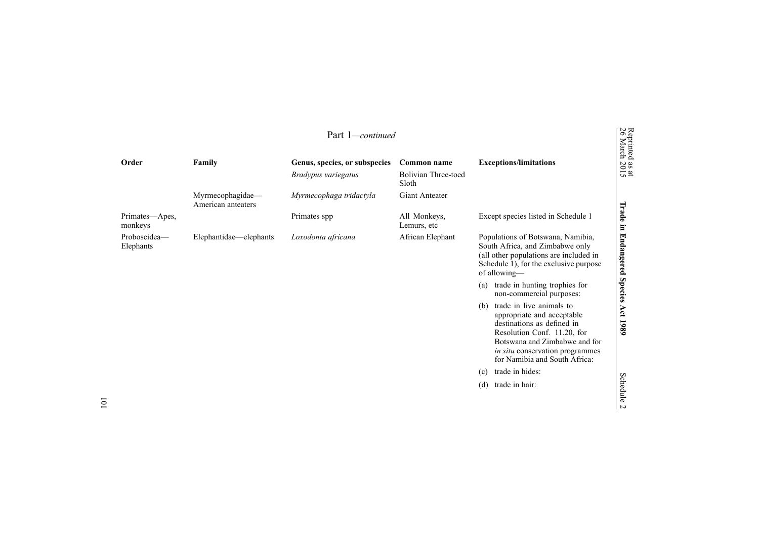|                           | Part 1—continued                       |                               |                                     |                                                                                                                                                                                                                                 |                                                       |  |  |
|---------------------------|----------------------------------------|-------------------------------|-------------------------------------|---------------------------------------------------------------------------------------------------------------------------------------------------------------------------------------------------------------------------------|-------------------------------------------------------|--|--|
| Order                     | Family                                 | Genus, species, or subspecies | Common name                         | <b>Exceptions/limitations</b>                                                                                                                                                                                                   | Reprinted<br>26 March<br>$\frac{30 \text{ ft}}{2015}$ |  |  |
|                           |                                        | Bradypus variegatus           | <b>Bolivian Three-toed</b><br>Sloth |                                                                                                                                                                                                                                 |                                                       |  |  |
|                           | Myrmecophagidae-<br>American anteaters | Myrmecophaga tridactyla       | Giant Anteater                      |                                                                                                                                                                                                                                 |                                                       |  |  |
| Primates—Apes,<br>monkeys |                                        | Primates spp                  | All Monkeys,<br>Lemurs, etc.        | Except species listed in Schedule 1                                                                                                                                                                                             | Trade<br>Ē.                                           |  |  |
| Proboscidea-<br>Elephants | Elephantidae—elephants                 | Loxodonta africana            | African Elephant                    | Populations of Botswana, Namibia,<br>South Africa, and Zimbabwe only<br>(all other populations are included in<br>Schedule 1), for the exclusive purpose<br>of allowing—                                                        | <b>Endangered</b>                                     |  |  |
|                           |                                        |                               |                                     | trade in hunting trophies for<br>(a)<br>non-commercial purposes:                                                                                                                                                                | <b>Species</b>                                        |  |  |
|                           |                                        |                               |                                     | trade in live animals to<br>(b)<br>appropriate and acceptable<br>destinations as defined in<br>Resolution Conf. 11.20, for<br>Botswana and Zimbabwe and for<br>in situ conservation programmes<br>for Namibia and South Africa: | Act<br>1980                                           |  |  |
|                           |                                        |                               |                                     | trade in hides:<br>(c)                                                                                                                                                                                                          |                                                       |  |  |
|                           |                                        |                               |                                     | trade in hair:<br>(d)                                                                                                                                                                                                           | Schedule<br>$\sim$                                    |  |  |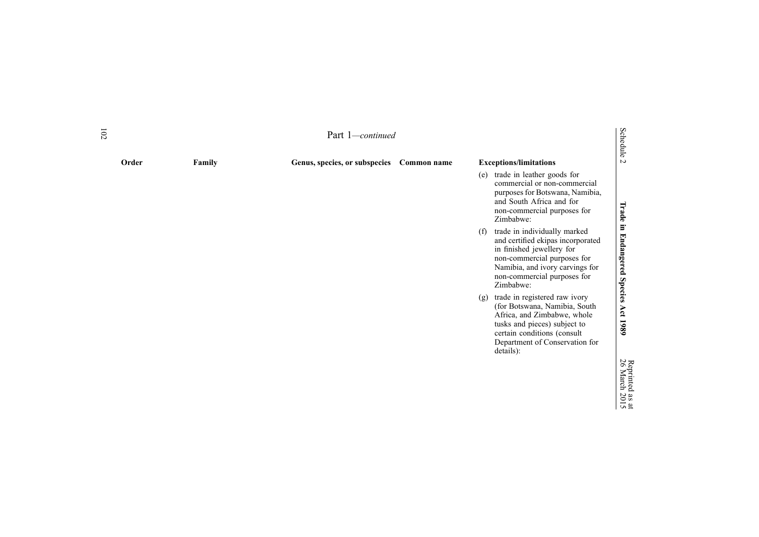| 102 | Part 1-continued |        |                               |             |                                                                                                                                                                                                                     |                                      |
|-----|------------------|--------|-------------------------------|-------------|---------------------------------------------------------------------------------------------------------------------------------------------------------------------------------------------------------------------|--------------------------------------|
|     | Order            | Family | Genus, species, or subspecies | Common name | <b>Exceptions/limitations</b>                                                                                                                                                                                       | Schedule 2                           |
|     |                  |        |                               |             | trade in leather goods for<br>(e)<br>commercial or non-commercial<br>purposes for Botswana, Namibia,<br>and South Africa and for<br>non-commercial purposes for<br>Zimbabwe:                                        |                                      |
|     |                  |        |                               |             | trade in individually marked<br>(f)<br>and certified ekipas incorporated<br>in finished jewellery for<br>non-commercial purposes for<br>Namibia, and ivory carvings for<br>non-commercial purposes for<br>Zimbabwe: | Trade in Endangered Species Act 1989 |
|     |                  |        |                               |             | trade in registered raw ivory<br>(g)<br>(for Botswana, Namibia, South<br>Africa, and Zimbabwe, whole<br>tusks and pieces) subject to<br>certain conditions (consult<br>Department of Conservation for<br>details):  |                                      |
|     |                  |        |                               |             |                                                                                                                                                                                                                     | 26 March 2015                        |
|     |                  |        |                               |             |                                                                                                                                                                                                                     |                                      |

Reprinted

as  $\vec{a}$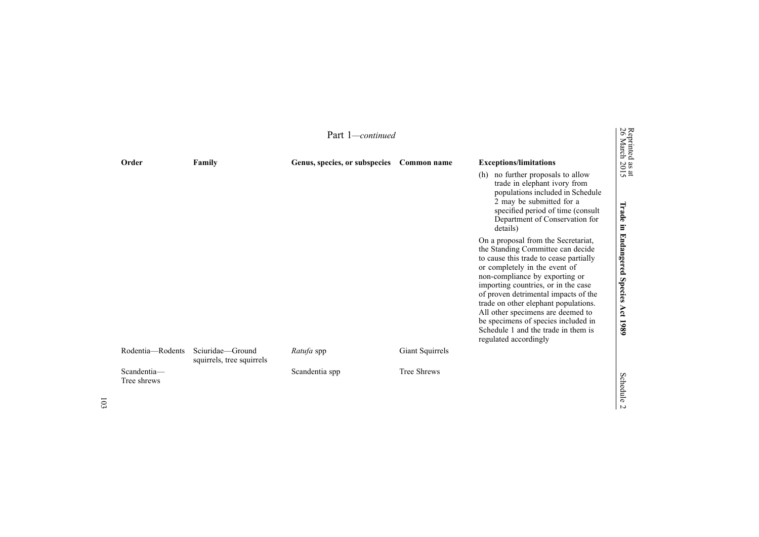|                            | Reprinted<br>26 March<br>Part 1—continued     |                               |                    |                                                                                                                                                                                                                                                                                                                                                                                                                                                          |                                                |  |  |  |
|----------------------------|-----------------------------------------------|-------------------------------|--------------------|----------------------------------------------------------------------------------------------------------------------------------------------------------------------------------------------------------------------------------------------------------------------------------------------------------------------------------------------------------------------------------------------------------------------------------------------------------|------------------------------------------------|--|--|--|
| Order                      | Family                                        | Genus, species, or subspecies | Common name        | <b>Exceptions/limitations</b>                                                                                                                                                                                                                                                                                                                                                                                                                            |                                                |  |  |  |
|                            |                                               |                               |                    | no further proposals to allow<br>(h)<br>trade in elephant ivory from<br>populations included in Schedule<br>2 may be submitted for a<br>specified period of time (consult<br>Department of Conservation for<br>details)                                                                                                                                                                                                                                  | $\frac{38 \text{ at}}{2015}$<br>Irade          |  |  |  |
|                            |                                               |                               |                    | On a proposal from the Secretariat,<br>the Standing Committee can decide<br>to cause this trade to cease partially<br>or completely in the event of<br>non-compliance by exporting or<br>importing countries, or in the case<br>of proven detrimental impacts of the<br>trade on other elephant populations.<br>All other specimens are deemed to<br>be specimens of species included in<br>Schedule 1 and the trade in them is<br>regulated accordingly | in Endangered<br><b>Species</b><br>Act<br>1980 |  |  |  |
| Rodentia-Rodents           | Sciuridae-Ground<br>squirrels, tree squirrels | Ratufa spp                    | Giant Squirrels    |                                                                                                                                                                                                                                                                                                                                                                                                                                                          |                                                |  |  |  |
| Scandentia-<br>Tree shrews |                                               | Scandentia spp                | <b>Tree Shrews</b> |                                                                                                                                                                                                                                                                                                                                                                                                                                                          | Schedule                                       |  |  |  |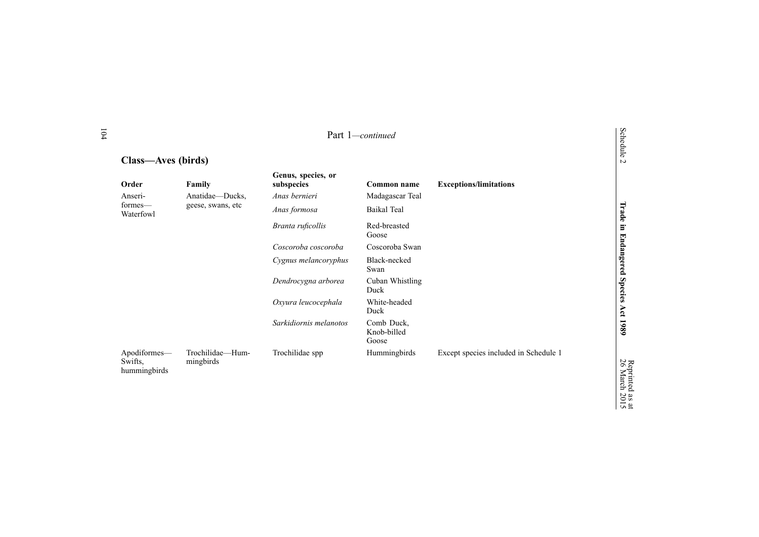|                                         | Part 1-continued              |                                  |                                    |                                       |                            |  |
|-----------------------------------------|-------------------------------|----------------------------------|------------------------------------|---------------------------------------|----------------------------|--|
| Class—Aves (birds)                      |                               |                                  |                                    |                                       | Schedule<br>$\overline{a}$ |  |
| Order                                   | Family                        | Genus, species, or<br>subspecies | Common name                        | <b>Exceptions/limitations</b>         |                            |  |
| Anseri-                                 | Anatidae—Ducks,               | Anas bernieri                    | Madagascar Teal                    |                                       |                            |  |
| formes—<br>Waterfowl                    | geese, swans, etc             | Anas formosa                     | Baikal Teal                        |                                       | Trade                      |  |
|                                         |                               | Branta ruficollis                | Red-breasted<br>Goose              |                                       | Ē.                         |  |
|                                         |                               | Coscoroba coscoroba              | Coscoroba Swan                     |                                       |                            |  |
|                                         |                               | Cygnus melancoryphus             | Black-necked<br>Swan               |                                       | <b>Endangered Species</b>  |  |
|                                         |                               | Dendrocygna arborea              | Cuban Whistling<br>Duck            |                                       |                            |  |
|                                         |                               | Oxyura leucocephala              | White-headed<br>Duck               |                                       |                            |  |
|                                         |                               | Sarkidiornis melanotos           | Comb Duck,<br>Knob-billed<br>Goose |                                       | Act 1989                   |  |
| Apodiformes-<br>Swifts,<br>hummingbirds | Trochilidae-Hum-<br>mingbirds | Trochilidae spp                  | Hummingbirds                       | Except species included in Schedule 1 | Reprinted<br>26 March      |  |

Reprinted

as  $\vec{a}$ 2015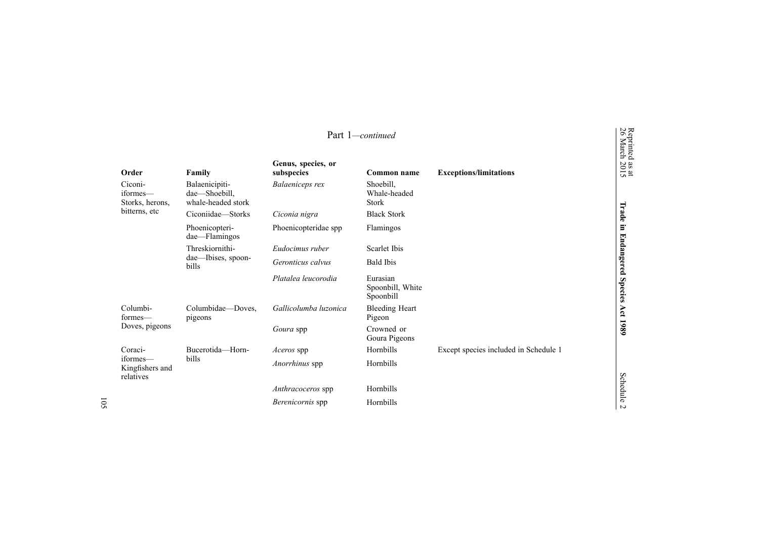| Part 1-continued                         |                                                       |                                  |                                           |                                       |                                           |
|------------------------------------------|-------------------------------------------------------|----------------------------------|-------------------------------------------|---------------------------------------|-------------------------------------------|
| Order                                    | Family                                                | Genus, species, or<br>subspecies | Common name                               | <b>Exceptions/limitations</b>         | Reprinted<br>26 March<br>$\frac{3}{2015}$ |
| Ciconi-<br>iformes-<br>Storks, herons,   | Balaenicipiti-<br>dae-Shoebill,<br>whale-headed stork | Balaeniceps rex                  | Shoebill,<br>Whale-headed<br><b>Stork</b> |                                       |                                           |
| bitterns, etc                            | Ciconiidae—Storks                                     | Ciconia nigra                    | <b>Black Stork</b>                        |                                       | Trade                                     |
|                                          | Phoenicopteri-<br>dae-Flamingos                       | Phoenicopteridae spp             | Flamingos                                 |                                       | Ξ                                         |
|                                          | Threskiornithi-                                       | Eudocimus ruber                  | Scarlet Ibis                              |                                       |                                           |
|                                          | dae-Ibises, spoon-<br>bills                           | Geronticus calvus                | <b>Bald Ibis</b>                          |                                       | Endangered                                |
|                                          |                                                       | Platalea leucorodia              | Eurasian<br>Spoonbill, White<br>Spoonbill |                                       | <b>Species</b>                            |
| Columbi-<br>formes—                      | Columbidae-Doves,<br>pigeons                          | Gallicolumba luzonica            | <b>Bleeding Heart</b><br>Pigeon           |                                       | Act                                       |
| Doves, pigeons                           |                                                       | Goura spp                        | Crowned or<br>Goura Pigeons               |                                       | 1989                                      |
| Coraci-                                  | Bucerotida-Horn-                                      | <i>Aceros</i> spp                | Hornbills                                 | Except species included in Schedule 1 |                                           |
| iformes—<br>Kingfishers and<br>relatives | <b>bills</b>                                          | Anorrhinus spp                   | Hornbills                                 |                                       |                                           |
|                                          |                                                       | Anthracoceros spp                | Hornbills                                 |                                       | Schedule                                  |
|                                          |                                                       | Berenicornis spp                 | Hornbills                                 |                                       | $\overline{a}$                            |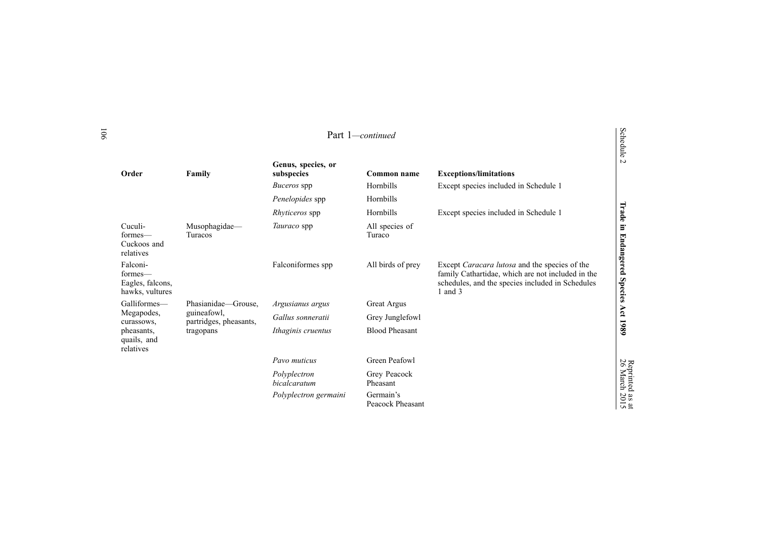|                                                                                    |                                                                           | Genus, species, or                  |                               |                                                                                                                                                                     | edule<br>$\sim$              |
|------------------------------------------------------------------------------------|---------------------------------------------------------------------------|-------------------------------------|-------------------------------|---------------------------------------------------------------------------------------------------------------------------------------------------------------------|------------------------------|
| Order                                                                              | Family                                                                    | subspecies                          | Common name                   | <b>Exceptions/limitations</b>                                                                                                                                       |                              |
|                                                                                    |                                                                           | <i>Buceros</i> spp                  | Hornbills                     | Except species included in Schedule 1                                                                                                                               |                              |
|                                                                                    |                                                                           | Penelopides spp                     | Hornbills                     |                                                                                                                                                                     |                              |
|                                                                                    |                                                                           | <i>Rhyticeros</i> spp               | Hornbills                     | Except species included in Schedule 1                                                                                                                               | Trade                        |
| Cuculi-<br>formes—<br>Cuckoos and<br>relatives                                     | Musophagidae-<br><b>Turacos</b>                                           | <i>Tauraco</i> spp                  | All species of<br>Turaco      |                                                                                                                                                                     | Ē.<br><b>Endangered</b>      |
| Falconi-<br>formes—<br>Eagles, falcons,<br>hawks, vultures                         |                                                                           | Falconiformes spp                   | All birds of prey             | Except Caracara lutosa and the species of the<br>family Cathartidae, which are not included in the<br>schedules, and the species included in Schedules<br>1 and $3$ | <b>Species</b>               |
| Galliformes—<br>Megapodes,<br>curassows,<br>pheasants,<br>quails, and<br>relatives | Phasianidae-Grouse,<br>guineafowl,<br>partridges, pheasants,<br>tragopans | Argusianus argus                    | <b>Great Argus</b>            |                                                                                                                                                                     |                              |
|                                                                                    |                                                                           | Gallus sonneratii                   | Grey Junglefowl               |                                                                                                                                                                     | Act                          |
|                                                                                    |                                                                           | Ithaginis cruentus                  | <b>Blood Pheasant</b>         |                                                                                                                                                                     | 1980                         |
|                                                                                    |                                                                           | Pavo muticus                        | Green Peafowl                 |                                                                                                                                                                     |                              |
|                                                                                    |                                                                           | Polyplectron<br><i>bicalcaratum</i> | Grey Peacock<br>Pheasant      |                                                                                                                                                                     | Reprinted<br>26 March        |
|                                                                                    |                                                                           | Polyplectron germaini               | Germain's<br>Peacock Pheasant |                                                                                                                                                                     | $\frac{38 \text{ at}}{2015}$ |

# Schedule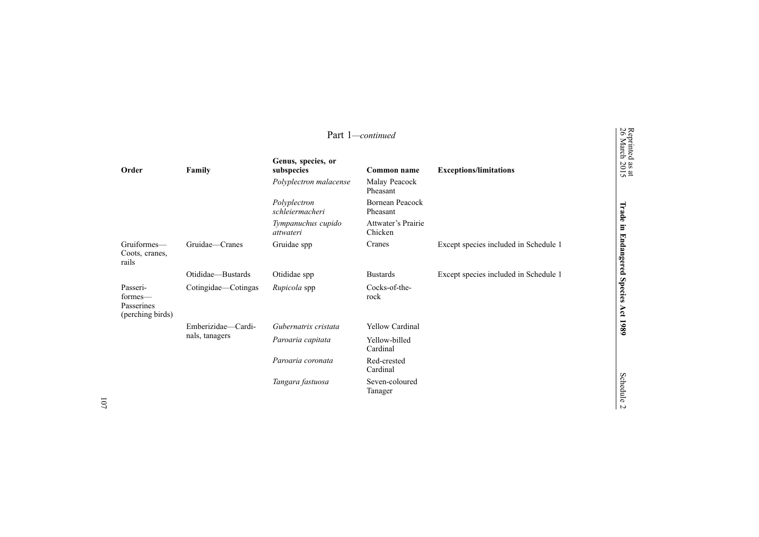| Part 1-continued                                      |                                      |                                  |                                    |                                       |                                           |
|-------------------------------------------------------|--------------------------------------|----------------------------------|------------------------------------|---------------------------------------|-------------------------------------------|
| Order                                                 | Family                               | Genus, species, or<br>subspecies | Common name                        | <b>Exceptions/limitations</b>         | Reprinted<br>26 March<br>$\frac{3}{2015}$ |
|                                                       |                                      | Polyplectron malacense           | Malay Peacock<br>Pheasant          |                                       |                                           |
|                                                       |                                      | Polyplectron<br>schleiermacheri  | <b>Bornean Peacock</b><br>Pheasant |                                       | Trade                                     |
|                                                       |                                      | Tympanuchus cupido<br>attwateri  | Attwater's Prairie<br>Chicken      |                                       | E.                                        |
| Gruiformes-<br>Coots, cranes,<br>rails                | Gruidae—Cranes                       | Gruidae spp                      | Cranes                             | Except species included in Schedule 1 | <b>Endangered</b>                         |
|                                                       | Otididae-Bustards                    | Otididae spp                     | <b>Bustards</b>                    | Except species included in Schedule 1 |                                           |
| Passeri-<br>formes—<br>Passerines<br>(perching birds) | Cotingidae-Cotingas                  | Rupicola spp                     | Cocks-of-the-<br>rock              |                                       | <b>Species</b><br>Act 1989                |
|                                                       | Emberizidae-Cardi-<br>nals, tanagers | Gubernatrix cristata             | <b>Yellow Cardinal</b>             |                                       |                                           |
|                                                       |                                      | Paroaria capitata                | Yellow-billed<br>Cardinal          |                                       |                                           |
|                                                       |                                      | Paroaria coronata                | Red-crested<br>Cardinal            |                                       |                                           |
|                                                       |                                      | Tangara fastuosa                 | Seven-coloured<br>Tanager          |                                       | Schedule<br>N                             |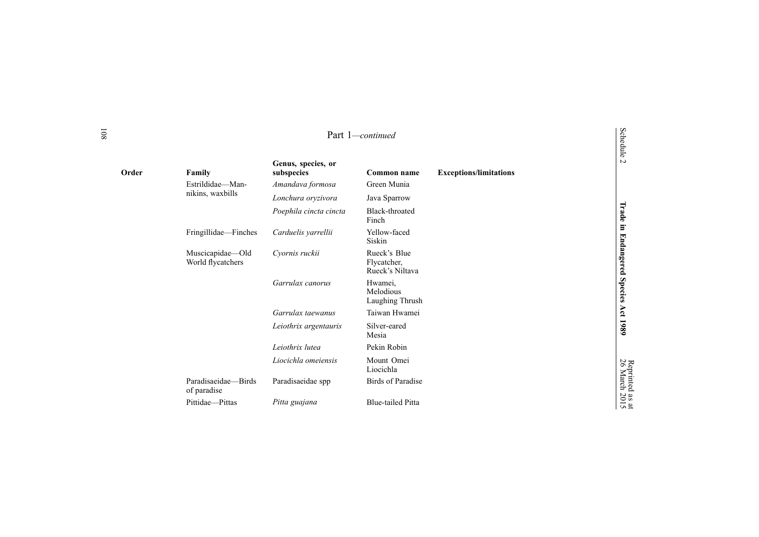| Order | Family                                | Genus, species, or<br>subspecies | Common name                                    | <b>Exceptions/limitations</b> | $\overline{a}$        |
|-------|---------------------------------------|----------------------------------|------------------------------------------------|-------------------------------|-----------------------|
|       | Estrildidae-Man-                      | Amandava formosa                 | Green Munia                                    |                               |                       |
|       | nikins, waxbills                      | Lonchura oryzivora               | Java Sparrow                                   |                               |                       |
|       |                                       | Poephila cincta cincta           | Black-throated<br>Finch                        |                               | Trade                 |
|       | Fringillidae—Finches                  | Carduelis yarrellii              | Yellow-faced<br>Siskin                         |                               | E.                    |
|       | Muscicapidae—Old<br>World flycatchers | Cyornis ruckii                   | Rueck's Blue<br>Flycatcher,<br>Rueck's Niltava |                               | Endangered            |
|       |                                       | Garrulax canorus                 | Hwamei.<br>Melodious<br>Laughing Thrush        |                               | <b>Species</b>        |
|       |                                       | Garrulax taewanus                | Taiwan Hwamei                                  |                               | Act                   |
|       |                                       | Leiothrix argentauris            | Silver-eared<br>Mesia                          |                               | 1980                  |
|       |                                       | Leiothrix lutea                  | Pekin Robin                                    |                               |                       |
|       |                                       | Liocichla omeiensis              | Mount Omei<br>Liocichla                        |                               | Reprinted<br>26 March |
|       | Paradisaeidae-Birds<br>of paradise    | Paradisaeidae spp                | <b>Birds of Paradise</b>                       |                               |                       |
|       | Pittidae-Pittas                       | Pitta guajana                    | <b>Blue-tailed Pitta</b>                       |                               | as at<br>2015         |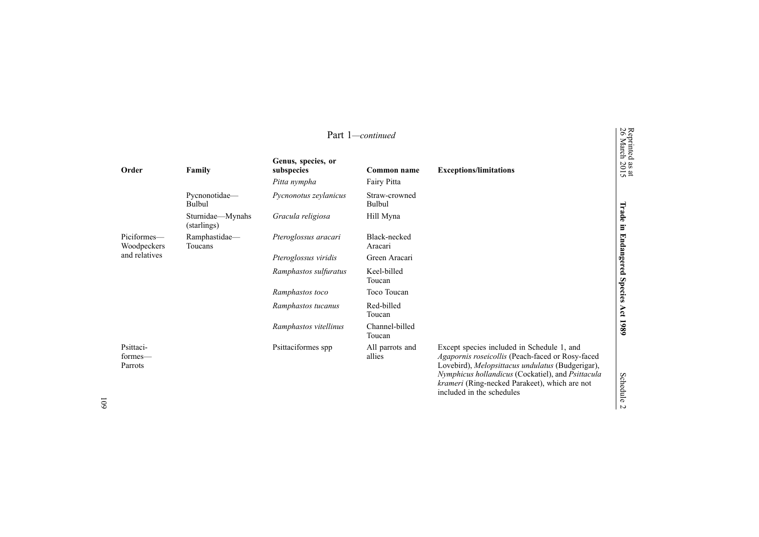|                                 |                                 |                                                  | Part 1-continued           |                                                                                                                                                                                                                                                                                       | Reprinted<br>26 March        |
|---------------------------------|---------------------------------|--------------------------------------------------|----------------------------|---------------------------------------------------------------------------------------------------------------------------------------------------------------------------------------------------------------------------------------------------------------------------------------|------------------------------|
| Order                           | Family                          | Genus, species, or<br>subspecies<br>Pitta nympha | Common name<br>Fairy Pitta | <b>Exceptions/limitations</b>                                                                                                                                                                                                                                                         | $\frac{38 \text{ at}}{2015}$ |
|                                 | Pycnonotidae-<br>Bulbul         | Pycnonotus zeylanicus                            | Straw-crowned<br>Bulbul    |                                                                                                                                                                                                                                                                                       |                              |
|                                 | Sturnidae—Mynahs<br>(starlings) | Gracula religiosa                                | Hill Myna                  |                                                                                                                                                                                                                                                                                       | Trade<br>$\Xi$               |
| Piciformes-<br>Woodpeckers      | Ramphastidae-<br>Toucans        | Pteroglossus aracari                             | Black-necked<br>Aracari    |                                                                                                                                                                                                                                                                                       | <b>Endangered</b>            |
| and relatives                   |                                 | Pteroglossus viridis                             | Green Aracari              |                                                                                                                                                                                                                                                                                       |                              |
|                                 |                                 | Ramphastos sulfuratus                            | Keel-billed<br>Toucan      |                                                                                                                                                                                                                                                                                       |                              |
|                                 |                                 | Ramphastos toco                                  | Toco Toucan                |                                                                                                                                                                                                                                                                                       | Species                      |
|                                 |                                 | Ramphastos tucanus                               | Red-billed<br>Toucan       |                                                                                                                                                                                                                                                                                       | Act 1989                     |
|                                 |                                 | Ramphastos vitellinus                            | Channel-billed<br>Toucan   |                                                                                                                                                                                                                                                                                       |                              |
| Psittaci-<br>formes—<br>Parrots |                                 | Psittaciformes spp                               | All parrots and<br>allies  | Except species included in Schedule 1, and<br>Agapornis roseicollis (Peach-faced or Rosy-faced<br>Lovebird), Melopsittacus undulatus (Budgerigar),<br>Nymphicus hollandicus (Cockatiel), and Psittacula<br>krameri (Ring-necked Parakeet), which are not<br>included in the schedules | <b>Schedule</b><br>$\sim$    |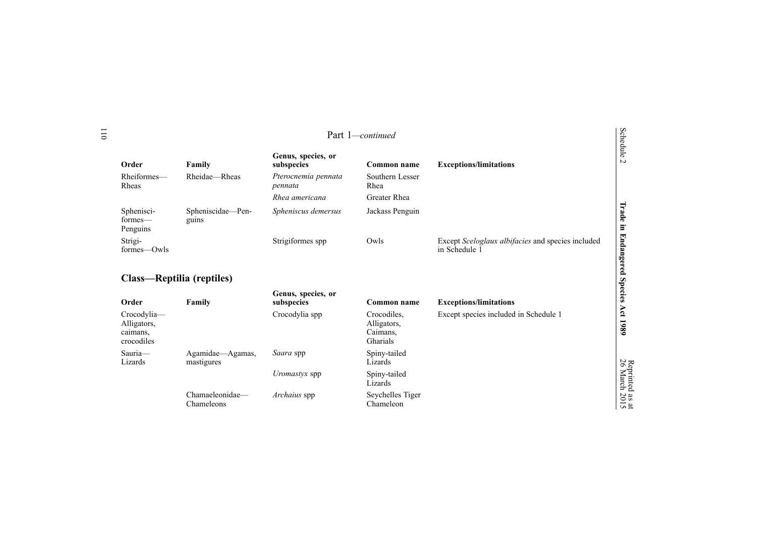|                                                      |                                |                                  | Part 1-continued                                   |                                                                    | Schedule                         |
|------------------------------------------------------|--------------------------------|----------------------------------|----------------------------------------------------|--------------------------------------------------------------------|----------------------------------|
| Order                                                | Family                         | Genus, species, or<br>subspecies | Common name                                        | <b>Exceptions/limitations</b>                                      | $\overline{a}$                   |
| Rheiformes-<br>Rheas                                 | Rheidae-Rheas                  | Pterocnemia pennata<br>pennata   | Southern Lesser<br>Rhea                            |                                                                    |                                  |
|                                                      |                                | Rhea americana                   | <b>Greater Rhea</b>                                |                                                                    |                                  |
| Sphenisci-<br>formes—<br>Penguins                    | Spheniscidae-Pen-<br>guins     | Spheniscus demersus              | Jackass Penguin                                    |                                                                    | Trade in                         |
| Strigi-<br>formes-Owls                               |                                | Strigiformes spp                 | Owls                                               | Except Sceloglaux albifacies and species included<br>in Schedule 1 | <b>Endangered Species</b>        |
| Class—Reptilia (reptiles)                            |                                |                                  |                                                    |                                                                    |                                  |
| Order                                                | Family                         | Genus, species, or<br>subspecies | Common name                                        | <b>Exceptions/limitations</b>                                      |                                  |
| Crocodylia-<br>Alligators,<br>caimans,<br>crocodiles |                                | Crocodylia spp                   | Crocodiles.<br>Alligators,<br>Caimans,<br>Gharials | Except species included in Schedule 1                              | Act 1989                         |
| Sauria-<br>Lizards                                   | Agamidae-Agamas,<br>mastigures | Saara spp                        | Spiny-tailed<br>Lizards                            |                                                                    |                                  |
|                                                      |                                | <i>Uromastyx</i> spp             | Spiny-tailed<br>Lizards                            |                                                                    |                                  |
|                                                      | Chamaeleonidae-<br>Chameleons  | Archaius spp                     | Seychelles Tiger<br>Chameleon                      |                                                                    | Reprinted as at<br>26 March 2015 |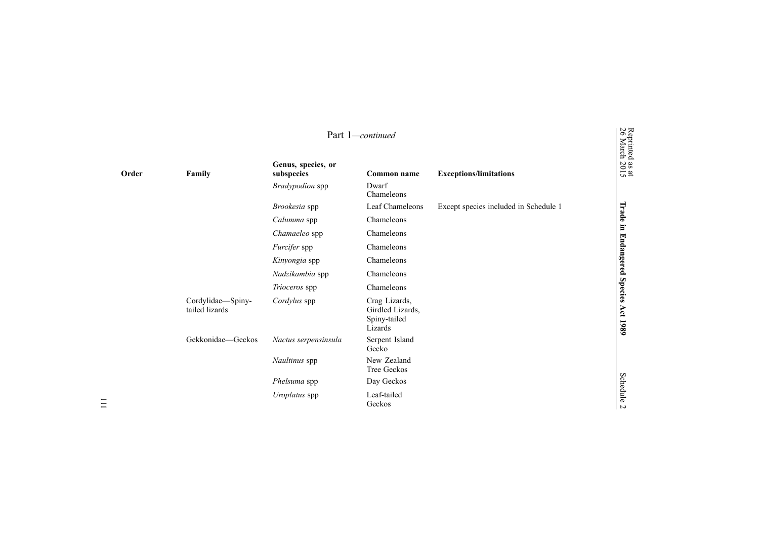|       | Part 1-continued                    |                                  |                                                              | Reprinted<br>26 March                 |                    |
|-------|-------------------------------------|----------------------------------|--------------------------------------------------------------|---------------------------------------|--------------------|
| Order | Family                              | Genus, species, or<br>subspecies | Common name                                                  | <b>Exceptions/limitations</b>         | $\frac{38}{2015}$  |
|       |                                     | Bradypodion spp                  | Dwarf<br>Chameleons                                          |                                       |                    |
|       |                                     | Brookesia spp                    | Leaf Chameleons                                              | Except species included in Schedule 1 | Trade              |
|       |                                     | Calumma spp                      | Chameleons                                                   |                                       |                    |
|       |                                     | Chamaeleo spp                    | Chameleons                                                   |                                       | $\Xi$              |
|       |                                     | Furcifer spp                     | Chameleons                                                   |                                       |                    |
|       |                                     | Kinyongia spp                    | Chameleons                                                   |                                       | Endangered         |
|       |                                     | Nadzikambia spp                  | Chameleons                                                   |                                       |                    |
|       |                                     | Trioceros spp                    | Chameleons                                                   |                                       | <b>Species</b>     |
|       | Cordylidae-Spiny-<br>tailed lizards | Cordylus spp                     | Crag Lizards,<br>Girdled Lizards,<br>Spiny-tailed<br>Lizards |                                       | Act<br>1989        |
|       | Gekkonidae-Geckos                   | Nactus serpensinsula             | Serpent Island<br>Gecko                                      |                                       |                    |
|       |                                     | Naultinus spp                    | New Zealand<br><b>Tree Geckos</b>                            |                                       |                    |
|       |                                     | Phelsuma spp                     | Day Geckos                                                   |                                       |                    |
|       |                                     | Uroplatus spp                    | Leaf-tailed<br>Geckos                                        |                                       | Schedule<br>$\sim$ |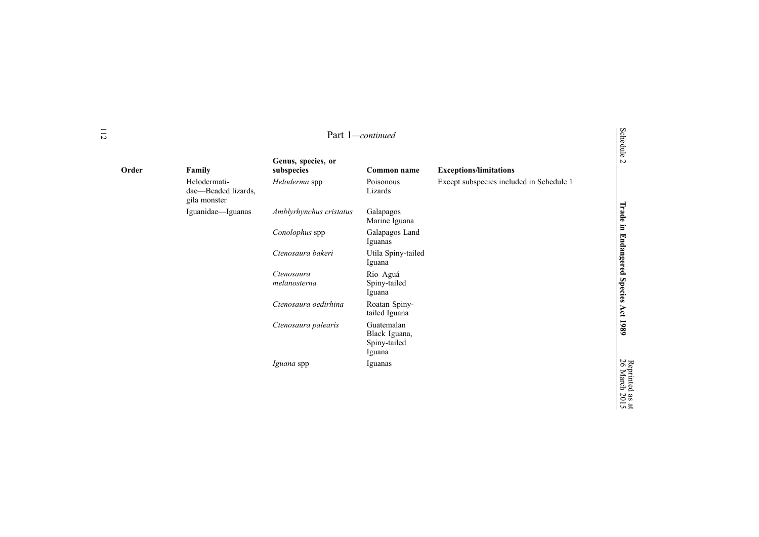|       |                                                     | Part 1-continued                 |                                                       | Schedule 2                               |                                      |
|-------|-----------------------------------------------------|----------------------------------|-------------------------------------------------------|------------------------------------------|--------------------------------------|
| Order | Family                                              | Genus, species, or<br>subspecies | Common name                                           | <b>Exceptions/limitations</b>            |                                      |
|       | Helodermati-<br>dae-Beaded lizards,<br>gila monster | Heloderma spp                    | Poisonous<br>Lizards                                  | Except subspecies included in Schedule 1 |                                      |
|       | Iguanidae-Iguanas                                   | Amblyrhynchus cristatus          | Galapagos<br>Marine Iguana                            |                                          |                                      |
|       |                                                     | Conolophus spp                   | Galapagos Land<br>Iguanas                             |                                          |                                      |
|       |                                                     | Ctenosaura bakeri                | Utila Spiny-tailed<br>Iguana                          |                                          |                                      |
|       |                                                     | Ctenosaura<br>melanosterna       | Rio Aguá<br>Spiny-tailed<br>Iguana                    |                                          | Trade in Endangered Species Act 1989 |
|       |                                                     | Ctenosaura oedirhina             | Roatan Spiny-<br>tailed Iguana                        |                                          |                                      |
|       |                                                     | Ctenosaura palearis              | Guatemalan<br>Black Iguana,<br>Spiny-tailed<br>Iguana |                                          |                                      |
|       |                                                     | <i>Iguana</i> spp                | Iguanas                                               |                                          | 26 March                             |

as  $\vec{a}$ 2015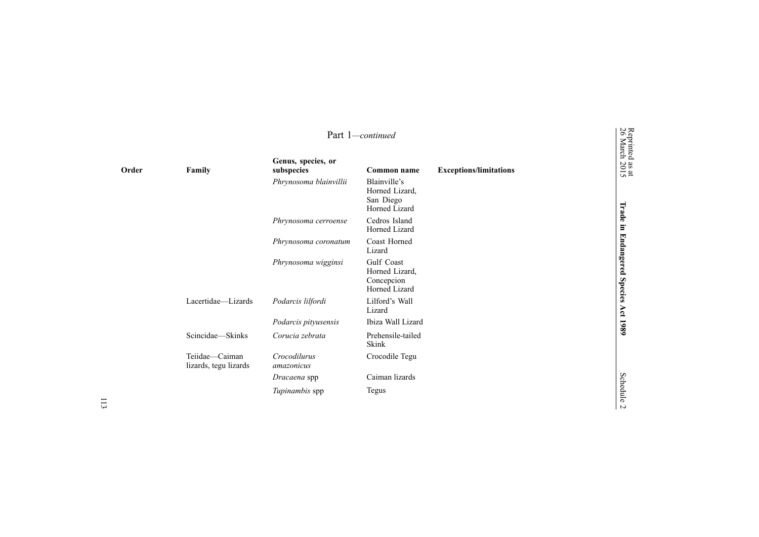|       |                                         |                                  | Part 1-continued                                             |                               | Reprinted<br>26 March        |
|-------|-----------------------------------------|----------------------------------|--------------------------------------------------------------|-------------------------------|------------------------------|
| Order | Family                                  | Genus, species, or<br>subspecies | Common name                                                  | <b>Exceptions/limitations</b> | $\frac{38 \text{ at}}{2015}$ |
|       |                                         | Phrynosoma blainvillii           | Blainville's<br>Horned Lizard,<br>San Diego<br>Horned Lizard |                               | Trade                        |
|       |                                         | Phrynosoma cerroense             | Cedros Island<br>Horned Lizard                               |                               | $\Xi$                        |
|       |                                         | Phrynosoma coronatum             | Coast Horned<br>Lizard                                       |                               | <b>Endangered</b>            |
|       |                                         | Phrynosoma wigginsi              | Gulf Coast<br>Horned Lizard,<br>Concepcion<br>Horned Lizard  |                               | <b>Species</b>               |
|       | Lacertidae-Lizards                      | Podarcis lilfordi                | Lilford's Wall<br>Lizard                                     |                               |                              |
|       |                                         | Podarcis pityusensis             | Ibiza Wall Lizard                                            |                               | Act 1989                     |
|       | Scincidae-Skinks                        | Corucia zebrata                  | Prehensile-tailed<br>Skink                                   |                               |                              |
|       | Teiidae—Caiman<br>lizards, tegu lizards | Crocodilurus<br>amazonicus       | Crocodile Tegu                                               |                               |                              |
|       |                                         | Dracaena spp                     | Caiman lizards                                               |                               |                              |
|       |                                         | Tupinambis spp                   | Tegus                                                        |                               | Schedule<br>$\overline{v}$   |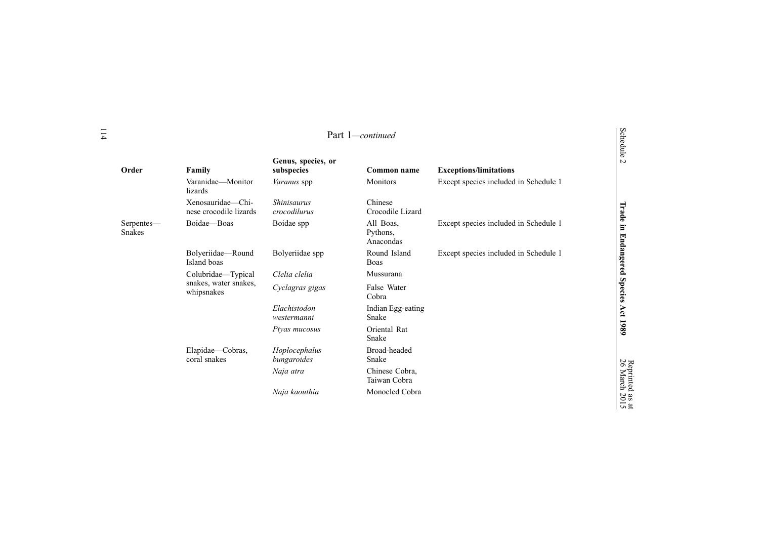| 11                          |                                             |                                    | Part 1-continued                   |                                       | Schedule              |
|-----------------------------|---------------------------------------------|------------------------------------|------------------------------------|---------------------------------------|-----------------------|
| Order                       | Family                                      | Genus, species, or<br>subspecies   | Common name                        | <b>Exceptions/limitations</b>         | $\sim$                |
|                             | Varanidae-Monitor<br>lizards                | Varanus spp                        | Monitors                           | Except species included in Schedule 1 |                       |
|                             | Xenosauridae-Chi-<br>nese crocodile lizards | <b>Shinisaurus</b><br>crocodilurus | Chinese<br>Crocodile Lizard        |                                       | Trade                 |
| Serpentes—<br><b>Snakes</b> | Boidae-Boas                                 | Boidae spp                         | All Boas,<br>Pythons,<br>Anacondas | Except species included in Schedule 1 | E                     |
|                             | Bolyeriidae-Round<br>Island boas            | Bolyeriidae spp                    | Round Island<br>Boas               | Except species included in Schedule 1 | <b>Endangered</b>     |
|                             | Colubridae-Typical                          | Clelia clelia                      | Mussurana                          |                                       |                       |
|                             | snakes, water snakes,<br>whipsnakes         | Cyclagras gigas                    | False Water<br>Cobra               |                                       | <b>Species</b>        |
|                             |                                             | Elachistodon<br>westermanni        | Indian Egg-eating<br>Snake         |                                       | Act                   |
|                             |                                             | Ptyas mucosus                      | Oriental Rat<br>Snake              |                                       | 1989                  |
|                             | Elapidae-Cobras,<br>coral snakes            | Hoplocephalus<br>bungaroides       | Broad-headed<br>Snake              |                                       |                       |
|                             |                                             | Naja atra                          | Chinese Cobra.<br>Taiwan Cobra     |                                       | Reprinted<br>26 March |
|                             |                                             | Naja kaouthia                      | Monocled Cobra                     |                                       | as at<br>2015         |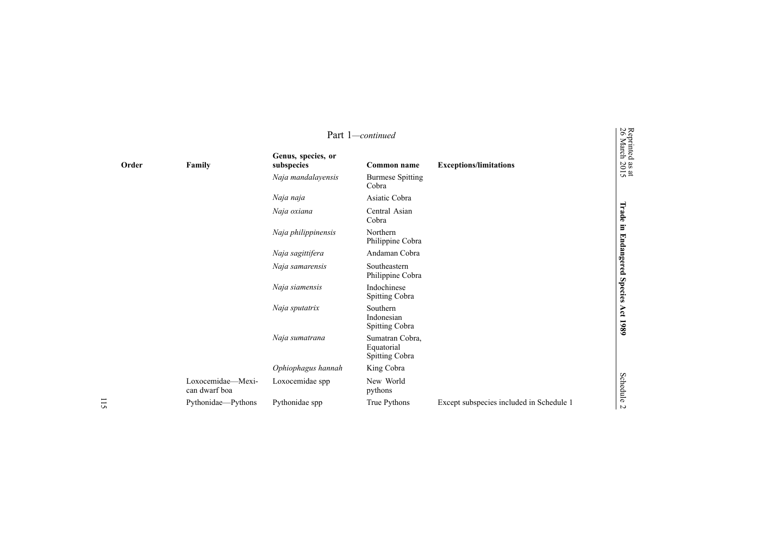|       |                                    |                                  | Part 1-continued                                       |                                          |                                                       |
|-------|------------------------------------|----------------------------------|--------------------------------------------------------|------------------------------------------|-------------------------------------------------------|
| Order | Family                             | Genus, species, or<br>subspecies | Common name                                            | <b>Exceptions/limitations</b>            | Reprinted<br>26 March<br>$\frac{38 \text{ at}}{2015}$ |
|       |                                    | Naja mandalayensis               | <b>Burmese Spitting</b><br>Cobra                       |                                          |                                                       |
|       |                                    | Naja naja                        | Asiatic Cobra                                          |                                          |                                                       |
|       |                                    | Naja oxiana                      | Central Asian<br>Cobra                                 |                                          | Trade                                                 |
|       |                                    | Naja philippinensis              | Northern<br>Philippine Cobra                           |                                          | in Endangered                                         |
|       |                                    | Naja sagittifera                 | Andaman Cobra                                          |                                          |                                                       |
|       |                                    | Naja samarensis                  | Southeastern<br>Philippine Cobra                       |                                          |                                                       |
|       |                                    | Naja siamensis                   | Indochinese<br><b>Spitting Cobra</b>                   |                                          | Species                                               |
|       |                                    | Naja sputatrix                   | Southern<br>Indonesian<br>Spitting Cobra               |                                          | Act<br>1980                                           |
|       |                                    | Naja sumatrana                   | Sumatran Cobra,<br>Equatorial<br><b>Spitting Cobra</b> |                                          |                                                       |
|       |                                    | Ophiophagus hannah               | King Cobra                                             |                                          |                                                       |
|       | Loxocemidae-Mexi-<br>can dwarf boa | Loxocemidae spp                  | New World<br>pythons                                   |                                          | Schedule                                              |
|       | Pythonidae-Pythons                 | Pythonidae spp                   | True Pythons                                           | Except subspecies included in Schedule 1 | $\sim$                                                |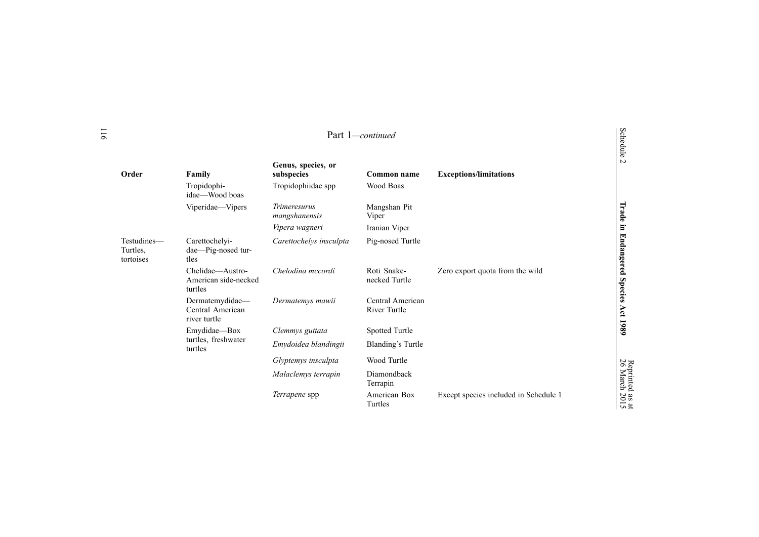|                                      | Part 1-continued                                    |                                      |                                         |                                       | Schedule              |
|--------------------------------------|-----------------------------------------------------|--------------------------------------|-----------------------------------------|---------------------------------------|-----------------------|
| Order                                | Family                                              | Genus, species, or<br>subspecies     | Common name                             | <b>Exceptions/limitations</b>         | $\sim$                |
|                                      | Tropidophi-<br>idae—Wood boas                       | Tropidophiidae spp                   | Wood Boas                               |                                       |                       |
|                                      | Viperidae-Vipers                                    | <i>Trimeresurus</i><br>mangshanensis | Mangshan Pit<br>Viper                   |                                       | Trade                 |
|                                      |                                                     | Vipera wagneri                       | Iranian Viper                           |                                       | Ξ.                    |
| Testudines-<br>Turtles,<br>tortoises | Carettochelyi-<br>dae-Pig-nosed tur-<br>tles        | Carettochelys insculpta              | Pig-nosed Turtle                        |                                       | <b>Endangered</b>     |
|                                      | Chelidae-Austro-<br>American side-necked<br>turtles | Chelodina mccordi                    | Roti Snake-<br>necked Turtle            | Zero export quota from the wild       | <b>Species</b>        |
|                                      | Dermatemydidae-<br>Central American<br>river turtle | Dermatemys mawii                     | Central American<br><b>River Turtle</b> |                                       | Act                   |
|                                      | Emydidae-Box                                        | Clemmys guttata                      | Spotted Turtle                          |                                       | 1989                  |
|                                      | turtles, freshwater<br>turtles                      | Emydoidea blandingii                 | Blanding's Turtle                       |                                       |                       |
|                                      |                                                     | Glyptemys insculpta                  | Wood Turtle                             |                                       |                       |
|                                      |                                                     | Malaclemys terrapin                  | Diamondback<br>Terrapin                 |                                       | Reprinted<br>26 March |
|                                      |                                                     | <i>Terrapene</i> spp                 | American Box<br>Turtles                 | Except species included in Schedule 1 | as at<br>2015         |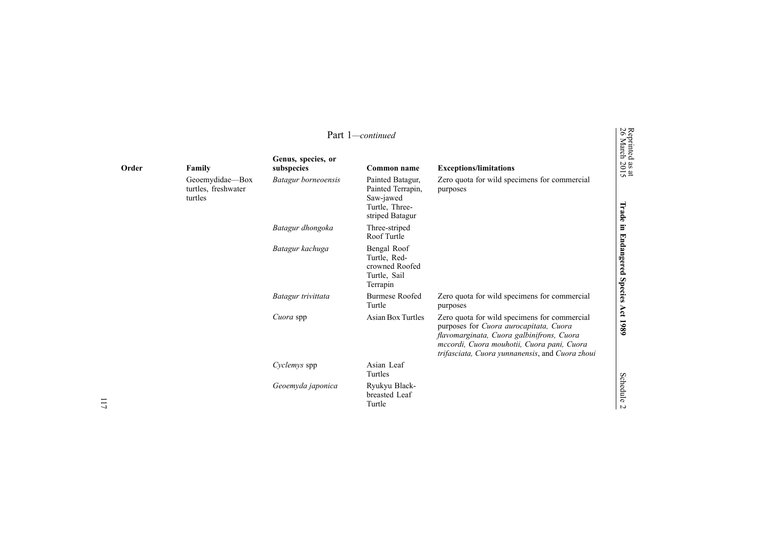|       |                                                   |                                       | Part 1-continued                                                                                                                                                                                                                     |                                                          | Reprinted<br>26 March             |
|-------|---------------------------------------------------|---------------------------------------|--------------------------------------------------------------------------------------------------------------------------------------------------------------------------------------------------------------------------------------|----------------------------------------------------------|-----------------------------------|
| Order | Family                                            | Genus, species, or<br>subspecies      | Common name                                                                                                                                                                                                                          | <b>Exceptions/limitations</b>                            | $\frac{38 \text{ at}}{2015}$      |
|       | Geoemydidae-Box<br>turtles, freshwater<br>turtles | Batagur borneoensis                   | Painted Batagur,<br>Painted Terrapin,<br>Saw-jawed<br>Turtle, Three-<br>striped Batagur                                                                                                                                              | Zero quota for wild specimens for commercial<br>purposes | Trade                             |
|       |                                                   | Batagur dhongoka                      | Three-striped<br>Roof Turtle                                                                                                                                                                                                         |                                                          | $\Xi$                             |
|       |                                                   | Batagur kachuga                       | Bengal Roof<br>Turtle, Red-<br>crowned Roofed<br>Turtle, Sail<br>Terrapin                                                                                                                                                            |                                                          | <b>Endangered</b>                 |
|       |                                                   | Batagur trivittata                    | <b>Burmese Roofed</b><br>Turtle                                                                                                                                                                                                      | Zero quota for wild specimens for commercial<br>purposes | <b>Species</b>                    |
|       |                                                   | <b>Asian Box Turtles</b><br>Cuora spp | Zero quota for wild specimens for commercial<br>purposes for Cuora aurocapitata, Cuora<br>flavomarginata, Cuora galbinifrons, Cuora<br>mccordi, Cuora mouhotii, Cuora pani, Cuora<br>trifasciata, Cuora yunnanensis, and Cuora zhoui | Act 1989                                                 |                                   |
|       |                                                   | Cyclemys spp                          | Asian Leaf<br>Turtles                                                                                                                                                                                                                |                                                          |                                   |
|       |                                                   | Geoemyda japonica                     | Ryukyu Black-<br>breasted Leaf<br>Turtle                                                                                                                                                                                             |                                                          | <b>Schedule</b><br>$\overline{a}$ |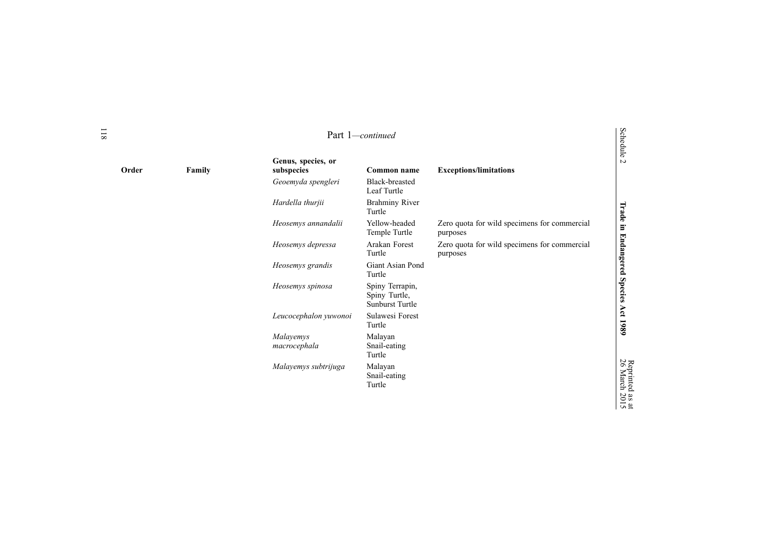|        |                                  | Part 1-continued                                           |                                                          | Schedule 2                         |
|--------|----------------------------------|------------------------------------------------------------|----------------------------------------------------------|------------------------------------|
| Family | Genus, species, or<br>subspecies | Common name                                                | <b>Exceptions/limitations</b>                            |                                    |
|        | Geoemyda spengleri               | Black-breasted<br>Leaf Turtle                              |                                                          |                                    |
|        | Hardella thurjii                 | <b>Brahminy River</b><br>Turtle                            |                                                          |                                    |
|        | Heosemys annandalii              | Yellow-headed<br>Temple Turtle                             | Zero quota for wild specimens for commercial<br>purposes |                                    |
|        | Heosemys depressa                | Arakan Forest<br>Turtle                                    | Zero quota for wild specimens for commercial<br>purposes |                                    |
|        | Heosemys grandis                 | Giant Asian Pond<br>Turtle                                 |                                                          |                                    |
|        | Heosemys spinosa                 | Spiny Terrapin,<br>Spiny Turtle,<br><b>Sunburst Turtle</b> |                                                          | Trade in Endangered Species        |
|        | Leucocephalon yuwonoi            | Sulawesi Forest<br>Turtle                                  |                                                          | Act 1989                           |
|        | Malayemys<br>macrocephala        | Malayan<br>Snail-eating<br>Turtle                          |                                                          |                                    |
|        | Malayemys subtrijuga             | Malayan<br>Snail-eating<br>Turtle                          |                                                          | repriment<br>26 March<br>$\bar{p}$ |

**Order** 

Reprinted

as  $\vec{a}$ 2015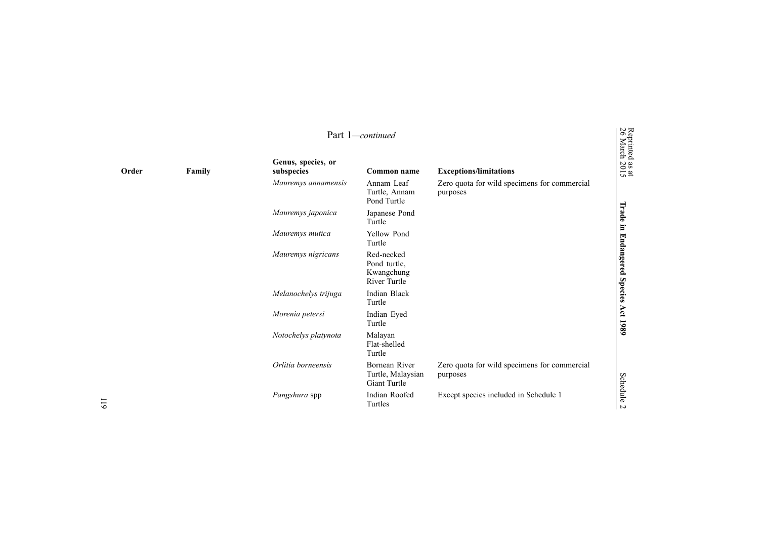|       |        |                                  | Part 1-continued                                                |                                                          | Reprinted<br>26 March        |
|-------|--------|----------------------------------|-----------------------------------------------------------------|----------------------------------------------------------|------------------------------|
| Order | Family | Genus, species, or<br>subspecies | Common name                                                     | <b>Exceptions/limitations</b>                            | $\frac{38 \text{ at}}{2015}$ |
|       |        | Mauremys annamensis              | Annam Leaf<br>Turtle, Annam<br>Pond Turtle                      | Zero quota for wild specimens for commercial<br>purposes |                              |
|       |        | Mauremys japonica                | Japanese Pond<br>Turtle                                         |                                                          | Trade                        |
|       |        | Mauremys mutica                  | Yellow Pond<br>Turtle                                           |                                                          | Ξ.                           |
|       |        | Mauremys nigricans               | Red-necked<br>Pond turtle,<br>Kwangchung<br><b>River Turtle</b> |                                                          | <b>Endangered</b>            |
|       |        | Melanochelys trijuga             | Indian Black<br>Turtle                                          |                                                          | <b>Species</b>               |
|       |        | Morenia petersi                  | Indian Eyed<br>Turtle                                           |                                                          | Act 1989                     |
|       |        | Notochelys platynota             | Malayan<br>Flat-shelled<br>Turtle                               |                                                          |                              |
|       |        | Orlitia borneensis               | Bornean River<br>Turtle, Malaysian<br>Giant Turtle              | Zero quota for wild specimens for commercial<br>purposes | <b>Schedule</b>              |
|       |        | Pangshura spp                    | Indian Roofed<br>Turtles                                        | Except species included in Schedule 1                    | $\overline{a}$               |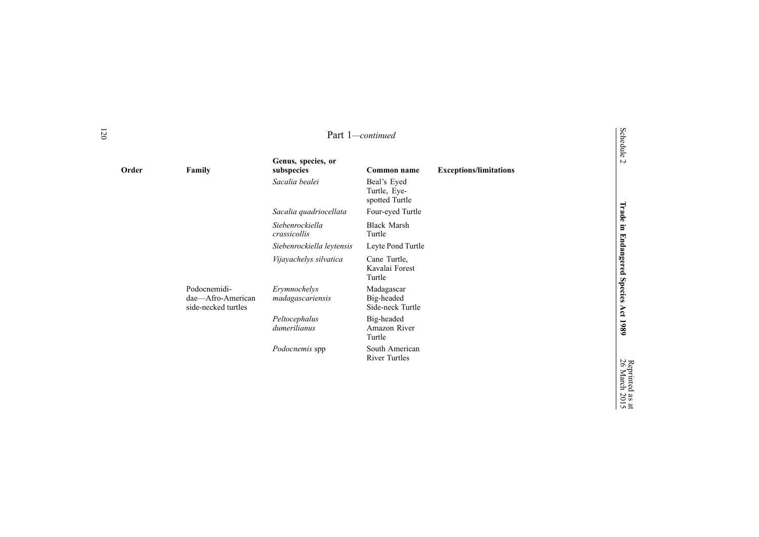| Order |                                                          | Genus, species, or               |                                                              |                               |
|-------|----------------------------------------------------------|----------------------------------|--------------------------------------------------------------|-------------------------------|
|       | Family                                                   | subspecies<br>Sacalia bealei     | Common name<br>Beal's Eyed<br>Turtle, Eye-<br>spotted Turtle | <b>Exceptions/limitations</b> |
|       |                                                          | Sacalia quadriocellata           | Four-eyed Turtle                                             |                               |
|       |                                                          | Siebenrockiella<br>crassicollis  | <b>Black Marsh</b><br>Turtle                                 |                               |
|       |                                                          | Siebenrockiella leytensis        | Leyte Pond Turtle                                            |                               |
|       |                                                          | Vijayachelys silvatica           | Cane Turtle,<br>Kavalai Forest<br>Turtle                     |                               |
|       | Podocnemidi-<br>dae-Afro-American<br>side-necked turtles | Erymnochelys<br>madagascariensis | Madagascar<br>Big-headed<br>Side-neck Turtle                 |                               |
|       |                                                          | Peltocephalus<br>dumerilianus    | Big-headed<br>Amazon River<br>Turtle                         |                               |
|       |                                                          | <i>Podocnemis</i> spp            | South American<br><b>River Turtles</b>                       |                               |
|       |                                                          |                                  |                                                              |                               |

**Trade in Endangered**

**Species**

**Act 1989**

Reprinted 26

as March

 $\vec{a}$ 2015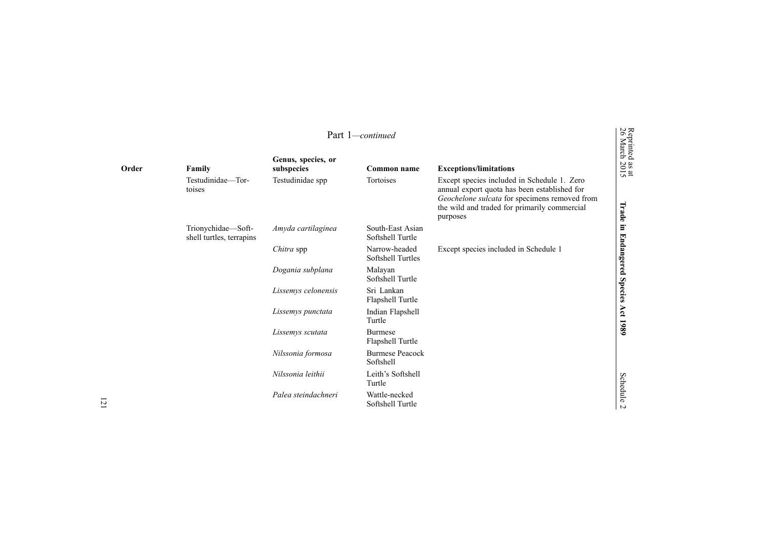| Part 1-continued |                                                |                                  |                                      |                                                                                                                                                                                                          |                                                       |  |
|------------------|------------------------------------------------|----------------------------------|--------------------------------------|----------------------------------------------------------------------------------------------------------------------------------------------------------------------------------------------------------|-------------------------------------------------------|--|
| Order            | Family                                         | Genus, species, or<br>subspecies | Common name                          | <b>Exceptions/limitations</b>                                                                                                                                                                            | Reprinted<br>26 March<br>$\frac{33 \text{ at}}{2015}$ |  |
|                  | Testudinidae—Tor-<br>toises                    | Testudinidae spp                 | Tortoises                            | Except species included in Schedule 1. Zero<br>annual export quota has been established for<br>Geochelone sulcata for specimens removed from<br>the wild and traded for primarily commercial<br>purposes | Trade                                                 |  |
|                  | Trionychidae-Soft-<br>shell turtles, terrapins | Amyda cartilaginea               | South-East Asian<br>Softshell Turtle |                                                                                                                                                                                                          | $\Xi$                                                 |  |
|                  |                                                | Chitra spp                       | Narrow-headed<br>Softshell Turtles   | Except species included in Schedule 1                                                                                                                                                                    | <b>Endangered</b>                                     |  |
|                  |                                                | Dogania subplana                 | Malayan<br>Softshell Turtle          |                                                                                                                                                                                                          |                                                       |  |
|                  |                                                | Lissemys celonensis              | Sri Lankan<br>Flapshell Turtle       |                                                                                                                                                                                                          | Species                                               |  |
|                  |                                                | Lissemys punctata                | Indian Flapshell<br>Turtle           |                                                                                                                                                                                                          | Act 1989                                              |  |
|                  |                                                | Lissemys scutata                 | <b>Burmese</b><br>Flapshell Turtle   |                                                                                                                                                                                                          |                                                       |  |
|                  |                                                | Nilssonia formosa                | <b>Burmese Peacock</b><br>Softshell  |                                                                                                                                                                                                          |                                                       |  |
|                  |                                                | Nilssonia leithii                | Leith's Softshell<br>Turtle          |                                                                                                                                                                                                          | <b>Schedule</b>                                       |  |
|                  |                                                | Palea steindachneri              | Wattle-necked<br>Softshell Turtle    |                                                                                                                                                                                                          | $\overline{v}$                                        |  |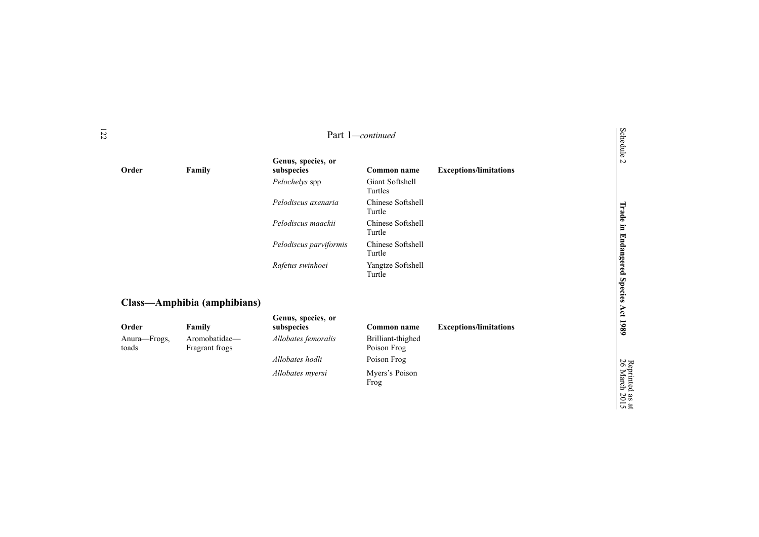| Part 1-continued      |                                 |                                  |                                    |                               | Schedule 2                           |
|-----------------------|---------------------------------|----------------------------------|------------------------------------|-------------------------------|--------------------------------------|
| Order                 | Family                          | Genus, species, or<br>subspecies | Common name                        | <b>Exceptions/limitations</b> |                                      |
|                       |                                 | Pelochelys spp                   | Giant Softshell<br>Turtles         |                               |                                      |
|                       |                                 | Pelodiscus axenaria              | Chinese Softshell<br>Turtle        |                               |                                      |
|                       |                                 | Pelodiscus maackii               | <b>Chinese Softshell</b><br>Turtle |                               |                                      |
|                       |                                 | Pelodiscus parviformis           | Chinese Softshell<br>Turtle        |                               |                                      |
|                       |                                 | Rafetus swinhoei                 | Yangtze Softshell<br>Turtle        |                               | Trade in Endangered Species Act 1989 |
|                       | Class—Amphibia (amphibians)     |                                  |                                    |                               |                                      |
| Order                 | Family                          | Genus, species, or<br>subspecies | Common name                        | <b>Exceptions/limitations</b> |                                      |
| Anura-Frogs,<br>toads | Aromobatidae-<br>Fragrant frogs | Allobates femoralis              | Brilliant-thighed<br>Poison Frog   |                               |                                      |
|                       |                                 | Allobates hodli                  | Poison Frog                        |                               |                                      |
|                       |                                 | Allobates myersi                 | Myers's Poison<br>Frog             |                               | 26 March                             |

Reprinted

as  $\vec{a}$ 2015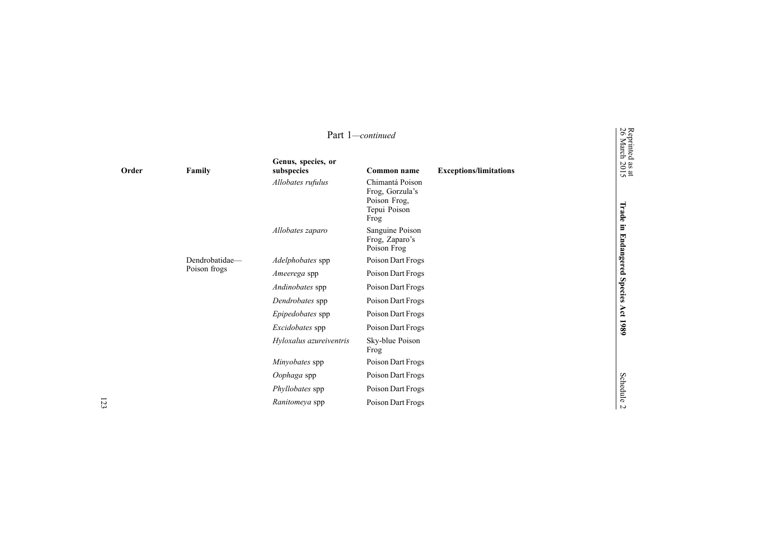|       | Part 1-continued |                                  |                                                                            |                               |                                                       |  |
|-------|------------------|----------------------------------|----------------------------------------------------------------------------|-------------------------------|-------------------------------------------------------|--|
| Order | Family           | Genus, species, or<br>subspecies | Common name                                                                | <b>Exceptions/limitations</b> | Reprinted<br>26 March<br>$\frac{38 \text{ at}}{2015}$ |  |
|       |                  | Allobates rufulus                | Chimantá Poison<br>Frog, Gorzula's<br>Poison Frog,<br>Tepui Poison<br>Frog |                               | Trade                                                 |  |
|       |                  | Allobates zaparo                 | Sanguine Poison<br>Frog, Zaparo's<br>Poison Frog                           |                               | $\Xi$<br><b>Endangered</b>                            |  |
|       | Dendrobatidae-   | Adelphobates spp                 | Poison Dart Frogs                                                          |                               |                                                       |  |
|       | Poison frogs     | Ameerega spp                     | Poison Dart Frogs                                                          |                               |                                                       |  |
|       |                  | Andinobates spp                  | Poison Dart Frogs                                                          |                               | <b>Species</b>                                        |  |
|       |                  | Dendrobates spp                  | Poison Dart Frogs                                                          |                               |                                                       |  |
|       |                  | Epipedobates spp                 | Poison Dart Frogs                                                          |                               |                                                       |  |
|       |                  | Excidobates spp                  | Poison Dart Frogs                                                          |                               | Act 1989                                              |  |
|       |                  | Hyloxalus azureiventris          | Sky-blue Poison<br>Frog                                                    |                               |                                                       |  |
|       |                  | Minyobates spp                   | Poison Dart Frogs                                                          |                               |                                                       |  |
|       |                  | Oophaga spp                      | Poison Dart Frogs                                                          |                               |                                                       |  |
|       |                  | Phyllobates spp                  | Poison Dart Frogs                                                          |                               | Schedule                                              |  |
|       |                  | Ranitomeya spp                   | Poison Dart Frogs                                                          |                               | $\overline{a}$                                        |  |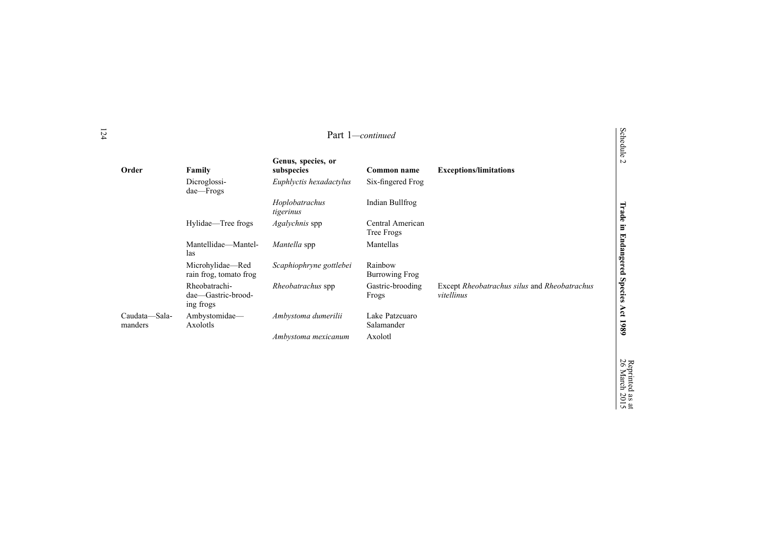|                          | Part 1-continued                                 |                                  |                                  |                                                            |                                   |
|--------------------------|--------------------------------------------------|----------------------------------|----------------------------------|------------------------------------------------------------|-----------------------------------|
| Order                    | Family                                           | Genus, species, or<br>subspecies | Common name                      | <b>Exceptions/limitations</b>                              | <b>Schedule</b><br>$\overline{v}$ |
|                          | Dicroglossi-<br>dae—Frogs                        | Euphlyctis hexadactylus          | Six-fingered Frog                |                                                            |                                   |
|                          |                                                  | Hoplobatrachus<br>tigerinus      | Indian Bullfrog                  |                                                            |                                   |
|                          | Hylidae—Tree frogs                               | Agalychnis spp                   | Central American<br>Tree Frogs   |                                                            |                                   |
|                          | Mantellidae-Mantel-<br>las                       | Mantella spp                     | Mantellas                        |                                                            |                                   |
|                          | Microhylidae—Red<br>rain frog, tomato frog       | Scaphiophryne gottlebei          | Rainbow<br><b>Burrowing Frog</b> |                                                            |                                   |
|                          | Rheobatrachi-<br>dae-Gastric-brood-<br>ing frogs | <i>Rheobatrachus</i> spp         | Gastric-brooding<br>Frogs        | Except Rheobatrachus silus and Rheobatrachus<br>vitellinus | Trade in Endangered Species       |
| Caudata—Sala-<br>manders | Ambystomidae-<br>Axolotls                        | Ambystoma dumerilii              | Lake Patzcuaro<br>Salamander     |                                                            | Åct<br>1980                       |
|                          |                                                  | Ambystoma mexicanum              | Axolotl                          |                                                            |                                   |

Reprinted 26 March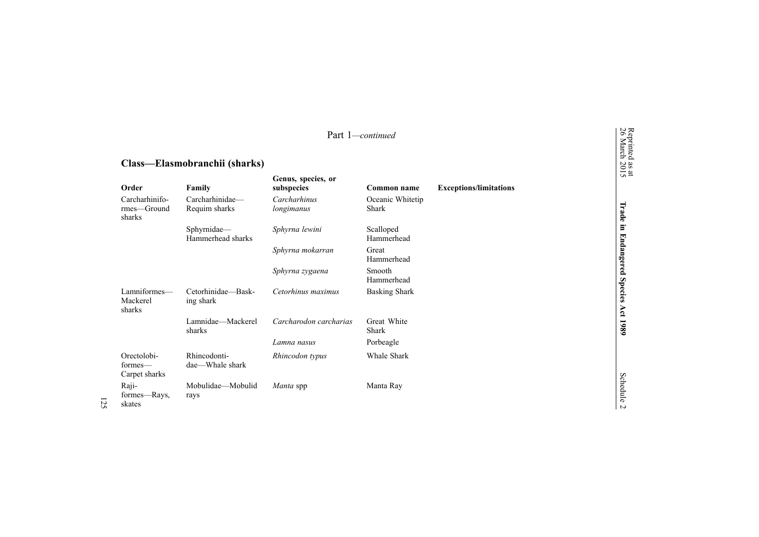|                                         |                                  |                                  | Part 1-continued                 |                               | Reprinted<br>26 March             |
|-----------------------------------------|----------------------------------|----------------------------------|----------------------------------|-------------------------------|-----------------------------------|
| Class—Elasmobranchii (sharks)           |                                  |                                  |                                  |                               |                                   |
| Order                                   | Family                           | Genus, species, or<br>subspecies | Common name                      | <b>Exceptions/limitations</b> | as at<br>2015                     |
| Carcharhinifo-<br>rmes-Ground<br>sharks | Carcharhinidae-<br>Requim sharks | Carcharhinus<br>longimanus       | Oceanic Whitetip<br><b>Shark</b> |                               | Trade                             |
|                                         | Sphyrnidae-<br>Hammerhead sharks | Sphyrna lewini                   | Scalloped<br>Hammerhead          |                               | $\Xi$                             |
|                                         |                                  | Sphyrna mokarran                 | Great<br>Hammerhead              |                               | <b>Endangered</b>                 |
|                                         |                                  | Sphyrna zygaena                  | Smooth<br>Hammerhead             |                               |                                   |
| Lamniformes-<br>Mackerel<br>sharks      | Cetorhinidae-Bask-<br>ing shark  | Cetorhinus maximus               | <b>Basking Shark</b>             |                               | <b>Species</b><br>Act             |
|                                         | Lamnidae-Mackerel<br>sharks      | Carcharodon carcharias           | Great White<br>Shark             |                               | 1980                              |
|                                         |                                  | Lamna nasus                      | Porbeagle                        |                               |                                   |
| Orectolobi-<br>formes—<br>Carpet sharks | Rhincodonti-<br>dae—Whale shark  | Rhincodon typus                  | Whale Shark                      |                               |                                   |
| Raji-<br>formes—Rays,<br>skates         | Mobulidae-Mobulid<br>rays        | Manta spp                        | Manta Ray                        |                               | <b>Schedule</b><br>$\overline{a}$ |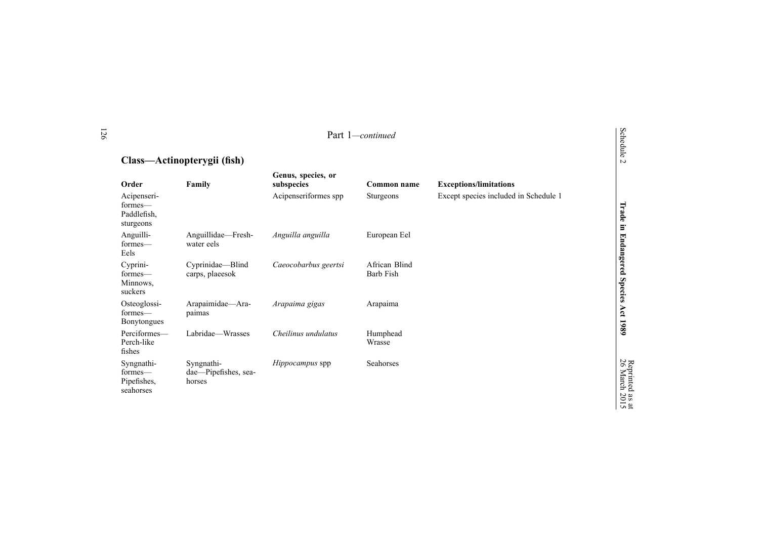#### Part 1*—continued*

# **Class—Actinopterygii (fish)**

| Order                                              | Family                                       | Genus, species, or<br>subspecies | Common name                | <b>Exceptions/limitations</b>         |
|----------------------------------------------------|----------------------------------------------|----------------------------------|----------------------------|---------------------------------------|
| Acipenseri-<br>formes—<br>Paddlefish.<br>sturgeons |                                              | Acipenseriformes spp             | <b>Sturgeons</b>           | Except species included in Schedule 1 |
| Anguilli-<br>formes-<br>Eels                       | Anguillidae—Fresh-<br>water eels             | Anguilla anguilla                | European Eel               |                                       |
| Cyprini-<br>formes-<br>Minnows,<br>suckers         | Cyprinidae—Blind<br>carps, plaeesok          | Caeocobarbus geertsi             | African Blind<br>Barb Fish |                                       |
| Osteoglossi-<br>formes—<br>Bonytongues             | Arapaimidae-Ara-<br>paimas                   | Arapaima gigas                   | Arapaima                   |                                       |
| Perciformes-<br>Perch-like<br>fishes               | Labridae—Wrasses                             | Cheilinus undulatus              | Humphead<br>Wrasse         |                                       |
| Syngnathi-<br>formes—<br>Pipefishes,<br>seahorses  | Syngnathi-<br>dae-Pipefishes, sea-<br>horses | <i>Hippocampus</i> spp           | Seahorses                  |                                       |

**1989**

as  $\vec{a}$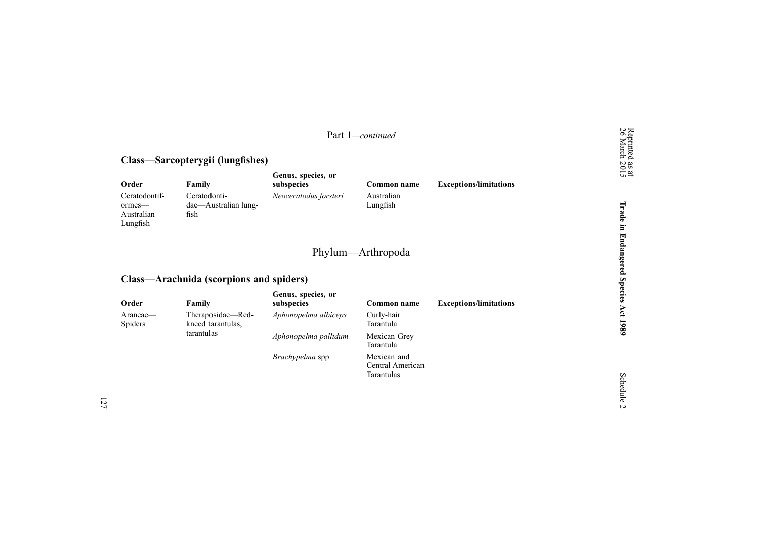|                                                   |                                              |                                  | Part 1-continued                              |                               |
|---------------------------------------------------|----------------------------------------------|----------------------------------|-----------------------------------------------|-------------------------------|
|                                                   | Class—Sarcopterygii (lungfishes)             |                                  |                                               |                               |
| Order                                             | Family                                       | Genus, species, or<br>subspecies | Common name                                   | <b>Exceptions/limitations</b> |
| Ceratodontif-<br>ormes-<br>Australian<br>Lungfish | Ceratodonti-<br>dae—Australian lung-<br>fish | Neoceratodus forsteri            | Australian<br>Lungfish                        |                               |
|                                                   | Class—Arachnida (scorpions and spiders)      |                                  | Phylum—Arthropoda                             |                               |
|                                                   |                                              | Genus, species, or               |                                               |                               |
| Order                                             | Family                                       | subspecies                       | Common name                                   | <b>Exceptions/limitations</b> |
| Araneae—<br>Spiders                               | Theraposidae—Red-<br>kneed tarantulas,       | Aphonopelma albiceps             | Curly-hair<br>Tarantula                       |                               |
|                                                   | tarantulas                                   | Aphonopelma pallidum             | Mexican Grey<br>Tarantula                     |                               |
|                                                   |                                              | Brachypelma spp                  | Mexican and<br>Central American<br>Tarantulas |                               |
|                                                   |                                              |                                  |                                               |                               |

Schedule 2

**1989**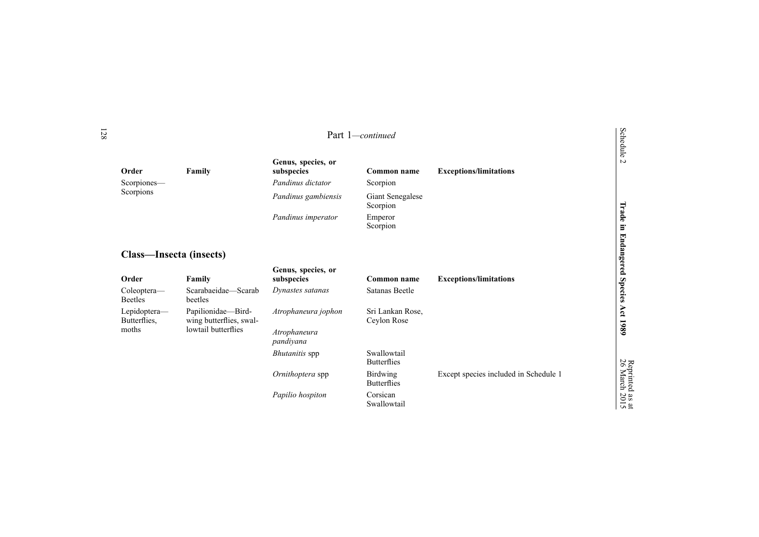|                                |                                               |                                  | Part 1-continued                      |                                       | Schedule              |
|--------------------------------|-----------------------------------------------|----------------------------------|---------------------------------------|---------------------------------------|-----------------------|
| Order                          | Family                                        | Genus, species, or<br>subspecies | Common name                           | <b>Exceptions/limitations</b>         | $\sim$                |
| Scorpiones-                    |                                               | Pandinus dictator                | Scorpion                              |                                       |                       |
| Scorpions                      |                                               | Pandinus gambiensis              | Giant Senegalese<br>Scorpion          |                                       |                       |
|                                |                                               | Pandinus imperator               | Emperor<br>Scorpion                   |                                       | Trade                 |
| <b>Class—Insecta (insects)</b> |                                               | Genus, species, or               |                                       |                                       | in Endangered         |
| Order                          | Family                                        | subspecies                       | Common name                           | <b>Exceptions/limitations</b>         |                       |
| Coleoptera-<br><b>Beetles</b>  | Scarabaeidae-Scarab<br>beetles                | Dynastes satanas                 | Satanas Beetle                        |                                       | <b>Species</b>        |
| Lepidoptera-<br>Butterflies,   | Papilionidae-Bird-<br>wing butterflies, swal- | Atrophaneura jophon              | Sri Lankan Rose,<br>Ceylon Rose       |                                       | Act 1989              |
| moths                          | lowtail butterflies                           | Atrophaneura<br>pandiyana        |                                       |                                       |                       |
|                                |                                               | <b>Bhutanitis</b> spp            | Swallowtail<br><b>Butterflies</b>     |                                       |                       |
|                                |                                               | Ornithoptera spp                 | <b>Birdwing</b><br><b>Butterflies</b> | Except species included in Schedule 1 | Reprinted<br>26 March |
|                                |                                               | Papilio hospiton                 | Corsican<br>Swallowtail               |                                       | as at<br>2015         |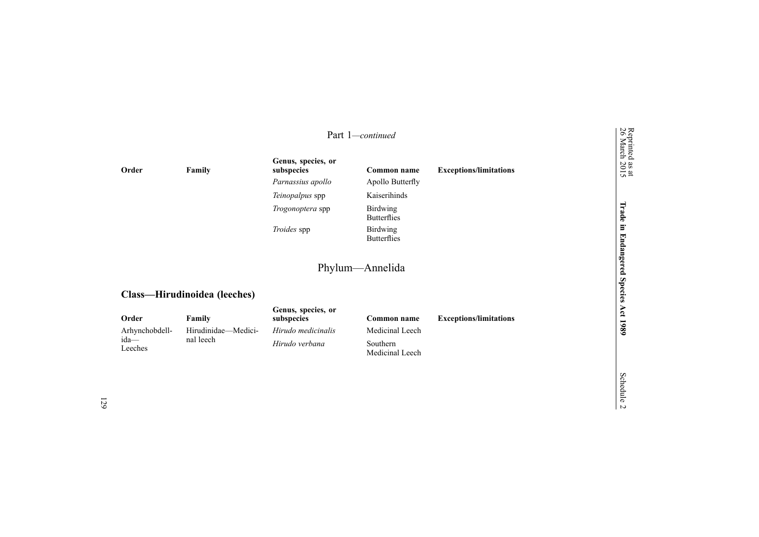|               | Part 1-continued             |                                  |                                       |                                                                      |                                            |
|---------------|------------------------------|----------------------------------|---------------------------------------|----------------------------------------------------------------------|--------------------------------------------|
| Order         | Family                       | Genus, species, or<br>subspecies | Common name                           | <b>Exceptions/limitations</b>                                        | Reprinted<br>26 March<br>$\frac{as}{2015}$ |
|               |                              | Parnassius apollo                | Apollo Butterfly                      |                                                                      |                                            |
|               |                              | Teinopalpus spp                  | Kaiserihinds                          |                                                                      |                                            |
|               |                              | <i>Trogonoptera</i> spp          | <b>Birdwing</b><br><b>Butterflies</b> |                                                                      | Trade                                      |
|               |                              | Troides spp                      | <b>Birdwing</b><br><b>Butterflies</b> |                                                                      | E.<br>F                                    |
|               |                              |                                  | Phylum—Annelida                       |                                                                      | dangered                                   |
|               | Class—Hirudinoidea (leeches) |                                  |                                       |                                                                      | <b>Species</b>                             |
| $\sim$ $\sim$ | $\mathbf{r}$ .               | Genus, species, or               | $\sim$                                | $\mathbf{r}$ , and the second contract $\mathbf{r}$ and $\mathbf{r}$ | Αct                                        |

| Order           | Family              | subspecies         | Common name                  | <b>Exceptions/limitations</b> |
|-----------------|---------------------|--------------------|------------------------------|-------------------------------|
| Arhynchobdell-  | Hirudinidae—Medici- | Hirudo medicinalis | Medicinal Leech              |                               |
| ida—<br>Leeches | nal leech           | Hirudo verbana     | Southern.<br>Medicinal Leech |                               |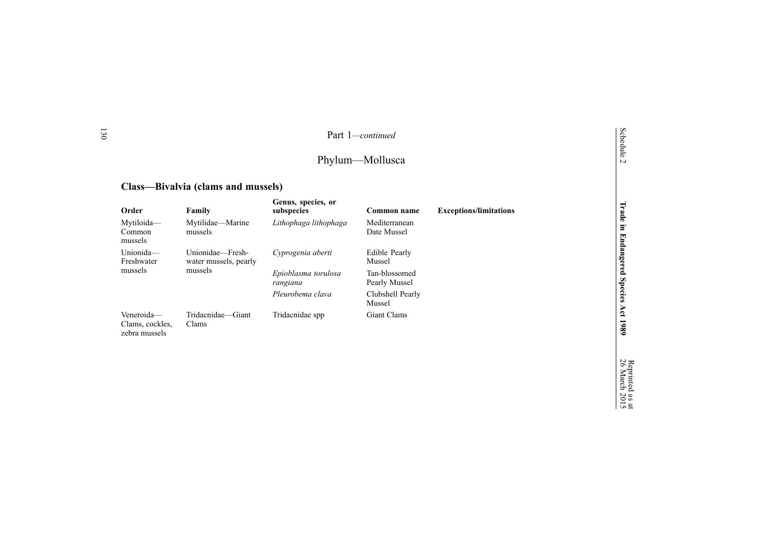# Phylum—Mollusca

## **Class—Bivalvia (clams and mussels)**

130

| Order                                          | Family                                               | Genus, species, or<br>subspecies | Common name                    | <b>Exceptions/limitations</b> |
|------------------------------------------------|------------------------------------------------------|----------------------------------|--------------------------------|-------------------------------|
| Mytiloida-<br>Common<br>mussels                | Mytilidae—Marine<br>mussels                          | Lithophaga lithophaga            | Mediterranean<br>Date Mussel   |                               |
| Unionida-<br>Freshwater<br>mussels             | Unionidae—Fresh-<br>water mussels, pearly<br>mussels | Cyprogenia aberti                | Edible Pearly<br>Mussel        |                               |
|                                                |                                                      | Epioblasma torulosa<br>rangiana  | Tan-blossomed<br>Pearly Mussel |                               |
|                                                |                                                      | Pleurobema clava                 | Clubshell Pearly<br>Mussel     |                               |
| Veneroida-<br>Clams, cockles,<br>zebra mussels | Tridacnidae—Giant<br>Clams                           | Tridacnidae spp                  | Giant Clams                    |                               |

**Act 1989**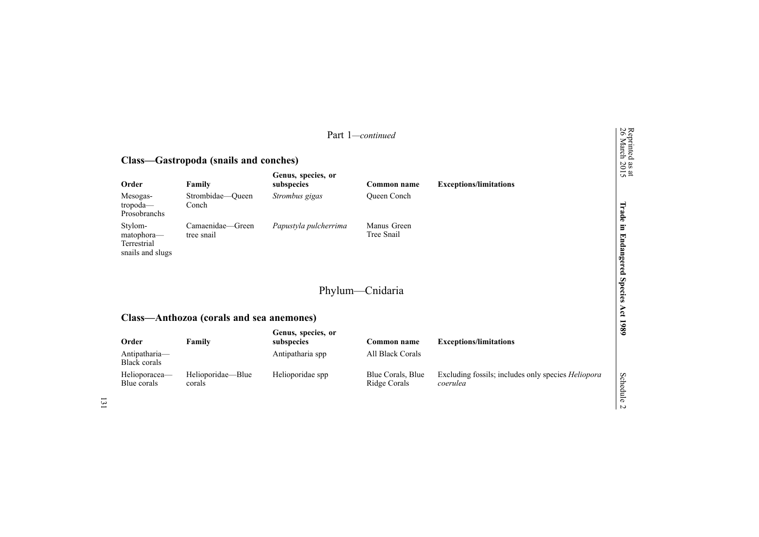|                                                          |                                          |                                  | Part 1-continued                  |                                                                | Reprinted<br>26 March             |
|----------------------------------------------------------|------------------------------------------|----------------------------------|-----------------------------------|----------------------------------------------------------------|-----------------------------------|
|                                                          | Class—Gastropoda (snails and conches)    |                                  |                                   |                                                                |                                   |
| Order                                                    | Family                                   | Genus, species, or<br>subspecies | Common name                       | <b>Exceptions/limitations</b>                                  | $\frac{38 \text{ at}}{2015}$      |
| Mesogas-<br>tropoda-<br>Prosobranchs                     | Strombidae-Queen<br>Conch                | Strombus gigas                   | Queen Conch                       |                                                                | Trade                             |
| Stylom-<br>matophora-<br>Terrestrial<br>snails and slugs | Camaenidae-Green<br>tree snail           | Papustyla pulcherrima            | Manus Green<br>Tree Snail         |                                                                | E.<br><b>Endangered</b>           |
|                                                          | Class-Anthozoa (corals and sea anemones) |                                  | Phylum—Cnidaria                   |                                                                | <b>Species</b><br>Act 1989        |
|                                                          |                                          |                                  |                                   |                                                                |                                   |
| Order                                                    | Family                                   | Genus, species, or<br>subspecies | Common name                       | <b>Exceptions/limitations</b>                                  |                                   |
| Antipatharia-<br><b>Black corals</b>                     |                                          | Antipatharia spp                 | All Black Corals                  |                                                                |                                   |
| Helioporacea-<br>Blue corals                             | Helioporidae-Blue<br>corals              | Helioporidae spp                 | Blue Corals, Blue<br>Ridge Corals | Excluding fossils; includes only species Heliopora<br>coerulea | <b>Schedule</b><br>$\overline{v}$ |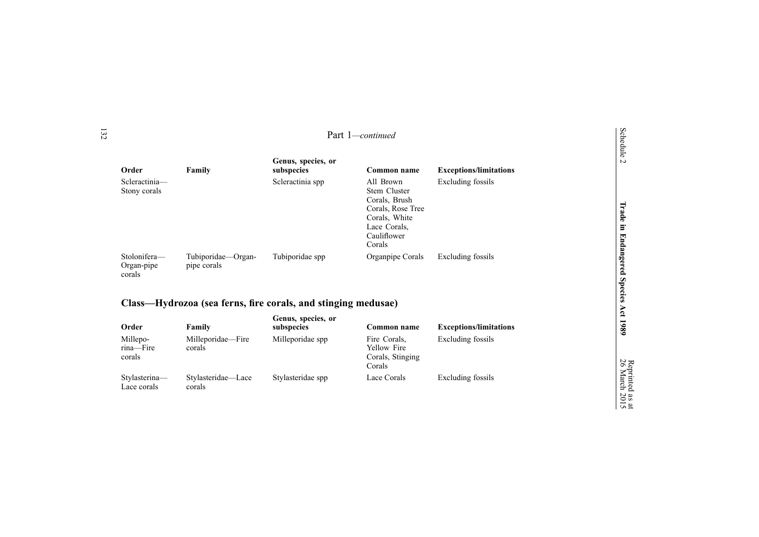| Order                                | Family                            | Genus, species, or<br>subspecies | Common name                                                                                                               | <b>Exceptions/limitations</b> |
|--------------------------------------|-----------------------------------|----------------------------------|---------------------------------------------------------------------------------------------------------------------------|-------------------------------|
| Scleractinia-<br>Stony corals        |                                   | Scleractinia spp                 | All Brown<br>Stem Cluster<br>Corals, Brush<br>Corals, Rose Tree<br>Corals, White<br>Lace Corals,<br>Cauliflower<br>Corals | Excluding fossils             |
| Stolonifera-<br>Organ-pipe<br>corals | Tubiporidae—Organ-<br>pipe corals | Tubiporidae spp                  | Organpipe Corals                                                                                                          | Excluding fossils             |

### **Class—Hydrozoa (sea ferns, fir <sup>e</sup> corals, and stinging medusae)**

| Order                           | Family                       | Genus, species, or<br>subspecies | Common name                                               | <b>Exceptions/limitations</b> |
|---------------------------------|------------------------------|----------------------------------|-----------------------------------------------------------|-------------------------------|
| Millepo-<br>rina-Fire<br>corals | Milleporidae—Fire<br>corals  | Milleporidae spp                 | Fire Corals.<br>Yellow Fire<br>Corals, Stinging<br>Corals | Excluding fossils             |
| Stylasterina-<br>Lace corals    | Stylasteridae—Lace<br>corals | Stylasteridae spp                | Lace Corals                                               | Excluding fossils             |

Schedule 2

 $\vec{a}$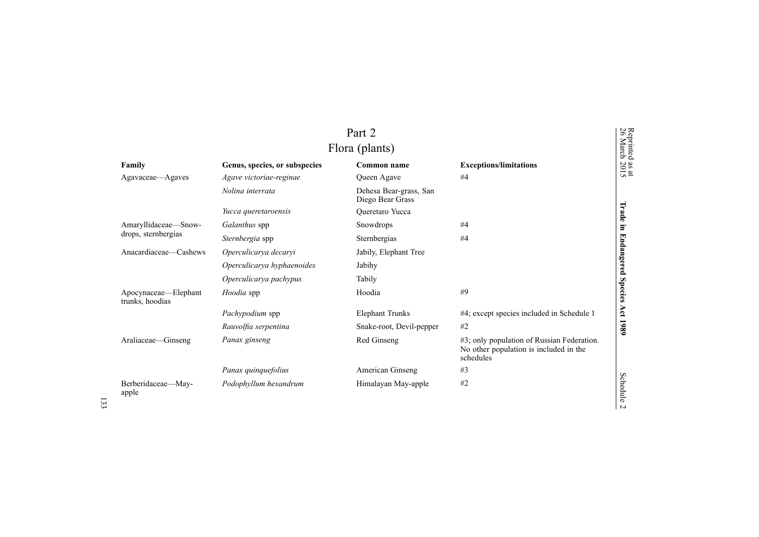|                                         |                               | Part 2<br>Flora (plants)                   |                                                                                                   | Reprinted<br>26 March        |
|-----------------------------------------|-------------------------------|--------------------------------------------|---------------------------------------------------------------------------------------------------|------------------------------|
| Family                                  | Genus, species, or subspecies | Common name                                | <b>Exceptions/limitations</b>                                                                     | $\frac{38 \text{ at}}{2015}$ |
| Agavaceae—Agaves                        | Agave victoriae-reginae       | Queen Agave                                | #4                                                                                                |                              |
|                                         | Nolina interrata              | Dehesa Bear-grass, San<br>Diego Bear Grass |                                                                                                   |                              |
|                                         | Yucca queretaroensis          | Queretaro Yucca                            |                                                                                                   | Trade                        |
| Amaryllidaceae-Snow-                    | Galanthus spp                 | Snowdrops                                  | #4                                                                                                | $\Xi$                        |
| drops, sternbergias                     | Sternbergia spp               | Sternbergias                               | #4                                                                                                |                              |
| Anacardiaceae—Cashews                   | Operculicarya decaryi         | Jabily, Elephant Tree                      |                                                                                                   |                              |
|                                         | Operculicarya hyphaenoides    | Jabihy                                     |                                                                                                   | <b>Endangered</b>            |
|                                         | Operculicarya pachypus        | Tabily                                     |                                                                                                   |                              |
| Apocynaceae—Elephant<br>trunks, hoodias | Hoodia spp                    | Hoodia                                     | #9                                                                                                | <b>Species</b>               |
|                                         | Pachypodium spp               | <b>Elephant Trunks</b>                     | #4; except species included in Schedule 1                                                         |                              |
|                                         | Rauvolfia serpentina          | Snake-root, Devil-pepper                   | #2                                                                                                | Act 1989                     |
| Araliaceae-Ginseng                      | Panax ginseng                 | Red Ginseng                                | #3; only population of Russian Federation.<br>No other population is included in the<br>schedules |                              |
|                                         | Panax quinquefolius           | American Ginseng                           | #3                                                                                                |                              |
| Berberidaceae-May-<br>apple             | Podophyllum hexandrum         | Himalayan May-apple                        | #2                                                                                                | Schedule                     |

 $\frac{3}{4}$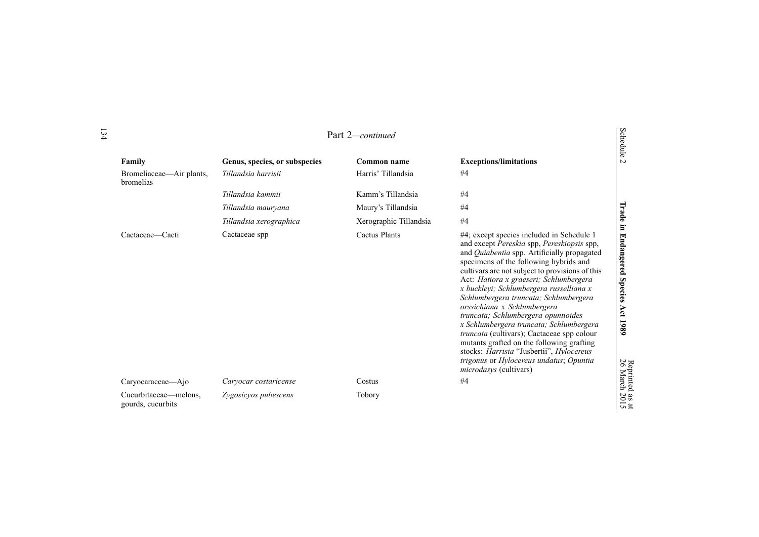|                                       |                               |                        |                                                                                                                                                                                                                                                                                                                                                                                                                                                                                                                                                                                                                                                                                                              | dule                                                  |
|---------------------------------------|-------------------------------|------------------------|--------------------------------------------------------------------------------------------------------------------------------------------------------------------------------------------------------------------------------------------------------------------------------------------------------------------------------------------------------------------------------------------------------------------------------------------------------------------------------------------------------------------------------------------------------------------------------------------------------------------------------------------------------------------------------------------------------------|-------------------------------------------------------|
| Family                                | Genus, species, or subspecies | <b>Common name</b>     | <b>Exceptions/limitations</b>                                                                                                                                                                                                                                                                                                                                                                                                                                                                                                                                                                                                                                                                                | $\sim$                                                |
| Bromeliaceae—Air plants,<br>bromelias | Tillandsia harrisii           | Harris' Tillandsia     | #4                                                                                                                                                                                                                                                                                                                                                                                                                                                                                                                                                                                                                                                                                                           |                                                       |
|                                       | Tillandsia kammii             | Kamm's Tillandsia      | #4                                                                                                                                                                                                                                                                                                                                                                                                                                                                                                                                                                                                                                                                                                           |                                                       |
|                                       | Tillandsia mauryana           | Maury's Tillandsia     | #4                                                                                                                                                                                                                                                                                                                                                                                                                                                                                                                                                                                                                                                                                                           | Trade                                                 |
|                                       | Tillandsia xerographica       | Xerographic Tillandsia | #4                                                                                                                                                                                                                                                                                                                                                                                                                                                                                                                                                                                                                                                                                                           |                                                       |
| Cactaceae—Cacti                       | Cactaceae spp                 | Cactus Plants          | #4; except species included in Schedule 1<br>and except Pereskia spp, Pereskiopsis spp,<br>and Quiabentia spp. Artificially propagated<br>specimens of the following hybrids and<br>cultivars are not subject to provisions of this<br>Act: Hatiora x graeseri; Schlumbergera<br>x buckleyi; Schlumbergera russelliana x<br>Schlumbergera truncata; Schlumbergera<br>orssichiana x Schlumbergera<br>truncata; Schlumbergera opuntioides<br>x Schlumbergera truncata; Schlumbergera<br><i>truncata</i> (cultivars); Cactaceae spp colour<br>mutants grafted on the following grafting<br>stocks: Harrisia "Jusbertii", Hylocereus<br>trigonus or Hylocereus undatus; Opuntia<br><i>microdasys</i> (cultivars) | Ξ.<br><b>Endangered</b><br><b>Species</b><br>Act 1989 |
| Caryocaraceae—Ajo                     | Caryocar costaricense         | Costus                 | #4                                                                                                                                                                                                                                                                                                                                                                                                                                                                                                                                                                                                                                                                                                           |                                                       |
| Cucurbitaceae—melons,                 | Zygosicyos pubescens          | Tobory                 |                                                                                                                                                                                                                                                                                                                                                                                                                                                                                                                                                                                                                                                                                                              |                                                       |
| gourds, cucurbits                     |                               |                        |                                                                                                                                                                                                                                                                                                                                                                                                                                                                                                                                                                                                                                                                                                              | Reprinted as at<br>26 March 2015                      |

Reprinted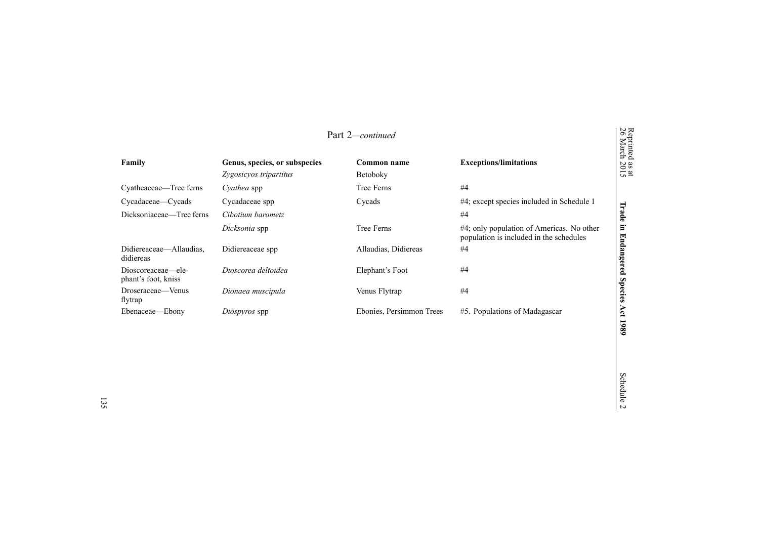|                                           |                                                         | Part 2-continued         |                                                                                      | Reprinted<br>26 March           |
|-------------------------------------------|---------------------------------------------------------|--------------------------|--------------------------------------------------------------------------------------|---------------------------------|
| Family                                    | Genus, species, or subspecies<br>Zygosicyos tripartitus | Common name<br>Betoboky  | <b>Exceptions/limitations</b>                                                        | $\frac{a}{20}$<br>$\frac{a}{2}$ |
| Cyatheaceae—Tree ferns                    | Cyathea spp                                             | Tree Ferns               | #4                                                                                   |                                 |
| Cycadaceae—Cycads                         | Cycadaceae spp                                          | Cycads                   | #4; except species included in Schedule 1                                            |                                 |
| Dicksoniaceae—Tree ferns                  | Cibotium barometz                                       |                          | #4                                                                                   | <b>DEAL</b><br>Ð                |
|                                           | Dicksonia spp                                           | Tree Ferns               | #4; only population of Americas. No other<br>population is included in the schedules | ь                               |
| Didiereaceae—Allaudias.<br>didiereas      | Didiereaceae spp                                        | Allaudias, Didiereas     | #4                                                                                   | Endang                          |
| Dioscoreaceae—ele-<br>phant's foot, kniss | Dioscorea deltoidea                                     | Elephant's Foot          | #4                                                                                   | ered)                           |
| Droseraceae—Venus<br>flytrap              | Dionaea muscipula                                       | Venus Flytrap            | #4                                                                                   | <b>Species</b>                  |
| Ebenaceae—Ebony                           | Diospyros spp                                           | Ebonies, Persimmon Trees | #5. Populations of Madagascar                                                        | Άct                             |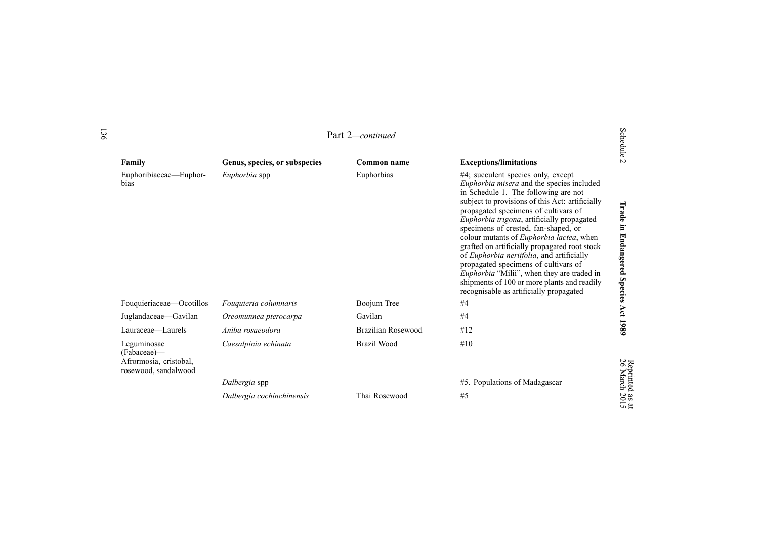|                                                                              |                               | Part 2—continued   |                                                                                                                                                                                                                                                                                                                                                                                                                                                                                                                                                                                                                                               | Schedule                                 |
|------------------------------------------------------------------------------|-------------------------------|--------------------|-----------------------------------------------------------------------------------------------------------------------------------------------------------------------------------------------------------------------------------------------------------------------------------------------------------------------------------------------------------------------------------------------------------------------------------------------------------------------------------------------------------------------------------------------------------------------------------------------------------------------------------------------|------------------------------------------|
| Family                                                                       | Genus, species, or subspecies | Common name        | <b>Exceptions/limitations</b>                                                                                                                                                                                                                                                                                                                                                                                                                                                                                                                                                                                                                 | $\overline{a}$                           |
| Euphoribiaceae—Euphor-<br>bias                                               | Euphorbia spp                 | Euphorbias         | $#4$ ; succulent species only, except<br>Euphorbia misera and the species included<br>in Schedule 1. The following are not<br>subject to provisions of this Act: artificially<br>propagated specimens of cultivars of<br>Euphorbia trigona, artificially propagated<br>specimens of crested, fan-shaped, or<br>colour mutants of Euphorbia lactea, when<br>grafted on artificially propagated root stock<br>of <i>Euphorbia neriifolia</i> , and artificially<br>propagated specimens of cultivars of<br>Euphorbia "Milii", when they are traded in<br>shipments of 100 or more plants and readily<br>recognisable as artificially propagated | Trade<br>in Endangered<br>Species        |
| Fouquieriaceae—Ocotillos                                                     | Fouquieria columnaris         | Boojum Tree        | #4                                                                                                                                                                                                                                                                                                                                                                                                                                                                                                                                                                                                                                            |                                          |
| Juglandaceae—Gavilan                                                         | Oreomunnea pterocarpa         | Gavilan            | #4                                                                                                                                                                                                                                                                                                                                                                                                                                                                                                                                                                                                                                            | Act 1989                                 |
| Lauraceae-Laurels                                                            | Aniba rosaeodora              | Brazilian Rosewood | #12                                                                                                                                                                                                                                                                                                                                                                                                                                                                                                                                                                                                                                           |                                          |
| Leguminosae<br>(Fabaceae)—<br>Afrormosia, cristobal,<br>rosewood, sandalwood | Caesalpinia echinata          | Brazil Wood        | #10                                                                                                                                                                                                                                                                                                                                                                                                                                                                                                                                                                                                                                           |                                          |
|                                                                              | Dalbergia spp                 |                    | #5. Populations of Madagascar                                                                                                                                                                                                                                                                                                                                                                                                                                                                                                                                                                                                                 |                                          |
|                                                                              | Dalbergia cochinchinensis     | Thai Rosewood      | #5                                                                                                                                                                                                                                                                                                                                                                                                                                                                                                                                                                                                                                            | <b>Replified as all</b><br>26 March 2015 |

Reprinted

 $\vec{a}$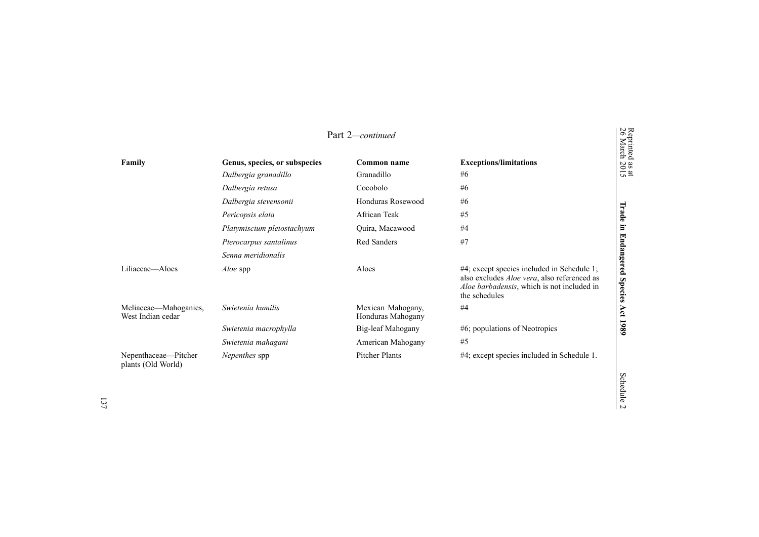|                                            |                               | Part 2-continued                       |                                                                                                                                                                  | Reprinted<br>26 March        |
|--------------------------------------------|-------------------------------|----------------------------------------|------------------------------------------------------------------------------------------------------------------------------------------------------------------|------------------------------|
| Family                                     | Genus, species, or subspecies | Common name                            | <b>Exceptions/limitations</b>                                                                                                                                    | $\frac{aS}{20}$<br>$\sin 2$  |
|                                            | Dalbergia granadillo          | Granadillo                             | #6                                                                                                                                                               |                              |
|                                            | Dalbergia retusa              | Cocobolo                               | #6                                                                                                                                                               |                              |
|                                            | Dalbergia stevensonii         | Honduras Rosewood                      | #6                                                                                                                                                               |                              |
|                                            | Pericopsis elata              | African Teak                           | #5                                                                                                                                                               | Trade                        |
|                                            | Platymiscium pleiostachyum    | Quira, Macawood                        | #4                                                                                                                                                               | Ē.                           |
|                                            | Pterocarpus santalinus        | Red Sanders                            | #7                                                                                                                                                               |                              |
|                                            | Senna meridionalis            |                                        |                                                                                                                                                                  |                              |
| Liliaceae—Aloes                            | <i>Aloe</i> spp               | Aloes                                  | #4; except species included in Schedule 1;<br>also excludes <i>Aloe vera</i> , also referenced as<br>Aloe barbadensis, which is not included in<br>the schedules | Endangered<br><b>Species</b> |
| Meliaceae—Mahoganies,<br>West Indian cedar | Swietenia humilis             | Mexican Mahogany,<br>Honduras Mahogany | #4                                                                                                                                                               | Act                          |
|                                            | Swietenia macrophylla         | Big-leaf Mahogany                      | $#6$ ; populations of Neotropics                                                                                                                                 | 1980                         |
|                                            | Swietenia mahagani            | American Mahogany                      | #5                                                                                                                                                               |                              |
| Nepenthaceae—Pitcher<br>plants (Old World) | Nepenthes spp                 | <b>Pitcher Plants</b>                  | #4; except species included in Schedule 1.                                                                                                                       |                              |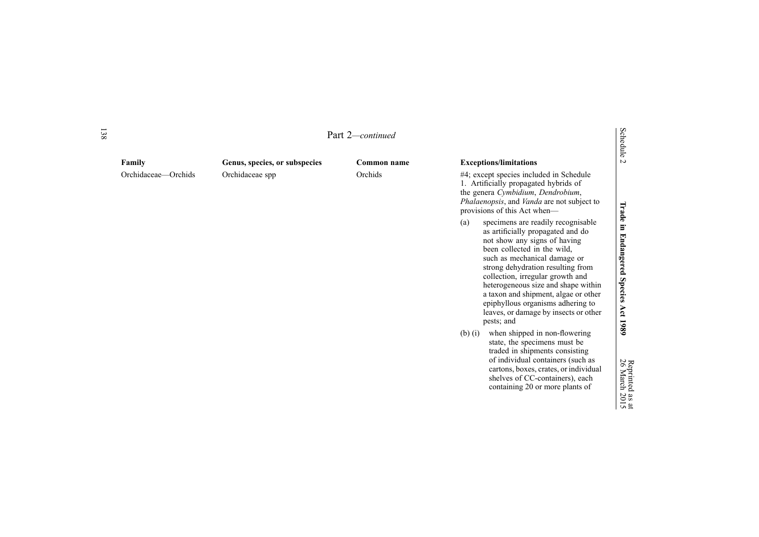| 138 |                     |                               | Part 2-continued |                                                                                                                                                                                                                                                                                                                                                                                                                                   | Schedule                        |
|-----|---------------------|-------------------------------|------------------|-----------------------------------------------------------------------------------------------------------------------------------------------------------------------------------------------------------------------------------------------------------------------------------------------------------------------------------------------------------------------------------------------------------------------------------|---------------------------------|
|     | Family              | Genus, species, or subspecies | Common name      | <b>Exceptions/limitations</b>                                                                                                                                                                                                                                                                                                                                                                                                     | $\overline{C}$                  |
|     | Orchidaceae—Orchids | Orchidaceae spp               | Orchids          | #4; except species included in Schedule<br>1. Artificially propagated hybrids of<br>the genera Cymbidium, Dendrobium,<br>Phalaenopsis, and Vanda are not subject to<br>provisions of this Act when—                                                                                                                                                                                                                               |                                 |
|     |                     |                               |                  | specimens are readily recognisable<br>(a)<br>as artificially propagated and do<br>not show any signs of having<br>been collected in the wild,<br>such as mechanical damage or<br>strong dehydration resulting from<br>collection, irregular growth and<br>heterogeneous size and shape within<br>a taxon and shipment, algae or other<br>epiphyllous organisms adhering to<br>leaves, or damage by insects or other<br>pests; and | Trade in Endangered Species Act |
|     |                     |                               |                  | when shipped in non-flowering<br>$(b)$ $(i)$<br>state, the specimens must be<br>traded in shipments consisting<br>of individual containers (such as<br>cartons, boxes, crates, or individual<br>shelves of CC-containers), each<br>containing 20 or more plants of                                                                                                                                                                | 1989<br>26 March 2015           |

Reprinted

as  $\vec{a}$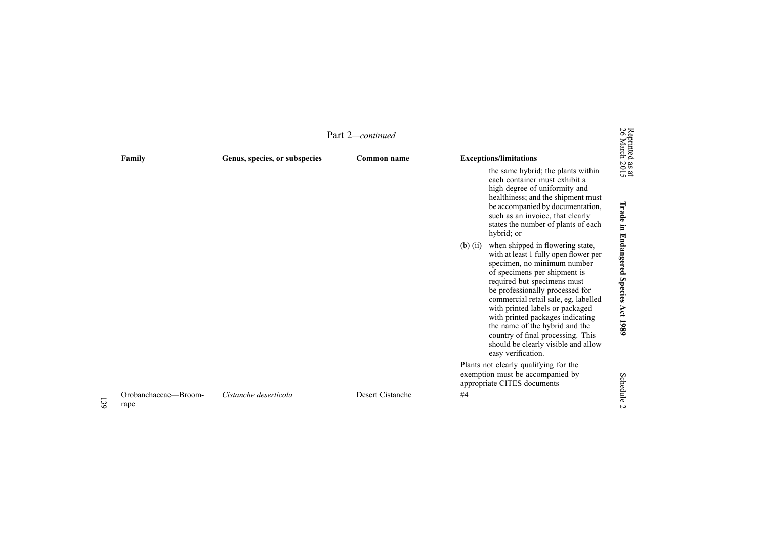|    | Part 2-continued             |                               |                  |                                                                                                                                                                                                                                                                                                                                                                                                                                                                             |                                         |
|----|------------------------------|-------------------------------|------------------|-----------------------------------------------------------------------------------------------------------------------------------------------------------------------------------------------------------------------------------------------------------------------------------------------------------------------------------------------------------------------------------------------------------------------------------------------------------------------------|-----------------------------------------|
|    | Family                       | Genus, species, or subspecies | Common name      | <b>Exceptions/limitations</b><br>the same hybrid; the plants within<br>each container must exhibit a<br>high degree of uniformity and<br>healthiness; and the shipment must<br>be accompanied by documentation,<br>such as an invoice, that clearly<br>states the number of plants of each<br>hybrid; or                                                                                                                                                                    | Reprinted as at<br>26 March 2015        |
|    |                              |                               |                  | when shipped in flowering state,<br>$(b)$ (ii)<br>with at least 1 fully open flower per<br>specimen, no minimum number<br>of specimens per shipment is<br>required but specimens must<br>be professionally processed for<br>commercial retail sale, eg, labelled<br>with printed labels or packaged<br>with printed packages indicating<br>the name of the hybrid and the<br>country of final processing. This<br>should be clearly visible and allow<br>easy verification. | Trade in Endangered Species<br>Act 1989 |
| 39 | Orobanchaceae-Broom-<br>rape | Cistanche deserticola         | Desert Cistanche | Plants not clearly qualifying for the<br>exemption must be accompanied by<br>appropriate CITES documents<br>#4                                                                                                                                                                                                                                                                                                                                                              | <b>Schedule</b><br>$\triangleright$     |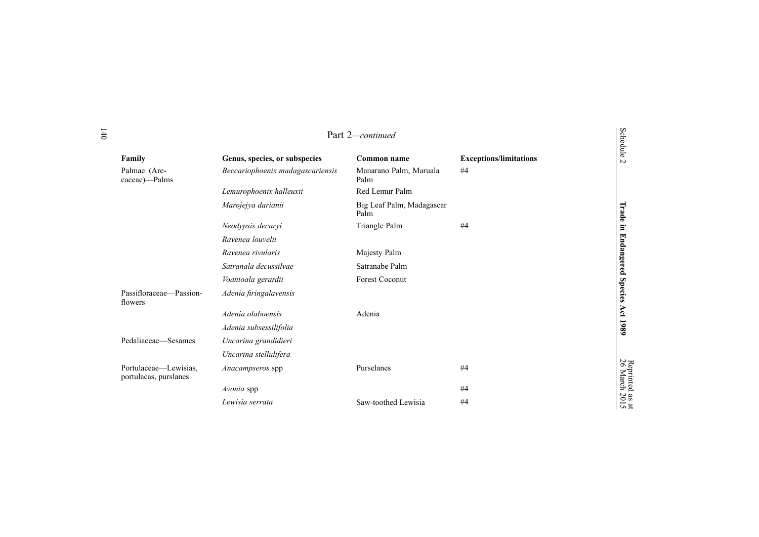|                                                |                                  | Part 2-continued                  |                               | <b>Schedule</b>       |
|------------------------------------------------|----------------------------------|-----------------------------------|-------------------------------|-----------------------|
| Family                                         | Genus, species, or subspecies    | Common name                       | <b>Exceptions/limitations</b> | $\overline{v}$        |
| Palmae (Are-<br>caceae)—Palms                  | Beccariophoenix madagascariensis | Manarano Palm, Maruala<br>Palm    | #4                            |                       |
|                                                | Lemurophoenix halleuxii          | Red Lemur Palm                    |                               |                       |
|                                                | Marojejya darianii               | Big Leaf Palm, Madagascar<br>Palm |                               | Trade                 |
|                                                | Neodypsis decaryi                | Triangle Palm                     | #4                            | $\Xi$                 |
|                                                | Ravenea louvelii                 |                                   |                               |                       |
|                                                | Ravenea rivularis                | Majesty Palm                      |                               |                       |
|                                                | Satranala decussilvae            | Satranabe Palm                    |                               | <b>Endangered</b>     |
|                                                | Voanioala gerardii               | <b>Forest Coconut</b>             |                               |                       |
| Passifloraceae-Passion-<br>flowers             | Adenia firingalavensis           |                                   |                               | <b>Species</b>        |
|                                                | Adenia olaboensis                | Adenia                            |                               | Act                   |
|                                                | Adenia subsessilifolia           |                                   |                               | 1980                  |
| Pedaliaceae—Sesames                            | Uncarina grandidieri             |                                   |                               |                       |
|                                                | Uncarina stellulifera            |                                   |                               |                       |
| Portulaceae—Lewisias,<br>portulacas, purslanes | Anacampseros spp                 | Purselanes                        | #4                            | Reprinted<br>26 March |
|                                                | Avonia spp                       |                                   | #4                            |                       |
|                                                | Lewisia serrata                  | Saw-toothed Lewisia               | #4                            | $\frac{3}{2015}$      |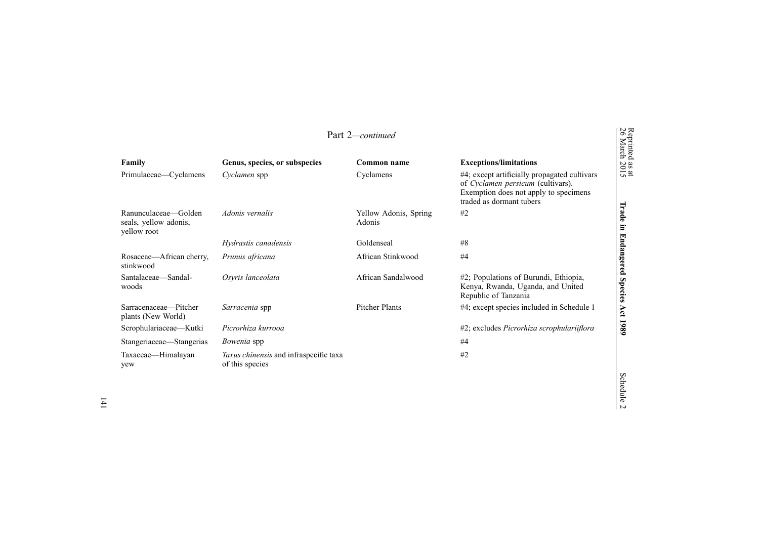| Reprinted<br>26 March<br>Part 2-continued                    |                                                                  |                                 |                                                                                                                                                        |                              |
|--------------------------------------------------------------|------------------------------------------------------------------|---------------------------------|--------------------------------------------------------------------------------------------------------------------------------------------------------|------------------------------|
| Family                                                       | Genus, species, or subspecies                                    | Common name                     | <b>Exceptions/limitations</b>                                                                                                                          |                              |
| Primulaceae—Cyclamens                                        | Cyclamen spp                                                     | Cyclamens                       | #4; except artificially propagated cultivars<br>of Cyclamen persicum (cultivars).<br>Exemption does not apply to specimens<br>traded as dormant tubers | $\frac{38 \text{ at}}{2015}$ |
| Ranunculaceae—Golden<br>seals, yellow adonis,<br>yellow root | Adonis vernalis                                                  | Yellow Adonis, Spring<br>Adonis | #2                                                                                                                                                     | Irade<br>$\Xi$               |
|                                                              | Hydrastis canadensis                                             | Goldenseal                      | #8                                                                                                                                                     |                              |
| Rosaceae—African cherry,<br>stinkwood                        | Prunus africana                                                  | African Stinkwood               | #4                                                                                                                                                     | Endangered                   |
| Santalaceae-Sandal-<br>woods                                 | Osyris lanceolata                                                | African Sandalwood              | #2; Populations of Burundi, Ethiopia,<br>Kenya, Rwanda, Uganda, and United<br>Republic of Tanzania                                                     | <b>Species</b>               |
| Sarracenaceae—Pitcher<br>plants (New World)                  | Sarracenia spp                                                   | <b>Pitcher Plants</b>           | #4; except species included in Schedule 1                                                                                                              | Act                          |
| Scrophulariaceae-Kutki                                       | Picrorhiza kurrooa                                               |                                 | #2; excludes Picrorhiza scrophulariiflora                                                                                                              | 1989                         |
| Stangeriaceae—Stangerias                                     | <i>Bowenia</i> spp                                               |                                 | #4                                                                                                                                                     |                              |
| Taxaceae—Himalayan<br>yew                                    | <i>Taxus chinensis</i> and infraspecific taxa<br>of this species |                                 | #2                                                                                                                                                     |                              |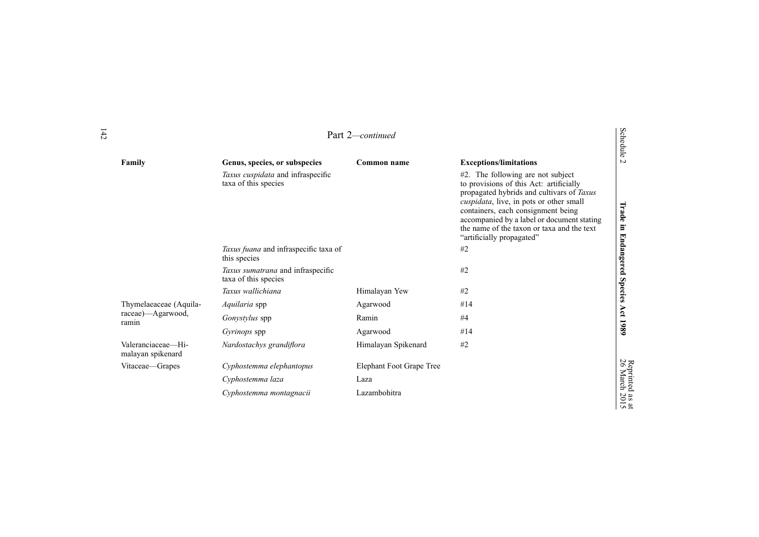|                                         |                                                           | Part 2-continued         |                                                                                                                                                                                                                                                                                                                                     | <b>Schedule</b>         |
|-----------------------------------------|-----------------------------------------------------------|--------------------------|-------------------------------------------------------------------------------------------------------------------------------------------------------------------------------------------------------------------------------------------------------------------------------------------------------------------------------------|-------------------------|
| Family                                  | Genus, species, or subspecies                             | Common name              | <b>Exceptions/limitations</b>                                                                                                                                                                                                                                                                                                       | $\sim$                  |
|                                         | Taxus cuspidata and infraspecific<br>taxa of this species |                          | #2. The following are not subject<br>to provisions of this Act: artificially<br>propagated hybrids and cultivars of Taxus<br>cuspidata, live, in pots or other small<br>containers, each consignment being<br>accompanied by a label or document stating<br>the name of the taxon or taxa and the text<br>"artificially propagated" | Trade<br>Ξ.             |
|                                         | Taxus fuana and infraspecific taxa of<br>this species     |                          | #2                                                                                                                                                                                                                                                                                                                                  | <b>Endangered</b>       |
|                                         | Taxus sumatrana and infraspecific<br>taxa of this species |                          | #2                                                                                                                                                                                                                                                                                                                                  |                         |
|                                         | Taxus wallichiana                                         | Himalayan Yew            | #2                                                                                                                                                                                                                                                                                                                                  | Species                 |
| Thymelaeaceae (Aquila-                  | Aquilaria spp                                             | Agarwood                 | #14                                                                                                                                                                                                                                                                                                                                 |                         |
| raceae)—Agarwood,<br>ramin              | Gonystylus spp                                            | Ramin                    | #4                                                                                                                                                                                                                                                                                                                                  | Act                     |
|                                         | <i>Gyrinops</i> spp                                       | Agarwood                 | #14                                                                                                                                                                                                                                                                                                                                 | 1989                    |
| Valeranciaceae-Hi-<br>malayan spikenard | Nardostachys grandiflora                                  | Himalayan Spikenard      | #2                                                                                                                                                                                                                                                                                                                                  |                         |
| Vitaceae—Grapes                         | Cyphostemma elephantopus                                  | Elephant Foot Grape Tree |                                                                                                                                                                                                                                                                                                                                     |                         |
|                                         | Cyphostemma laza                                          | Laza                     |                                                                                                                                                                                                                                                                                                                                     | Reprinted<br>26 March : |
|                                         | Cyphostemma montagnacii                                   | Lazambohitra             |                                                                                                                                                                                                                                                                                                                                     | $\frac{3015}{2015}$     |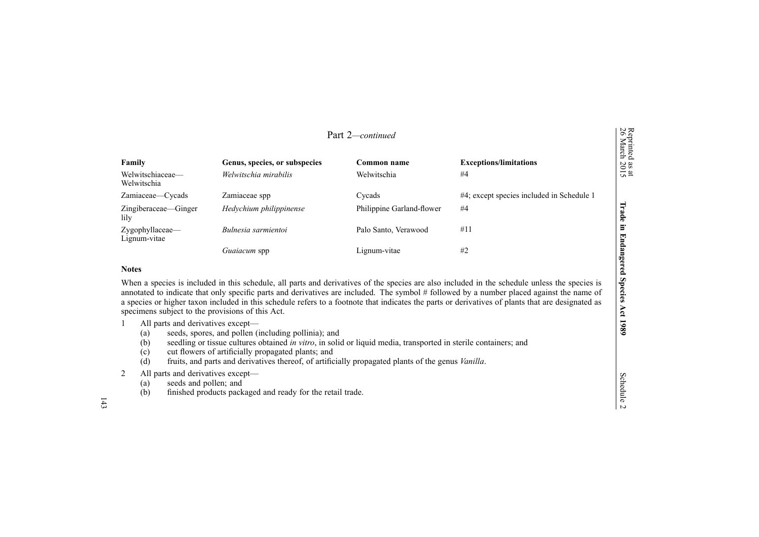| Part 2-continued                |                                                        |                            |                                           | Reprinted<br>26 March           |
|---------------------------------|--------------------------------------------------------|----------------------------|-------------------------------------------|---------------------------------|
| Family<br>Welwitschiaceae-      | Genus, species, or subspecies<br>Welwitschia mirabilis | Common name<br>Welwitschia | <b>Exceptions/limitations</b><br>#4       | $\frac{a}{20}$<br>$\frac{1}{2}$ |
| Welwitschia                     |                                                        |                            |                                           |                                 |
| Zamiaceae-Cycads                | Zamiaceae spp                                          | Cycads                     | #4; except species included in Schedule 1 |                                 |
| Zingiberaceae—Ginger<br>lily    | Hedychium philippinense                                | Philippine Garland-flower  | #4                                        | EЛ<br>≏<br>$\bullet$            |
| Zygophyllaceae-<br>Lignum-vitae | Bulnesia sarmientoi                                    | Palo Santo, Verawood       | #11                                       | ь<br>ट्य<br>ь                   |
|                                 | Guaiacum spp                                           | Lignum-vitae               | #2                                        | ldang<br>$\sigma$               |
| <b>Notes</b>                    |                                                        |                            |                                           | O                               |

When <sup>a</sup> species is included in this schedule, all parts and derivatives of the species are also included in the schedule unless the species is annotated to indicate that only specific parts and derivatives are included. The symbol # followed by <sup>a</sup> number placed against the name of <sup>a</sup> species or higher taxon included in this schedule refers to <sup>a</sup> footnote that indicates the parts or derivatives of plants that are designated as specimens subject to the provisions of this Act.

- 1 All parts and derivatives except—
	- (a) seeds, spores, and pollen (including pollinia); and
	- (b) seedling or tissue cultures obtained *in vitro*, in solid or liquid media, transported in sterile containers; and
	- (c) cut flowers of artificially propagated plants; and
	- (d) fruits, and parts and derivatives thereof, of artificially propagated plants of the genus *Vanilla*.
- 2 All parts and derivatives except—
	- (a) seeds and pollen; and
	- (b) finished products packaged and ready for the retail trade.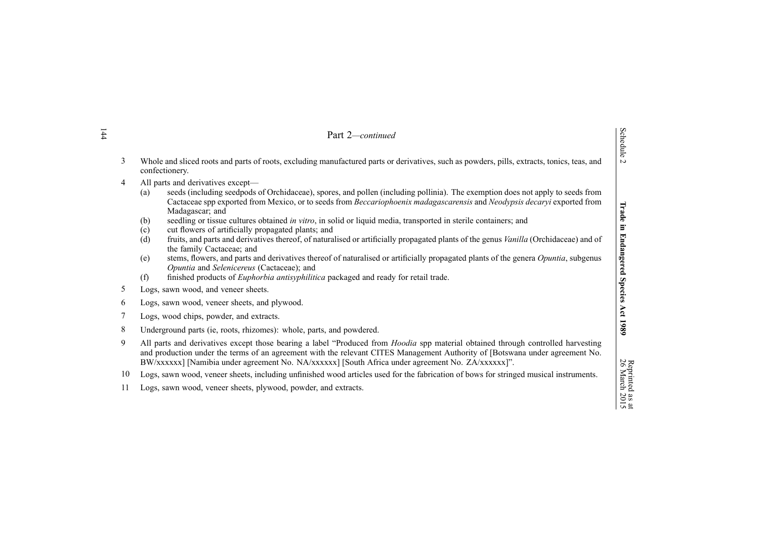|                                                                                                                                                                    | Part 2-continued                                                                                                                                                                                                                                                                                                                                                                                                                                                                                                                                                                                                                                                                                                                                                                                                                                                                                                                                                                      |                                  |  |  |
|--------------------------------------------------------------------------------------------------------------------------------------------------------------------|---------------------------------------------------------------------------------------------------------------------------------------------------------------------------------------------------------------------------------------------------------------------------------------------------------------------------------------------------------------------------------------------------------------------------------------------------------------------------------------------------------------------------------------------------------------------------------------------------------------------------------------------------------------------------------------------------------------------------------------------------------------------------------------------------------------------------------------------------------------------------------------------------------------------------------------------------------------------------------------|----------------------------------|--|--|
| 3<br>Whole and sliced roots and parts of roots, excluding manufactured parts or derivatives, such as powders, pills, extracts, tonics, teas, and<br>confectionery. |                                                                                                                                                                                                                                                                                                                                                                                                                                                                                                                                                                                                                                                                                                                                                                                                                                                                                                                                                                                       | <b>Schedule</b><br>$\sim$        |  |  |
| 4                                                                                                                                                                  | All parts and derivatives except-<br>seeds (including seedpods of Orchidaceae), spores, and pollen (including pollinia). The exemption does not apply to seeds from<br>(a)<br>Cactaceae spp exported from Mexico, or to seeds from Beccariophoenix madagascarensis and Neodypsis decaryi exported from<br>Madagascar; and<br>seedling or tissue cultures obtained in vitro, in solid or liquid media, transported in sterile containers; and<br>(b)<br>(c)<br>cut flowers of artificially propagated plants; and<br>fruits, and parts and derivatives thereof, of naturalised or artificially propagated plants of the genus Vanilla (Orchidaceae) and of<br>(d)<br>the family Cactaceae; and<br>stems, flowers, and parts and derivatives thereof of naturalised or artificially propagated plants of the genera Opuntia, subgenus<br>(e)<br>Opuntia and Selenicereus (Cactaceae); and<br>finished products of Euphorbia antisyphilitica packaged and ready for retail trade.<br>(f) | Trade<br>Ē.<br><b>Endangered</b> |  |  |
| Logs, sawn wood, and veneer sheets.<br>5                                                                                                                           |                                                                                                                                                                                                                                                                                                                                                                                                                                                                                                                                                                                                                                                                                                                                                                                                                                                                                                                                                                                       | <b>Species</b>                   |  |  |
| Logs, sawn wood, veneer sheets, and plywood.<br>6                                                                                                                  |                                                                                                                                                                                                                                                                                                                                                                                                                                                                                                                                                                                                                                                                                                                                                                                                                                                                                                                                                                                       |                                  |  |  |
| 7<br>Logs, wood chips, powder, and extracts.                                                                                                                       |                                                                                                                                                                                                                                                                                                                                                                                                                                                                                                                                                                                                                                                                                                                                                                                                                                                                                                                                                                                       | Act                              |  |  |
| 8<br>Underground parts (ie, roots, rhizomes): whole, parts, and powdered.                                                                                          |                                                                                                                                                                                                                                                                                                                                                                                                                                                                                                                                                                                                                                                                                                                                                                                                                                                                                                                                                                                       | 1980                             |  |  |
| 9                                                                                                                                                                  | All parts and derivatives except those bearing a label "Produced from Hoodia spp material obtained through controlled harvesting<br>and production under the terms of an agreement with the relevant CITES Management Authority of [Botswana under agreement No.<br>BW/xxxxxx] [Namibia under agreement No. NA/xxxxxx] [South Africa under agreement No. ZA/xxxxxx]".                                                                                                                                                                                                                                                                                                                                                                                                                                                                                                                                                                                                                 |                                  |  |  |
| 10<br>Logs, sawn wood, veneer sheets, including unfinished wood articles used for the fabrication of bows for stringed musical instruments.                        |                                                                                                                                                                                                                                                                                                                                                                                                                                                                                                                                                                                                                                                                                                                                                                                                                                                                                                                                                                                       |                                  |  |  |
| 11                                                                                                                                                                 | Logs, sawn wood, veneer sheets, plywood, powder, and extracts.                                                                                                                                                                                                                                                                                                                                                                                                                                                                                                                                                                                                                                                                                                                                                                                                                                                                                                                        | Reprinted as at<br>26 March 2015 |  |  |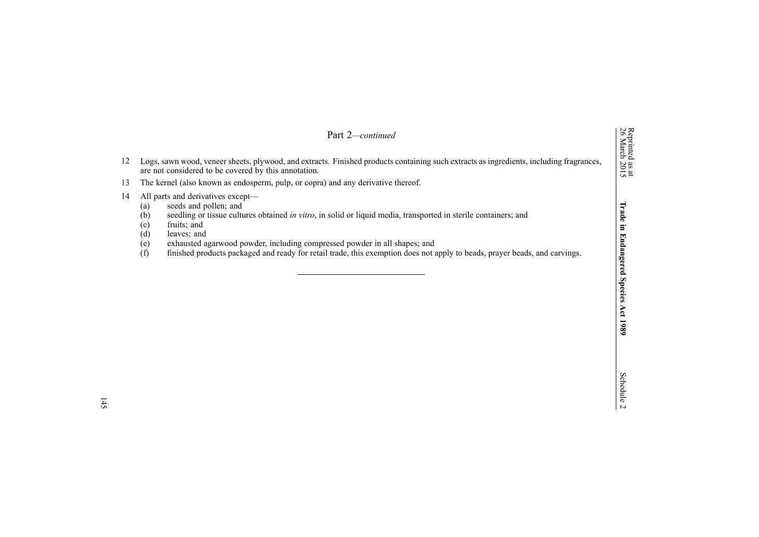|    | Part 2—continued                                                                                                                                                                                                                                                                                                                                                                                                                                                                        | Reprinted<br>26 March                |
|----|-----------------------------------------------------------------------------------------------------------------------------------------------------------------------------------------------------------------------------------------------------------------------------------------------------------------------------------------------------------------------------------------------------------------------------------------------------------------------------------------|--------------------------------------|
| 12 | Logs, sawn wood, veneer sheets, plywood, and extracts. Finished products containing such extracts as ingredients, including fragrances,<br>are not considered to be covered by this annotation.                                                                                                                                                                                                                                                                                         | $\frac{38 \text{ at}}{2015}$         |
| 13 | The kernel (also known as endosperm, pulp, or copra) and any derivative thereof.                                                                                                                                                                                                                                                                                                                                                                                                        |                                      |
| 14 | All parts and derivatives except—<br>seeds and pollen; and<br>(a)<br>(b)<br>seedling or tissue cultures obtained in vitro, in solid or liquid media, transported in sterile containers; and<br>fruits; and<br>$\left( \mathrm{c}\right)$<br>(d)<br>leaves; and<br>(e)<br>exhausted agarwood powder, including compressed powder in all shapes; and<br>(f)<br>finished products packaged and ready for retail trade, this exemption does not apply to beads, prayer beads, and carvings. | $\overline{5}$<br>U.<br>angere<br>Sp |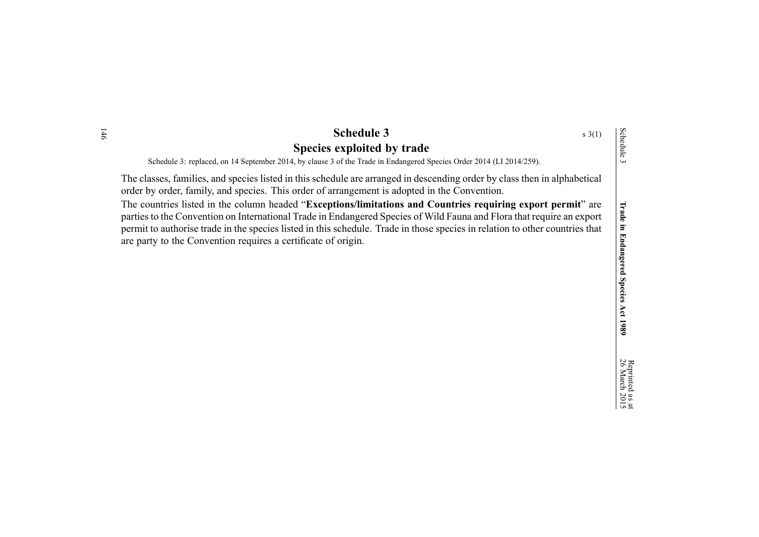| <b>Schedule 3</b><br>$s \; 3(1)$                                                                                                                                                                                          |            |
|---------------------------------------------------------------------------------------------------------------------------------------------------------------------------------------------------------------------------|------------|
| Species exploited by trade                                                                                                                                                                                                | Schedule 3 |
| Schedule 3: replaced, on 14 September 2014, by clause 3 of the Trade in Endangered Species Order 2014 (LI 2014/259).                                                                                                      |            |
| The classes, families, and species listed in this schedule are arranged in descending order by class then in alphabetical<br>order by order, family, and species. This order of arrangement is adopted in the Convention. |            |
| The countries listed in the column headed "Exceptions/limitations and Countries requiring export permit" are                                                                                                              | Trade      |
| parties to the Convention on International Trade in Endangered Species of Wild Fauna and Flora that require an export                                                                                                     |            |

parties to the Convention on International Trade in Endangered Species of Wild Fauna and Flora that require an expor<sup>t</sup> permit to authorise trade in the species listed in this schedule. Trade in those species in relation to other countries that are party to the Convention requires <sup>a</sup> certificate of origin.

**1989**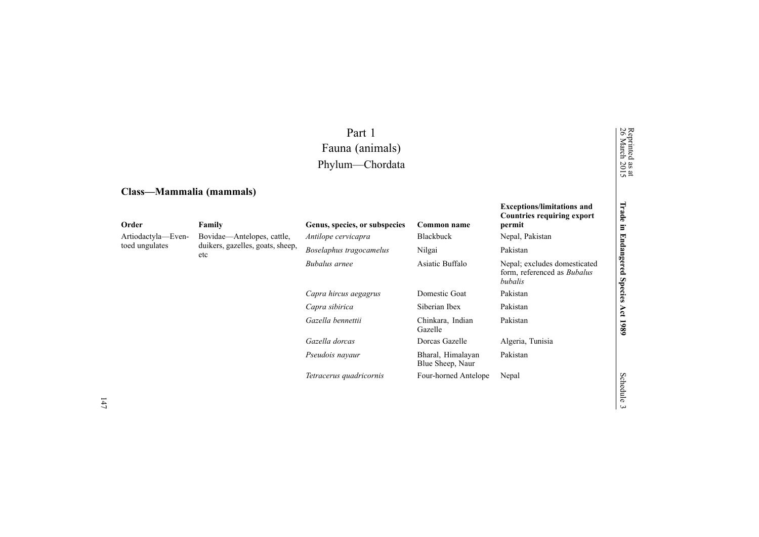# Part 1 Fauna (animals) Phylum—Chordata

# **Class—Mammalia (mammals)**

| Order              | Family                                  | Genus, species, or subspecies | Common name                           | Countries requiring export<br>permit                                          | ā<br>$\Xi$            |
|--------------------|-----------------------------------------|-------------------------------|---------------------------------------|-------------------------------------------------------------------------------|-----------------------|
| Artiodactyla-Even- | Bovidae—Antelopes, cattle,              | Antilope cervicapra           | Blackbuck                             | Nepal, Pakistan                                                               |                       |
| toed ungulates     | duikers, gazelles, goats, sheep,<br>etc | Boselaphus tragocamelus       | Nilgai                                | Pakistan                                                                      |                       |
|                    |                                         | Bubalus arnee                 | Asiatic Buffalo                       | Nepal; excludes domesticated<br>form, referenced as <i>Bubalus</i><br>bubalis | Endangered            |
|                    |                                         | Capra hircus aegagrus         | Domestic Goat                         | Pakistan                                                                      | <b>Species</b><br>Act |
|                    |                                         | Capra sibirica                | Siberian Ibex                         | Pakistan                                                                      |                       |
|                    |                                         | Gazella bennettii             | Chinkara, Indian<br>Gazelle           | Pakistan                                                                      | 1989                  |
|                    |                                         | Gazella dorcas                | Dorcas Gazelle                        | Algeria, Tunisia                                                              |                       |
|                    |                                         | Pseudois nayaur               | Bharal, Himalayan<br>Blue Sheep, Naur | Pakistan                                                                      |                       |
|                    |                                         | Tetracerus quadricornis       | Four-horned Antelope                  | Nepal                                                                         | Schec                 |

**Exceptions/limitations and**

Reprinted

26 March

as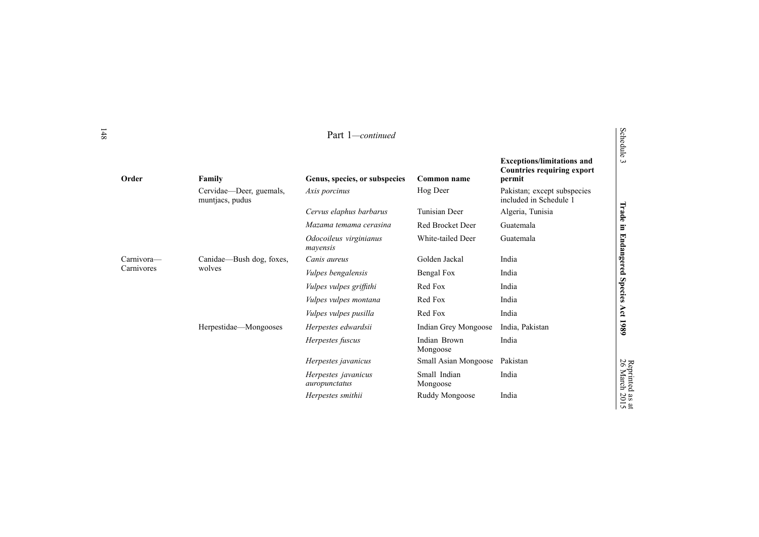| Order      | Family                                     | Genus, species, or subspecies        | Common name              | <b>Exceptions/limitations and</b><br><b>Countries requiring export</b><br>permit | $\sigma$<br>$\omega$  |
|------------|--------------------------------------------|--------------------------------------|--------------------------|----------------------------------------------------------------------------------|-----------------------|
|            | Cervidae—Deer, guemals,<br>muntjacs, pudus | Axis porcinus                        | Hog Deer                 | Pakistan; except subspecies<br>included in Schedule 1                            |                       |
|            |                                            | Cervus elaphus barbarus              | <b>Tunisian Deer</b>     | Algeria, Tunisia                                                                 | Trade                 |
|            |                                            | Mazama temama cerasina               | Red Brocket Deer         | Guatemala                                                                        | E.                    |
|            |                                            | Odocoileus virginianus<br>mayensis   | White-tailed Deer        | Guatemala                                                                        | 国<br>ndangered        |
| Carnivora— | Canidae—Bush dog, foxes,                   | Canis aureus                         | Golden Jackal            | India                                                                            |                       |
| Carnivores | wolves                                     | Vulpes bengalensis                   | Bengal Fox               | India                                                                            |                       |
|            |                                            | <i>Vulpes vulpes griffithi</i>       | Red Fox                  | India                                                                            | <b>Species</b>        |
|            |                                            | Vulpes vulpes montana                | Red Fox                  | India                                                                            |                       |
|            |                                            | Vulpes vulpes pusilla                | Red Fox                  | India                                                                            | Act                   |
|            | Herpestidae—Mongooses                      | Herpestes edwardsii                  | Indian Grey Mongoose     | India, Pakistan                                                                  | 1980                  |
|            |                                            | Herpestes fuscus                     | Indian Brown<br>Mongoose | India                                                                            |                       |
|            |                                            | Herpestes javanicus                  | Small Asian Mongoose     | Pakistan                                                                         |                       |
|            |                                            | Herpestes javanicus<br>auropunctatus | Small Indian<br>Mongoose | India                                                                            | Reprinted<br>26 March |
|            |                                            | Herpestes smithii                    | Ruddy Mongoose           | India                                                                            | as at<br>2015         |

Repr $\overline{\kappa}$ 

as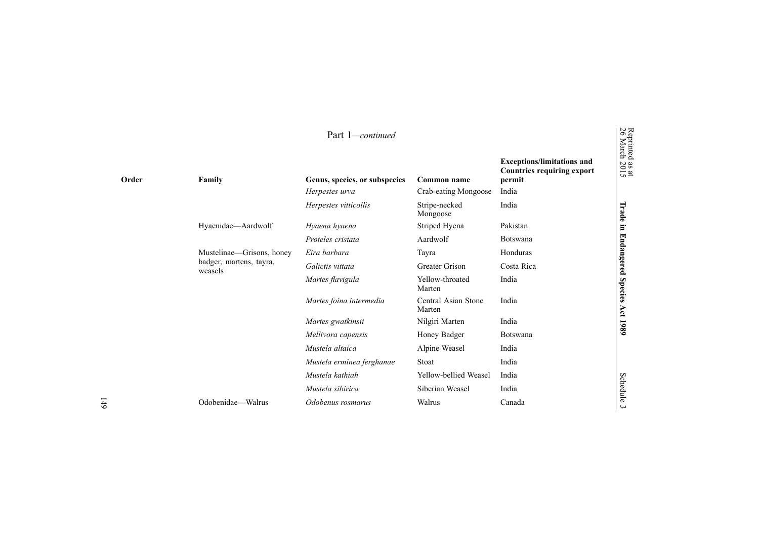|       |                                    | Part 1-continued                          |                               |                                                                                  | Reprinted<br>26 March        |
|-------|------------------------------------|-------------------------------------------|-------------------------------|----------------------------------------------------------------------------------|------------------------------|
| Order | Family                             | Genus, species, or subspecies             | Common name                   | <b>Exceptions/limitations and</b><br><b>Countries requiring export</b><br>permit | $\frac{38 \text{ at}}{2015}$ |
|       |                                    | Herpestes urva                            | Crab-eating Mongoose          | India                                                                            |                              |
|       |                                    | Herpestes vitticollis                     | Stripe-necked<br>Mongoose     | India                                                                            | Irade                        |
|       | Hyaenidae-Aardwolf                 | Hyaena hyaena                             | Striped Hyena                 | Pakistan                                                                         | E.                           |
|       |                                    | Aardwolf<br>Proteles cristata<br>Botswana |                               |                                                                                  |                              |
|       | Mustelinae—Grisons, honey          | Eira barbara                              | Tayra                         | Honduras                                                                         |                              |
|       | badger, martens, tayra,<br>weasels | Galictis vittata                          | <b>Greater Grison</b>         | Costa Rica                                                                       | <b>Endangered</b>            |
|       |                                    | Martes flavigula                          | Yellow-throated<br>Marten     | India                                                                            | <b>Species</b>               |
|       |                                    | Martes foina intermedia                   | Central Asian Stone<br>Marten | India                                                                            | Act                          |
|       |                                    | Martes gwatkinsii                         | Nilgiri Marten                | India                                                                            | 1980                         |
|       |                                    | Mellivora capensis                        | Honey Badger                  | <b>Botswana</b>                                                                  |                              |
|       |                                    | Mustela altaica                           | Alpine Weasel                 | India                                                                            |                              |
|       |                                    | Mustela erminea ferghanae                 | Stoat                         | India                                                                            |                              |
|       |                                    | Mustela kathiah                           | Yellow-bellied Weasel         | India                                                                            |                              |
|       |                                    | Mustela sibirica                          | Siberian Weasel               | India                                                                            | Schedule                     |
|       | Odobenidae-Walrus                  | Odobenus rosmarus                         | Walrus                        | Canada                                                                           | $\epsilon$                   |
|       |                                    |                                           |                               |                                                                                  |                              |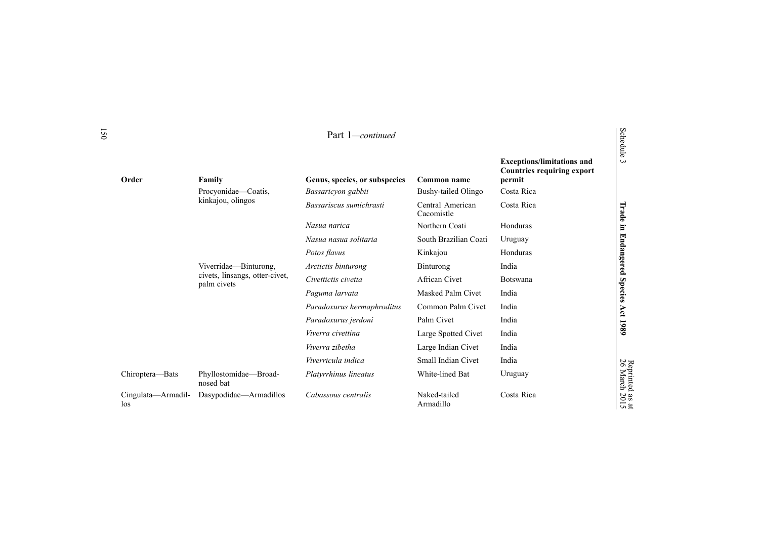| Order                     | Family                                        | Genus, species, or subspecies | Common name                    | <b>Exceptions/limitations and</b><br><b>Countries requiring export</b><br>permit | 등<br>$\omega$         |
|---------------------------|-----------------------------------------------|-------------------------------|--------------------------------|----------------------------------------------------------------------------------|-----------------------|
|                           | Procyonidae—Coatis,                           | Bassaricyon gabbii            | Bushy-tailed Olingo            | Costa Rica                                                                       |                       |
|                           | kinkajou, olingos                             | Bassariscus sumichrasti       | Central American<br>Cacomistle | Costa Rica                                                                       | Trade                 |
|                           |                                               | Nasua narica                  | Northern Coati                 | Honduras                                                                         | $\Xi$                 |
|                           |                                               | Nasua nasua solitaria         | South Brazilian Coati          | Uruguay                                                                          |                       |
|                           |                                               | Potos flavus                  | Kinkajou                       | Honduras                                                                         | <b>Endangered</b>     |
|                           | Viverridae-Binturong,                         | Arctictis binturong           | Binturong                      | India                                                                            |                       |
|                           | civets, linsangs, otter-civet,<br>palm civets | Civettictis civetta           | African Civet                  | <b>Botswana</b>                                                                  |                       |
|                           |                                               | Paguma larvata                | Masked Palm Civet              | India                                                                            | <b>Species</b>        |
|                           |                                               | Paradoxurus hermaphroditus    | Common Palm Civet              | India                                                                            | Act                   |
|                           |                                               | Paradoxurus jerdoni           | Palm Civet                     | India                                                                            |                       |
|                           |                                               | Viverra civettina             | Large Spotted Civet            | India                                                                            | 1980                  |
|                           |                                               | Viverra zibetha               | Large Indian Civet             | India                                                                            |                       |
|                           |                                               | Viverricula indica            | Small Indian Civet             | India                                                                            |                       |
| Chiroptera-Bats           | Phyllostomidae-Broad-<br>nosed bat            | Platyrrhinus lineatus         | White-lined Bat                | Uruguay                                                                          | Reprinted<br>26 March |
| Cingulata—Armadil-<br>los | Dasypodidae-Armadillos                        | Cabassous centralis           | Naked-tailed<br>Armadillo      | Costa Rica                                                                       | as at<br>2015         |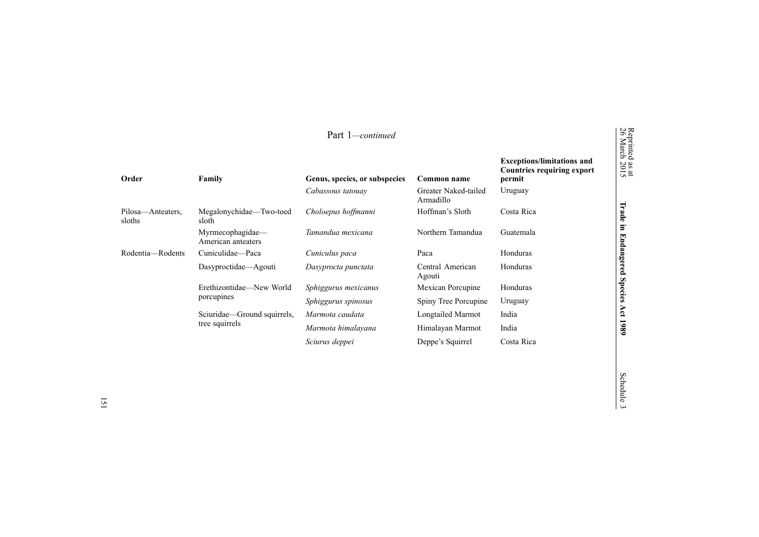|                             |                                        | Part 1-continued              |                                   |                                                                                  | Reprinted<br>26 March        |
|-----------------------------|----------------------------------------|-------------------------------|-----------------------------------|----------------------------------------------------------------------------------|------------------------------|
| Order                       | Family                                 | Genus, species, or subspecies | Common name                       | <b>Exceptions/limitations and</b><br><b>Countries requiring export</b><br>permit | $\frac{38 \text{ at}}{2015}$ |
|                             |                                        | Cabassous tatouay             | Greater Naked-tailed<br>Armadillo | Uruguay                                                                          |                              |
| Pilosa—Anteaters,<br>sloths | Megalonychidae-Two-toed<br>sloth       | Choloepus hoffmanni           | Hoffman's Sloth                   | Costa Rica                                                                       | Trade                        |
|                             | Myrmecophagidae—<br>American anteaters | Tamandua mexicana             | Northern Tamandua                 | Guatemala                                                                        | Ξ                            |
| Rodentia-Rodents            | Cuniculidae—Paca                       | Cuniculus paca                | Paca                              | Honduras                                                                         |                              |
|                             | Dasyproctidae—Agouti                   | Dasyprocta punctata           | Central American<br>Agouti        | Honduras                                                                         | Endangered                   |
|                             | Erethizontidae—New World               | Sphiggurus mexicanus          | Mexican Porcupine                 | Honduras                                                                         | <b>Species</b>               |
|                             | porcupines                             | Sphiggurus spinosus           | Spiny Tree Porcupine              | Uruguay                                                                          |                              |
|                             | Sciuridae—Ground squirrels,            | Marmota caudata               | Longtailed Marmot                 | India                                                                            | Act                          |
|                             | tree squirrels                         | Marmota himalayana            | Himalayan Marmot                  | India                                                                            | 1989                         |
|                             |                                        | Sciurus deppei                | Deppe's Squirrel                  | Costa Rica                                                                       |                              |

# $\overline{\mathbf{a}}$

Schedule 3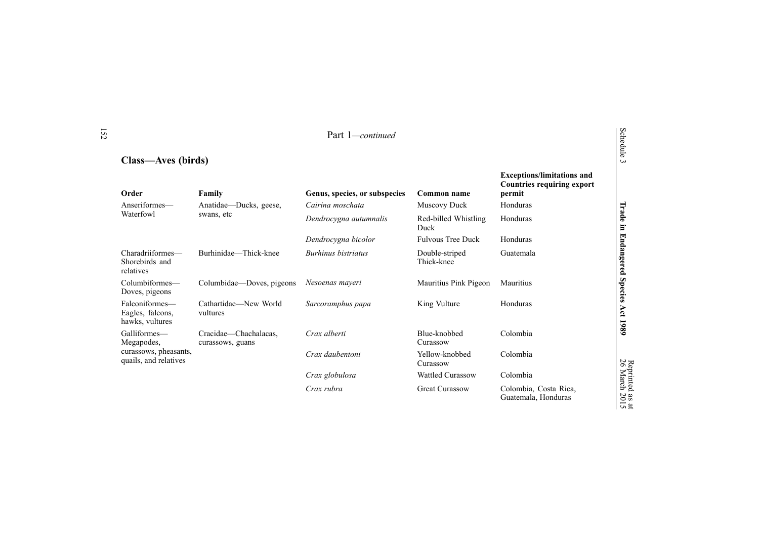# **Class—Aves (birds)**

| Order                                                 | Family                                    | Genus, species, or subspecies | Common name                  | <b>Countries requiring export</b><br>permit  |                |
|-------------------------------------------------------|-------------------------------------------|-------------------------------|------------------------------|----------------------------------------------|----------------|
| Anseriformes—                                         | Anatidae—Ducks, geese,                    | Cairina moschata              | Muscovy Duck                 | Honduras                                     |                |
| Waterfowl                                             | swans, etc                                | Dendrocygna autumnalis        | Red-billed Whistling<br>Duck | Honduras                                     | Trade          |
|                                                       |                                           | Dendrocygna bicolor           | <b>Fulvous Tree Duck</b>     | Honduras                                     |                |
| Charadriiformes-<br>Shorebirds and<br>relatives       | Burhinidae—Thick-knee                     | Burhinus bistriatus           | Double-striped<br>Thick-knee | Guatemala                                    | in Endangered  |
| Columbiformes-<br>Doves, pigeons                      | Columbidae—Doves, pigeons                 | Nesoenas mayeri               | Mauritius Pink Pigeon        | Mauritius                                    | <b>Species</b> |
| Falconiformes-<br>Eagles, falcons,<br>hawks, vultures | Cathartidae—New World<br>vultures         | Sarcoramphus papa             | King Vulture                 | Honduras                                     | Act 1989       |
| Galliformes—<br>Megapodes,                            | Cracidae-Chachalacas,<br>curassows, guans | Crax alberti                  | Blue-knobbed<br>Curassow     | Colombia                                     |                |
| curassows, pheasants,<br>quails, and relatives        |                                           | Crax daubentoni               | Yellow-knobbed<br>Curassow   | Colombia                                     | 26             |
|                                                       |                                           | Crax globulosa                | Wattled Curassow             | Colombia                                     | March          |
|                                                       |                                           | Crax rubra                    | <b>Great Curassow</b>        | Colombia, Costa Rica,<br>Guatemala, Honduras | 2015           |

Schedule 3

**Exceptions/limitations and**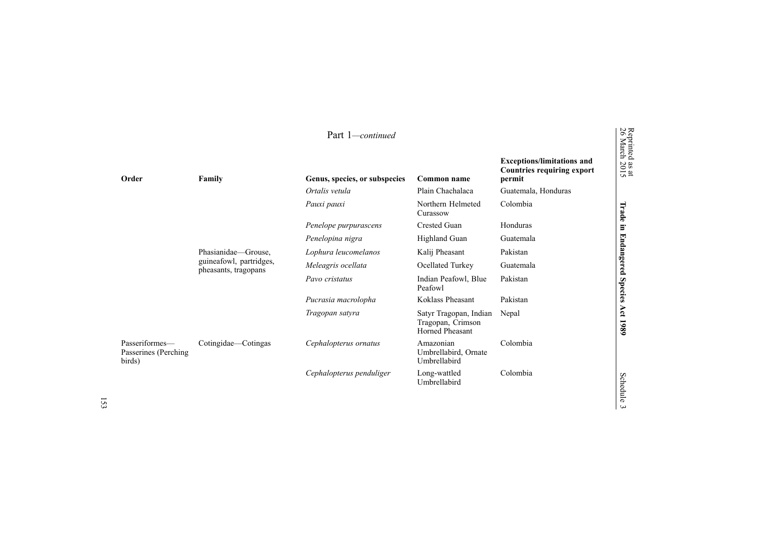|                                                  |                                                 | Part 1-continued              |                                                                       |                                                                                  | Reprinted<br>26 March : |
|--------------------------------------------------|-------------------------------------------------|-------------------------------|-----------------------------------------------------------------------|----------------------------------------------------------------------------------|-------------------------|
| Order                                            | Family                                          | Genus, species, or subspecies | Common name                                                           | <b>Exceptions/limitations and</b><br><b>Countries requiring export</b><br>permit | as at<br>2015           |
|                                                  |                                                 | Ortalis vetula                | Plain Chachalaca                                                      | Guatemala, Honduras                                                              |                         |
|                                                  |                                                 | Pauxi pauxi                   | Northern Helmeted<br>Curassow                                         | Colombia                                                                         | Trade                   |
|                                                  |                                                 | Penelope purpurascens         | Crested Guan                                                          | Honduras                                                                         | E.                      |
|                                                  |                                                 | Penelopina nigra              | Highland Guan                                                         | Guatemala                                                                        |                         |
|                                                  | Phasianidae-Grouse,                             | Lophura leucomelanos          | Kalij Pheasant                                                        | Pakistan                                                                         |                         |
|                                                  | guineafowl, partridges,<br>pheasants, tragopans | Meleagris ocellata            | Ocellated Turkey                                                      | Guatemala                                                                        | <b>Endangered</b>       |
|                                                  |                                                 | Pavo cristatus                | Indian Peafowl, Blue<br>Peafowl                                       | Pakistan                                                                         | <b>Species</b>          |
|                                                  |                                                 | Pucrasia macrolopha           | Koklass Pheasant                                                      | Pakistan                                                                         |                         |
|                                                  |                                                 | Tragopan satyra               | Satyr Tragopan, Indian<br>Tragopan, Crimson<br><b>Horned Pheasant</b> | Nepal                                                                            | Act<br>1989             |
| Passeriformes-<br>Passerines (Perching<br>birds) | Cotingidae—Cotingas                             | Cephalopterus ornatus         | Amazonian<br>Umbrellabird, Ornate<br>Umbrellabird                     | Colombia                                                                         |                         |
|                                                  |                                                 | Cephalopterus penduliger      | Long-wattled<br>Umbrellabird                                          | Colombia                                                                         | Schedule<br>س           |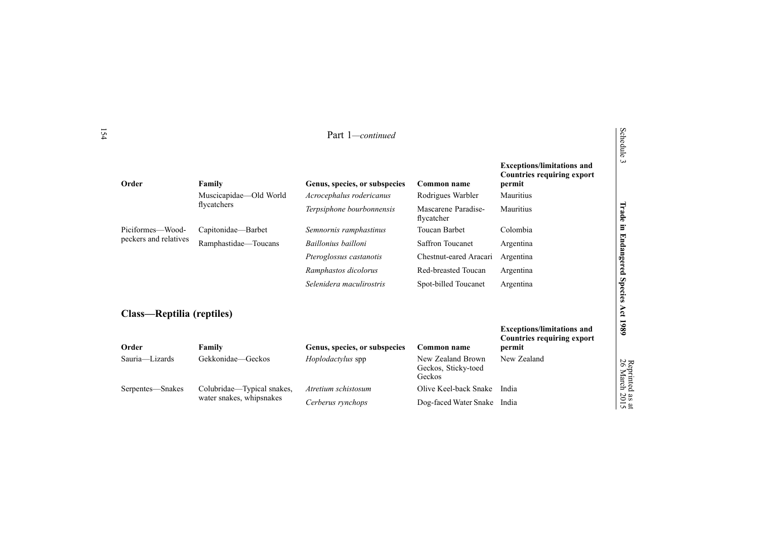| Order                     | Family                     | Genus, species, or subspecies | Common name                                        | <b>Exceptions/limitations and</b><br><b>Countries requiring export</b><br>permit |
|---------------------------|----------------------------|-------------------------------|----------------------------------------------------|----------------------------------------------------------------------------------|
|                           | Muscicapidae-Old World     | Acrocephalus rodericanus      | Rodrigues Warbler                                  | Mauritius                                                                        |
|                           | flycatchers                | Terpsiphone bourbonnensis     | Mascarene Paradise-<br>flycatcher                  | Mauritius                                                                        |
| Piciformes—Wood-          | Capitonidae—Barbet         | Semnornis ramphastinus        | <b>Toucan Barbet</b>                               | Colombia                                                                         |
| peckers and relatives     | Ramphastidae-Toucans       | Baillonius bailloni           | <b>Saffron Toucanet</b>                            | Argentina                                                                        |
|                           |                            | Pteroglossus castanotis       | Chestnut-eared Aracari                             | Argentina                                                                        |
|                           |                            | Ramphastos dicolorus          | Red-breasted Toucan                                | Argentina                                                                        |
|                           |                            | Selenidera maculirostris      | Spot-billed Toucanet                               | Argentina                                                                        |
| Class—Reptilia (reptiles) |                            |                               |                                                    | <b>Exceptions/limitations and</b><br><b>Countries requiring export</b>           |
| Order                     | Family                     | Genus, species, or subspecies | Common name                                        | permit                                                                           |
| Sauria-Lizards            | Gekkonidae-Geckos          | <i>Hoplodactylus</i> spp      | New Zealand Brown<br>Geckos, Sticky-toed<br>Geckos | New Zealand                                                                      |
| Serpentes—Snakes          | Colubridae—Typical snakes, | Atretium schistosum           | Olive Keel-back Snake                              | India                                                                            |
|                           | water snakes, whipsnakes   |                               | Dog-faced Water Snake                              |                                                                                  |

Schedul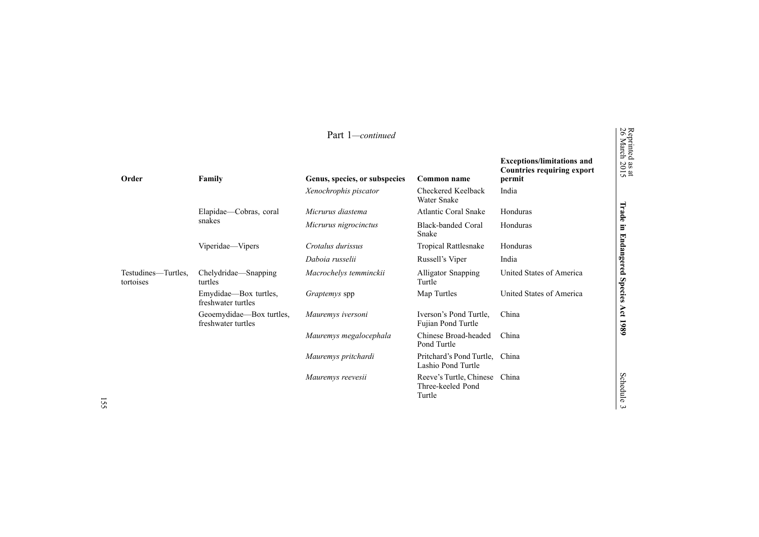|                                  |                                                | Part 1-continued              |                                                        |                                                                                  |
|----------------------------------|------------------------------------------------|-------------------------------|--------------------------------------------------------|----------------------------------------------------------------------------------|
| Order                            | Family                                         | Genus, species, or subspecies | Common name                                            | <b>Exceptions/limitations and</b><br><b>Countries requiring export</b><br>permit |
|                                  |                                                | Xenochrophis piscator         | Checkered Keelback<br><b>Water Snake</b>               | India                                                                            |
|                                  | Elapidae—Cobras, coral                         | Micrurus diastema             | <b>Atlantic Coral Snake</b>                            | Honduras                                                                         |
|                                  | snakes                                         | Micrurus nigrocinctus         | <b>Black-banded Coral</b><br>Snake                     | Honduras                                                                         |
|                                  | Viperidae—Vipers                               | Crotalus durissus             | <b>Tropical Rattlesnake</b>                            | Honduras                                                                         |
|                                  |                                                | Daboia russelii               | Russell's Viper                                        | India                                                                            |
| Testudines—Turtles,<br>tortoises | Chelydridae—Snapping<br>turtles                | Macrochelys temminckii        | Alligator Snapping<br>Turtle                           | United States of America                                                         |
|                                  | Emydidae-Box turtles,<br>freshwater turtles    | <i>Graptemys</i> spp          | Map Turtles                                            | United States of America                                                         |
|                                  | Geoemydidae—Box turtles,<br>freshwater turtles | Mauremys iversoni             | Iverson's Pond Turtle,<br>Fujian Pond Turtle           | China                                                                            |
|                                  |                                                | Mauremys megalocephala        | Chinese Broad-headed<br>Pond Turtle                    | China                                                                            |
|                                  |                                                | Mauremys pritchardi           | Pritchard's Pond Turtle.<br>Lashio Pond Turtle         | China                                                                            |
|                                  |                                                | Mauremys reevesii             | Reeve's Turtle, Chinese<br>Three-keeled Pond<br>Turtle | China                                                                            |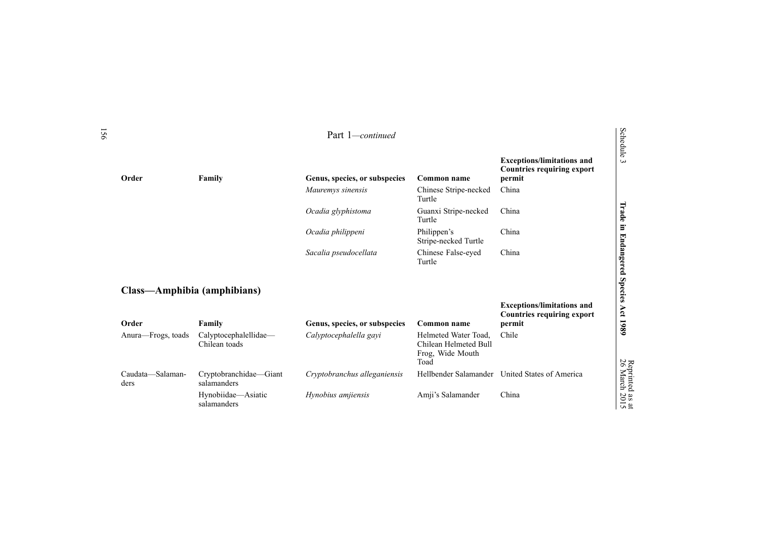|                                      |                                        | Part 1-continued              |                                                                           |                                                                                  |
|--------------------------------------|----------------------------------------|-------------------------------|---------------------------------------------------------------------------|----------------------------------------------------------------------------------|
| Order                                | Family                                 | Genus, species, or subspecies | Common name                                                               | <b>Exceptions/limitations and</b><br><b>Countries requiring export</b><br>permit |
|                                      |                                        | Mauremys sinensis             | Chinese Stripe-necked<br>Turtle                                           | China                                                                            |
|                                      |                                        | Ocadia glyphistoma            | Guanxi Stripe-necked<br>Turtle                                            | China                                                                            |
|                                      |                                        | Ocadia philippeni             | Philippen's<br>Stripe-necked Turtle                                       | China                                                                            |
|                                      |                                        | Sacalia pseudocellata         | Chinese False-eyed<br>Turtle                                              | China                                                                            |
| Class—Amphibia (amphibians)<br>Order | Family                                 | Genus, species, or subspecies | <b>Common name</b>                                                        | <b>Exceptions/limitations and</b><br><b>Countries requiring export</b><br>permit |
| Anura-Frogs, toads                   | Calyptocephalellidae-<br>Chilean toads | Calyptocephalella gayi        | Helmeted Water Toad.<br>Chilean Helmeted Bull<br>Frog, Wide Mouth<br>Toad | Chile                                                                            |
| Caudata-Salaman-<br>ders             | Cryptobranchidae-Giant<br>salamanders  | Cryptobranchus alleganiensis  |                                                                           | Hellbender Salamander United States of America                                   |
|                                      | Hynobiidae—Asiatic<br>salamanders      | Hynobius amjiensis            | Amji's Salamander                                                         | China                                                                            |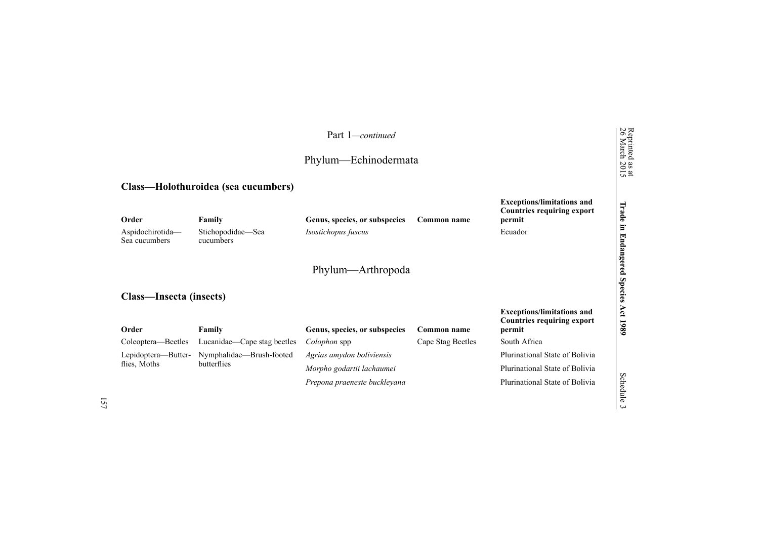|                                            |                                          | Part 1-continued<br>Phylum—Echinodermata             |                   |                                                                                             | Reprinted<br>26 March<br>$\frac{38 \text{ at}}{2015}$ |
|--------------------------------------------|------------------------------------------|------------------------------------------------------|-------------------|---------------------------------------------------------------------------------------------|-------------------------------------------------------|
|                                            | Class—Holothuroidea (sea cucumbers)      |                                                      |                   |                                                                                             |                                                       |
| Order<br>Aspidochirotida-<br>Sea cucumbers | Family<br>Stichopodidae—Sea<br>cucumbers | Genus, species, or subspecies<br>Isostichopus fuscus | Common name       | <b>Exceptions/limitations and</b><br><b>Countries requiring export</b><br>permit<br>Ecuador | Trade<br>E.                                           |
| Class-Insecta (insects)                    |                                          | Phylum—Arthropoda                                    |                   |                                                                                             | Endangered<br><b>Species</b>                          |
| Order                                      | Family                                   | Genus, species, or subspecies                        | Common name       | <b>Exceptions/limitations and</b><br><b>Countries requiring export</b><br>permit            | Act<br>1980                                           |
| Coleoptera—Beetles                         | Lucanidae—Cape stag beetles              | Colophon spp                                         | Cape Stag Beetles | South Africa                                                                                |                                                       |
| Lepidoptera-Butter-                        | Nymphalidae—Brush-footed                 | Agrias amydon boliviensis                            |                   | Plurinational State of Bolivia                                                              |                                                       |
| flies, Moths                               | butterflies                              | Morpho godartii lachaumei                            |                   | Plurinational State of Bolivia                                                              |                                                       |
|                                            |                                          | Prepona praeneste buckleyana                         |                   | Plurinational State of Bolivia                                                              | Schedule<br>$\overline{\mathbf{c}}$                   |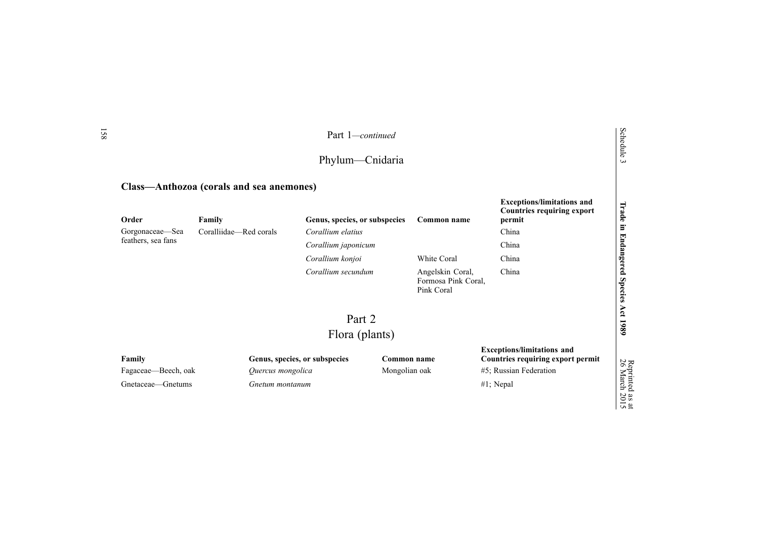|                                                    |                                          | Part 1-continued                                   |                              |                                                       |                                                                                                                  | Schedule                                                |
|----------------------------------------------------|------------------------------------------|----------------------------------------------------|------------------------------|-------------------------------------------------------|------------------------------------------------------------------------------------------------------------------|---------------------------------------------------------|
|                                                    |                                          | Phylum—Cnidaria                                    |                              |                                                       |                                                                                                                  | س                                                       |
|                                                    | Class-Anthozoa (corals and sea anemones) |                                                    |                              |                                                       |                                                                                                                  |                                                         |
| Order<br>Gorgonaceae-Sea                           | Family<br>Coralliidae—Red corals         | Genus, species, or subspecies<br>Corallium elatius |                              | Common name                                           | <b>Exceptions/limitations and</b><br><b>Countries requiring export</b><br>permit<br>China                        | Trade<br>$\Xi$                                          |
| feathers, sea fans                                 |                                          | Corallium japonicum                                |                              |                                                       | China                                                                                                            |                                                         |
|                                                    |                                          | Corallium konjoi                                   |                              | White Coral                                           | China                                                                                                            | <b>Endangered</b>                                       |
|                                                    |                                          | Corallium secundum                                 |                              | Angelskin Coral,<br>Formosa Pink Coral,<br>Pink Coral | China                                                                                                            | <b>Species</b>                                          |
|                                                    |                                          | Part 2                                             |                              |                                                       |                                                                                                                  | Act                                                     |
|                                                    |                                          | Flora (plants)                                     |                              |                                                       |                                                                                                                  | 1980                                                    |
| Family<br>Fagaceae—Beech, oak<br>Gnetaceae-Gnetums | Quercus mongolica<br>Gnetum montanum     | Genus, species, or subspecies                      | Common name<br>Mongolian oak |                                                       | <b>Exceptions/limitations and</b><br>Countries requiring export permit<br>#5; Russian Federation<br>$#1$ ; Nepal | Reprinted<br>26 March 2<br>$\frac{38 \text{ at}}{2015}$ |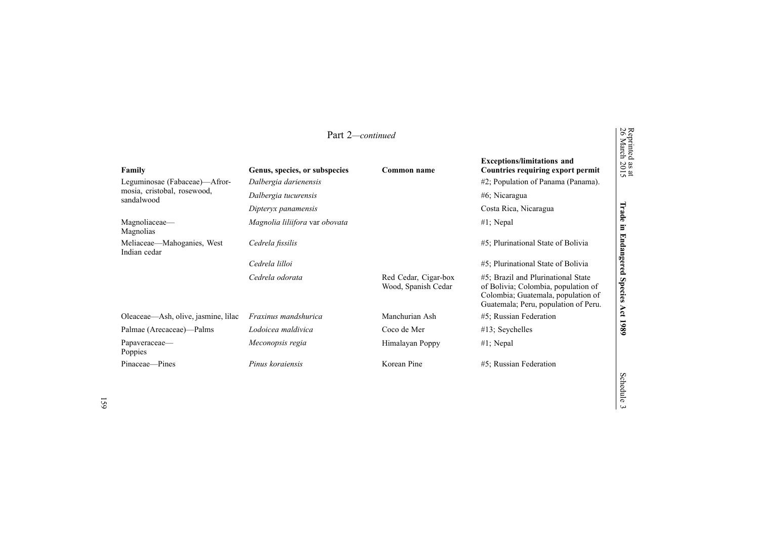| Part 2-continued                                                       |                                                        |                                             |                                                                                                                                                         | Reprinted<br>26 March        |
|------------------------------------------------------------------------|--------------------------------------------------------|---------------------------------------------|---------------------------------------------------------------------------------------------------------------------------------------------------------|------------------------------|
| Family<br>Leguminosae (Fabaceae)—Afror-<br>mosia, cristobal, rosewood, | Genus, species, or subspecies<br>Dalbergia darienensis | Common name                                 | <b>Exceptions/limitations and</b><br>Countries requiring export permit<br>$#2$ ; Population of Panama (Panama).                                         | $\frac{38 \text{ at}}{2015}$ |
| sandalwood                                                             | Dalbergia tucurensis                                   |                                             | $#6$ ; Nicaragua                                                                                                                                        |                              |
|                                                                        | Dipteryx panamensis                                    |                                             | Costa Rica, Nicaragua                                                                                                                                   | Trade                        |
| Magnoliaceae—<br>Magnolias                                             | Magnolia liliifora var obovata                         |                                             | $#1$ ; Nepal                                                                                                                                            | E.                           |
| Meliaceae—Mahoganies, West<br>Indian cedar                             | Cedrela fissilis                                       |                                             | #5; Plurinational State of Bolivia                                                                                                                      | Endangered                   |
|                                                                        | Cedrela lilloi                                         |                                             | #5; Plurinational State of Bolivia                                                                                                                      |                              |
|                                                                        | Cedrela odorata                                        | Red Cedar, Cigar-box<br>Wood, Spanish Cedar | #5; Brazil and Plurinational State<br>of Bolivia; Colombia, population of<br>Colombia; Guatemala, population of<br>Guatemala; Peru, population of Peru. | <b>Species</b>               |
| Oleaceae—Ash, olive, jasmine, lilac                                    | Fraxinus mandshurica                                   | Manchurian Ash                              | #5; Russian Federation                                                                                                                                  | Act                          |
| Palmae (Arecaceae)—Palms                                               | Lodoicea maldivica                                     | Coco de Mer                                 | $#13$ ; Seychelles                                                                                                                                      | 1989                         |
| Papaveraceae-<br>Poppies                                               | Meconopsis regia                                       | Himalayan Poppy                             | $#1$ ; Nepal                                                                                                                                            |                              |
| Pinaceae-Pines                                                         | Pinus koraiensis                                       | Korean Pine                                 | #5; Russian Federation                                                                                                                                  |                              |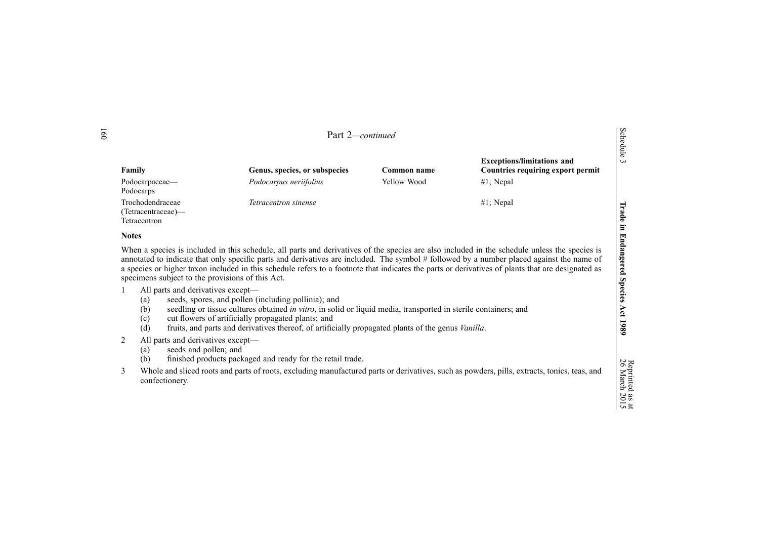|   |                                                                                                                   | Part 2-continued                                                                                                                                                                                                                                                                                                                           |             |                                                                                                                                                                                                                                                                                                                                                                                                                                                 | Schedule                                        |
|---|-------------------------------------------------------------------------------------------------------------------|--------------------------------------------------------------------------------------------------------------------------------------------------------------------------------------------------------------------------------------------------------------------------------------------------------------------------------------------|-------------|-------------------------------------------------------------------------------------------------------------------------------------------------------------------------------------------------------------------------------------------------------------------------------------------------------------------------------------------------------------------------------------------------------------------------------------------------|-------------------------------------------------|
|   | Family                                                                                                            | Genus, species, or subspecies                                                                                                                                                                                                                                                                                                              | Common name | <b>Exceptions/limitations and</b><br><b>Countries requiring export permit</b>                                                                                                                                                                                                                                                                                                                                                                   | $\omega$                                        |
|   | Podocarpaceae—<br>Podocarps                                                                                       | Podocarpus neriifolius                                                                                                                                                                                                                                                                                                                     | Yellow Wood | $#1$ ; Nepal                                                                                                                                                                                                                                                                                                                                                                                                                                    |                                                 |
|   | Trochodendraceae<br>(Tetracentraceae)—<br>Tetracentron                                                            | Tetracentron sinense                                                                                                                                                                                                                                                                                                                       |             | #1; Nepal                                                                                                                                                                                                                                                                                                                                                                                                                                       | Trade<br>$\Xi$                                  |
|   | <b>Notes</b>                                                                                                      |                                                                                                                                                                                                                                                                                                                                            |             |                                                                                                                                                                                                                                                                                                                                                                                                                                                 |                                                 |
|   | specimens subject to the provisions of this Act.<br>All parts and derivatives except-<br>(a)<br>(b)<br>(c)<br>(d) | seeds, spores, and pollen (including pollinia); and<br>seedling or tissue cultures obtained in vitro, in solid or liquid media, transported in sterile containers; and<br>cut flowers of artificially propagated plants; and<br>fruits, and parts and derivatives thereof, of artificially propagated plants of the genus <i>Vanilla</i> . |             | When a species is included in this schedule, all parts and derivatives of the species are also included in the schedule unless the species is<br>annotated to indicate that only specific parts and derivatives are included. The symbol # followed by a number placed against the name of<br>a species or higher taxon included in this schedule refers to a footnote that indicates the parts or derivatives of plants that are designated as | <b>Endangered</b><br><b>Species</b><br>Act 1989 |
| 2 | All parts and derivatives except-<br>seeds and pollen; and<br>(a)<br>(b)                                          | finished products packaged and ready for the retail trade.                                                                                                                                                                                                                                                                                 |             |                                                                                                                                                                                                                                                                                                                                                                                                                                                 |                                                 |
| 3 | confectionery.                                                                                                    |                                                                                                                                                                                                                                                                                                                                            |             | Whole and sliced roots and parts of roots, excluding manufactured parts or derivatives, such as powders, pills, extracts, tonics, teas, and                                                                                                                                                                                                                                                                                                     | Reprinted<br>26 March<br>$\frac{1}{2015}$       |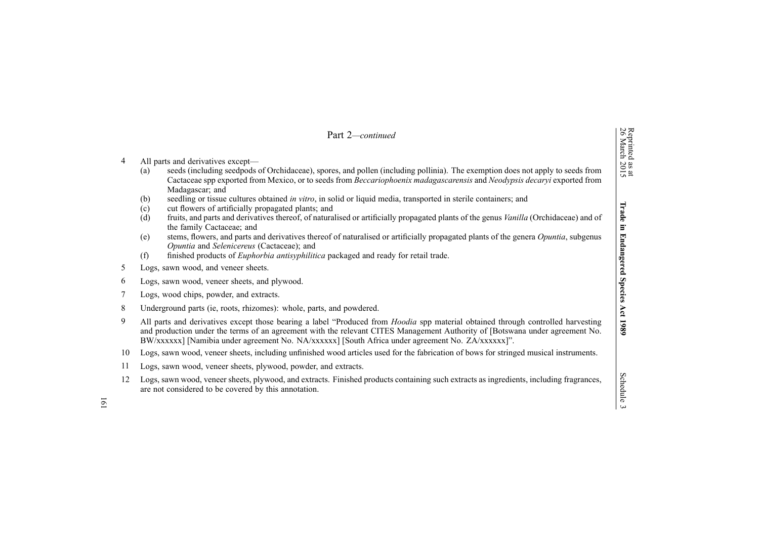|                | Part 2-continued                                                                                                                                                                                                                                                                                                                                                                                                                                                                                                                                                                                                                                                                                     |                                                 |  |  |
|----------------|------------------------------------------------------------------------------------------------------------------------------------------------------------------------------------------------------------------------------------------------------------------------------------------------------------------------------------------------------------------------------------------------------------------------------------------------------------------------------------------------------------------------------------------------------------------------------------------------------------------------------------------------------------------------------------------------------|-------------------------------------------------|--|--|
| $\overline{4}$ | All parts and derivatives except—<br>seeds (including seedpods of Orchidaceae), spores, and pollen (including pollinia). The exemption does not apply to seeds from<br>(a)<br>Cactaceae spp exported from Mexico, or to seeds from Beccariophoenix madagascarensis and Neodypsis decaryi exported from<br>Madagascar; and<br>seedling or tissue cultures obtained in vitro, in solid or liquid media, transported in sterile containers; and<br>(b)<br>cut flowers of artificially propagated plants; and<br>(c)<br>fruits, and parts and derivatives thereof, of naturalised or artificially propagated plants of the genus <i>Vanilla</i> (Orchidaceae) and of<br>(d)<br>the family Cactaceae; and | Reprinted as at<br>26 March 2015<br>Trade<br>E. |  |  |
|                | stems, flowers, and parts and derivatives thereof of naturalised or artificially propagated plants of the genera Opuntia, subgenus<br>(e)<br>Opuntia and Selenicereus (Cactaceae); and                                                                                                                                                                                                                                                                                                                                                                                                                                                                                                               | <b>Endangered</b>                               |  |  |
| 5              | finished products of <i>Euphorbia antisyphilitica</i> packaged and ready for retail trade.<br>(f)<br>Logs, sawn wood, and veneer sheets.                                                                                                                                                                                                                                                                                                                                                                                                                                                                                                                                                             |                                                 |  |  |
| 6              | Logs, sawn wood, veneer sheets, and plywood.                                                                                                                                                                                                                                                                                                                                                                                                                                                                                                                                                                                                                                                         |                                                 |  |  |
| 7              | Logs, wood chips, powder, and extracts.                                                                                                                                                                                                                                                                                                                                                                                                                                                                                                                                                                                                                                                              |                                                 |  |  |
| 8              | Underground parts (ie, roots, rhizomes): whole, parts, and powdered.                                                                                                                                                                                                                                                                                                                                                                                                                                                                                                                                                                                                                                 |                                                 |  |  |
| 9              | All parts and derivatives except those bearing a label "Produced from <i>Hoodia</i> spp material obtained through controlled harvesting<br>and production under the terms of an agreement with the relevant CITES Management Authority of [Botswana under agreement No.<br>BW/xxxxxx] [Namibia under agreement No. NA/xxxxxx] [South Africa under agreement No. ZA/xxxxxx]".                                                                                                                                                                                                                                                                                                                         |                                                 |  |  |
| 10             | Logs, sawn wood, veneer sheets, including unfinished wood articles used for the fabrication of bows for stringed musical instruments.                                                                                                                                                                                                                                                                                                                                                                                                                                                                                                                                                                |                                                 |  |  |
| 11             | Logs, sawn wood, veneer sheets, plywood, powder, and extracts.                                                                                                                                                                                                                                                                                                                                                                                                                                                                                                                                                                                                                                       |                                                 |  |  |
| 12             | Logs, sawn wood, veneer sheets, plywood, and extracts. Finished products containing such extracts as ingredients, including fragrances,<br>are not considered to be covered by this annotation.                                                                                                                                                                                                                                                                                                                                                                                                                                                                                                      | Schedule<br>$\omega$                            |  |  |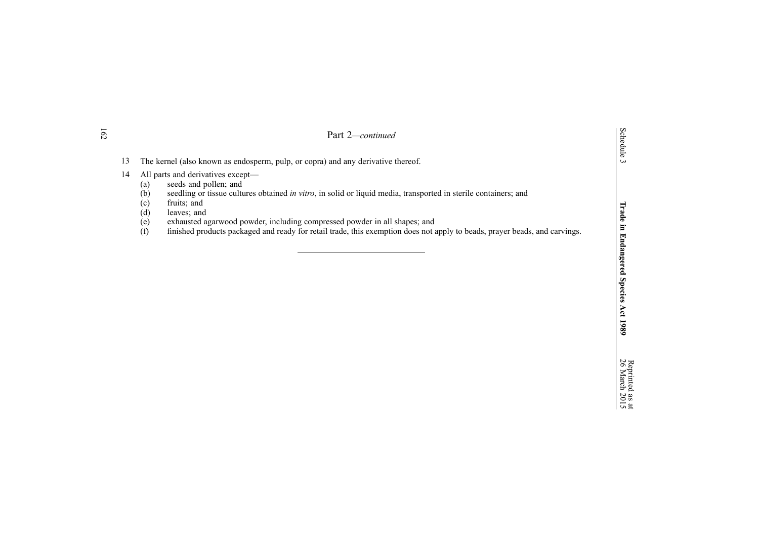|    | Part 2—continued                                                                                                                                                                                                                        |
|----|-----------------------------------------------------------------------------------------------------------------------------------------------------------------------------------------------------------------------------------------|
| 13 | The kernel (also known as endosperm, pulp, or copra) and any derivative thereof.                                                                                                                                                        |
| 14 | All parts and derivatives except—<br>seeds and pollen; and<br>(a)<br>seedling or tissue cultures obtained in vitro, in solid or liquid media, transported in sterile containers; and<br>(b)<br>fruits; and<br>(c)<br>(d)<br>leaves; and |
|    | exhausted agarwood powder, including compressed powder in all shapes; and<br>(e)                                                                                                                                                        |

(f) finished products packaged and ready for retail trade, this exemption does not apply to beads, prayer beads, and carvings.

**Act 1989**

Schedule 3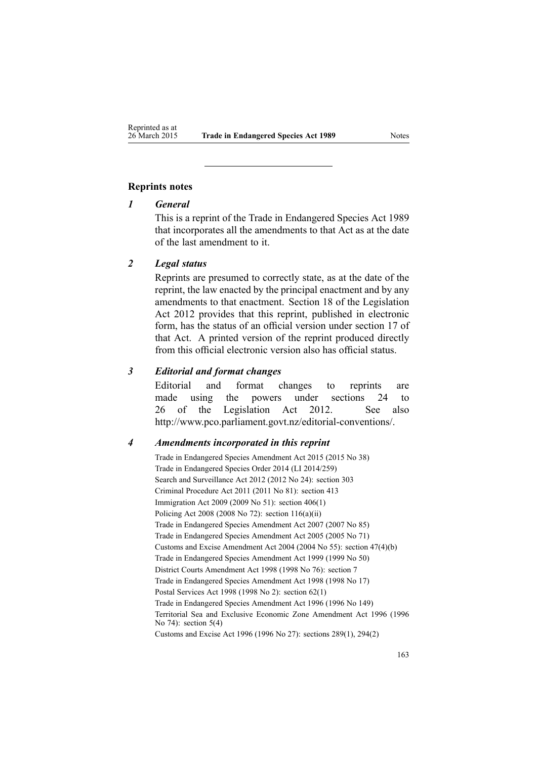### **Reprints notes**

# *1 General*

This is <sup>a</sup> reprint of the Trade in Endangered Species Act 1989 that incorporates all the amendments to that Act as at the date of the last amendment to it.

## *2 Legal status*

Reprints are presumed to correctly state, as at the date of the reprint, the law enacted by the principal enactment and by any amendments to that enactment. [Section](http://www.legislation.govt.nz/pdflink.aspx?id=DLM2998516) 18 of the Legislation Act 2012 provides that this reprint, published in electronic form, has the status of an official version under [section](http://www.legislation.govt.nz/pdflink.aspx?id=DLM2998515) 17 of that Act. A printed version of the reprint produced directly from this official electronic version also has official status.

# *3 Editorial and format changes*

Editorial and format changes to reprints are made using the powers under [sections](http://www.legislation.govt.nz/pdflink.aspx?id=DLM2998532) 24 to [26](http://www.legislation.govt.nz/pdflink.aspx?id=DLM2998532) of the Legislation Act 2012. See also <http://www.pco.parliament.govt.nz/editorial-conventions/>.

### *4 Amendments incorporated in this reprint*

Trade in [Endangered](http://www.legislation.govt.nz/pdflink.aspx?id=DLM6404931) Species Amendment Act 2015 (2015 No 38) Trade in [Endangered](http://www.legislation.govt.nz/pdflink.aspx?id=DLM6217709) Species Order 2014 (LI 2014/259) Search and Surveillance Act 2012 (2012 No 24): [section](http://www.legislation.govt.nz/pdflink.aspx?id=DLM2137084) 303 Criminal Procedure Act 2011 (2011 No 81): [section](http://www.legislation.govt.nz/pdflink.aspx?id=DLM3360714) 413 Immigration Act 2009 (2009 No 51): section [406\(1\)](http://www.legislation.govt.nz/pdflink.aspx?id=DLM1440300) Policing Act 2008 (2008 No 72): section [116\(a\)\(ii\)](http://www.legislation.govt.nz/pdflink.aspx?id=DLM1102349) Trade in Endangered Species Amendment Act 2007 (2007 No 85) Trade in Endangered Species Amendment Act 2005 (2005 No 71) Customs and Excise Amendment Act 2004 (2004 No 55): section [47\(4\)\(b\)](http://www.legislation.govt.nz/pdflink.aspx?id=DLM300382) Trade in Endangered Species Amendment Act 1999 (1999 No 50) District Courts Amendment Act 1998 (1998 No 76): [section](http://www.legislation.govt.nz/pdflink.aspx?id=DLM427920) 7 Trade in Endangered Species Amendment Act 1998 (1998 No 17) Postal Services Act 1998 (1998 No 2): [section](http://www.legislation.govt.nz/pdflink.aspx?id=DLM423785) 62(1) Trade in Endangered Species Amendment Act 1996 (1996 No 149) Territorial Sea and Exclusive Economic Zone Amendment Act 1996 (1996 No 74): section 5(4) Customs and Excise Act 1996 (1996 No 27): sections [289\(1\)](http://www.legislation.govt.nz/pdflink.aspx?id=DLM380185), [294\(2\)](http://www.legislation.govt.nz/pdflink.aspx?id=DLM380192)